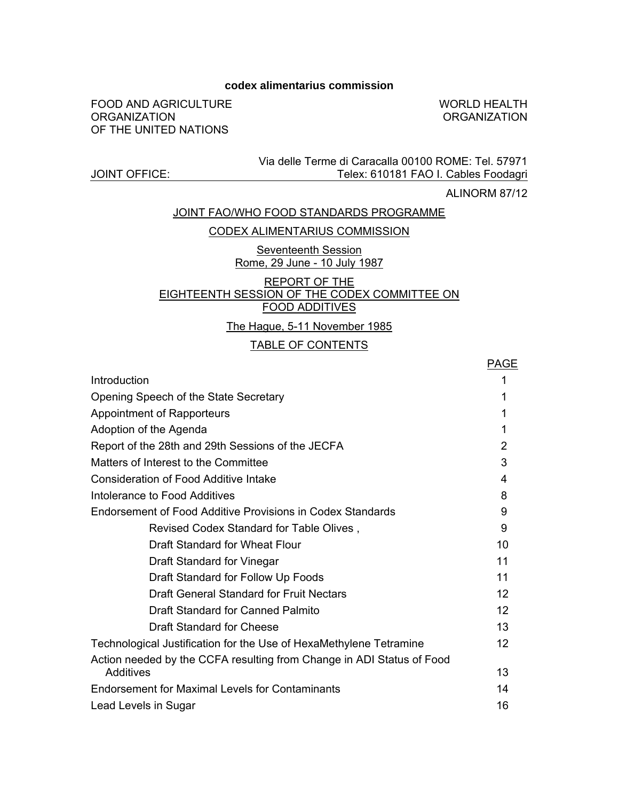#### **codex alimentarius commission**

FOOD AND AGRICULTURE **ORGANIZATION** OF THE UNITED NATIONS

WORLD HEALTH **ORGANIZATION** 

#### Via delle Terme di Caracalla 00100 ROME: Tel. 57971 Telex: 610181 FAO I. Cables Foodagri

ALINORM 87/12

#### JOINT FAO/WHO FOOD STANDARDS PROGRAMME

#### CODEX ALIMENTARIUS COMMISSION

Seventeenth Session Rome, 29 June - 10 July 1987

#### REPORT OF THE EIGHTEENTH SESSION OF THE CODEX COMMITTEE ON FOOD ADDITIVES

The Hague, 5-11 November 1985

#### TABLE OF CONTENTS

|                                                                       | <b>PAGE</b>    |
|-----------------------------------------------------------------------|----------------|
| Introduction                                                          | 1              |
| Opening Speech of the State Secretary                                 | 1              |
| Appointment of Rapporteurs                                            | 1              |
| Adoption of the Agenda                                                |                |
| Report of the 28th and 29th Sessions of the JECFA                     | $\overline{2}$ |
| Matters of Interest to the Committee                                  | 3              |
| Consideration of Food Additive Intake                                 | 4              |
| Intolerance to Food Additives                                         | 8              |
| <b>Endorsement of Food Additive Provisions in Codex Standards</b>     | 9              |
| Revised Codex Standard for Table Olives,                              | 9              |
| Draft Standard for Wheat Flour                                        | 10             |
| Draft Standard for Vinegar                                            | 11             |
| Draft Standard for Follow Up Foods                                    | 11             |
| Draft General Standard for Fruit Nectars                              | 12             |
| Draft Standard for Canned Palmito                                     | 12             |
| Draft Standard for Cheese                                             | 13             |
| Technological Justification for the Use of HexaMethylene Tetramine    | 12             |
| Action needed by the CCFA resulting from Change in ADI Status of Food |                |
| Additives                                                             | 13             |
| Endorsement for Maximal Levels for Contaminants                       | 14             |
| Lead Levels in Sugar                                                  | 16             |

## JOINT OFFICE: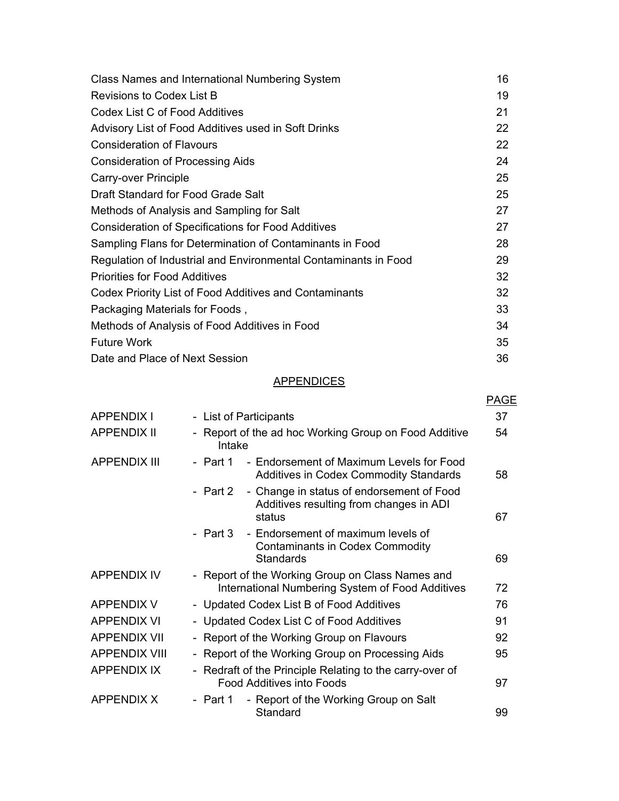| Class Names and International Numbering System                  | 16 |
|-----------------------------------------------------------------|----|
| Revisions to Codex List B                                       | 19 |
| Codex List C of Food Additives                                  | 21 |
| Advisory List of Food Additives used in Soft Drinks             | 22 |
| <b>Consideration of Flavours</b>                                | 22 |
| Consideration of Processing Aids                                | 24 |
| Carry-over Principle                                            | 25 |
| Draft Standard for Food Grade Salt                              | 25 |
| Methods of Analysis and Sampling for Salt                       | 27 |
| <b>Consideration of Specifications for Food Additives</b>       | 27 |
| Sampling Flans for Determination of Contaminants in Food        | 28 |
| Regulation of Industrial and Environmental Contaminants in Food | 29 |
| <b>Priorities for Food Additives</b>                            | 32 |
| Codex Priority List of Food Additives and Contaminants          | 32 |
| Packaging Materials for Foods,                                  | 33 |
| Methods of Analysis of Food Additives in Food                   | 34 |
| <b>Future Work</b>                                              | 35 |
| Date and Place of Next Session                                  | 36 |

## **APPENDICES**

|                      |                                                                                                            | PAGE |
|----------------------|------------------------------------------------------------------------------------------------------------|------|
| APPENDIX I           | - List of Participants                                                                                     | 37   |
| <b>APPENDIX II</b>   | - Report of the ad hoc Working Group on Food Additive<br>Intake                                            | 54   |
| <b>APPENDIX III</b>  | - Endorsement of Maximum Levels for Food<br>- Part 1<br><b>Additives in Codex Commodity Standards</b>      | 58   |
|                      | - Change in status of endorsement of Food<br>- Part 2<br>Additives resulting from changes in ADI<br>status | 67   |
|                      | - Part 3 - Endorsement of maximum levels of<br><b>Contaminants in Codex Commodity</b><br>Standards         | 69   |
| <b>APPENDIX IV</b>   | - Report of the Working Group on Class Names and<br>International Numbering System of Food Additives       | 72   |
| <b>APPENDIX V</b>    | - Updated Codex List B of Food Additives                                                                   | 76   |
| <b>APPENDIX VI</b>   | - Updated Codex List C of Food Additives                                                                   | 91   |
| <b>APPENDIX VII</b>  | - Report of the Working Group on Flavours                                                                  | 92   |
| <b>APPENDIX VIII</b> | - Report of the Working Group on Processing Aids                                                           | 95   |
| <b>APPENDIX IX</b>   | - Redraft of the Principle Relating to the carry-over of<br><b>Food Additives into Foods</b>               | 97   |
| APPENDIX X           | - Report of the Working Group on Salt<br>- Part 1<br>Standard                                              | 99   |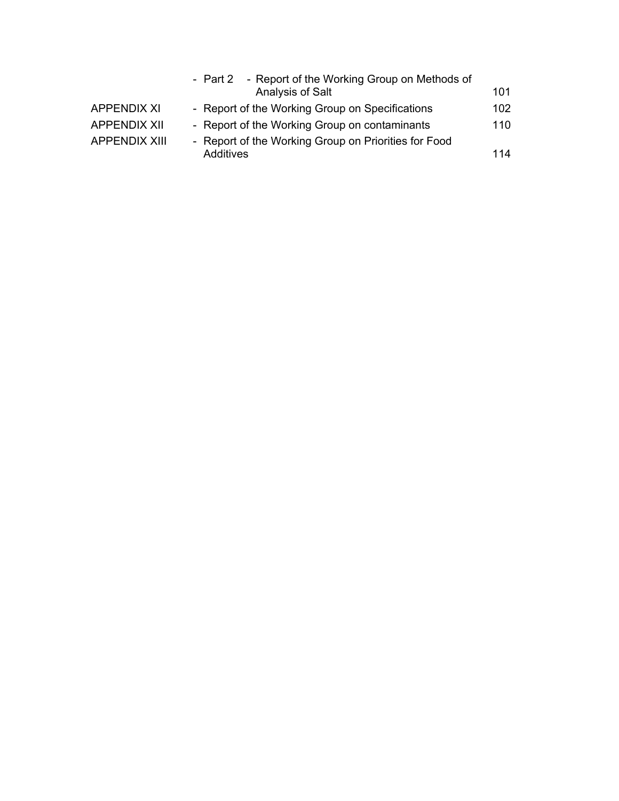|                      | - Report of the Working Group on Methods of<br>- Part 2 |      |
|----------------------|---------------------------------------------------------|------|
|                      | Analysis of Salt                                        | 101  |
| <b>APPENDIX XI</b>   | - Report of the Working Group on Specifications         | 102. |
| <b>APPENDIX XII</b>  | - Report of the Working Group on contaminants           | 110  |
| <b>APPENDIX XIII</b> | - Report of the Working Group on Priorities for Food    |      |
|                      | Additives                                               | 114  |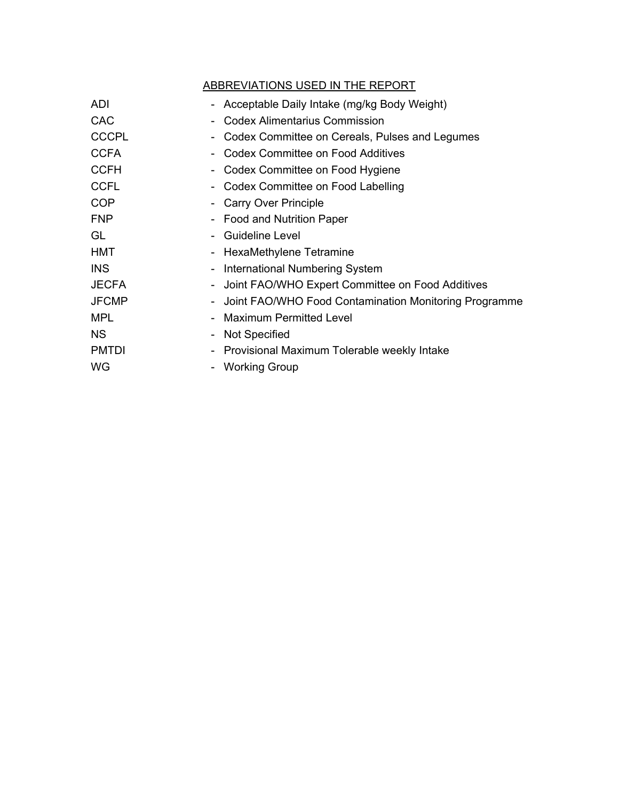|              | ABBREVIATIONS USED IN THE REPORT                      |
|--------------|-------------------------------------------------------|
| ADI          | - Acceptable Daily Intake (mg/kg Body Weight)         |
| <b>CAC</b>   | <b>Codex Alimentarius Commission</b>                  |
| <b>CCCPL</b> | Codex Committee on Cereals, Pulses and Legumes        |
| <b>CCFA</b>  | <b>Codex Committee on Food Additives</b>              |
| <b>CCFH</b>  | Codex Committee on Food Hygiene                       |
| <b>CCFL</b>  | Codex Committee on Food Labelling                     |
| <b>COP</b>   | Carry Over Principle                                  |
| <b>FNP</b>   | <b>Food and Nutrition Paper</b>                       |
| GL           | <b>Guideline Level</b>                                |
| <b>HMT</b>   | HexaMethylene Tetramine                               |
| <b>INS</b>   | International Numbering System                        |
| <b>JECFA</b> | Joint FAO/WHO Expert Committee on Food Additives      |
| <b>JFCMP</b> | Joint FAO/WHO Food Contamination Monitoring Programme |
| <b>MPL</b>   | Maximum Permitted Level                               |
| <b>NS</b>    | <b>Not Specified</b>                                  |
| <b>PMTDI</b> | - Provisional Maximum Tolerable weekly Intake         |
| WG           | <b>Working Group</b>                                  |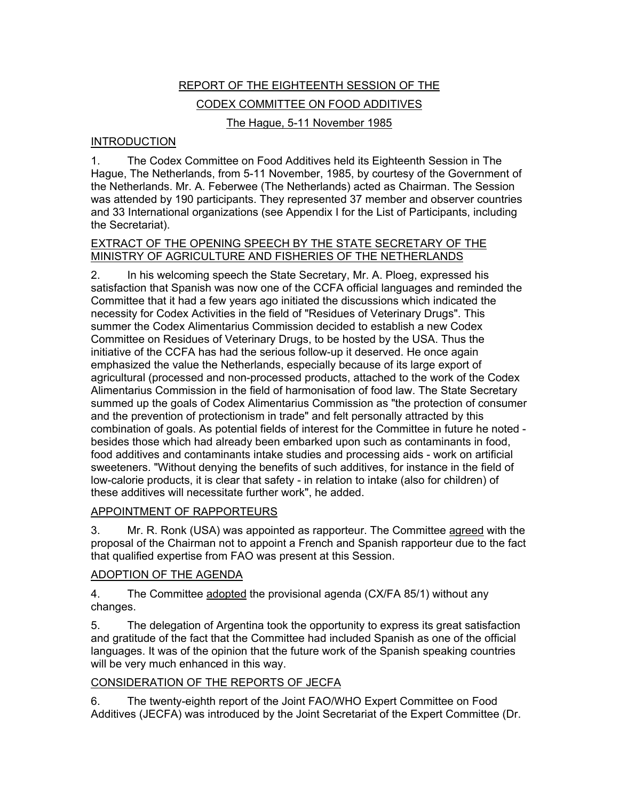# REPORT OF THE EIGHTEENTH SESSION OF THE CODEX COMMITTEE ON FOOD ADDITIVES

## The Hague, 5-11 November 1985

## INTRODUCTION

1. The Codex Committee on Food Additives held its Eighteenth Session in The Hague, The Netherlands, from 5-11 November, 1985, by courtesy of the Government of the Netherlands. Mr. A. Feberwee (The Netherlands) acted as Chairman. The Session was attended by 190 participants. They represented 37 member and observer countries and 33 International organizations (see Appendix I for the List of Participants, including the Secretariat).

#### EXTRACT OF THE OPENING SPEECH BY THE STATE SECRETARY OF THE MINISTRY OF AGRICULTURE AND FISHERIES OF THE NETHERLANDS

2. In his welcoming speech the State Secretary, Mr. A. Ploeg, expressed his satisfaction that Spanish was now one of the CCFA official languages and reminded the Committee that it had a few years ago initiated the discussions which indicated the necessity for Codex Activities in the field of "Residues of Veterinary Drugs". This summer the Codex Alimentarius Commission decided to establish a new Codex Committee on Residues of Veterinary Drugs, to be hosted by the USA. Thus the initiative of the CCFA has had the serious follow-up it deserved. He once again emphasized the value the Netherlands, especially because of its large export of agricultural (processed and non-processed products, attached to the work of the Codex Alimentarius Commission in the field of harmonisation of food law. The State Secretary summed up the goals of Codex Alimentarius Commission as "the protection of consumer and the prevention of protectionism in trade" and felt personally attracted by this combination of goals. As potential fields of interest for the Committee in future he noted besides those which had already been embarked upon such as contaminants in food, food additives and contaminants intake studies and processing aids - work on artificial sweeteners. "Without denying the benefits of such additives, for instance in the field of low-calorie products, it is clear that safety - in relation to intake (also for children) of these additives will necessitate further work", he added.

## **APPOINTMENT OF RAPPORTEURS**

3. Mr. R. Ronk (USA) was appointed as rapporteur. The Committee agreed with the proposal of the Chairman not to appoint a French and Spanish rapporteur due to the fact that qualified expertise from FAO was present at this Session.

## ADOPTION OF THE AGENDA

4. The Committee adopted the provisional agenda (CX/FA 85/1) without any changes.

5. The delegation of Argentina took the opportunity to express its great satisfaction and gratitude of the fact that the Committee had included Spanish as one of the official languages. It was of the opinion that the future work of the Spanish speaking countries will be very much enhanced in this way.

## CONSIDERATION OF THE REPORTS OF JECFA

6. The twenty-eighth report of the Joint FAO/WHO Expert Committee on Food Additives (JECFA) was introduced by the Joint Secretariat of the Expert Committee (Dr.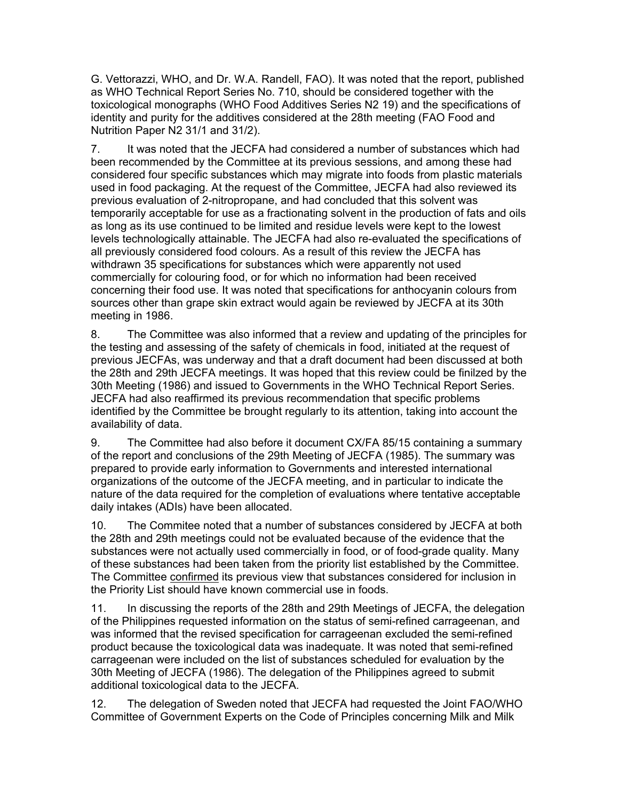G. Vettorazzi, WHO, and Dr. W.A. Randell, FAO). It was noted that the report, published as WHO Technical Report Series No. 710, should be considered together with the toxicological monographs (WHO Food Additives Series N2 19) and the specifications of identity and purity for the additives considered at the 28th meeting (FAO Food and Nutrition Paper N2 31/1 and 31/2).

7. It was noted that the JECFA had considered a number of substances which had been recommended by the Committee at its previous sessions, and among these had considered four specific substances which may migrate into foods from plastic materials used in food packaging. At the request of the Committee, JECFA had also reviewed its previous evaluation of 2-nitropropane, and had concluded that this solvent was temporarily acceptable for use as a fractionating solvent in the production of fats and oils as long as its use continued to be limited and residue levels were kept to the lowest levels technologically attainable. The JECFA had also re-evaluated the specifications of all previously considered food colours. As a result of this review the JECFA has withdrawn 35 specifications for substances which were apparently not used commercially for colouring food, or for which no information had been received concerning their food use. It was noted that specifications for anthocyanin colours from sources other than grape skin extract would again be reviewed by JECFA at its 30th meeting in 1986.

8. The Committee was also informed that a review and updating of the principles for the testing and assessing of the safety of chemicals in food, initiated at the request of previous JECFAs, was underway and that a draft document had been discussed at both the 28th and 29th JECFA meetings. It was hoped that this review could be finilzed by the 30th Meeting (1986) and issued to Governments in the WHO Technical Report Series. JECFA had also reaffirmed its previous recommendation that specific problems identified by the Committee be brought regularly to its attention, taking into account the availability of data.

9. The Committee had also before it document CX/FA 85/15 containing a summary of the report and conclusions of the 29th Meeting of JECFA (1985). The summary was prepared to provide early information to Governments and interested international organizations of the outcome of the JECFA meeting, and in particular to indicate the nature of the data required for the completion of evaluations where tentative acceptable daily intakes (ADIs) have been allocated.

10. The Commitee noted that a number of substances considered by JECFA at both the 28th and 29th meetings could not be evaluated because of the evidence that the substances were not actually used commercially in food, or of food-grade quality. Many of these substances had been taken from the priority list established by the Committee. The Committee confirmed its previous view that substances considered for inclusion in the Priority List should have known commercial use in foods.

11. In discussing the reports of the 28th and 29th Meetings of JECFA, the delegation of the Philippines requested information on the status of semi-refined carrageenan, and was informed that the revised specification for carrageenan excluded the semi-refined product because the toxicological data was inadequate. It was noted that semi-refined carrageenan were included on the list of substances scheduled for evaluation by the 30th Meeting of JECFA (1986). The delegation of the Philippines agreed to submit additional toxicological data to the JECFA.

12. The delegation of Sweden noted that JECFA had requested the Joint FAO/WHO Committee of Government Experts on the Code of Principles concerning Milk and Milk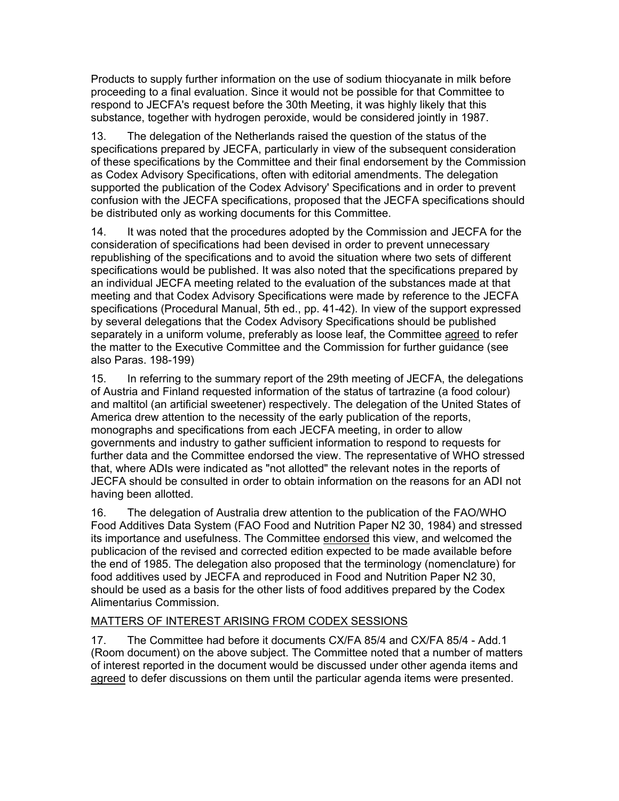Products to supply further information on the use of sodium thiocyanate in milk before proceeding to a final evaluation. Since it would not be possible for that Committee to respond to JECFA's request before the 30th Meeting, it was highly likely that this substance, together with hydrogen peroxide, would be considered jointly in 1987.

13. The delegation of the Netherlands raised the question of the status of the specifications prepared by JECFA, particularly in view of the subsequent consideration of these specifications by the Committee and their final endorsement by the Commission as Codex Advisory Specifications, often with editorial amendments. The delegation supported the publication of the Codex Advisory' Specifications and in order to prevent confusion with the JECFA specifications, proposed that the JECFA specifications should be distributed only as working documents for this Committee.

14. It was noted that the procedures adopted by the Commission and JECFA for the consideration of specifications had been devised in order to prevent unnecessary republishing of the specifications and to avoid the situation where two sets of different specifications would be published. It was also noted that the specifications prepared by an individual JECFA meeting related to the evaluation of the substances made at that meeting and that Codex Advisory Specifications were made by reference to the JECFA specifications (Procedural Manual, 5th ed., pp. 41-42). In view of the support expressed by several delegations that the Codex Advisory Specifications should be published separately in a uniform volume, preferably as loose leaf, the Committee agreed to refer the matter to the Executive Committee and the Commission for further guidance (see also Paras. 198-199)

15. In referring to the summary report of the 29th meeting of JECFA, the delegations of Austria and Finland requested information of the status of tartrazine (a food colour) and maltitol (an artificial sweetener) respectively. The delegation of the United States of America drew attention to the necessity of the early publication of the reports, monographs and specifications from each JECFA meeting, in order to allow governments and industry to gather sufficient information to respond to requests for further data and the Committee endorsed the view. The representative of WHO stressed that, where ADIs were indicated as "not allotted" the relevant notes in the reports of JECFA should be consulted in order to obtain information on the reasons for an ADI not having been allotted.

16. The delegation of Australia drew attention to the publication of the FAO/WHO Food Additives Data System (FAO Food and Nutrition Paper N2 30, 1984) and stressed its importance and usefulness. The Committee endorsed this view, and welcomed the publicacion of the revised and corrected edition expected to be made available before the end of 1985. The delegation also proposed that the terminology (nomenclature) for food additives used by JECFA and reproduced in Food and Nutrition Paper N2 30, should be used as a basis for the other lists of food additives prepared by the Codex Alimentarius Commission.

## MATTERS OF INTEREST ARISING FROM CODEX SESSIONS

17. The Committee had before it documents CX/FA 85/4 and CX/FA 85/4 - Add.1 (Room document) on the above subject. The Committee noted that a number of matters of interest reported in the document would be discussed under other agenda items and agreed to defer discussions on them until the particular agenda items were presented.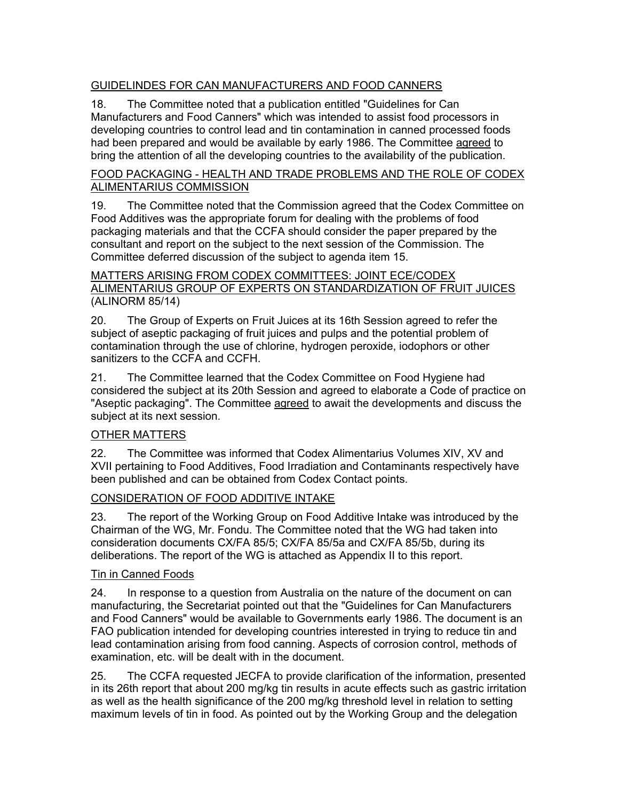## GUIDELINDES FOR CAN MANUFACTURERS AND FOOD CANNERS

18. The Committee noted that a publication entitled "Guidelines for Can Manufacturers and Food Canners" which was intended to assist food processors in developing countries to control lead and tin contamination in canned processed foods had been prepared and would be available by early 1986. The Committee agreed to bring the attention of all the developing countries to the availability of the publication.

#### FOOD PACKAGING - HEALTH AND TRADE PROBLEMS AND THE ROLE OF CODEX ALIMENTARIUS COMMISSION

19. The Committee noted that the Commission agreed that the Codex Committee on Food Additives was the appropriate forum for dealing with the problems of food packaging materials and that the CCFA should consider the paper prepared by the consultant and report on the subject to the next session of the Commission. The Committee deferred discussion of the subject to agenda item 15.

#### MATTERS ARISING FROM CODEX COMMITTEES: JOINT ECE/CODEX ALIMENTARIUS GROUP OF EXPERTS ON STANDARDIZATION OF FRUIT JUICES (ALINORM 85/14)

20. The Group of Experts on Fruit Juices at its 16th Session agreed to refer the subject of aseptic packaging of fruit juices and pulps and the potential problem of contamination through the use of chlorine, hydrogen peroxide, iodophors or other sanitizers to the CCFA and CCFH.

21. The Committee learned that the Codex Committee on Food Hygiene had considered the subject at its 20th Session and agreed to elaborate a Code of practice on "Aseptic packaging". The Committee agreed to await the developments and discuss the subject at its next session.

## OTHER MATTERS

22. The Committee was informed that Codex Alimentarius Volumes XIV, XV and XVII pertaining to Food Additives, Food Irradiation and Contaminants respectively have been published and can be obtained from Codex Contact points.

## CONSIDERATION OF FOOD ADDITIVE INTAKE

23. The report of the Working Group on Food Additive Intake was introduced by the Chairman of the WG, Mr. Fondu. The Committee noted that the WG had taken into consideration documents CX/FA 85/5; CX/FA 85/5a and CX/FA 85/5b, during its deliberations. The report of the WG is attached as Appendix II to this report.

## Tin in Canned Foods

24. In response to a question from Australia on the nature of the document on can manufacturing, the Secretariat pointed out that the "Guidelines for Can Manufacturers and Food Canners" would be available to Governments early 1986. The document is an FAO publication intended for developing countries interested in trying to reduce tin and lead contamination arising from food canning. Aspects of corrosion control, methods of examination, etc. will be dealt with in the document.

25. The CCFA requested JECFA to provide clarification of the information, presented in its 26th report that about 200 mg/kg tin results in acute effects such as gastric irritation as well as the health significance of the 200 mg/kg threshold level in relation to setting maximum levels of tin in food. As pointed out by the Working Group and the delegation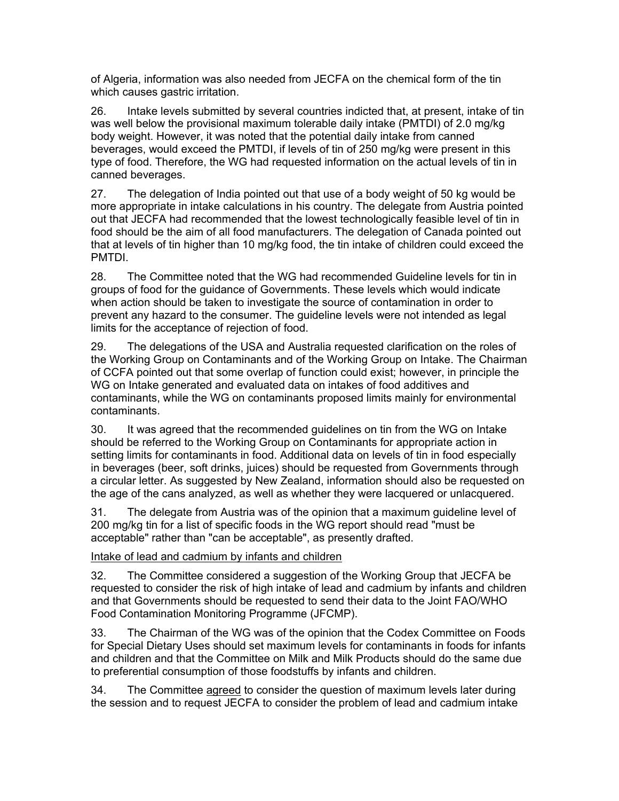of Algeria, information was also needed from JECFA on the chemical form of the tin which causes gastric irritation.

26. Intake levels submitted by several countries indicted that, at present, intake of tin was well below the provisional maximum tolerable daily intake (PMTDI) of 2.0 mg/kg body weight. However, it was noted that the potential daily intake from canned beverages, would exceed the PMTDI, if levels of tin of 250 mg/kg were present in this type of food. Therefore, the WG had requested information on the actual levels of tin in canned beverages.

27. The delegation of India pointed out that use of a body weight of 50 kg would be more appropriate in intake calculations in his country. The delegate from Austria pointed out that JECFA had recommended that the lowest technologically feasible level of tin in food should be the aim of all food manufacturers. The delegation of Canada pointed out that at levels of tin higher than 10 mg/kg food, the tin intake of children could exceed the PMTDI.

28. The Committee noted that the WG had recommended Guideline levels for tin in groups of food for the guidance of Governments. These levels which would indicate when action should be taken to investigate the source of contamination in order to prevent any hazard to the consumer. The guideline levels were not intended as legal limits for the acceptance of rejection of food.

29. The delegations of the USA and Australia requested clarification on the roles of the Working Group on Contaminants and of the Working Group on Intake. The Chairman of CCFA pointed out that some overlap of function could exist; however, in principle the WG on Intake generated and evaluated data on intakes of food additives and contaminants, while the WG on contaminants proposed limits mainly for environmental contaminants.

30. It was agreed that the recommended guidelines on tin from the WG on Intake should be referred to the Working Group on Contaminants for appropriate action in setting limits for contaminants in food. Additional data on levels of tin in food especially in beverages (beer, soft drinks, juices) should be requested from Governments through a circular letter. As suggested by New Zealand, information should also be requested on the age of the cans analyzed, as well as whether they were lacquered or unlacquered.

31. The delegate from Austria was of the opinion that a maximum guideline level of 200 mg/kg tin for a list of specific foods in the WG report should read "must be acceptable" rather than "can be acceptable", as presently drafted.

## Intake of lead and cadmium by infants and children

32. The Committee considered a suggestion of the Working Group that JECFA be requested to consider the risk of high intake of lead and cadmium by infants and children and that Governments should be requested to send their data to the Joint FAO/WHO Food Contamination Monitoring Programme (JFCMP).

33. The Chairman of the WG was of the opinion that the Codex Committee on Foods for Special Dietary Uses should set maximum levels for contaminants in foods for infants and children and that the Committee on Milk and Milk Products should do the same due to preferential consumption of those foodstuffs by infants and children.

34. The Committee agreed to consider the question of maximum levels later during the session and to request JECFA to consider the problem of lead and cadmium intake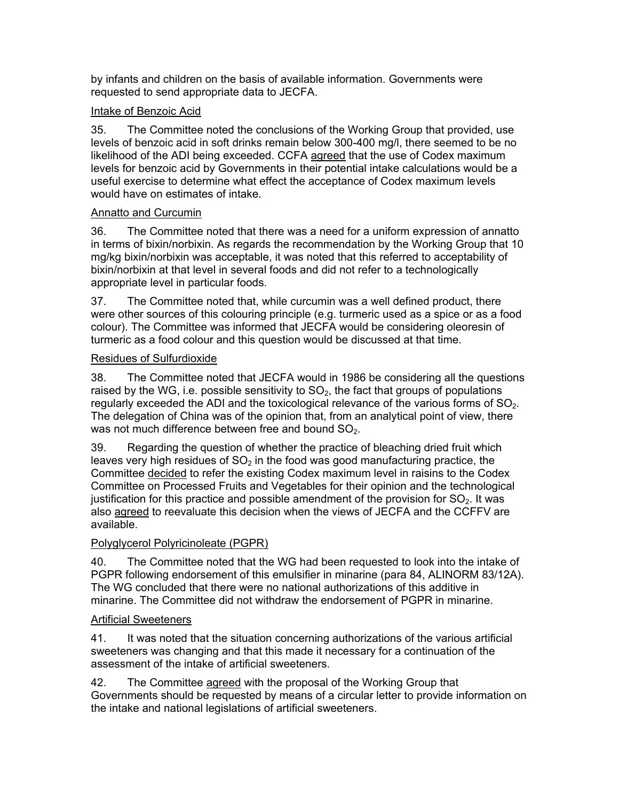by infants and children on the basis of available information. Governments were requested to send appropriate data to JECFA.

## Intake of Benzoic Acid

35. The Committee noted the conclusions of the Working Group that provided, use levels of benzoic acid in soft drinks remain below 300-400 mg/l, there seemed to be no likelihood of the ADI being exceeded. CCFA agreed that the use of Codex maximum levels for benzoic acid by Governments in their potential intake calculations would be a useful exercise to determine what effect the acceptance of Codex maximum levels would have on estimates of intake.

## Annatto and Curcumin

36. The Committee noted that there was a need for a uniform expression of annatto in terms of bixin/norbixin. As regards the recommendation by the Working Group that 10 mg/kg bixin/norbixin was acceptable, it was noted that this referred to acceptability of bixin/norbixin at that level in several foods and did not refer to a technologically appropriate level in particular foods.

37. The Committee noted that, while curcumin was a well defined product, there were other sources of this colouring principle (e.g. turmeric used as a spice or as a food colour). The Committee was informed that JECFA would be considering oleoresin of turmeric as a food colour and this question would be discussed at that time.

## Residues of Sulfurdioxide

38. The Committee noted that JECFA would in 1986 be considering all the questions raised by the WG, i.e. possible sensitivity to  $SO<sub>2</sub>$ , the fact that groups of populations regularly exceeded the ADI and the toxicological relevance of the various forms of  $SO<sub>2</sub>$ . The delegation of China was of the opinion that, from an analytical point of view, there was not much difference between free and bound  $SO<sub>2</sub>$ .

39. Regarding the question of whether the practice of bleaching dried fruit which leaves very high residues of  $SO<sub>2</sub>$  in the food was good manufacturing practice, the Committee decided to refer the existing Codex maximum level in raisins to the Codex Committee on Processed Fruits and Vegetables for their opinion and the technological justification for this practice and possible amendment of the provision for  $SO<sub>2</sub>$ . It was also agreed to reevaluate this decision when the views of JECFA and the CCFFV are available.

## Polyglycerol Polyricinoleate (PGPR)

40. The Committee noted that the WG had been requested to look into the intake of PGPR following endorsement of this emulsifier in minarine (para 84, ALINORM 83/12A). The WG concluded that there were no national authorizations of this additive in minarine. The Committee did not withdraw the endorsement of PGPR in minarine.

## Artificial Sweeteners

41. It was noted that the situation concerning authorizations of the various artificial sweeteners was changing and that this made it necessary for a continuation of the assessment of the intake of artificial sweeteners.

42. The Committee agreed with the proposal of the Working Group that Governments should be requested by means of a circular letter to provide information on the intake and national legislations of artificial sweeteners.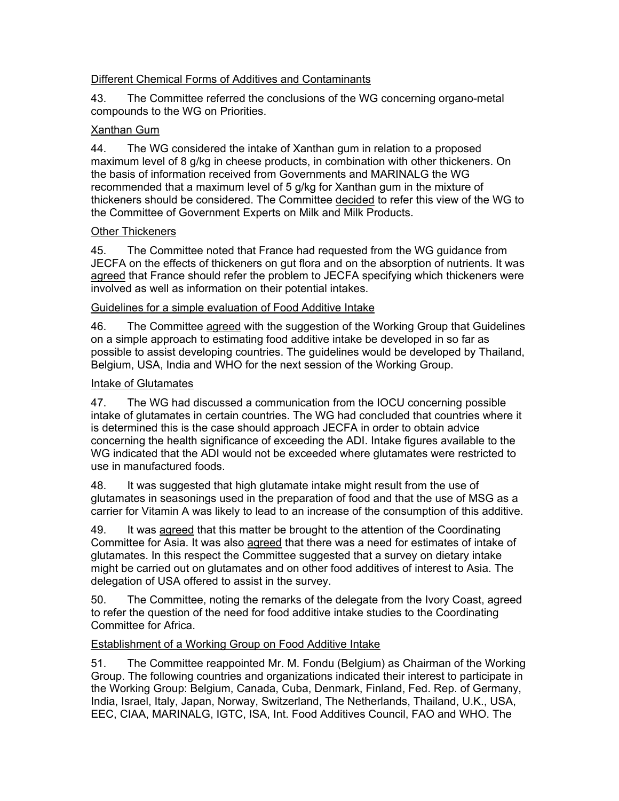## Different Chemical Forms of Additives and Contaminants

43. The Committee referred the conclusions of the WG concerning organo-metal compounds to the WG on Priorities.

#### Xanthan Gum

44. The WG considered the intake of Xanthan gum in relation to a proposed maximum level of 8 g/kg in cheese products, in combination with other thickeners. On the basis of information received from Governments and MARINALG the WG recommended that a maximum level of 5 g/kg for Xanthan gum in the mixture of thickeners should be considered. The Committee decided to refer this view of the WG to the Committee of Government Experts on Milk and Milk Products.

#### Other Thickeners

45. The Committee noted that France had requested from the WG guidance from JECFA on the effects of thickeners on gut flora and on the absorption of nutrients. It was agreed that France should refer the problem to JECFA specifying which thickeners were involved as well as information on their potential intakes.

## Guidelines for a simple evaluation of Food Additive Intake

46. The Committee agreed with the suggestion of the Working Group that Guidelines on a simple approach to estimating food additive intake be developed in so far as possible to assist developing countries. The guidelines would be developed by Thailand, Belgium, USA, India and WHO for the next session of the Working Group.

## Intake of Glutamates

47. The WG had discussed a communication from the IOCU concerning possible intake of glutamates in certain countries. The WG had concluded that countries where it is determined this is the case should approach JECFA in order to obtain advice concerning the health significance of exceeding the ADI. Intake figures available to the WG indicated that the ADI would not be exceeded where glutamates were restricted to use in manufactured foods.

48. It was suggested that high glutamate intake might result from the use of glutamates in seasonings used in the preparation of food and that the use of MSG as a carrier for Vitamin A was likely to lead to an increase of the consumption of this additive.

49. It was agreed that this matter be brought to the attention of the Coordinating Committee for Asia. It was also agreed that there was a need for estimates of intake of glutamates. In this respect the Committee suggested that a survey on dietary intake might be carried out on glutamates and on other food additives of interest to Asia. The delegation of USA offered to assist in the survey.

50. The Committee, noting the remarks of the delegate from the Ivory Coast, agreed to refer the question of the need for food additive intake studies to the Coordinating Committee for Africa.

## Establishment of a Working Group on Food Additive Intake

51. The Committee reappointed Mr. M. Fondu (Belgium) as Chairman of the Working Group. The following countries and organizations indicated their interest to participate in the Working Group: Belgium, Canada, Cuba, Denmark, Finland, Fed. Rep. of Germany, India, Israel, Italy, Japan, Norway, Switzerland, The Netherlands, Thailand, U.K., USA, EEC, CIAA, MARINALG, IGTC, ISA, Int. Food Additives Council, FAO and WHO. The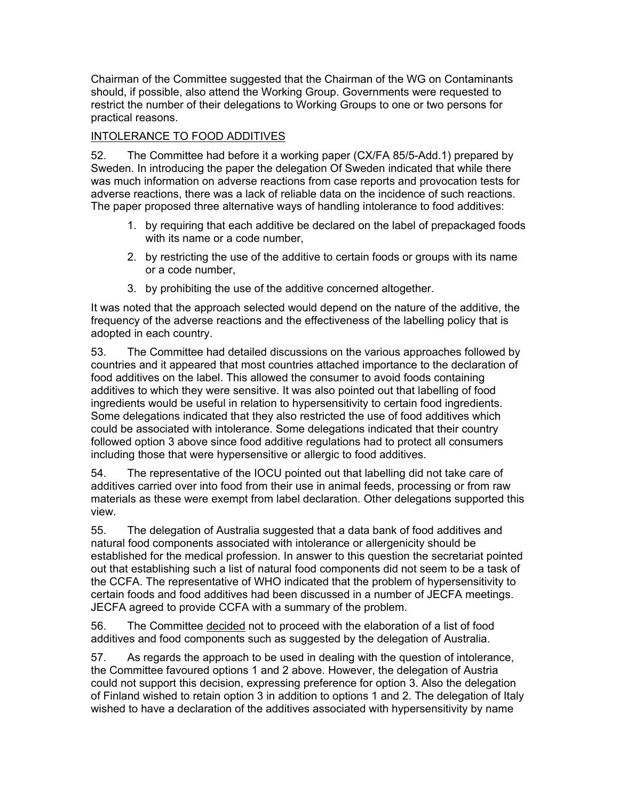Chairman of the Committee suggested that the Chairman of the WG on Contaminants should, if possible, also attend the Working Group. Governments were requested to restrict the number of their delegations to Working Groups to one or two persons for practical reasons.

## INTOLERANCE TO FOOD ADDITIVES

52. The Committee had before it a working paper (CX/FA 85/5-Add.1) prepared by Sweden. In introducing the paper the delegation Of Sweden indicated that while there was much information on adverse reactions from case reports and provocation tests for adverse reactions, there was a lack of reliable data on the incidence of such reactions. The paper proposed three alternative ways of handling intolerance to food additives:

- 1. by requiring that each additive be declared on the label of prepackaged foods with its name or a code number,
- 2. by restricting the use of the additive to certain foods or groups with its name or a code number,
- 3. by prohibiting the use of the additive concerned altogether.

It was noted that the approach selected would depend on the nature of the additive, the frequency of the adverse reactions and the effectiveness of the labelling policy that is adopted in each country.

53. The Committee had detailed discussions on the various approaches followed by countries and it appeared that most countries attached importance to the declaration of food additives on the label. This allowed the consumer to avoid foods containing additives to which they were sensitive. It was also pointed out that labelling of food ingredients would be useful in relation to hypersensitivity to certain food ingredients. Some delegations indicated that they also restricted the use of food additives which could be associated with intolerance. Some delegations indicated that their country followed option 3 above since food additive regulations had to protect all consumers including those that were hypersensitive or allergic to food additives.

54. The representative of the IOCU pointed out that labelling did not take care of additives carried over into food from their use in animal feeds, processing or from raw materials as these were exempt from label declaration. Other delegations supported this view.

55. The delegation of Australia suggested that a data bank of food additives and natural food components associated with intolerance or allergenicity should be established for the medical profession. In answer to this question the secretariat pointed out that establishing such a list of natural food components did not seem to be a task of the CCFA. The representative of WHO indicated that the problem of hypersensitivity to certain foods and food additives had been discussed in a number of JECFA meetings. JECFA agreed to provide CCFA with a summary of the problem.

56. The Committee decided not to proceed with the elaboration of a list of food additives and food components such as suggested by the delegation of Australia.

57. As regards the approach to be used in dealing with the question of intolerance, the Committee favoured options 1 and 2 above. However, the delegation of Austria could not support this decision, expressing preference for option 3. Also the delegation of Finland wished to retain option 3 in addition to options 1 and 2. The delegation of Italy wished to have a declaration of the additives associated with hypersensitivity by name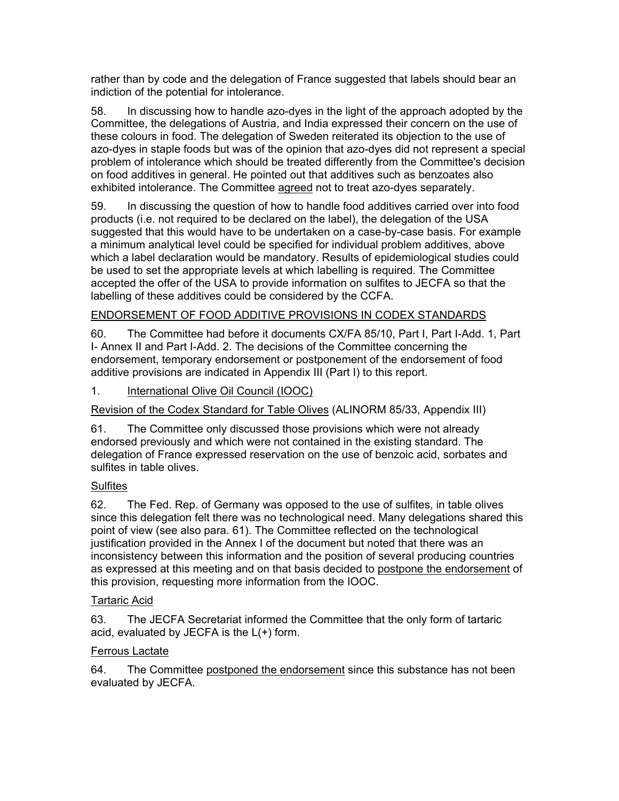rather than by code and the delegation of France suggested that labels should bear an indiction of the potential for intolerance.

58. In discussing how to handle azo-dyes in the light of the approach adopted by the Committee, the delegations of Austria, and India expressed their concern on the use of these colours in food. The delegation of Sweden reiterated its objection to the use of azo-dyes in staple foods but was of the opinion that azo-dyes did not represent a special problem of intolerance which should be treated differently from the Committee's decision on food additives in general. He pointed out that additives such as benzoates also exhibited intolerance. The Committee agreed not to treat azo-dyes separately.

59. In discussing the question of how to handle food additives carried over into food products (i.e. not required to be declared on the label), the delegation of the USA suggested that this would have to be undertaken on a case-by-case basis. For example a minimum analytical level could be specified for individual problem additives, above which a label declaration would be mandatory. Results of epidemiological studies could be used to set the appropriate levels at which labelling is required. The Committee accepted the offer of the USA to provide information on sulfites to JECFA so that the labelling of these additives could be considered by the CCFA.

## ENDORSEMENT OF FOOD ADDITIVE PROVISIONS IN CODEX STANDARDS

60. The Committee had before it documents CX/FA 85/10, Part I, Part I-Add. 1, Part I- Annex II and Part I-Add. 2. The decisions of the Committee concerning the endorsement, temporary endorsement or postponement of the endorsement of food additive provisions are indicated in Appendix III (Part I) to this report.

1. International Olive Oil Council (IOOC)

Revision of the Codex Standard for Table Olives (ALINORM 85/33, Appendix III)

61. The Committee only discussed those provisions which were not already endorsed previously and which were not contained in the existing standard. The delegation of France expressed reservation on the use of benzoic acid, sorbates and sulfites in table olives.

## **Sulfites**

62. The Fed. Rep. of Germany was opposed to the use of sulfites, in table olives since this delegation felt there was no technological need. Many delegations shared this point of view (see also para. 61). The Committee reflected on the technological justification provided in the Annex I of the document but noted that there was an inconsistency between this information and the position of several producing countries as expressed at this meeting and on that basis decided to postpone the endorsement of this provision, requesting more information from the IOOC.

## Tartaric Acid

63. The JECFA Secretariat informed the Committee that the only form of tartaric acid, evaluated by JECFA is the L(+) form.

## Ferrous Lactate

64. The Committee postponed the endorsement since this substance has not been evaluated by JECFA.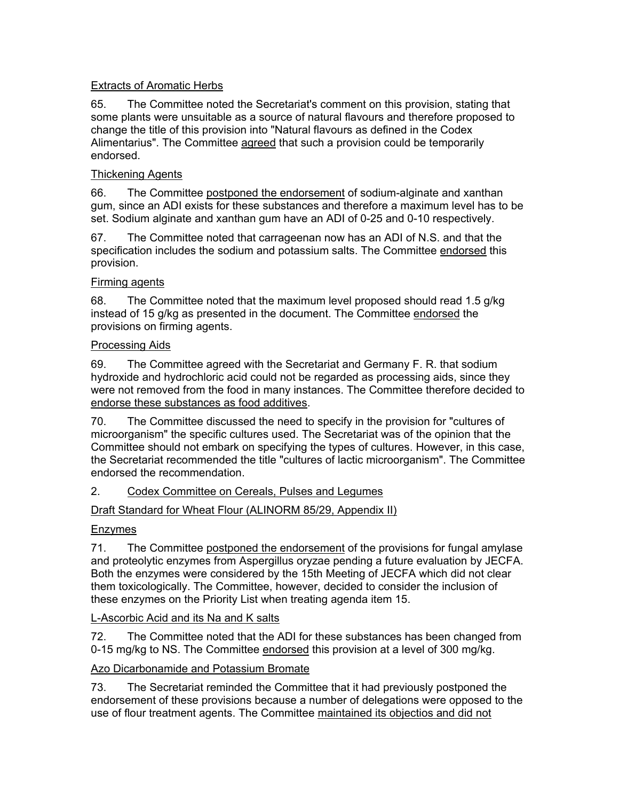## Extracts of Aromatic Herbs

65. The Committee noted the Secretariat's comment on this provision, stating that some plants were unsuitable as a source of natural flavours and therefore proposed to change the title of this provision into "Natural flavours as defined in the Codex Alimentarius". The Committee agreed that such a provision could be temporarily endorsed.

## Thickening Agents

66. The Committee postponed the endorsement of sodium-alginate and xanthan gum, since an ADI exists for these substances and therefore a maximum level has to be set. Sodium alginate and xanthan gum have an ADI of 0-25 and 0-10 respectively.

67. The Committee noted that carrageenan now has an ADI of N.S. and that the specification includes the sodium and potassium salts. The Committee endorsed this provision.

## Firming agents

68. The Committee noted that the maximum level proposed should read 1.5 g/kg instead of 15 g/kg as presented in the document. The Committee endorsed the provisions on firming agents.

## Processing Aids

69. The Committee agreed with the Secretariat and Germany F. R. that sodium hydroxide and hydrochloric acid could not be regarded as processing aids, since they were not removed from the food in many instances. The Committee therefore decided to endorse these substances as food additives.

70. The Committee discussed the need to specify in the provision for "cultures of microorganism" the specific cultures used. The Secretariat was of the opinion that the Committee should not embark on specifying the types of cultures. However, in this case, the Secretariat recommended the title "cultures of lactic microorganism". The Committee endorsed the recommendation.

## 2. Codex Committee on Cereals, Pulses and Legumes

## Draft Standard for Wheat Flour (ALINORM 85/29, Appendix II)

## Enzymes

71. The Committee postponed the endorsement of the provisions for fungal amylase and proteolytic enzymes from Aspergillus oryzae pending a future evaluation by JECFA. Both the enzymes were considered by the 15th Meeting of JECFA which did not clear them toxicologically. The Committee, however, decided to consider the inclusion of these enzymes on the Priority List when treating agenda item 15.

## L-Ascorbic Acid and its Na and K salts

72. The Committee noted that the ADI for these substances has been changed from 0-15 mg/kg to NS. The Committee endorsed this provision at a level of 300 mg/kg.

## Azo Dicarbonamide and Potassium Bromate

73. The Secretariat reminded the Committee that it had previously postponed the endorsement of these provisions because a number of delegations were opposed to the use of flour treatment agents. The Committee maintained its objectios and did not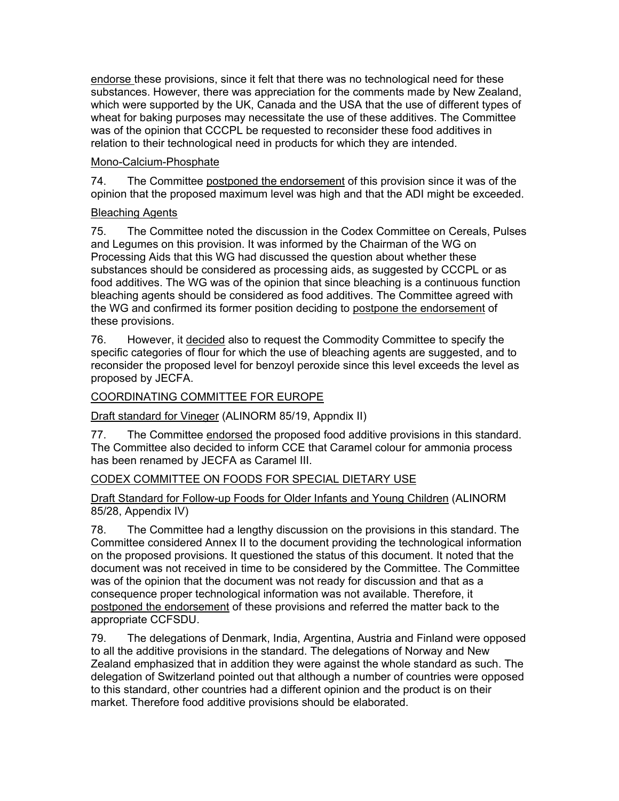endorse these provisions, since it felt that there was no technological need for these substances. However, there was appreciation for the comments made by New Zealand, which were supported by the UK, Canada and the USA that the use of different types of wheat for baking purposes may necessitate the use of these additives. The Committee was of the opinion that CCCPL be requested to reconsider these food additives in relation to their technological need in products for which they are intended.

## Mono-Calcium-Phosphate

74. The Committee postponed the endorsement of this provision since it was of the opinion that the proposed maximum level was high and that the ADI might be exceeded.

## Bleaching Agents

75. The Committee noted the discussion in the Codex Committee on Cereals, Pulses and Legumes on this provision. It was informed by the Chairman of the WG on Processing Aids that this WG had discussed the question about whether these substances should be considered as processing aids, as suggested by CCCPL or as food additives. The WG was of the opinion that since bleaching is a continuous function bleaching agents should be considered as food additives. The Committee agreed with the WG and confirmed its former position deciding to postpone the endorsement of these provisions.

76. However, it decided also to request the Commodity Committee to specify the specific categories of flour for which the use of bleaching agents are suggested, and to reconsider the proposed level for benzoyl peroxide since this level exceeds the level as proposed by JECFA.

## COORDINATING COMMITTEE FOR EUROPE

Draft standard for Vineger (ALINORM 85/19, Appndix II)

77. The Committee endorsed the proposed food additive provisions in this standard. The Committee also decided to inform CCE that Caramel colour for ammonia process has been renamed by JECFA as Caramel III.

## CODEX COMMITTEE ON FOODS FOR SPECIAL DIETARY USE

#### Draft Standard for Follow-up Foods for Older Infants and Young Children (ALINORM 85/28, Appendix IV)

78. The Committee had a lengthy discussion on the provisions in this standard. The Committee considered Annex II to the document providing the technological information on the proposed provisions. It questioned the status of this document. It noted that the document was not received in time to be considered by the Committee. The Committee was of the opinion that the document was not ready for discussion and that as a consequence proper technological information was not available. Therefore, it postponed the endorsement of these provisions and referred the matter back to the appropriate CCFSDU.

79. The delegations of Denmark, India, Argentina, Austria and Finland were opposed to all the additive provisions in the standard. The delegations of Norway and New Zealand emphasized that in addition they were against the whole standard as such. The delegation of Switzerland pointed out that although a number of countries were opposed to this standard, other countries had a different opinion and the product is on their market. Therefore food additive provisions should be elaborated.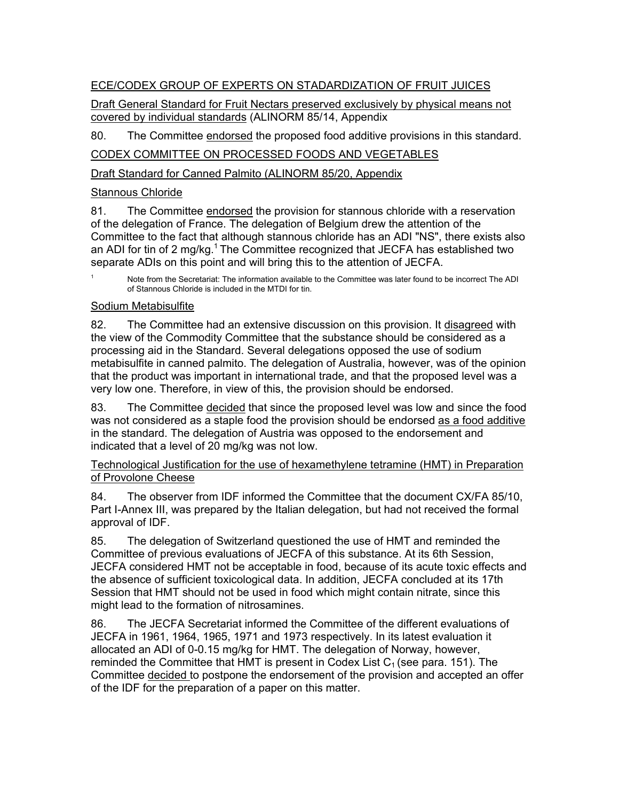## ECE/CODEX GROUP OF EXPERTS ON STADARDIZATION OF FRUIT JUICES

Draft General Standard for Fruit Nectars preserved exclusively by physical means not covered by individual standards (ALINORM 85/14, Appendix

80. The Committee endorsed the proposed food additive provisions in this standard.

## CODEX COMMITTEE ON PROCESSED FOODS AND VEGETABLES

Draft Standard for Canned Palmito (ALINORM 85/20, Appendix

## Stannous Chloride

81. The Committee endorsed the provision for stannous chloride with a reservation of the delegation of France. The delegation of Belgium drew the attention of the Committee to the fact that although stannous chloride has an ADI "NS", there exists also an ADI for tin of 2 mg/kg.<sup>1</sup> The Committee recognized that JECFA has established two separate ADIs on this point and will bring this to the attention of JECFA.

Note from the Secretariat: The information available to the Committee was later found to be incorrect The ADI of Stannous Chloride is included in the MTDI for tin.

## Sodium Metabisulfite

82. The Committee had an extensive discussion on this provision. It disagreed with the view of the Commodity Committee that the substance should be considered as a processing aid in the Standard. Several delegations opposed the use of sodium metabisulfite in canned palmito. The delegation of Australia, however, was of the opinion that the product was important in international trade, and that the proposed level was a very low one. Therefore, in view of this, the provision should be endorsed.

83. The Committee decided that since the proposed level was low and since the food was not considered as a staple food the provision should be endorsed as a food additive in the standard. The delegation of Austria was opposed to the endorsement and indicated that a level of 20 mg/kg was not low.

#### Technological Justification for the use of hexamethylene tetramine (HMT) in Preparation of Provolone Cheese

84. The observer from IDF informed the Committee that the document CX/FA 85/10, Part I-Annex III, was prepared by the Italian delegation, but had not received the formal approval of IDF.

85. The delegation of Switzerland questioned the use of HMT and reminded the Committee of previous evaluations of JECFA of this substance. At its 6th Session, JECFA considered HMT not be acceptable in food, because of its acute toxic effects and the absence of sufficient toxicological data. In addition, JECFA concluded at its 17th Session that HMT should not be used in food which might contain nitrate, since this might lead to the formation of nitrosamines.

86. The JECFA Secretariat informed the Committee of the different evaluations of JECFA in 1961, 1964, 1965, 1971 and 1973 respectively. In its latest evaluation it allocated an ADI of 0-0.15 mg/kg for HMT. The delegation of Norway, however, reminded the Committee that HMT is present in Codex List  $C_1$  (see para. 151). The Committee decided to postpone the endorsement of the provision and accepted an offer of the IDF for the preparation of a paper on this matter.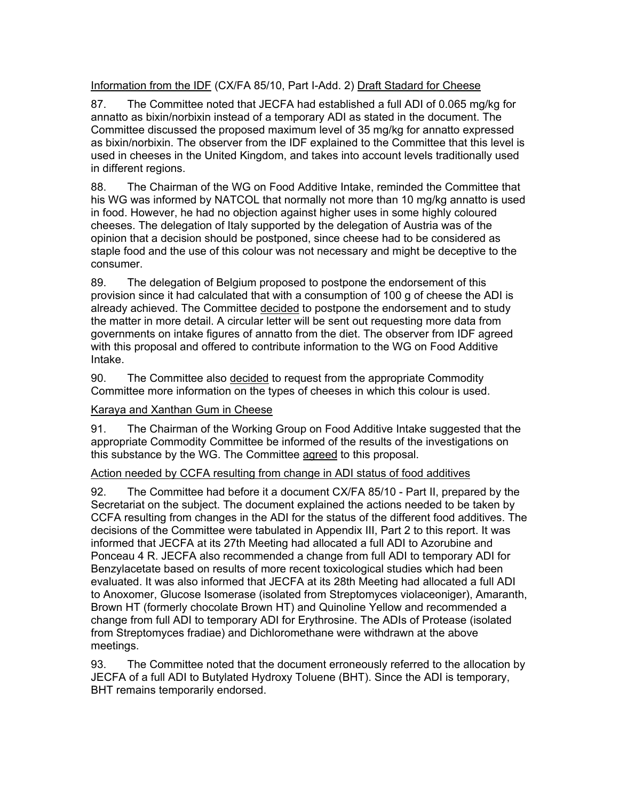## Information from the IDF (CX/FA 85/10, Part I-Add. 2) Draft Stadard for Cheese

87. The Committee noted that JECFA had established a full ADI of 0.065 mg/kg for annatto as bixin/norbixin instead of a temporary ADI as stated in the document. The Committee discussed the proposed maximum level of 35 mg/kg for annatto expressed as bixin/norbixin. The observer from the IDF explained to the Committee that this level is used in cheeses in the United Kingdom, and takes into account levels traditionally used in different regions.

88. The Chairman of the WG on Food Additive Intake, reminded the Committee that his WG was informed by NATCOL that normally not more than 10 mg/kg annatto is used in food. However, he had no objection against higher uses in some highly coloured cheeses. The delegation of Italy supported by the delegation of Austria was of the opinion that a decision should be postponed, since cheese had to be considered as staple food and the use of this colour was not necessary and might be deceptive to the consumer.

89. The delegation of Belgium proposed to postpone the endorsement of this provision since it had calculated that with a consumption of 100 g of cheese the ADI is already achieved. The Committee decided to postpone the endorsement and to study the matter in more detail. A circular letter will be sent out requesting more data from governments on intake figures of annatto from the diet. The observer from IDF agreed with this proposal and offered to contribute information to the WG on Food Additive Intake.

90. The Committee also decided to request from the appropriate Commodity Committee more information on the types of cheeses in which this colour is used.

#### Karaya and Xanthan Gum in Cheese

91. The Chairman of the Working Group on Food Additive Intake suggested that the appropriate Commodity Committee be informed of the results of the investigations on this substance by the WG. The Committee agreed to this proposal.

#### Action needed by CCFA resulting from change in ADI status of food additives

92. The Committee had before it a document CX/FA 85/10 - Part II, prepared by the Secretariat on the subject. The document explained the actions needed to be taken by CCFA resulting from changes in the ADI for the status of the different food additives. The decisions of the Committee were tabulated in Appendix III, Part 2 to this report. It was informed that JECFA at its 27th Meeting had allocated a full ADI to Azorubine and Ponceau 4 R. JECFA also recommended a change from full ADI to temporary ADI for Benzylacetate based on results of more recent toxicological studies which had been evaluated. It was also informed that JECFA at its 28th Meeting had allocated a full ADI to Anoxomer, Glucose Isomerase (isolated from Streptomyces violaceoniger), Amaranth, Brown HT (formerly chocolate Brown HT) and Quinoline Yellow and recommended a change from full ADI to temporary ADI for Erythrosine. The ADIs of Protease (isolated from Streptomyces fradiae) and Dichloromethane were withdrawn at the above meetings.

93. The Committee noted that the document erroneously referred to the allocation by JECFA of a full ADI to Butylated Hydroxy Toluene (BHT). Since the ADI is temporary, BHT remains temporarily endorsed.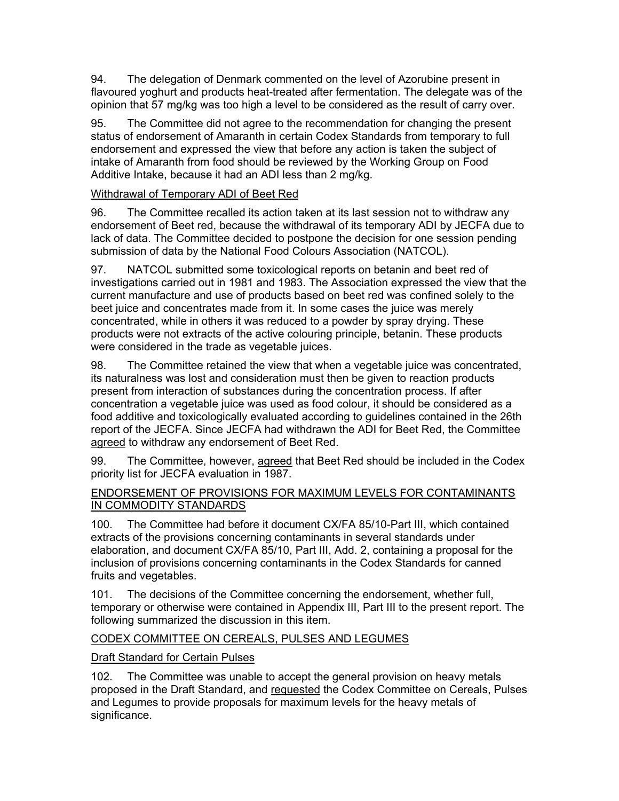94. The delegation of Denmark commented on the level of Azorubine present in flavoured yoghurt and products heat-treated after fermentation. The delegate was of the opinion that 57 mg/kg was too high a level to be considered as the result of carry over.

95. The Committee did not agree to the recommendation for changing the present status of endorsement of Amaranth in certain Codex Standards from temporary to full endorsement and expressed the view that before any action is taken the subject of intake of Amaranth from food should be reviewed by the Working Group on Food Additive Intake, because it had an ADI less than 2 mg/kg.

## Withdrawal of Temporary ADI of Beet Red

96. The Committee recalled its action taken at its last session not to withdraw any endorsement of Beet red, because the withdrawal of its temporary ADI by JECFA due to lack of data. The Committee decided to postpone the decision for one session pending submission of data by the National Food Colours Association (NATCOL).

97. NATCOL submitted some toxicological reports on betanin and beet red of investigations carried out in 1981 and 1983. The Association expressed the view that the current manufacture and use of products based on beet red was confined solely to the beet juice and concentrates made from it. In some cases the juice was merely concentrated, while in others it was reduced to a powder by spray drying. These products were not extracts of the active colouring principle, betanin. These products were considered in the trade as vegetable juices.

98. The Committee retained the view that when a vegetable juice was concentrated, its naturalness was lost and consideration must then be given to reaction products present from interaction of substances during the concentration process. If after concentration a vegetable juice was used as food colour, it should be considered as a food additive and toxicologically evaluated according to guidelines contained in the 26th report of the JECFA. Since JECFA had withdrawn the ADI for Beet Red, the Committee agreed to withdraw any endorsement of Beet Red.

99. The Committee, however, agreed that Beet Red should be included in the Codex priority list for JECFA evaluation in 1987.

## ENDORSEMENT OF PROVISIONS FOR MAXIMUM LEVELS FOR CONTAMINANTS IN COMMODITY STANDARDS

100. The Committee had before it document CX/FA 85/10-Part III, which contained extracts of the provisions concerning contaminants in several standards under elaboration, and document CX/FA 85/10, Part III, Add. 2, containing a proposal for the inclusion of provisions concerning contaminants in the Codex Standards for canned fruits and vegetables.

101. The decisions of the Committee concerning the endorsement, whether full, temporary or otherwise were contained in Appendix III, Part III to the present report. The following summarized the discussion in this item.

## CODEX COMMITTEE ON CEREALS, PULSES AND LEGUMES

## Draft Standard for Certain Pulses

102. The Committee was unable to accept the general provision on heavy metals proposed in the Draft Standard, and requested the Codex Committee on Cereals, Pulses and Legumes to provide proposals for maximum levels for the heavy metals of significance.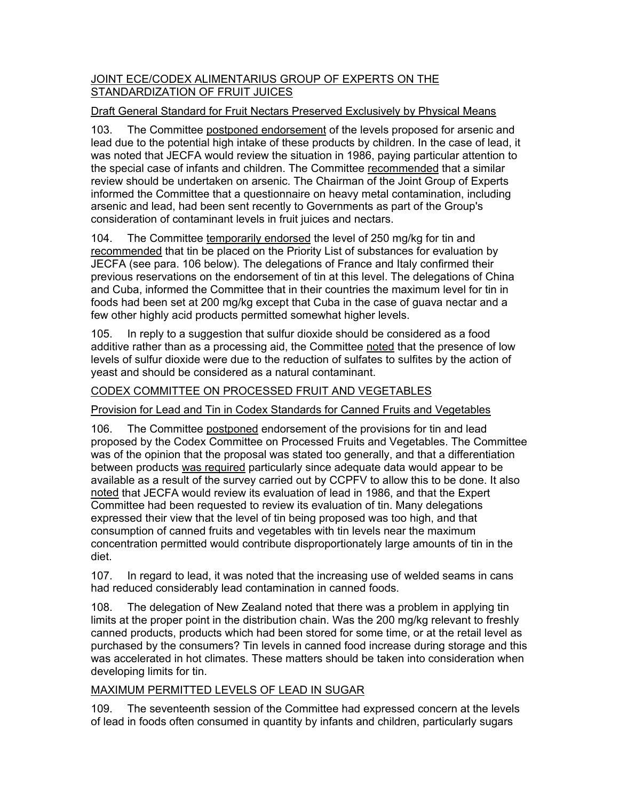#### JOINT ECE/CODEX ALIMENTARIUS GROUP OF EXPERTS ON THE STANDARDIZATION OF FRUIT JUICES

## Draft General Standard for Fruit Nectars Preserved Exclusively by Physical Means

103. The Committee postponed endorsement of the levels proposed for arsenic and lead due to the potential high intake of these products by children. In the case of lead, it was noted that JECFA would review the situation in 1986, paying particular attention to the special case of infants and children. The Committee recommended that a similar review should be undertaken on arsenic. The Chairman of the Joint Group of Experts informed the Committee that a questionnaire on heavy metal contamination, including arsenic and lead, had been sent recently to Governments as part of the Group's consideration of contaminant levels in fruit juices and nectars.

104. The Committee temporarily endorsed the level of 250 mg/kg for tin and recommended that tin be placed on the Priority List of substances for evaluation by JECFA (see para. 106 below). The delegations of France and Italy confirmed their previous reservations on the endorsement of tin at this level. The delegations of China and Cuba, informed the Committee that in their countries the maximum level for tin in foods had been set at 200 mg/kg except that Cuba in the case of guava nectar and a few other highly acid products permitted somewhat higher levels.

105. In reply to a suggestion that sulfur dioxide should be considered as a food additive rather than as a processing aid, the Committee noted that the presence of low levels of sulfur dioxide were due to the reduction of sulfates to sulfites by the action of yeast and should be considered as a natural contaminant.

## CODEX COMMITTEE ON PROCESSED FRUIT AND VEGETABLES

## Provision for Lead and Tin in Codex Standards for Canned Fruits and Vegetables

106. The Committee postponed endorsement of the provisions for tin and lead proposed by the Codex Committee on Processed Fruits and Vegetables. The Committee was of the opinion that the proposal was stated too generally, and that a differentiation between products was required particularly since adequate data would appear to be available as a result of the survey carried out by CCPFV to allow this to be done. It also noted that JECFA would review its evaluation of lead in 1986, and that the Expert Committee had been requested to review its evaluation of tin. Many delegations expressed their view that the level of tin being proposed was too high, and that consumption of canned fruits and vegetables with tin levels near the maximum concentration permitted would contribute disproportionately large amounts of tin in the diet.

107. In regard to lead, it was noted that the increasing use of welded seams in cans had reduced considerably lead contamination in canned foods.

108. The delegation of New Zealand noted that there was a problem in applying tin limits at the proper point in the distribution chain. Was the 200 mg/kg relevant to freshly canned products, products which had been stored for some time, or at the retail level as purchased by the consumers? Tin levels in canned food increase during storage and this was accelerated in hot climates. These matters should be taken into consideration when developing limits for tin.

## MAXIMUM PERMITTED LEVELS OF LEAD IN SUGAR

109. The seventeenth session of the Committee had expressed concern at the levels of lead in foods often consumed in quantity by infants and children, particularly sugars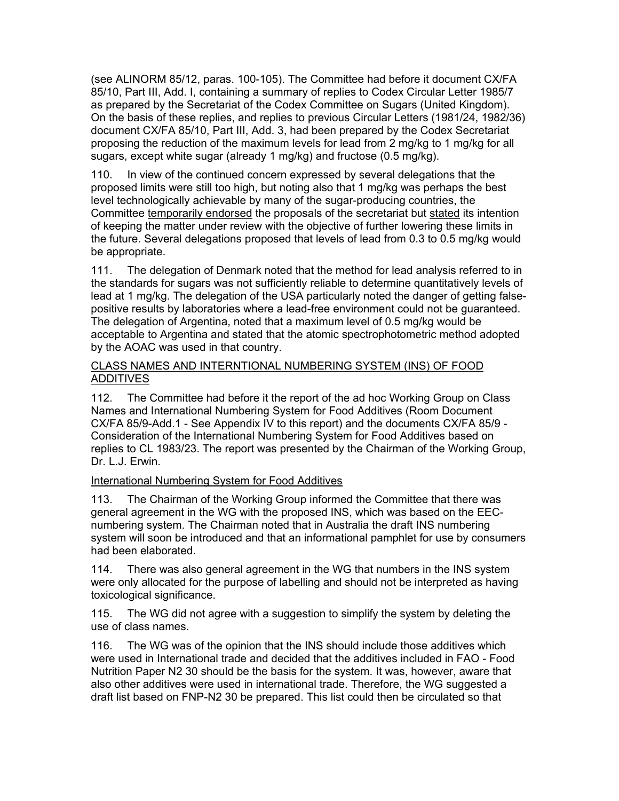(see ALINORM 85/12, paras. 100-105). The Committee had before it document CX/FA 85/10, Part III, Add. I, containing a summary of replies to Codex Circular Letter 1985/7 as prepared by the Secretariat of the Codex Committee on Sugars (United Kingdom). On the basis of these replies, and replies to previous Circular Letters (1981/24, 1982/36) document CX/FA 85/10, Part III, Add. 3, had been prepared by the Codex Secretariat proposing the reduction of the maximum levels for lead from 2 mg/kg to 1 mg/kg for all sugars, except white sugar (already 1 mg/kg) and fructose (0.5 mg/kg).

110. In view of the continued concern expressed by several delegations that the proposed limits were still too high, but noting also that 1 mg/kg was perhaps the best level technologically achievable by many of the sugar-producing countries, the Committee temporarily endorsed the proposals of the secretariat but stated its intention of keeping the matter under review with the objective of further lowering these limits in the future. Several delegations proposed that levels of lead from 0.3 to 0.5 mg/kg would be appropriate.

111. The delegation of Denmark noted that the method for lead analysis referred to in the standards for sugars was not sufficiently reliable to determine quantitatively levels of lead at 1 mg/kg. The delegation of the USA particularly noted the danger of getting falsepositive results by laboratories where a lead-free environment could not be guaranteed. The delegation of Argentina, noted that a maximum level of 0.5 mg/kg would be acceptable to Argentina and stated that the atomic spectrophotometric method adopted by the AOAC was used in that country.

#### CLASS NAMES AND INTERNTIONAL NUMBERING SYSTEM (INS) OF FOOD ADDITIVES

112. The Committee had before it the report of the ad hoc Working Group on Class Names and International Numbering System for Food Additives (Room Document CX/FA 85/9-Add.1 - See Appendix IV to this report) and the documents CX/FA 85/9 - Consideration of the International Numbering System for Food Additives based on replies to CL 1983/23. The report was presented by the Chairman of the Working Group, Dr. L.J. Erwin.

## International Numbering System for Food Additives

113. The Chairman of the Working Group informed the Committee that there was general agreement in the WG with the proposed INS, which was based on the EECnumbering system. The Chairman noted that in Australia the draft INS numbering system will soon be introduced and that an informational pamphlet for use by consumers had been elaborated.

114. There was also general agreement in the WG that numbers in the INS system were only allocated for the purpose of labelling and should not be interpreted as having toxicological significance.

115. The WG did not agree with a suggestion to simplify the system by deleting the use of class names.

116. The WG was of the opinion that the INS should include those additives which were used in International trade and decided that the additives included in FAO - Food Nutrition Paper N2 30 should be the basis for the system. It was, however, aware that also other additives were used in international trade. Therefore, the WG suggested a draft list based on FNP-N2 30 be prepared. This list could then be circulated so that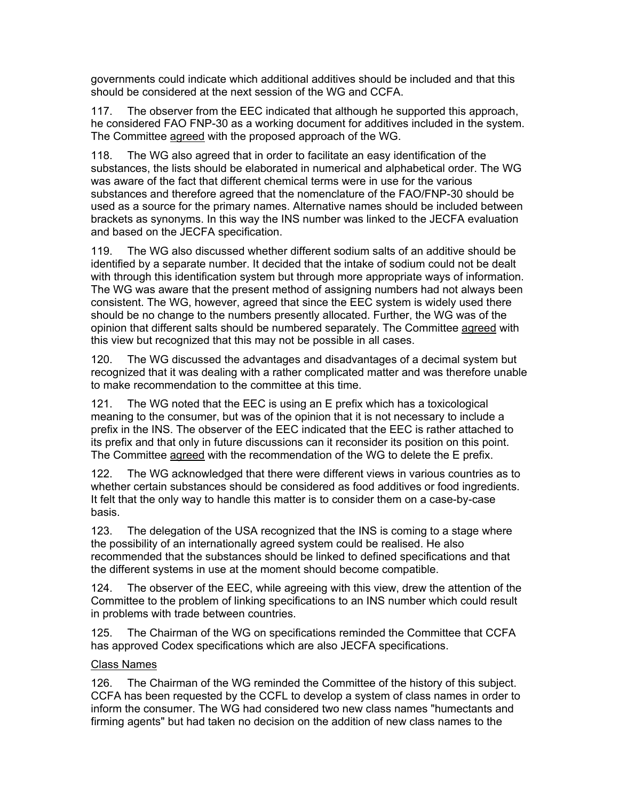governments could indicate which additional additives should be included and that this should be considered at the next session of the WG and CCFA.

117. The observer from the EEC indicated that although he supported this approach, he considered FAO FNP-30 as a working document for additives included in the system. The Committee agreed with the proposed approach of the WG.

118. The WG also agreed that in order to facilitate an easy identification of the substances, the lists should be elaborated in numerical and alphabetical order. The WG was aware of the fact that different chemical terms were in use for the various substances and therefore agreed that the nomenclature of the FAO/FNP-30 should be used as a source for the primary names. Alternative names should be included between brackets as synonyms. In this way the INS number was linked to the JECFA evaluation and based on the JECFA specification.

119. The WG also discussed whether different sodium salts of an additive should be identified by a separate number. It decided that the intake of sodium could not be dealt with through this identification system but through more appropriate ways of information. The WG was aware that the present method of assigning numbers had not always been consistent. The WG, however, agreed that since the EEC system is widely used there should be no change to the numbers presently allocated. Further, the WG was of the opinion that different salts should be numbered separately. The Committee agreed with this view but recognized that this may not be possible in all cases.

120. The WG discussed the advantages and disadvantages of a decimal system but recognized that it was dealing with a rather complicated matter and was therefore unable to make recommendation to the committee at this time.

121. The WG noted that the EEC is using an E prefix which has a toxicological meaning to the consumer, but was of the opinion that it is not necessary to include a prefix in the INS. The observer of the EEC indicated that the EEC is rather attached to its prefix and that only in future discussions can it reconsider its position on this point. The Committee agreed with the recommendation of the WG to delete the E prefix.

122. The WG acknowledged that there were different views in various countries as to whether certain substances should be considered as food additives or food ingredients. It felt that the only way to handle this matter is to consider them on a case-by-case basis.

123. The delegation of the USA recognized that the INS is coming to a stage where the possibility of an internationally agreed system could be realised. He also recommended that the substances should be linked to defined specifications and that the different systems in use at the moment should become compatible.

124. The observer of the EEC, while agreeing with this view, drew the attention of the Committee to the problem of linking specifications to an INS number which could result in problems with trade between countries.

125. The Chairman of the WG on specifications reminded the Committee that CCFA has approved Codex specifications which are also JECFA specifications.

#### Class Names

126. The Chairman of the WG reminded the Committee of the history of this subject. CCFA has been requested by the CCFL to develop a system of class names in order to inform the consumer. The WG had considered two new class names "humectants and firming agents" but had taken no decision on the addition of new class names to the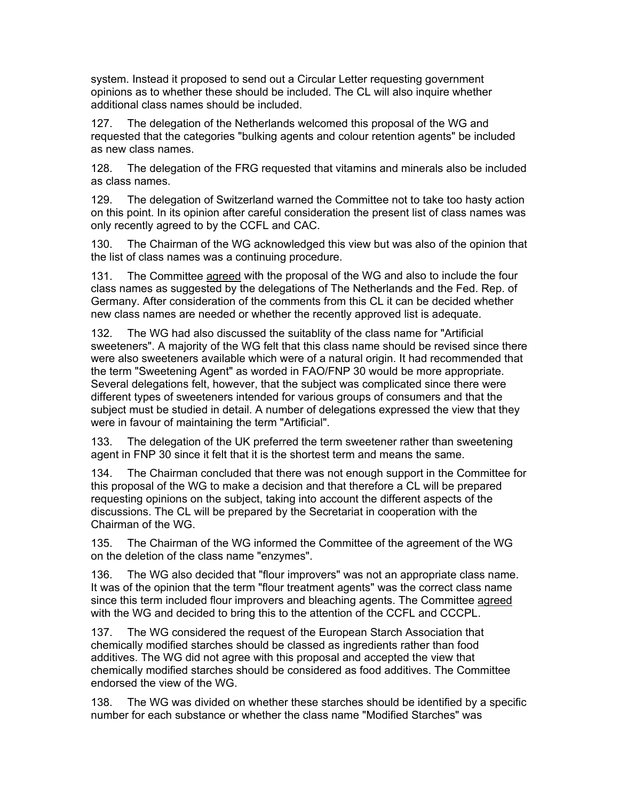system. Instead it proposed to send out a Circular Letter requesting government opinions as to whether these should be included. The CL will also inquire whether additional class names should be included.

127. The delegation of the Netherlands welcomed this proposal of the WG and requested that the categories "bulking agents and colour retention agents" be included as new class names.

128. The delegation of the FRG requested that vitamins and minerals also be included as class names.

129. The delegation of Switzerland warned the Committee not to take too hasty action on this point. In its opinion after careful consideration the present list of class names was only recently agreed to by the CCFL and CAC.

130. The Chairman of the WG acknowledged this view but was also of the opinion that the list of class names was a continuing procedure.

131. The Committee agreed with the proposal of the WG and also to include the four class names as suggested by the delegations of The Netherlands and the Fed. Rep. of Germany. After consideration of the comments from this CL it can be decided whether new class names are needed or whether the recently approved list is adequate.

132. The WG had also discussed the suitablity of the class name for "Artificial sweeteners". A majority of the WG felt that this class name should be revised since there were also sweeteners available which were of a natural origin. It had recommended that the term "Sweetening Agent" as worded in FAO/FNP 30 would be more appropriate. Several delegations felt, however, that the subject was complicated since there were different types of sweeteners intended for various groups of consumers and that the subject must be studied in detail. A number of delegations expressed the view that they were in favour of maintaining the term "Artificial".

133. The delegation of the UK preferred the term sweetener rather than sweetening agent in FNP 30 since it felt that it is the shortest term and means the same.

134. The Chairman concluded that there was not enough support in the Committee for this proposal of the WG to make a decision and that therefore a CL will be prepared requesting opinions on the subject, taking into account the different aspects of the discussions. The CL will be prepared by the Secretariat in cooperation with the Chairman of the WG.

135. The Chairman of the WG informed the Committee of the agreement of the WG on the deletion of the class name "enzymes".

136. The WG also decided that "flour improvers" was not an appropriate class name. It was of the opinion that the term "flour treatment agents" was the correct class name since this term included flour improvers and bleaching agents. The Committee agreed with the WG and decided to bring this to the attention of the CCFL and CCCPL.

137. The WG considered the request of the European Starch Association that chemically modified starches should be classed as ingredients rather than food additives. The WG did not agree with this proposal and accepted the view that chemically modified starches should be considered as food additives. The Committee endorsed the view of the WG.

138. The WG was divided on whether these starches should be identified by a specific number for each substance or whether the class name "Modified Starches" was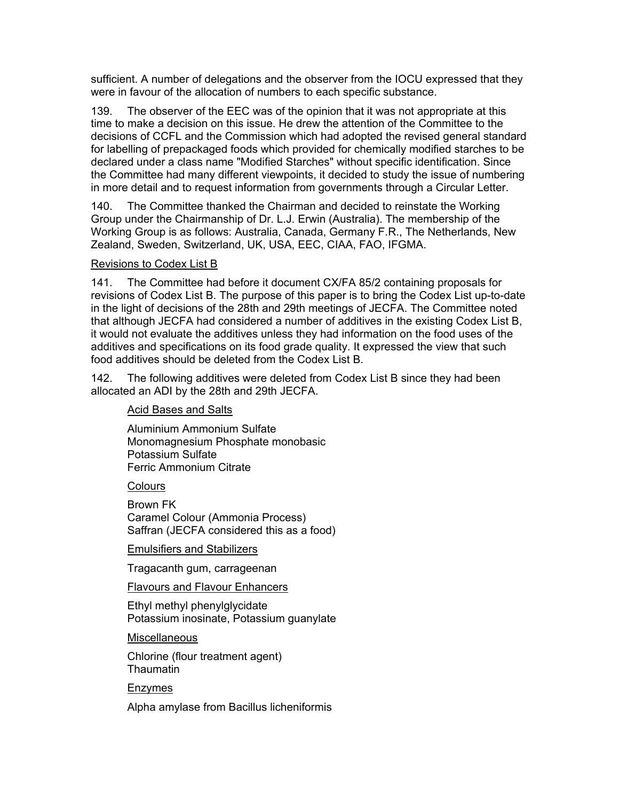sufficient. A number of delegations and the observer from the IOCU expressed that they were in favour of the allocation of numbers to each specific substance.

139. The observer of the EEC was of the opinion that it was not appropriate at this time to make a decision on this issue. He drew the attention of the Committee to the decisions of CCFL and the Commission which had adopted the revised general standard for labelling of prepackaged foods which provided for chemically modified starches to be declared under a class name "Modified Starches" without specific identification. Since the Committee had many different viewpoints, it decided to study the issue of numbering in more detail and to request information from governments through a Circular Letter.

140. The Committee thanked the Chairman and decided to reinstate the Working Group under the Chairmanship of Dr. L.J. Erwin (Australia). The membership of the Working Group is as follows: Australia, Canada, Germany F.R., The Netherlands, New Zealand, Sweden, Switzerland, UK, USA, EEC, CIAA, FAO, IFGMA.

#### Revisions to Codex List B

141. The Committee had before it document CX/FA 85/2 containing proposals for revisions of Codex List B. The purpose of this paper is to bring the Codex List up-to-date in the light of decisions of the 28th and 29th meetings of JECFA. The Committee noted that although JECFA had considered a number of additives in the existing Codex List B, it would not evaluate the additives unless they had information on the food uses of the additives and specifications on its food grade quality. It expressed the view that such food additives should be deleted from the Codex List B.

142. The following additives were deleted from Codex List B since they had been allocated an ADI by the 28th and 29th JECFA.

## Acid Bases and Salts

Aluminium Ammonium Sulfate Monomagnesium Phosphate monobasic Potassium Sulfate Ferric Ammonium Citrate

**Colours** 

Brown FK Caramel Colour (Ammonia Process) Saffran (JECFA considered this as a food)

Emulsifiers and Stabilizers

Tragacanth gum, carrageenan

Flavours and Flavour Enhancers

Ethyl methyl phenylglycidate Potassium inosinate, Potassium guanylate

Miscellaneous

Chlorine (flour treatment agent) **Thaumatin** 

Enzymes

Alpha amylase from Bacillus licheniformis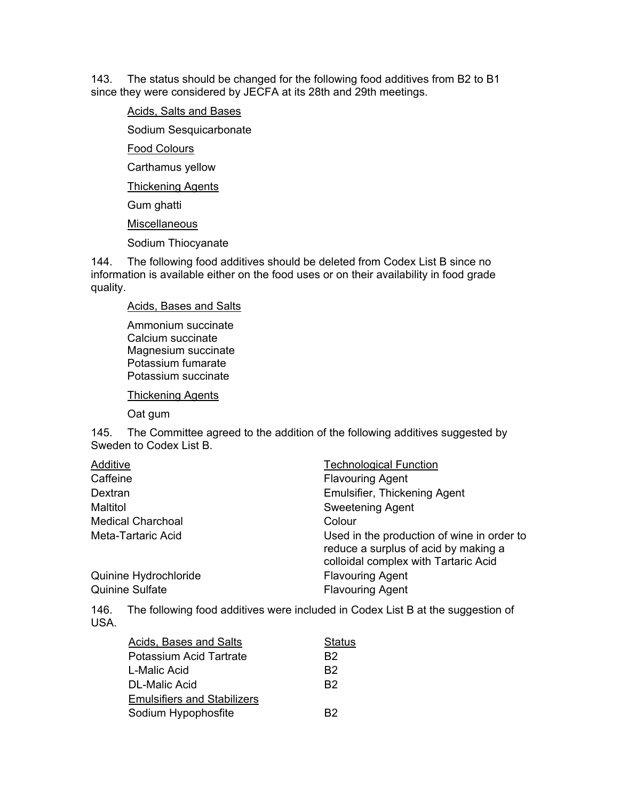143. The status should be changed for the following food additives from B2 to B1 since they were considered by JECFA at its 28th and 29th meetings.

#### Acids, Salts and Bases

Sodium Sesquicarbonate

Food Colours

Carthamus yellow

Thickening Agents

Gum ghatti

**Miscellaneous** 

Sodium Thiocyanate

144. The following food additives should be deleted from Codex List B since no information is available either on the food uses or on their availability in food grade quality.

Acids, Bases and Salts

Ammonium succinate Calcium succinate Magnesium succinate Potassium fumarate Potassium succinate

Thickening Agents

Oat gum

145. The Committee agreed to the addition of the following additives suggested by Sweden to Codex List B.

| Additive                 | <b>Technological Function</b>                                                                                              |
|--------------------------|----------------------------------------------------------------------------------------------------------------------------|
| Caffeine                 | <b>Flavouring Agent</b>                                                                                                    |
| Dextran                  | <b>Emulsifier, Thickening Agent</b>                                                                                        |
| Maltitol                 | <b>Sweetening Agent</b>                                                                                                    |
| <b>Medical Charchoal</b> | Colour                                                                                                                     |
| Meta-Tartaric Acid       | Used in the production of wine in order to<br>reduce a surplus of acid by making a<br>colloidal complex with Tartaric Acid |
| Quinine Hydrochloride    | <b>Flavouring Agent</b>                                                                                                    |
| <b>Quinine Sulfate</b>   | <b>Flavouring Agent</b>                                                                                                    |

146. The following food additives were included in Codex List B at the suggestion of USA.

| <b>Status</b>  |
|----------------|
| B2             |
| B2             |
| B <sub>2</sub> |
|                |
| B <sub>2</sub> |
|                |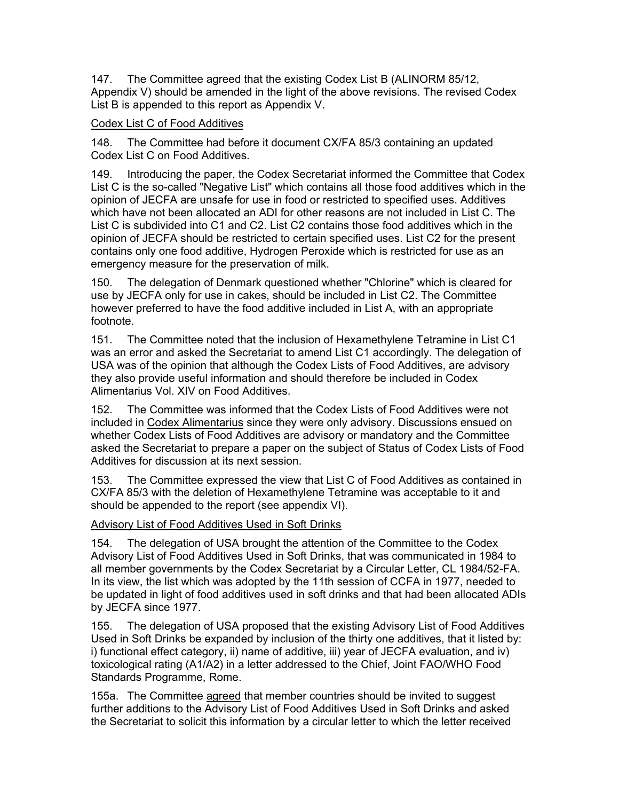147. The Committee agreed that the existing Codex List B (ALINORM 85/12, Appendix V) should be amended in the light of the above revisions. The revised Codex List B is appended to this report as Appendix V.

#### Codex List C of Food Additives

148. The Committee had before it document CX/FA 85/3 containing an updated Codex List C on Food Additives.

149. Introducing the paper, the Codex Secretariat informed the Committee that Codex List C is the so-called "Negative List" which contains all those food additives which in the opinion of JECFA are unsafe for use in food or restricted to specified uses. Additives which have not been allocated an ADI for other reasons are not included in List C. The List C is subdivided into C1 and C2. List C2 contains those food additives which in the opinion of JECFA should be restricted to certain specified uses. List C2 for the present contains only one food additive, Hydrogen Peroxide which is restricted for use as an emergency measure for the preservation of milk.

150. The delegation of Denmark questioned whether "Chlorine" which is cleared for use by JECFA only for use in cakes, should be included in List C2. The Committee however preferred to have the food additive included in List A, with an appropriate footnote.

151. The Committee noted that the inclusion of Hexamethylene Tetramine in List C1 was an error and asked the Secretariat to amend List C1 accordingly. The delegation of USA was of the opinion that although the Codex Lists of Food Additives, are advisory they also provide useful information and should therefore be included in Codex Alimentarius Vol. XIV on Food Additives.

152. The Committee was informed that the Codex Lists of Food Additives were not included in Codex Alimentarius since they were only advisory. Discussions ensued on whether Codex Lists of Food Additives are advisory or mandatory and the Committee asked the Secretariat to prepare a paper on the subject of Status of Codex Lists of Food Additives for discussion at its next session.

153. The Committee expressed the view that List C of Food Additives as contained in CX/FA 85/3 with the deletion of Hexamethylene Tetramine was acceptable to it and should be appended to the report (see appendix VI).

Advisory List of Food Additives Used in Soft Drinks

154. The delegation of USA brought the attention of the Committee to the Codex Advisory List of Food Additives Used in Soft Drinks, that was communicated in 1984 to all member governments by the Codex Secretariat by a Circular Letter, CL 1984/52-FA. In its view, the list which was adopted by the 11th session of CCFA in 1977, needed to be updated in light of food additives used in soft drinks and that had been allocated ADIs by JECFA since 1977.

155. The delegation of USA proposed that the existing Advisory List of Food Additives Used in Soft Drinks be expanded by inclusion of the thirty one additives, that it listed by: i) functional effect category, ii) name of additive, iii) year of JECFA evaluation, and iv) toxicological rating (A1/A2) in a letter addressed to the Chief, Joint FAO/WHO Food Standards Programme, Rome.

155a. The Committee agreed that member countries should be invited to suggest further additions to the Advisory List of Food Additives Used in Soft Drinks and asked the Secretariat to solicit this information by a circular letter to which the letter received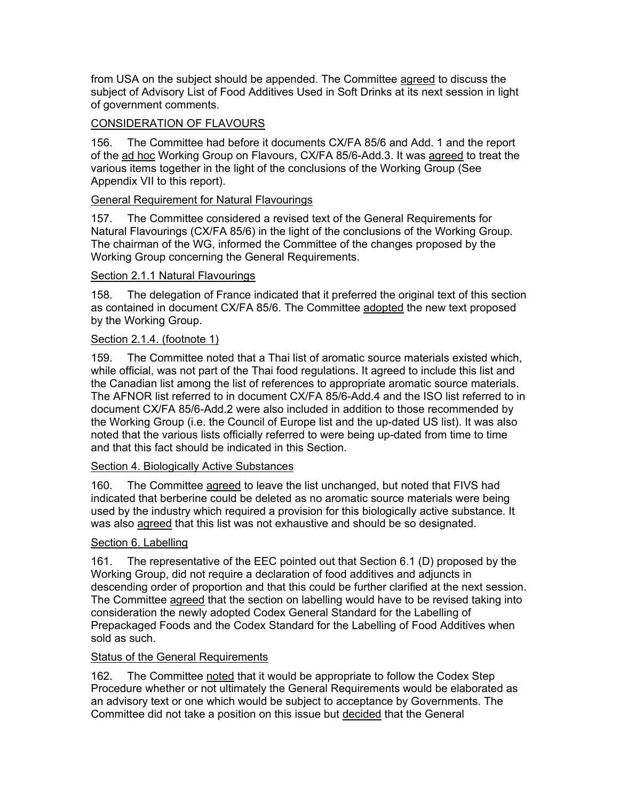from USA on the subject should be appended. The Committee agreed to discuss the subject of Advisory List of Food Additives Used in Soft Drinks at its next session in light of government comments.

## CONSIDERATION OF FLAVOURS

156. The Committee had before it documents CX/FA 85/6 and Add. 1 and the report of the ad hoc Working Group on Flavours, CX/FA 85/6-Add.3. It was agreed to treat the various items together in the light of the conclusions of the Working Group (See Appendix VII to this report).

## General Requirement for Natural Flavourings

157. The Committee considered a revised text of the General Requirements for Natural Flavourings (CX/FA 85/6) in the light of the conclusions of the Working Group. The chairman of the WG, informed the Committee of the changes proposed by the Working Group concerning the General Requirements.

## Section 2.1.1 Natural Flavourings

158. The delegation of France indicated that it preferred the original text of this section as contained in document CX/FA 85/6. The Committee adopted the new text proposed by the Working Group.

## Section 2.1.4. (footnote 1)

159. The Committee noted that a Thai list of aromatic source materials existed which, while official, was not part of the Thai food regulations. It agreed to include this list and the Canadian list among the list of references to appropriate aromatic source materials. The AFNOR list referred to in document CX/FA 85/6-Add.4 and the ISO list referred to in document CX/FA 85/6-Add.2 were also included in addition to those recommended by the Working Group (i.e. the Council of Europe list and the up-dated US list). It was also noted that the various lists officially referred to were being up-dated from time to time and that this fact should be indicated in this Section.

#### Section 4. Biologically Active Substances

160. The Committee agreed to leave the list unchanged, but noted that FIVS had indicated that berberine could be deleted as no aromatic source materials were being used by the industry which required a provision for this biologically active substance. It was also agreed that this list was not exhaustive and should be so designated.

#### Section 6. Labelling

161. The representative of the EEC pointed out that Section 6.1 (D) proposed by the Working Group, did not require a declaration of food additives and adjuncts in descending order of proportion and that this could be further clarified at the next session. The Committee agreed that the section on labelling would have to be revised taking into consideration the newly adopted Codex General Standard for the Labelling of Prepackaged Foods and the Codex Standard for the Labelling of Food Additives when sold as such.

#### **Status of the General Requirements**

162. The Committee noted that it would be appropriate to follow the Codex Step Procedure whether or not ultimately the General Requirements would be elaborated as an advisory text or one which would be subject to acceptance by Governments. The Committee did not take a position on this issue but decided that the General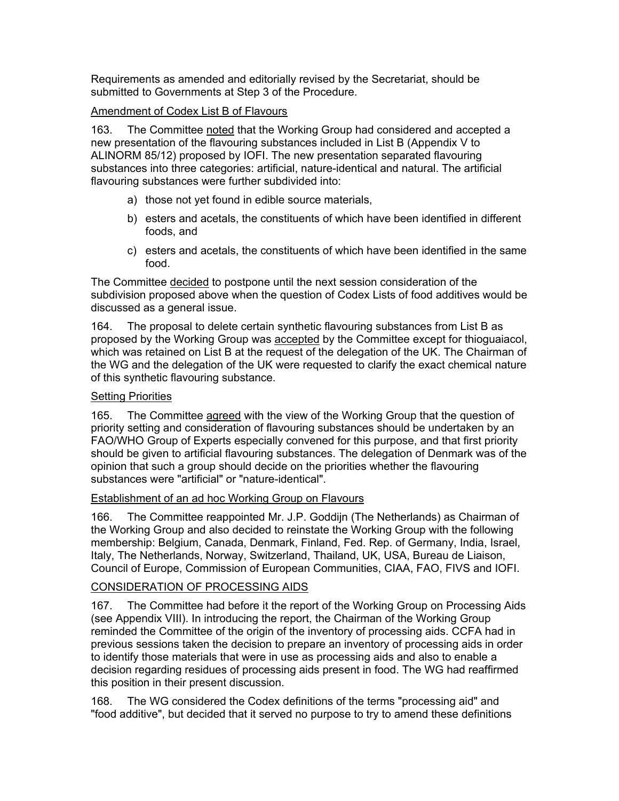Requirements as amended and editorially revised by the Secretariat, should be submitted to Governments at Step 3 of the Procedure.

#### Amendment of Codex List B of Flavours

163. The Committee noted that the Working Group had considered and accepted a new presentation of the flavouring substances included in List B (Appendix V to ALINORM 85/12) proposed by IOFI. The new presentation separated flavouring substances into three categories: artificial, nature-identical and natural. The artificial flavouring substances were further subdivided into:

- a) those not yet found in edible source materials,
- b) esters and acetals, the constituents of which have been identified in different foods, and
- c) esters and acetals, the constituents of which have been identified in the same food.

The Committee decided to postpone until the next session consideration of the subdivision proposed above when the question of Codex Lists of food additives would be discussed as a general issue.

164. The proposal to delete certain synthetic flavouring substances from List B as proposed by the Working Group was accepted by the Committee except for thioguaiacol, which was retained on List B at the request of the delegation of the UK. The Chairman of the WG and the delegation of the UK were requested to clarify the exact chemical nature of this synthetic flavouring substance.

#### Setting Priorities

165. The Committee agreed with the view of the Working Group that the question of priority setting and consideration of flavouring substances should be undertaken by an FAO/WHO Group of Experts especially convened for this purpose, and that first priority should be given to artificial flavouring substances. The delegation of Denmark was of the opinion that such a group should decide on the priorities whether the flavouring substances were "artificial" or "nature-identical".

#### Establishment of an ad hoc Working Group on Flavours

166. The Committee reappointed Mr. J.P. Goddijn (The Netherlands) as Chairman of the Working Group and also decided to reinstate the Working Group with the following membership: Belgium, Canada, Denmark, Finland, Fed. Rep. of Germany, India, Israel, Italy, The Netherlands, Norway, Switzerland, Thailand, UK, USA, Bureau de Liaison, Council of Europe, Commission of European Communities, CIAA, FAO, FIVS and IOFI.

## CONSIDERATION OF PROCESSING AIDS

167. The Committee had before it the report of the Working Group on Processing Aids (see Appendix VIII). In introducing the report, the Chairman of the Working Group reminded the Committee of the origin of the inventory of processing aids. CCFA had in previous sessions taken the decision to prepare an inventory of processing aids in order to identify those materials that were in use as processing aids and also to enable a decision regarding residues of processing aids present in food. The WG had reaffirmed this position in their present discussion.

168. The WG considered the Codex definitions of the terms "processing aid" and "food additive", but decided that it served no purpose to try to amend these definitions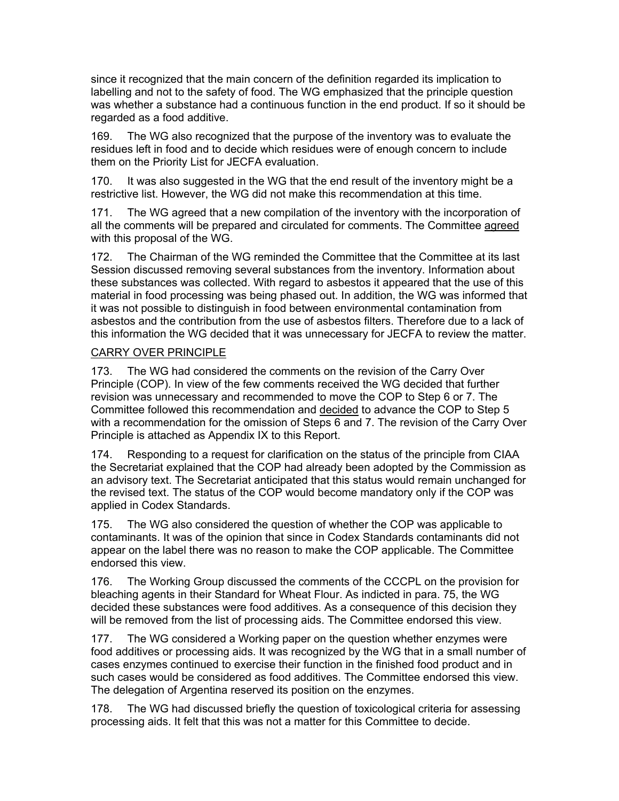since it recognized that the main concern of the definition regarded its implication to labelling and not to the safety of food. The WG emphasized that the principle question was whether a substance had a continuous function in the end product. If so it should be regarded as a food additive.

169. The WG also recognized that the purpose of the inventory was to evaluate the residues left in food and to decide which residues were of enough concern to include them on the Priority List for JECFA evaluation.

170. It was also suggested in the WG that the end result of the inventory might be a restrictive list. However, the WG did not make this recommendation at this time.

171. The WG agreed that a new compilation of the inventory with the incorporation of all the comments will be prepared and circulated for comments. The Committee agreed with this proposal of the WG.

172. The Chairman of the WG reminded the Committee that the Committee at its last Session discussed removing several substances from the inventory. Information about these substances was collected. With regard to asbestos it appeared that the use of this material in food processing was being phased out. In addition, the WG was informed that it was not possible to distinguish in food between environmental contamination from asbestos and the contribution from the use of asbestos filters. Therefore due to a lack of this information the WG decided that it was unnecessary for JECFA to review the matter.

#### CARRY OVER PRINCIPLE

173. The WG had considered the comments on the revision of the Carry Over Principle (COP). In view of the few comments received the WG decided that further revision was unnecessary and recommended to move the COP to Step 6 or 7. The Committee followed this recommendation and decided to advance the COP to Step 5 with a recommendation for the omission of Steps 6 and 7. The revision of the Carry Over Principle is attached as Appendix IX to this Report.

174. Responding to a request for clarification on the status of the principle from CIAA the Secretariat explained that the COP had already been adopted by the Commission as an advisory text. The Secretariat anticipated that this status would remain unchanged for the revised text. The status of the COP would become mandatory only if the COP was applied in Codex Standards.

175. The WG also considered the question of whether the COP was applicable to contaminants. It was of the opinion that since in Codex Standards contaminants did not appear on the label there was no reason to make the COP applicable. The Committee endorsed this view.

176. The Working Group discussed the comments of the CCCPL on the provision for bleaching agents in their Standard for Wheat Flour. As indicted in para. 75, the WG decided these substances were food additives. As a consequence of this decision they will be removed from the list of processing aids. The Committee endorsed this view.

177. The WG considered a Working paper on the question whether enzymes were food additives or processing aids. It was recognized by the WG that in a small number of cases enzymes continued to exercise their function in the finished food product and in such cases would be considered as food additives. The Committee endorsed this view. The delegation of Argentina reserved its position on the enzymes.

178. The WG had discussed briefly the question of toxicological criteria for assessing processing aids. It felt that this was not a matter for this Committee to decide.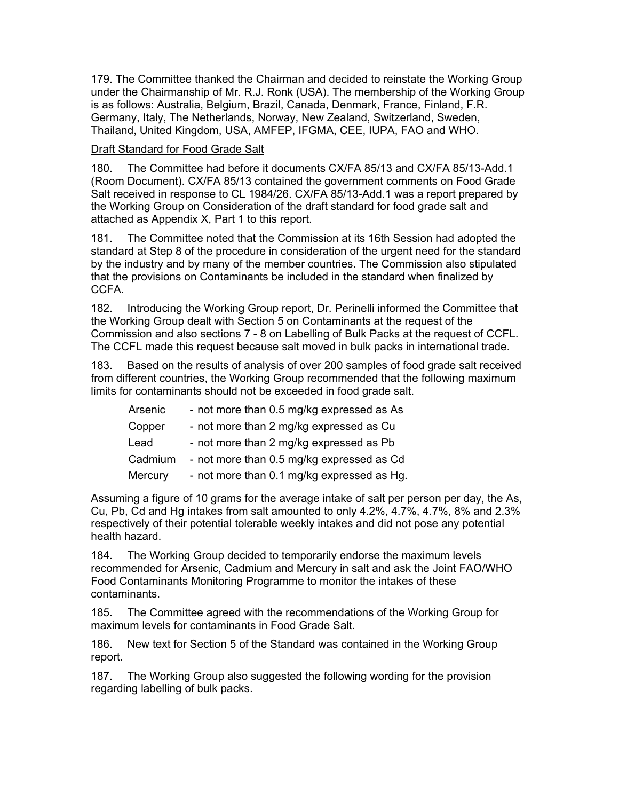179. The Committee thanked the Chairman and decided to reinstate the Working Group under the Chairmanship of Mr. R.J. Ronk (USA). The membership of the Working Group is as follows: Australia, Belgium, Brazil, Canada, Denmark, France, Finland, F.R. Germany, Italy, The Netherlands, Norway, New Zealand, Switzerland, Sweden, Thailand, United Kingdom, USA, AMFEP, IFGMA, CEE, IUPA, FAO and WHO.

#### Draft Standard for Food Grade Salt

180. The Committee had before it documents CX/FA 85/13 and CX/FA 85/13-Add.1 (Room Document). CX/FA 85/13 contained the government comments on Food Grade Salt received in response to CL 1984/26. CX/FA 85/13-Add.1 was a report prepared by the Working Group on Consideration of the draft standard for food grade salt and attached as Appendix X, Part 1 to this report.

181. The Committee noted that the Commission at its 16th Session had adopted the standard at Step 8 of the procedure in consideration of the urgent need for the standard by the industry and by many of the member countries. The Commission also stipulated that the provisions on Contaminants be included in the standard when finalized by CCFA.

182. Introducing the Working Group report, Dr. Perinelli informed the Committee that the Working Group dealt with Section 5 on Contaminants at the request of the Commission and also sections 7 - 8 on Labelling of Bulk Packs at the request of CCFL. The CCFL made this request because salt moved in bulk packs in international trade.

183. Based on the results of analysis of over 200 samples of food grade salt received from different countries, the Working Group recommended that the following maximum limits for contaminants should not be exceeded in food grade salt.

| Arsenic | - not more than 0.5 mg/kg expressed as As  |
|---------|--------------------------------------------|
| Copper  | - not more than 2 mg/kg expressed as Cu    |
| Lead    | - not more than 2 mg/kg expressed as Pb    |
| Cadmium | - not more than 0.5 mg/kg expressed as Cd  |
| Mercury | - not more than 0.1 mg/kg expressed as Hg. |

Assuming a figure of 10 grams for the average intake of salt per person per day, the As, Cu, Pb, Cd and Hg intakes from salt amounted to only 4.2%, 4.7%, 4.7%, 8% and 2.3% respectively of their potential tolerable weekly intakes and did not pose any potential health hazard.

184. The Working Group decided to temporarily endorse the maximum levels recommended for Arsenic, Cadmium and Mercury in salt and ask the Joint FAO/WHO Food Contaminants Monitoring Programme to monitor the intakes of these contaminants.

185. The Committee agreed with the recommendations of the Working Group for maximum levels for contaminants in Food Grade Salt.

186. New text for Section 5 of the Standard was contained in the Working Group report.

187. The Working Group also suggested the following wording for the provision regarding labelling of bulk packs.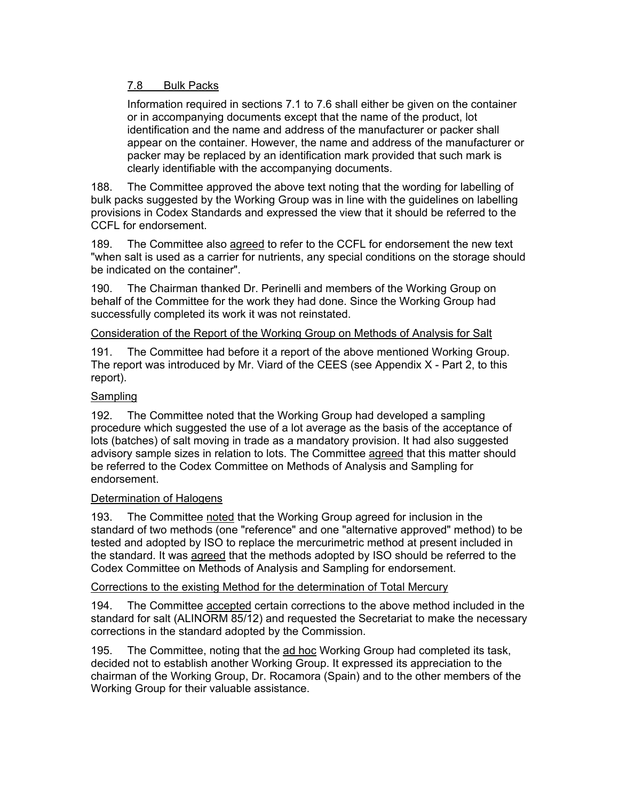## 7.8 Bulk Packs

Information required in sections 7.1 to 7.6 shall either be given on the container or in accompanying documents except that the name of the product, lot identification and the name and address of the manufacturer or packer shall appear on the container. However, the name and address of the manufacturer or packer may be replaced by an identification mark provided that such mark is clearly identifiable with the accompanying documents.

188. The Committee approved the above text noting that the wording for labelling of bulk packs suggested by the Working Group was in line with the guidelines on labelling provisions in Codex Standards and expressed the view that it should be referred to the CCFL for endorsement.

189. The Committee also agreed to refer to the CCFL for endorsement the new text "when salt is used as a carrier for nutrients, any special conditions on the storage should be indicated on the container".

190. The Chairman thanked Dr. Perinelli and members of the Working Group on behalf of the Committee for the work they had done. Since the Working Group had successfully completed its work it was not reinstated.

#### Consideration of the Report of the Working Group on Methods of Analysis for Salt

191. The Committee had before it a report of the above mentioned Working Group. The report was introduced by Mr. Viard of the CEES (see Appendix  $X$  - Part 2, to this report).

#### **Sampling**

192. The Committee noted that the Working Group had developed a sampling procedure which suggested the use of a lot average as the basis of the acceptance of lots (batches) of salt moving in trade as a mandatory provision. It had also suggested advisory sample sizes in relation to lots. The Committee agreed that this matter should be referred to the Codex Committee on Methods of Analysis and Sampling for endorsement.

#### Determination of Halogens

193. The Committee noted that the Working Group agreed for inclusion in the standard of two methods (one "reference" and one "alternative approved" method) to be tested and adopted by ISO to replace the mercurimetric method at present included in the standard. It was agreed that the methods adopted by ISO should be referred to the Codex Committee on Methods of Analysis and Sampling for endorsement.

#### Corrections to the existing Method for the determination of Total Mercury

194. The Committee accepted certain corrections to the above method included in the standard for salt (ALINORM 85/12) and requested the Secretariat to make the necessary corrections in the standard adopted by the Commission.

195. The Committee, noting that the ad hoc Working Group had completed its task, decided not to establish another Working Group. It expressed its appreciation to the chairman of the Working Group, Dr. Rocamora (Spain) and to the other members of the Working Group for their valuable assistance.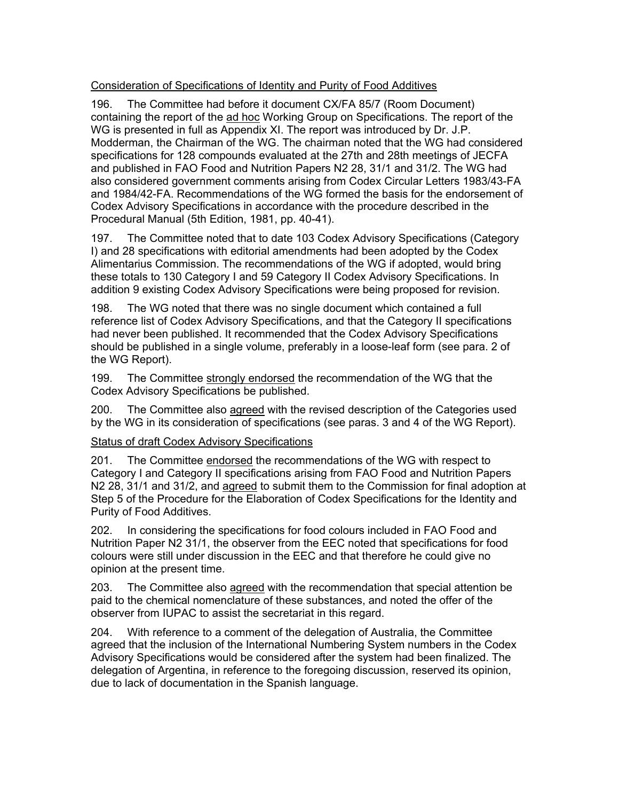## Consideration of Specifications of Identity and Purity of Food Additives

196. The Committee had before it document CX/FA 85/7 (Room Document) containing the report of the ad hoc Working Group on Specifications. The report of the WG is presented in full as Appendix XI. The report was introduced by Dr. J.P. Modderman, the Chairman of the WG. The chairman noted that the WG had considered specifications for 128 compounds evaluated at the 27th and 28th meetings of JECFA and published in FAO Food and Nutrition Papers N2 28, 31/1 and 31/2. The WG had also considered government comments arising from Codex Circular Letters 1983/43-FA and 1984/42-FA. Recommendations of the WG formed the basis for the endorsement of Codex Advisory Specifications in accordance with the procedure described in the Procedural Manual (5th Edition, 1981, pp. 40-41).

197. The Committee noted that to date 103 Codex Advisory Specifications (Category I) and 28 specifications with editorial amendments had been adopted by the Codex Alimentarius Commission. The recommendations of the WG if adopted, would bring these totals to 130 Category I and 59 Category II Codex Advisory Specifications. In addition 9 existing Codex Advisory Specifications were being proposed for revision.

198. The WG noted that there was no single document which contained a full reference list of Codex Advisory Specifications, and that the Category II specifications had never been published. It recommended that the Codex Advisory Specifications should be published in a single volume, preferably in a loose-leaf form (see para. 2 of the WG Report).

199. The Committee strongly endorsed the recommendation of the WG that the Codex Advisory Specifications be published.

200. The Committee also agreed with the revised description of the Categories used by the WG in its consideration of specifications (see paras. 3 and 4 of the WG Report).

#### Status of draft Codex Advisory Specifications

201. The Committee endorsed the recommendations of the WG with respect to Category I and Category II specifications arising from FAO Food and Nutrition Papers N2 28, 31/1 and 31/2, and agreed to submit them to the Commission for final adoption at Step 5 of the Procedure for the Elaboration of Codex Specifications for the Identity and Purity of Food Additives.

202. In considering the specifications for food colours included in FAO Food and Nutrition Paper N2 31/1, the observer from the EEC noted that specifications for food colours were still under discussion in the EEC and that therefore he could give no opinion at the present time.

203. The Committee also agreed with the recommendation that special attention be paid to the chemical nomenclature of these substances, and noted the offer of the observer from IUPAC to assist the secretariat in this regard.

204. With reference to a comment of the delegation of Australia, the Committee agreed that the inclusion of the International Numbering System numbers in the Codex Advisory Specifications would be considered after the system had been finalized. The delegation of Argentina, in reference to the foregoing discussion, reserved its opinion, due to lack of documentation in the Spanish language.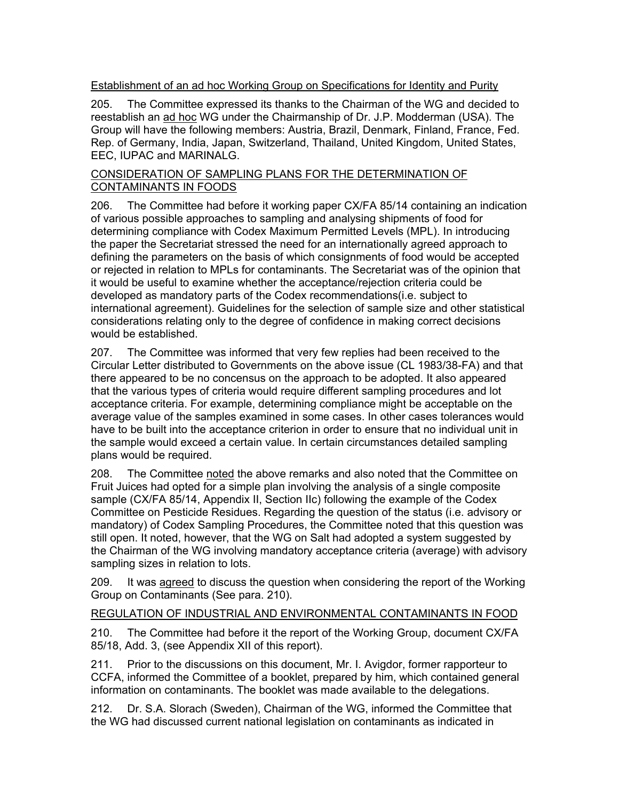## Establishment of an ad hoc Working Group on Specifications for Identity and Purity

205. The Committee expressed its thanks to the Chairman of the WG and decided to reestablish an ad hoc WG under the Chairmanship of Dr. J.P. Modderman (USA). The Group will have the following members: Austria, Brazil, Denmark, Finland, France, Fed. Rep. of Germany, India, Japan, Switzerland, Thailand, United Kingdom, United States, EEC, IUPAC and MARINALG.

#### CONSIDERATION OF SAMPLING PLANS FOR THE DETERMINATION OF CONTAMINANTS IN FOODS

206. The Committee had before it working paper CX/FA 85/14 containing an indication of various possible approaches to sampling and analysing shipments of food for determining compliance with Codex Maximum Permitted Levels (MPL). In introducing the paper the Secretariat stressed the need for an internationally agreed approach to defining the parameters on the basis of which consignments of food would be accepted or rejected in relation to MPLs for contaminants. The Secretariat was of the opinion that it would be useful to examine whether the acceptance/rejection criteria could be developed as mandatory parts of the Codex recommendations(i.e. subject to international agreement). Guidelines for the selection of sample size and other statistical considerations relating only to the degree of confidence in making correct decisions would be established.

207. The Committee was informed that very few replies had been received to the Circular Letter distributed to Governments on the above issue (CL 1983/38-FA) and that there appeared to be no concensus on the approach to be adopted. It also appeared that the various types of criteria would require different sampling procedures and lot acceptance criteria. For example, determining compliance might be acceptable on the average value of the samples examined in some cases. In other cases tolerances would have to be built into the acceptance criterion in order to ensure that no individual unit in the sample would exceed a certain value. In certain circumstances detailed sampling plans would be required.

208. The Committee noted the above remarks and also noted that the Committee on Fruit Juices had opted for a simple plan involving the analysis of a single composite sample (CX/FA 85/14, Appendix II, Section IIc) following the example of the Codex Committee on Pesticide Residues. Regarding the question of the status (i.e. advisory or mandatory) of Codex Sampling Procedures, the Committee noted that this question was still open. It noted, however, that the WG on Salt had adopted a system suggested by the Chairman of the WG involving mandatory acceptance criteria (average) with advisory sampling sizes in relation to lots.

209. It was agreed to discuss the question when considering the report of the Working Group on Contaminants (See para. 210).

#### REGULATION OF INDUSTRIAL AND ENVIRONMENTAL CONTAMINANTS IN FOOD

210. The Committee had before it the report of the Working Group, document CX/FA 85/18, Add. 3, (see Appendix XII of this report).

211. Prior to the discussions on this document, Mr. I. Avigdor, former rapporteur to CCFA, informed the Committee of a booklet, prepared by him, which contained general information on contaminants. The booklet was made available to the delegations.

212. Dr. S.A. Slorach (Sweden), Chairman of the WG, informed the Committee that the WG had discussed current national legislation on contaminants as indicated in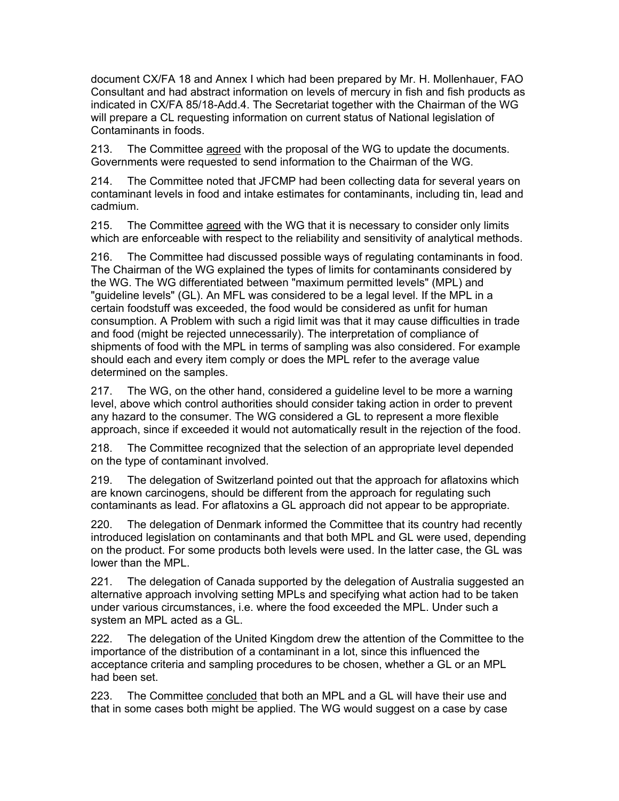document CX/FA 18 and Annex I which had been prepared by Mr. H. Mollenhauer, FAO Consultant and had abstract information on levels of mercury in fish and fish products as indicated in CX/FA 85/18-Add.4. The Secretariat together with the Chairman of the WG will prepare a CL requesting information on current status of National legislation of Contaminants in foods.

213. The Committee agreed with the proposal of the WG to update the documents. Governments were requested to send information to the Chairman of the WG.

214. The Committee noted that JFCMP had been collecting data for several years on contaminant levels in food and intake estimates for contaminants, including tin, lead and cadmium.

215. The Committee agreed with the WG that it is necessary to consider only limits which are enforceable with respect to the reliability and sensitivity of analytical methods.

216. The Committee had discussed possible ways of regulating contaminants in food. The Chairman of the WG explained the types of limits for contaminants considered by the WG. The WG differentiated between "maximum permitted levels" (MPL) and "guideline levels" (GL). An MFL was considered to be a legal level. If the MPL in a certain foodstuff was exceeded, the food would be considered as unfit for human consumption. A Problem with such a rigid limit was that it may cause difficulties in trade and food (might be rejected unnecessarily). The interpretation of compliance of shipments of food with the MPL in terms of sampling was also considered. For example should each and every item comply or does the MPL refer to the average value determined on the samples.

217. The WG, on the other hand, considered a guideline level to be more a warning level, above which control authorities should consider taking action in order to prevent any hazard to the consumer. The WG considered a GL to represent a more flexible approach, since if exceeded it would not automatically result in the rejection of the food.

218. The Committee recognized that the selection of an appropriate level depended on the type of contaminant involved.

219. The delegation of Switzerland pointed out that the approach for aflatoxins which are known carcinogens, should be different from the approach for regulating such contaminants as lead. For aflatoxins a GL approach did not appear to be appropriate.

220. The delegation of Denmark informed the Committee that its country had recently introduced legislation on contaminants and that both MPL and GL were used, depending on the product. For some products both levels were used. In the latter case, the GL was lower than the MPL.

221. The delegation of Canada supported by the delegation of Australia suggested an alternative approach involving setting MPLs and specifying what action had to be taken under various circumstances, i.e. where the food exceeded the MPL. Under such a system an MPL acted as a GL.

222. The delegation of the United Kingdom drew the attention of the Committee to the importance of the distribution of a contaminant in a lot, since this influenced the acceptance criteria and sampling procedures to be chosen, whether a GL or an MPL had been set.

223. The Committee concluded that both an MPL and a GL will have their use and that in some cases both might be applied. The WG would suggest on a case by case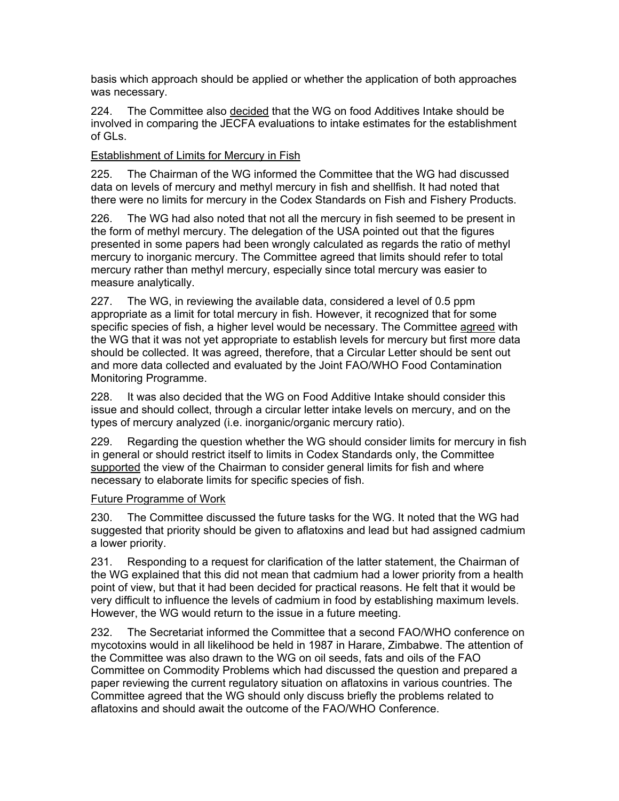basis which approach should be applied or whether the application of both approaches was necessary.

224. The Committee also decided that the WG on food Additives Intake should be involved in comparing the JECFA evaluations to intake estimates for the establishment of GLs.

## Establishment of Limits for Mercury in Fish

225. The Chairman of the WG informed the Committee that the WG had discussed data on levels of mercury and methyl mercury in fish and shellfish. It had noted that there were no limits for mercury in the Codex Standards on Fish and Fishery Products.

226. The WG had also noted that not all the mercury in fish seemed to be present in the form of methyl mercury. The delegation of the USA pointed out that the figures presented in some papers had been wrongly calculated as regards the ratio of methyl mercury to inorganic mercury. The Committee agreed that limits should refer to total mercury rather than methyl mercury, especially since total mercury was easier to measure analytically.

227. The WG, in reviewing the available data, considered a level of 0.5 ppm appropriate as a limit for total mercury in fish. However, it recognized that for some specific species of fish, a higher level would be necessary. The Committee agreed with the WG that it was not yet appropriate to establish levels for mercury but first more data should be collected. It was agreed, therefore, that a Circular Letter should be sent out and more data collected and evaluated by the Joint FAO/WHO Food Contamination Monitoring Programme.

228. It was also decided that the WG on Food Additive Intake should consider this issue and should collect, through a circular letter intake levels on mercury, and on the types of mercury analyzed (i.e. inorganic/organic mercury ratio).

229. Regarding the question whether the WG should consider limits for mercury in fish in general or should restrict itself to limits in Codex Standards only, the Committee supported the view of the Chairman to consider general limits for fish and where necessary to elaborate limits for specific species of fish.

#### Future Programme of Work

230. The Committee discussed the future tasks for the WG. It noted that the WG had suggested that priority should be given to aflatoxins and lead but had assigned cadmium a lower priority.

231. Responding to a request for clarification of the latter statement, the Chairman of the WG explained that this did not mean that cadmium had a lower priority from a health point of view, but that it had been decided for practical reasons. He felt that it would be very difficult to influence the levels of cadmium in food by establishing maximum levels. However, the WG would return to the issue in a future meeting.

232. The Secretariat informed the Committee that a second FAO/WHO conference on mycotoxins would in all likelihood be held in 1987 in Harare, Zimbabwe. The attention of the Committee was also drawn to the WG on oil seeds, fats and oils of the FAO Committee on Commodity Problems which had discussed the question and prepared a paper reviewing the current regulatory situation on aflatoxins in various countries. The Committee agreed that the WG should only discuss briefly the problems related to aflatoxins and should await the outcome of the FAO/WHO Conference.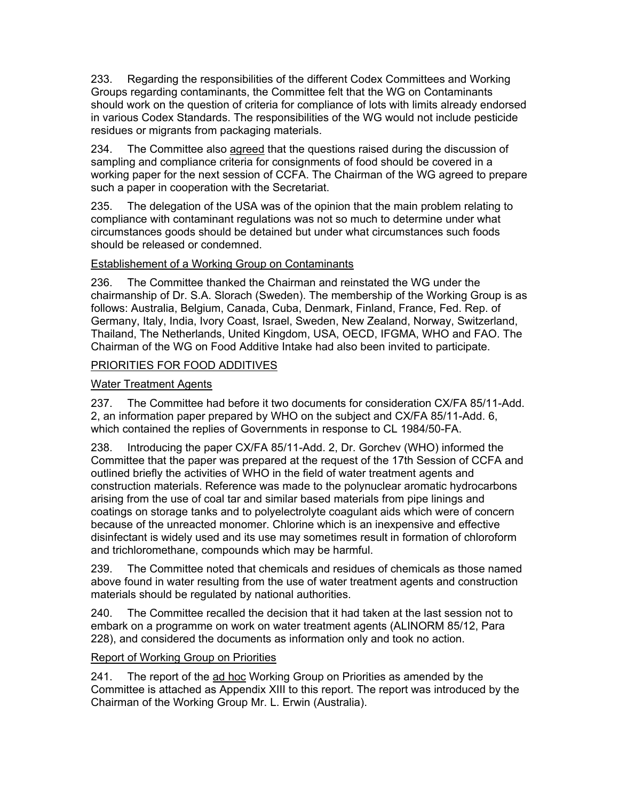233. Regarding the responsibilities of the different Codex Committees and Working Groups regarding contaminants, the Committee felt that the WG on Contaminants should work on the question of criteria for compliance of lots with limits already endorsed in various Codex Standards. The responsibilities of the WG would not include pesticide residues or migrants from packaging materials.

234. The Committee also agreed that the questions raised during the discussion of sampling and compliance criteria for consignments of food should be covered in a working paper for the next session of CCFA. The Chairman of the WG agreed to prepare such a paper in cooperation with the Secretariat.

235. The delegation of the USA was of the opinion that the main problem relating to compliance with contaminant regulations was not so much to determine under what circumstances goods should be detained but under what circumstances such foods should be released or condemned.

## Establishement of a Working Group on Contaminants

236. The Committee thanked the Chairman and reinstated the WG under the chairmanship of Dr. S.A. Slorach (Sweden). The membership of the Working Group is as follows: Australia, Belgium, Canada, Cuba, Denmark, Finland, France, Fed. Rep. of Germany, Italy, India, Ivory Coast, Israel, Sweden, New Zealand, Norway, Switzerland, Thailand, The Netherlands, United Kingdom, USA, OECD, IFGMA, WHO and FAO. The Chairman of the WG on Food Additive Intake had also been invited to participate.

## PRIORITIES FOR FOOD ADDITIVES

## Water Treatment Agents

237. The Committee had before it two documents for consideration CX/FA 85/11-Add. 2, an information paper prepared by WHO on the subject and CX/FA 85/11-Add. 6, which contained the replies of Governments in response to CL 1984/50-FA.

238. Introducing the paper CX/FA 85/11-Add. 2, Dr. Gorchev (WHO) informed the Committee that the paper was prepared at the request of the 17th Session of CCFA and outlined briefly the activities of WHO in the field of water treatment agents and construction materials. Reference was made to the polynuclear aromatic hydrocarbons arising from the use of coal tar and similar based materials from pipe linings and coatings on storage tanks and to polyelectrolyte coagulant aids which were of concern because of the unreacted monomer. Chlorine which is an inexpensive and effective disinfectant is widely used and its use may sometimes result in formation of chloroform and trichloromethane, compounds which may be harmful.

239. The Committee noted that chemicals and residues of chemicals as those named above found in water resulting from the use of water treatment agents and construction materials should be regulated by national authorities.

240. The Committee recalled the decision that it had taken at the last session not to embark on a programme on work on water treatment agents (ALINORM 85/12, Para 228), and considered the documents as information only and took no action.

#### Report of Working Group on Priorities

241. The report of the ad hoc Working Group on Priorities as amended by the Committee is attached as Appendix XIII to this report. The report was introduced by the Chairman of the Working Group Mr. L. Erwin (Australia).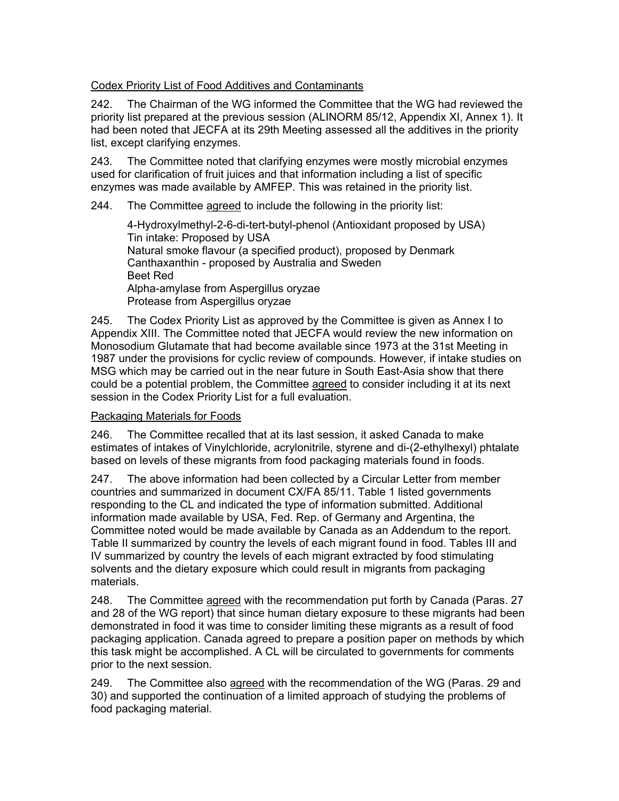## Codex Priority List of Food Additives and Contaminants

242. The Chairman of the WG informed the Committee that the WG had reviewed the priority list prepared at the previous session (ALINORM 85/12, Appendix XI, Annex 1). It had been noted that JECFA at its 29th Meeting assessed all the additives in the priority list, except clarifying enzymes.

243. The Committee noted that clarifying enzymes were mostly microbial enzymes used for clarification of fruit juices and that information including a list of specific enzymes was made available by AMFEP. This was retained in the priority list.

## 244. The Committee agreed to include the following in the priority list:

4-Hydroxylmethyl-2-6-di-tert-butyl-phenol (Antioxidant proposed by USA) Tin intake: Proposed by USA Natural smoke flavour (a specified product), proposed by Denmark Canthaxanthin - proposed by Australia and Sweden Beet Red Alpha-amylase from Aspergillus oryzae Protease from Aspergillus oryzae

245. The Codex Priority List as approved by the Committee is given as Annex I to Appendix XIII. The Committee noted that JECFA would review the new information on Monosodium Glutamate that had become available since 1973 at the 31st Meeting in 1987 under the provisions for cyclic review of compounds. However, if intake studies on MSG which may be carried out in the near future in South East-Asia show that there could be a potential problem, the Committee agreed to consider including it at its next session in the Codex Priority List for a full evaluation.

#### Packaging Materials for Foods

246. The Committee recalled that at its last session, it asked Canada to make estimates of intakes of Vinylchloride, acrylonitrile, styrene and di-(2-ethylhexyl) phtalate based on levels of these migrants from food packaging materials found in foods.

247. The above information had been collected by a Circular Letter from member countries and summarized in document CX/FA 85/11. Table 1 listed governments responding to the CL and indicated the type of information submitted. Additional information made available by USA, Fed. Rep. of Germany and Argentina, the Committee noted would be made available by Canada as an Addendum to the report. Table II summarized by country the levels of each migrant found in food. Tables III and IV summarized by country the levels of each migrant extracted by food stimulating solvents and the dietary exposure which could result in migrants from packaging materials.

248. The Committee agreed with the recommendation put forth by Canada (Paras. 27 and 28 of the WG report) that since human dietary exposure to these migrants had been demonstrated in food it was time to consider limiting these migrants as a result of food packaging application. Canada agreed to prepare a position paper on methods by which this task might be accomplished. A CL will be circulated to governments for comments prior to the next session.

249. The Committee also agreed with the recommendation of the WG (Paras. 29 and 30) and supported the continuation of a limited approach of studying the problems of food packaging material.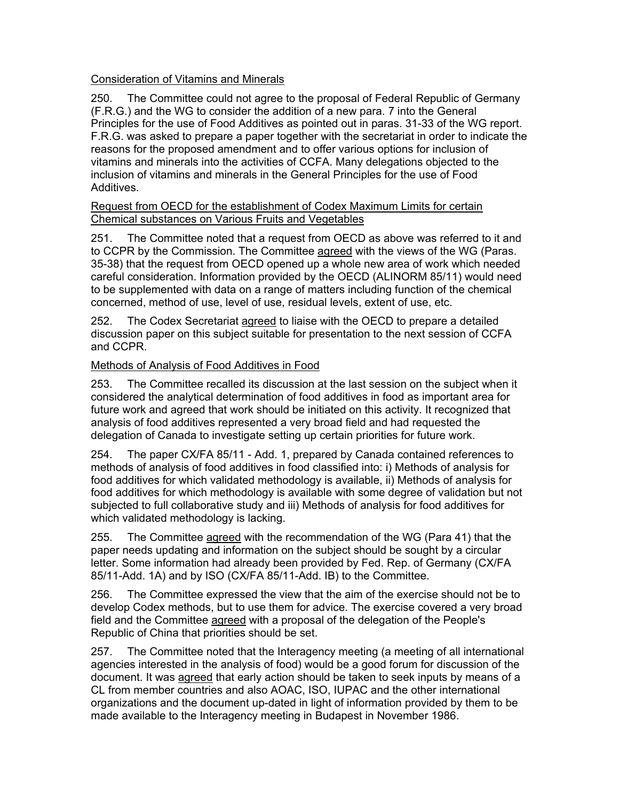## Consideration of Vitamins and Minerals

250. The Committee could not agree to the proposal of Federal Republic of Germany (F.R.G.) and the WG to consider the addition of a new para. 7 into the General Principles for the use of Food Additives as pointed out in paras. 31-33 of the WG report. F.R.G. was asked to prepare a paper together with the secretariat in order to indicate the reasons for the proposed amendment and to offer various options for inclusion of vitamins and minerals into the activities of CCFA. Many delegations objected to the inclusion of vitamins and minerals in the General Principles for the use of Food Additives.

## Request from OECD for the establishment of Codex Maximum Limits for certain Chemical substances on Various Fruits and Vegetables

251. The Committee noted that a request from OECD as above was referred to it and to CCPR by the Commission. The Committee agreed with the views of the WG (Paras. 35-38) that the request from OECD opened up a whole new area of work which needed careful consideration. Information provided by the OECD (ALINORM 85/11) would need to be supplemented with data on a range of matters including function of the chemical concerned, method of use, level of use, residual levels, extent of use, etc.

252. The Codex Secretariat agreed to liaise with the OECD to prepare a detailed discussion paper on this subject suitable for presentation to the next session of CCFA and CCPR.

## Methods of Analysis of Food Additives in Food

253. The Committee recalled its discussion at the last session on the subject when it considered the analytical determination of food additives in food as important area for future work and agreed that work should be initiated on this activity. It recognized that analysis of food additives represented a very broad field and had requested the delegation of Canada to investigate setting up certain priorities for future work.

254. The paper CX/FA 85/11 - Add. 1, prepared by Canada contained references to methods of analysis of food additives in food classified into: i) Methods of analysis for food additives for which validated methodology is available, ii) Methods of analysis for food additives for which methodology is available with some degree of validation but not subjected to full collaborative study and iii) Methods of analysis for food additives for which validated methodology is lacking.

255. The Committee agreed with the recommendation of the WG (Para 41) that the paper needs updating and information on the subject should be sought by a circular letter. Some information had already been provided by Fed. Rep. of Germany (CX/FA 85/11-Add. 1A) and by ISO (CX/FA 85/11-Add. IB) to the Committee.

256. The Committee expressed the view that the aim of the exercise should not be to develop Codex methods, but to use them for advice. The exercise covered a very broad field and the Committee agreed with a proposal of the delegation of the People's Republic of China that priorities should be set.

257. The Committee noted that the Interagency meeting (a meeting of all international agencies interested in the analysis of food) would be a good forum for discussion of the document. It was agreed that early action should be taken to seek inputs by means of a CL from member countries and also AOAC, ISO, IUPAC and the other international organizations and the document up-dated in light of information provided by them to be made available to the Interagency meeting in Budapest in November 1986.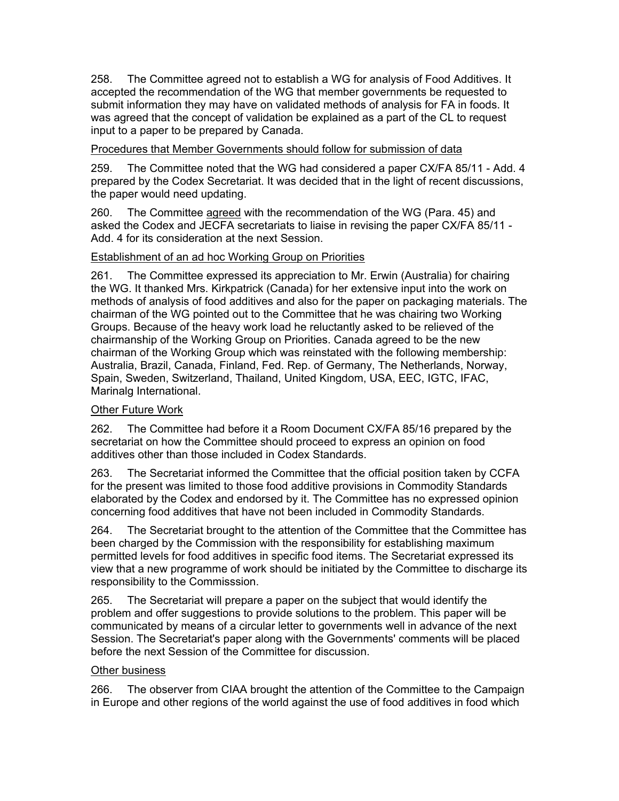258. The Committee agreed not to establish a WG for analysis of Food Additives. It accepted the recommendation of the WG that member governments be requested to submit information they may have on validated methods of analysis for FA in foods. It was agreed that the concept of validation be explained as a part of the CL to request input to a paper to be prepared by Canada.

## Procedures that Member Governments should follow for submission of data

259. The Committee noted that the WG had considered a paper CX/FA 85/11 - Add. 4 prepared by the Codex Secretariat. It was decided that in the light of recent discussions, the paper would need updating.

260. The Committee agreed with the recommendation of the WG (Para. 45) and asked the Codex and JECFA secretariats to liaise in revising the paper CX/FA 85/11 - Add. 4 for its consideration at the next Session.

## Establishment of an ad hoc Working Group on Priorities

261. The Committee expressed its appreciation to Mr. Erwin (Australia) for chairing the WG. It thanked Mrs. Kirkpatrick (Canada) for her extensive input into the work on methods of analysis of food additives and also for the paper on packaging materials. The chairman of the WG pointed out to the Committee that he was chairing two Working Groups. Because of the heavy work load he reluctantly asked to be relieved of the chairmanship of the Working Group on Priorities. Canada agreed to be the new chairman of the Working Group which was reinstated with the following membership: Australia, Brazil, Canada, Finland, Fed. Rep. of Germany, The Netherlands, Norway, Spain, Sweden, Switzerland, Thailand, United Kingdom, USA, EEC, IGTC, IFAC, Marinalg International.

## Other Future Work

262. The Committee had before it a Room Document CX/FA 85/16 prepared by the secretariat on how the Committee should proceed to express an opinion on food additives other than those included in Codex Standards.

263. The Secretariat informed the Committee that the official position taken by CCFA for the present was limited to those food additive provisions in Commodity Standards elaborated by the Codex and endorsed by it. The Committee has no expressed opinion concerning food additives that have not been included in Commodity Standards.

264. The Secretariat brought to the attention of the Committee that the Committee has been charged by the Commission with the responsibility for establishing maximum permitted levels for food additives in specific food items. The Secretariat expressed its view that a new programme of work should be initiated by the Committee to discharge its responsibility to the Commisssion.

265. The Secretariat will prepare a paper on the subject that would identify the problem and offer suggestions to provide solutions to the problem. This paper will be communicated by means of a circular letter to governments well in advance of the next Session. The Secretariat's paper along with the Governments' comments will be placed before the next Session of the Committee for discussion.

## Other business

266. The observer from CIAA brought the attention of the Committee to the Campaign in Europe and other regions of the world against the use of food additives in food which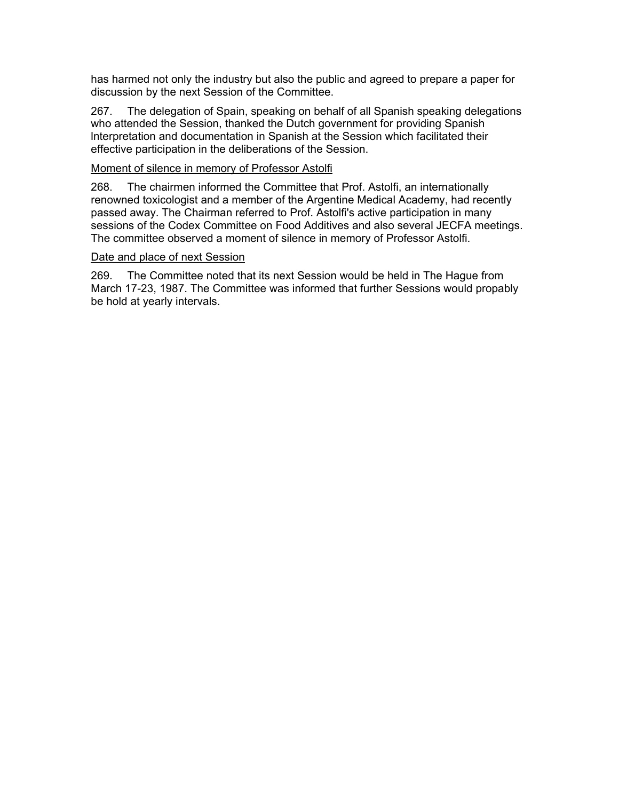has harmed not only the industry but also the public and agreed to prepare a paper for discussion by the next Session of the Committee.

267. The delegation of Spain, speaking on behalf of all Spanish speaking delegations who attended the Session, thanked the Dutch government for providing Spanish lnterpretation and documentation in Spanish at the Session which facilitated their effective participation in the deliberations of the Session.

### Moment of silence in memory of Professor Astolfi

268. The chairmen informed the Committee that Prof. Astolfi, an internationally renowned toxicologist and a member of the Argentine Medical Academy, had recently passed away. The Chairman referred to Prof. Astolfi's active participation in many sessions of the Codex Committee on Food Additives and also several JECFA meetings. The committee observed a moment of silence in memory of Professor Astolfi.

#### Date and place of next Session

269. The Committee noted that its next Session would be held in The Hague from March 17-23, 1987. The Committee was informed that further Sessions would propably be hold at yearly intervals.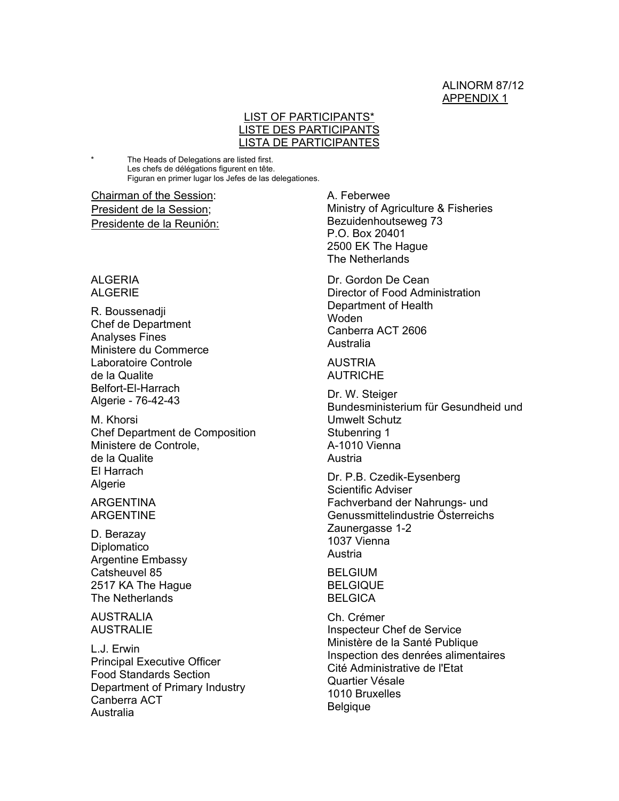#### ALINORM 87/12 APPENDIX 1

### LIST OF PARTICIPANTS\* LISTE DES PARTICIPANTS LISTA DE PARTICIPANTES

The Heads of Delegations are listed first. Les chefs de délégations figurent en tête. Figuran en primer lugar los Jefes de las delegationes.

Chairman of the Session: President de la Session; Presidente de la Reunión:

ALGERIA ALGERIE

R. Boussenadji Chef de Department Analyses Fines Ministere du Commerce Laboratoire Controle de la Qualite Belfort-El-Harrach Algerie - 76-42-43

M. Khorsi Chef Department de Composition Ministere de Controle, de la Qualite El Harrach Algerie

ARGENTINA ARGENTINE

D. Berazay **Diplomatico** Argentine Embassy Catsheuvel 85 2517 KA The Hague The Netherlands

AUSTRALIA AUSTRALIE

L.J. Erwin Principal Executive Officer Food Standards Section Department of Primary Industry Canberra ACT Australia

A. Feberwee Ministry of Agriculture & Fisheries Bezuidenhoutseweg 73 P.O. Box 20401 2500 EK The Hague The Netherlands

Dr. Gordon De Cean Director of Food Administration Department of Health Woden Canberra ACT 2606 Australia

AUSTRIA **AUTRICHE** 

Dr. W. Steiger Bundesministerium für Gesundheid und Umwelt Schutz Stubenring 1 A-1010 Vienna Austria

Dr. P.B. Czedik-Eysenberg Scientific Adviser Fachverband der Nahrungs- und Genussmittelindustrie Österreichs Zaunergasse 1-2 1037 Vienna Austria

**BELGIUM BELGIQUE BELGICA** 

Ch. Crémer Inspecteur Chef de Service Ministère de la Santé Publique Inspection des denrées alimentaires Cité Administrative de l'Etat Quartier Vésale 1010 Bruxelles Belgique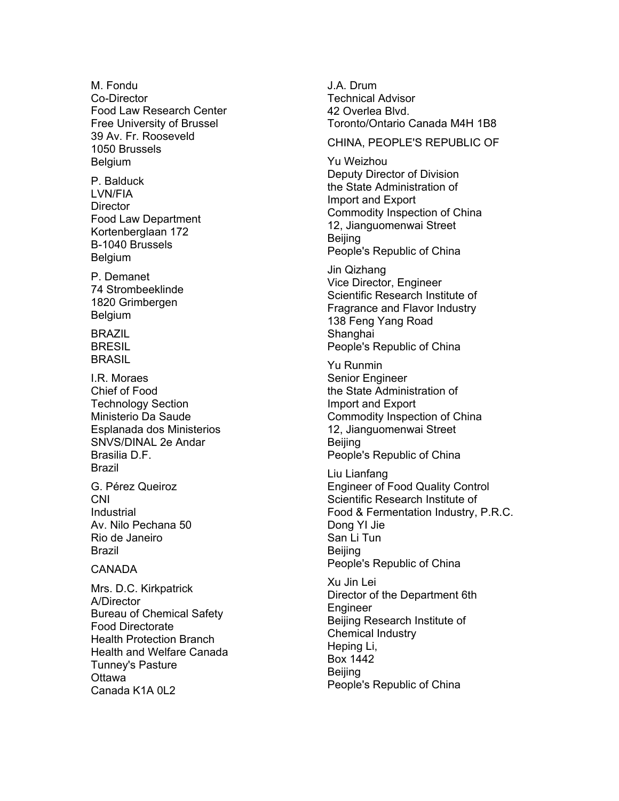M. Fondu Co-Director Food Law Research Center Free University of Brussel 39 Av. Fr. Rooseveld 1050 Brussels Belgium

P. Balduck LVN/FIA **Director** Food Law Department Kortenberglaan 172 B-1040 Brussels Belgium

P. Demanet 74 Strombeeklinde 1820 Grimbergen Belgium

BRAZIL **BRESIL** BRASIL

I.R. Moraes Chief of Food Technology Section Ministerio Da Saude Esplanada dos Ministerios SNVS/DINAL 2e Andar Brasilia D.F. Brazil

G. Pérez Queiroz CNI **Industrial** Av. Nilo Pechana 50 Rio de Janeiro Brazil

#### CANADA

Mrs. D.C. Kirkpatrick A/Director Bureau of Chemical Safety Food Directorate Health Protection Branch Health and Welfare Canada Tunney's Pasture **Ottawa** Canada K1A 0L2

J.A. Drum Technical Advisor 42 Overlea Blvd. Toronto/Ontario Canada M4H 1B8

CHINA, PEOPLE'S REPUBLIC OF

Yu Weizhou Deputy Director of Division the State Administration of Import and Export Commodity Inspection of China 12, Jianguomenwai Street Beijing People's Republic of China

Jin Qizhang Vice Director, Engineer Scientific Research Institute of Fragrance and Flavor Industry 138 Feng Yang Road **Shanghai** People's Republic of China

Yu Runmin Senior Engineer the State Administration of Import and Export Commodity Inspection of China 12, Jianguomenwai Street **Beijing** People's Republic of China

Liu Lianfang Engineer of Food Quality Control Scientific Research Institute of Food & Fermentation Industry, P.R.C. Dong YI Jie San Li Tun Beijing People's Republic of China

Xu Jin Lei Director of the Department 6th Engineer Beijing Research Institute of Chemical Industry Heping Li, Box 1442 **Beiling** People's Republic of China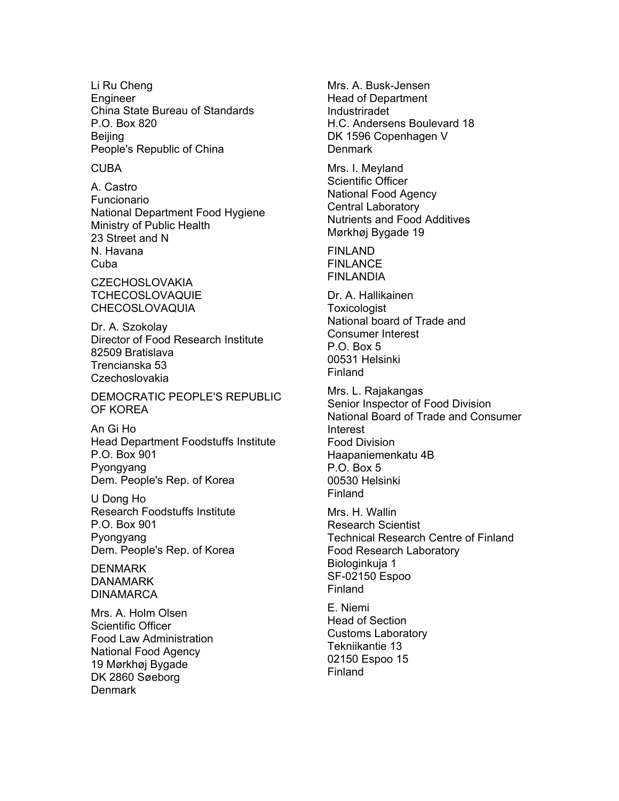Li Ru Cheng Engineer China State Bureau of Standards P.O. Box 820 **Beijing** People's Republic of China

#### CUBA

A. Castro Funcionario National Department Food Hygiene Ministry of Public Health 23 Street and N N. Havana **Cuba** 

**CZECHOSLOVAKIA** TCHECOSLOVAQUIE CHECOSLOVAQUIA

Dr. A. Szokolay Director of Food Research Institute 82509 Bratislava Trencianska 53 Czechoslovakia

DEMOCRATIC PEOPLE'S REPUBLIC OF KOREA

An Gi Ho Head Department Foodstuffs Institute P.O. Box 901 Pyongyang Dem. People's Rep. of Korea

U Dong Ho Research Foodstuffs Institute P.O. Box 901 Pyongyang Dem. People's Rep. of Korea

**DENMARK** DANAMARK **DINAMARCA** 

Mrs. A. Holm Olsen Scientific Officer Food Law Administration National Food Agency 19 Mørkhøj Bygade DK 2860 Søeborg **Denmark** 

Mrs. A. Busk-Jensen Head of Department Industriradet H.C. Andersens Boulevard 18 DK 1596 Copenhagen V **Denmark** 

Mrs. I. Meyland Scientific Officer National Food Agency Central Laboratory Nutrients and Food Additives Mørkhøj Bygade 19

FINLAND FINLANCE **FINLANDIA** 

Dr. A. Hallikainen **Toxicologist** National board of Trade and Consumer Interest P.O. Box 5 00531 Helsinki Finland

Mrs. L. Rajakangas Senior Inspector of Food Division National Board of Trade and Consumer Interest Food Division Haapaniemenkatu 4B P.O. Box 5 00530 Helsinki Finland

Mrs. H. Wallin Research Scientist Technical Research Centre of Finland Food Research Laboratory Biologinkuja 1 SF-02150 Espoo Finland

E. Niemi Head of Section Customs Laboratory Tekniikantie 13 02150 Espoo 15 Finland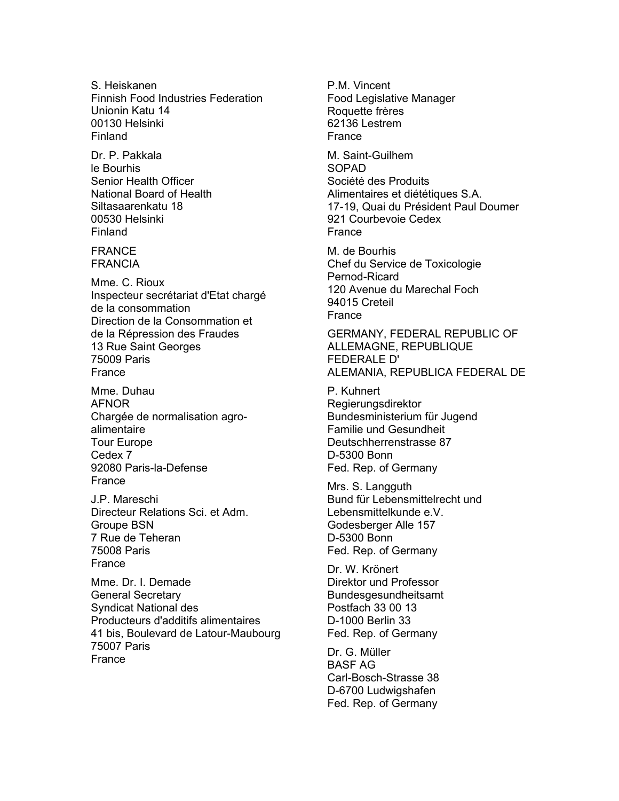S. Heiskanen Finnish Food Industries Federation Unionin Katu 14 00130 Helsinki Finland

Dr. P. Pakkala le Bourhis Senior Health Officer National Board of Health Siltasaarenkatu 18 00530 Helsinki Finland

FRANCE FRANCIA

Mme. C. Rioux Inspecteur secrétariat d'Etat chargé de la consommation Direction de la Consommation et de la Répression des Fraudes 13 Rue Saint Georges 75009 Paris France

Mme. Duhau AFNOR Chargée de normalisation agroalimentaire Tour Europe Cedex 7 92080 Paris-la-Defense France

J.P. Mareschi Directeur Relations Sci. et Adm. Groupe BSN 7 Rue de Teheran 75008 Paris France

Mme. Dr. I. Demade General Secretary Syndicat National des Producteurs d'additifs alimentaires 41 bis, Boulevard de Latour-Maubourg 75007 Paris France

P.M. Vincent Food Legislative Manager Roquette frères 62136 Lestrem France

M. Saint-Guilhem SOPAD Société des Produits Alimentaires et diététiques S.A. 17-19, Quai du Président Paul Doumer 921 Courbevoie Cedex France

M. de Bourhis Chef du Service de Toxicologie Pernod-Ricard 120 Avenue du Marechal Foch 94015 Creteil **France** 

GERMANY, FEDERAL REPUBLIC OF ALLEMAGNE, REPUBLIQUE FEDERALE D' ALEMANIA, REPUBLICA FEDERAL DE

P. Kuhnert Regierungsdirektor Bundesministerium für Jugend Familie und Gesundheit Deutschherrenstrasse 87 D-5300 Bonn Fed. Rep. of Germany

Mrs. S. Langguth Bund für Lebensmittelrecht und Lebensmittelkunde e.V. Godesberger Alle 157 D-5300 Bonn Fed. Rep. of Germany

Dr. W. Krönert Direktor und Professor Bundesgesundheitsamt Postfach 33 00 13 D-1000 Berlin 33 Fed. Rep. of Germany

Dr. G. Müller BASF AG Carl-Bosch-Strasse 38 D-6700 Ludwigshafen Fed. Rep. of Germany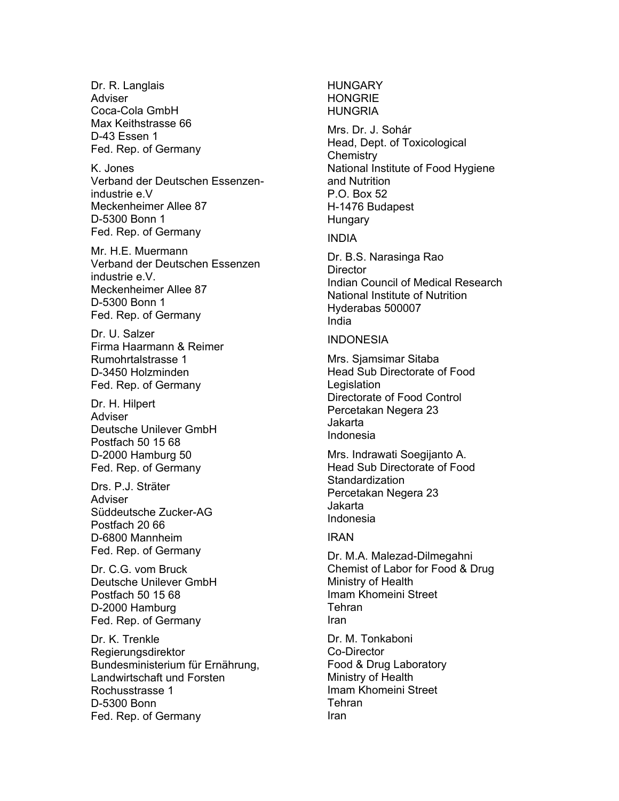Dr. R. Langlais Adviser Coca-Cola GmbH Max Keithstrasse 66 D-43 Essen 1 Fed. Rep. of Germany

K. Jones Verband der Deutschen Essenzenindustrie e.V Meckenheimer Allee 87 D-5300 Bonn 1 Fed. Rep. of Germany

Mr. H.E. Muermann Verband der Deutschen Essenzen industrie e.V. Meckenheimer Allee 87 D-5300 Bonn 1 Fed. Rep. of Germany

Dr. U. Salzer Firma Haarmann & Reimer Rumohrtalstrasse 1 D-3450 Holzminden Fed. Rep. of Germany

Dr. H. Hilpert Adviser Deutsche Unilever GmbH Postfach 50 15 68 D-2000 Hamburg 50 Fed. Rep. of Germany

Drs. P.J. Sträter **Adviser** Süddeutsche Zucker-AG Postfach 20 66 D-6800 Mannheim Fed. Rep. of Germany

Dr. C.G. vom Bruck Deutsche Unilever GmbH Postfach 50 15 68 D-2000 Hamburg Fed. Rep. of Germany

Dr. K. Trenkle Regierungsdirektor Bundesministerium für Ernährung, Landwirtschaft und Forsten Rochusstrasse 1 D-5300 Bonn Fed. Rep. of Germany

### **HUNGARY** HONGRIE **HUNGRIA**

Mrs. Dr. J. Sohár Head, Dept. of Toxicological **Chemistry** National Institute of Food Hygiene and Nutrition P.O. Box 52 H-1476 Budapest **Hungary** 

INDIA

Dr. B.S. Narasinga Rao **Director** Indian Council of Medical Research National Institute of Nutrition Hyderabas 500007 India

INDONESIA

Mrs. Sjamsimar Sitaba Head Sub Directorate of Food **Legislation** Directorate of Food Control Percetakan Negera 23 Jakarta Indonesia

Mrs. Indrawati Soegijanto A. Head Sub Directorate of Food **Standardization** Percetakan Negera 23 Jakarta Indonesia

IRAN

Dr. M.A. Malezad-Dilmegahni Chemist of Labor for Food & Drug Ministry of Health Imam Khomeini Street Tehran Iran

Dr. M. Tonkaboni Co-Director Food & Drug Laboratory Ministry of Health Imam Khomeini Street Tehran Iran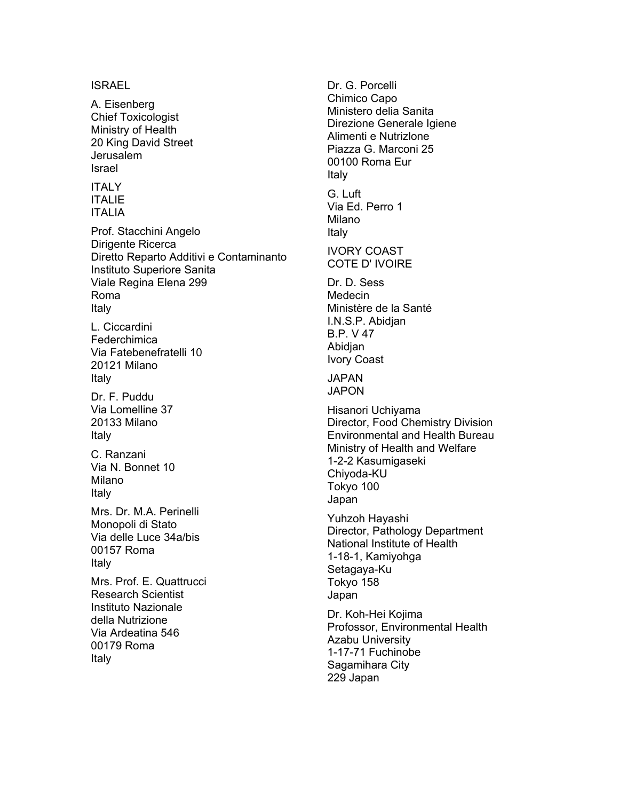#### ISRAEL

A. Eisenberg Chief Toxicologist Ministry of Health 20 King David Street Jerusalem Israel

#### ITALY ITALIE ITALIA

Prof. Stacchini Angelo Dirigente Ricerca Diretto Reparto Additivi e Contaminanto Instituto Superiore Sanita Viale Regina Elena 299 Roma Italy

L. Ciccardini Federchimica Via Fatebenefratelli 10 20121 Milano Italy

Dr. F. Puddu Via Lomelline 37 20133 Milano Italy

C. Ranzani Via N. Bonnet 10 Milano Italy

Mrs. Dr. M.A. Perinelli Monopoli di Stato Via delle Luce 34a/bis 00157 Roma Italy

Mrs. Prof. E. Quattrucci Research Scientist Instituto Nazionale della Nutrizione Via Ardeatina 546 00179 Roma Italy

Dr. G. Porcelli Chimico Capo Ministero delia Sanita Direzione Generale Igiene Alimenti e Nutrizlone Piazza G. Marconi 25 00100 Roma Eur Italy G. Luft Via Ed. Perro 1 Milano Italy IVORY COAST COTE D' IVOIRE Dr. D. Sess Medecin Ministère de la Santé I.N.S.P. Abidjan B.P. V 47 **Abidian** Ivory Coast JAPAN JAPON Hisanori Uchiyama Director, Food Chemistry Division Environmental and Health Bureau Ministry of Health and Welfare 1-2-2 Kasumigaseki Chiyoda-KU Tokyo 100 Japan Yuhzoh Hayashi Director, Pathology Department National Institute of Health 1-18-1, Kamiyohga Setagaya-Ku Tokyo 158 Japan Dr. Koh-Hei Kojima Profossor, Environmental Health Azabu University 1-17-71 Fuchinobe Sagamihara City 229 Japan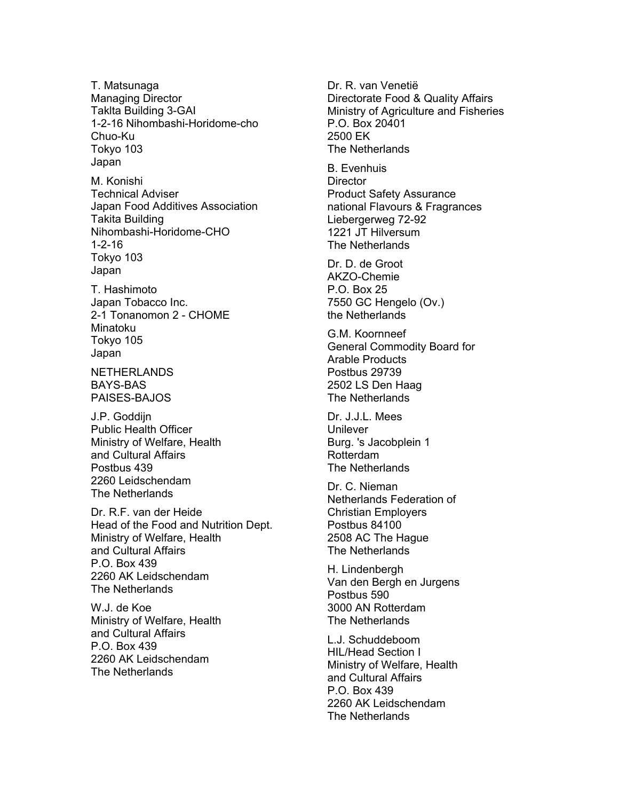T. Matsunaga Managing Director Taklta Building 3-GAI 1-2-16 Nihombashi-Horidome-cho Chuo-Ku Tokyo 103 Japan

M. Konishi Technical Adviser Japan Food Additives Association Takita Building Nihombashi-Horidome-CHO 1-2-16 Tokyo 103 Japan

T. Hashimoto Japan Tobacco Inc. 2-1 Tonanomon 2 - CHOME Minatoku Tokyo 105 Japan

NETHERLANDS BAYS-BAS PAISES-BAJOS

J.P. Goddijn Public Health Officer Ministry of Welfare, Health and Cultural Affairs Postbus 439 2260 Leidschendam The Netherlands

Dr. R.F. van der Heide Head of the Food and Nutrition Dept. Ministry of Welfare, Health and Cultural Affairs P.O. Box 439 2260 AK Leidschendam The Netherlands

W.J. de Koe Ministry of Welfare, Health and Cultural Affairs P.O. Box 439 2260 AK Leidschendam The Netherlands

Dr. R. van Venetië Directorate Food & Quality Affairs Ministry of Agriculture and Fisheries P.O. Box 20401 2500 EK The Netherlands

B. Evenhuis **Director** Product Safety Assurance national Flavours & Fragrances Liebergerweg 72-92 1221 JT Hilversum The Netherlands

Dr. D. de Groot AKZO-Chemie P.O. Box 25 7550 GC Hengelo (Ov.) the Netherlands

G.M. Koornneef General Commodity Board for Arable Products Postbus 29739 2502 LS Den Haag The Netherlands

Dr. J.J.L. Mees **Unilever** Burg. 's Jacobplein 1 Rotterdam The Netherlands

Dr. C. Nieman Netherlands Federation of Christian Employers Postbus 84100 2508 AC The Hague The Netherlands

H. Lindenbergh Van den Bergh en Jurgens Postbus 590 3000 AN Rotterdam The Netherlands

L.J. Schuddeboom HIL/Head Section I Ministry of Welfare, Health and Cultural Affairs P.O. Box 439 2260 AK Leidschendam The Netherlands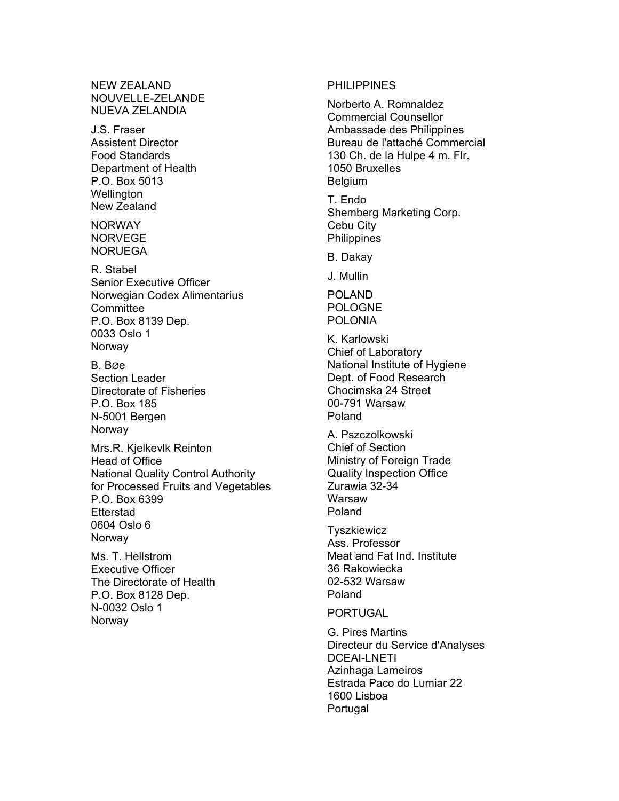NEW ZEALAND NOUVELLE-ZELANDE NUEVA ZELANDIA

J.S. Fraser Assistent Director Food Standards Department of Health P.O. Box 5013 **Wellington** New Zealand

**NORWAY** NORVEGE NORUEGA

R. Stabel Senior Executive Officer Norwegian Codex Alimentarius **Committee** P.O. Box 8139 Dep. 0033 Oslo 1 **Norway** 

B. BØe Section Leader Directorate of Fisheries P.O. Box 185 N-5001 Bergen **Norway** 

Mrs.R. Kjelkevlk Reinton Head of Office National Quality Control Authority for Processed Fruits and Vegetables P.O. Box 6399 **Etterstad** 0604 Oslo 6 **Norway** 

Ms. T. Hellstrom Executive Officer The Directorate of Health P.O. Box 8128 Dep. N-0032 Oslo 1 Norway

#### PHILIPPINES

Norberto A. Romnaldez Commercial Counsellor Ambassade des Philippines Bureau de l'attaché Commercial 130 Ch. de la Hulpe 4 m. Flr. 1050 Bruxelles Belgium

T. Endo Shemberg Marketing Corp. Cebu City **Philippines** 

B. Dakay

J. Mullin

POLAND POLOGNE POLONIA

K. Karlowski Chief of Laboratory National Institute of Hygiene Dept. of Food Research Chocimska 24 Street 00-791 Warsaw Poland

A. Pszczolkowski Chief of Section Ministry of Foreign Trade Quality Inspection Office Zurawia 32-34 Warsaw Poland

**Tyszkiewicz** Ass. Professor Meat and Fat Ind. Institute 36 Rakowiecka 02-532 Warsaw Poland

PORTUGAL

G. Pires Martins Directeur du Service d'Analyses DCEAI-LNETI Azinhaga Lameiros Estrada Paco do Lumiar 22 1600 Lisboa Portugal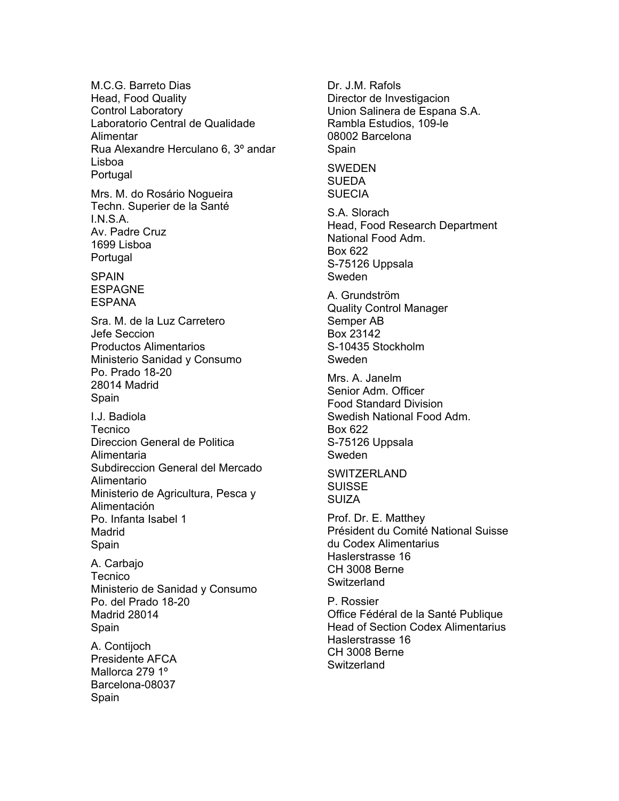M.C.G. Barreto Dias Head, Food Quality Control Laboratory Laboratorio Central de Qualidade Alimentar Rua Alexandre Herculano 6, 3º andar Lisboa Portugal Mrs. M. do Rosário Nogueira Techn. Superier de la Santé I.N.S.A. Av. Padre Cruz 1699 Lisboa Portugal SPAIN ESPAGNE **ESPANA** Sra. M. de la Luz Carretero Jefe Seccion Productos Alimentarios Ministerio Sanidad y Consumo Po. Prado 18-20 28014 Madrid Spain I.J. Badiola **Tecnico** Direccion General de Politica Alimentaria Subdireccion General del Mercado Alimentario Ministerio de Agricultura, Pesca y Alimentación Po. Infanta Isabel 1 Madrid Spain A. Carbajo **Tecnico** Ministerio de Sanidad y Consumo Po. del Prado 18-20 Madrid 28014 Spain A. Contijoch Presidente AFCA Mallorca 279 1º Barcelona-08037 Spain

Dr. J.M. Rafols Director de Investigacion Union Salinera de Espana S.A. Rambla Estudios, 109-le 08002 Barcelona Spain **SWEDEN SUEDA** SUECIA S.A. Slorach Head, Food Research Department National Food Adm. Box 622 S-75126 Uppsala Sweden A. Grundström Quality Control Manager Semper AB Box 23142 S-10435 Stockholm Sweden Mrs. A. Janelm Senior Adm. Officer Food Standard Division Swedish National Food Adm. Box 622 S-75126 Uppsala Sweden **SWITZERLAND** SUISSE SUIZA Prof. Dr. E. Matthey Président du Comité National Suisse du Codex Alimentarius Haslerstrasse 16 CH 3008 Berne Switzerland P. Rossier Office Fédéral de la Santé Publique Head of Section Codex Alimentarius Haslerstrasse 16

CH 3008 Berne Switzerland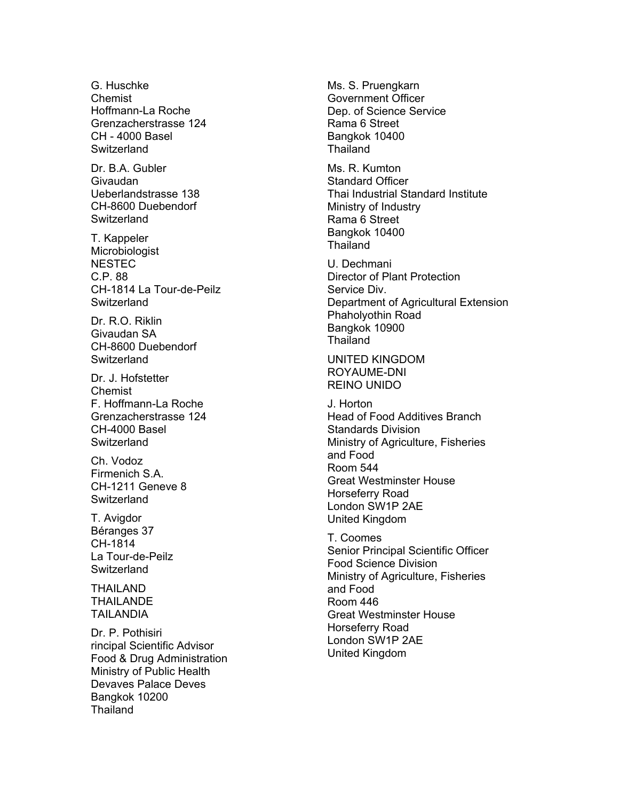G. Huschke Chemist Hoffmann-La Roche Grenzacherstrasse 124 CH - 4000 Basel **Switzerland** 

Dr. B.A. Gubler Givaudan Ueberlandstrasse 138 CH-8600 Duebendorf **Switzerland** 

T. Kappeler Microbiologist **NESTEC** C.P. 88 CH-1814 La Tour-de-Peilz **Switzerland** 

Dr. R.O. Riklin Givaudan SA CH-8600 Duebendorf **Switzerland** 

Dr. J. Hofstetter Chemist F. Hoffmann-La Roche Grenzacherstrasse 124 CH-4000 Basel **Switzerland** 

Ch. Vodoz Firmenich S.A. CH-1211 Geneve 8 **Switzerland** 

T. Avigdor Béranges 37 CH-1814 La Tour-de-Peilz **Switzerland** 

THAILAND THAILANDE TAILANDIA

Dr. P. Pothisiri rincipal Scientific Advisor Food & Drug Administration Ministry of Public Health Devaves Palace Deves Bangkok 10200 Thailand

Ms. S. Pruengkarn Government Officer Dep. of Science Service Rama 6 Street Bangkok 10400 **Thailand** 

Ms. R. Kumton Standard Officer Thai Industrial Standard Institute Ministry of Industry Rama 6 Street Bangkok 10400 **Thailand** 

U. Dechmani Director of Plant Protection Service Div. Department of Agricultural Extension Phaholyothin Road Bangkok 10900 **Thailand** 

UNITED KINGDOM ROYAUME-DNI REINO UNIDO

J. Horton Head of Food Additives Branch Standards Division Ministry of Agriculture, Fisheries and Food Room 544 Great Westminster House Horseferry Road London SW1P 2AE United Kingdom

T. Coomes Senior Principal Scientific Officer Food Science Division Ministry of Agriculture, Fisheries and Food Room 446 Great Westminster House Horseferry Road London SW1P 2AE United Kingdom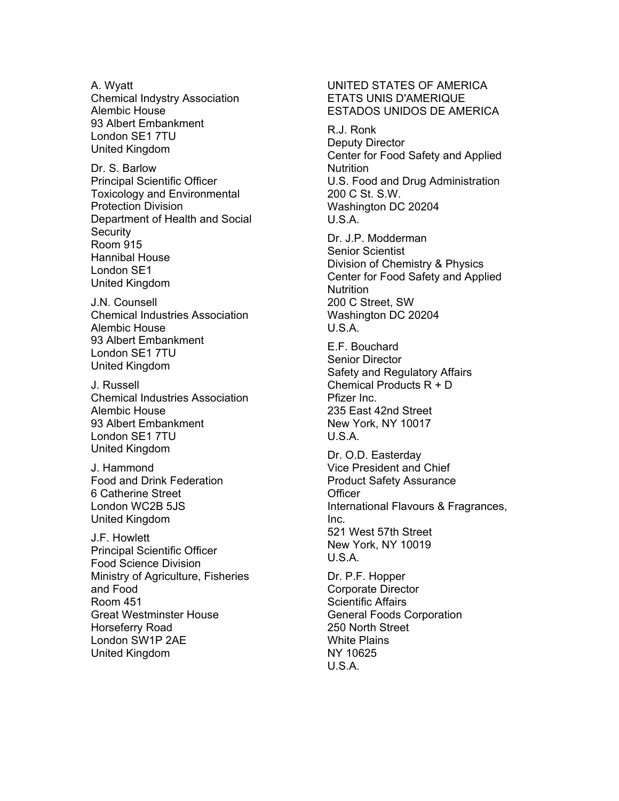A. Wyatt Chemical Indystry Association Alembic House 93 Albert Embankment London SE1 7TU United Kingdom

Dr. S. Barlow Principal Scientific Officer Toxicology and Environmental Protection Division Department of Health and Social **Security** Room 915 Hannibal House London SE1 United Kingdom

J.N. Counsell Chemical Industries Association Alembic House 93 Albert Embankment London SE1 7TU United Kingdom

J. Russell Chemical Industries Association Alembic House 93 Albert Embankment London SE1 7TU United Kingdom

J. Hammond Food and Drink Federation 6 Catherine Street London WC2B 5JS United Kingdom

J.F. Howlett Principal Scientific Officer Food Science Division Ministry of Agriculture, Fisheries and Food Room 451 Great Westminster House Horseferry Road London SW1P 2AE United Kingdom

#### UNITED STATES OF AMERICA ETATS UNIS D'AMERIQUE ESTADOS UNIDOS DE AMERICA

R.J. Ronk Deputy Director Center for Food Safety and Applied **Nutrition** U.S. Food and Drug Administration 200 C St. S.W. Washington DC 20204  $U.S.A.$ 

Dr. J.P. Modderman Senior Scientist Division of Chemistry & Physics Center for Food Safety and Applied **Nutrition** 200 C Street, SW Washington DC 20204 U.S.A.

E.F. Bouchard Senior Director Safety and Regulatory Affairs Chemical Products R + D Pfizer Inc. 235 East 42nd Street New York, NY 10017 U.S.A.

Dr. O.D. Easterday Vice President and Chief Product Safety Assurance **Officer** International Flavours & Fragrances, Inc. 521 West 57th Street New York, NY 10019 U.S.A.

Dr. P.F. Hopper Corporate Director Scientific Affairs General Foods Corporation 250 North Street White Plains NY 10625 U.S.A.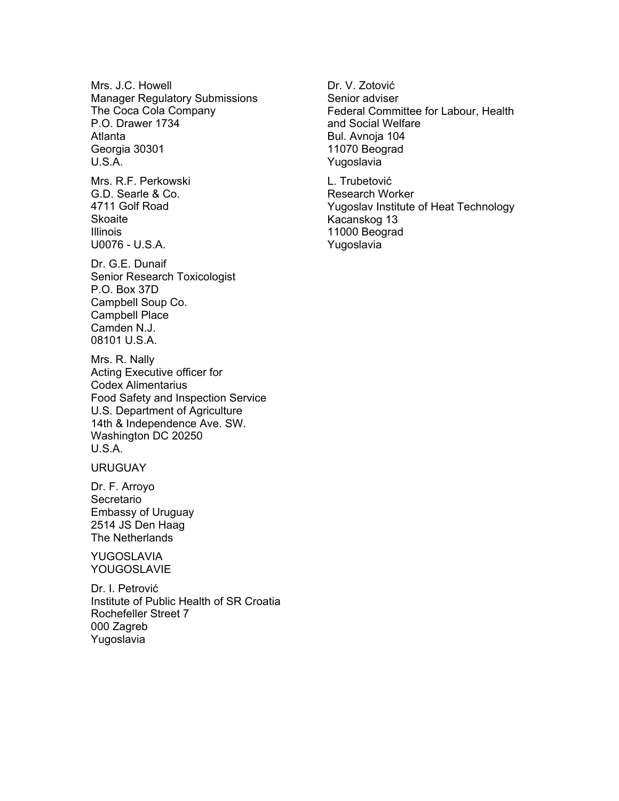Mrs. J.C. Howell Manager Regulatory Submissions The Coca Cola Company P.O. Drawer 1734 Atlanta Georgia 30301 U.S.A.

Mrs. R.F. Perkowski G.D. Searle & Co. 4711 Golf Road Skoaite Illinois U0076 - U.S.A.

Dr. G.E. Dunaif Senior Research Toxicologist P.O. Box 37D Campbell Soup Co. Campbell Place Camden N.J. 08101 U.S.A.

Mrs. R. Nally Acting Executive officer for Codex Alimentarius Food Safety and Inspection Service U.S. Department of Agriculture 14th & Independence Ave. SW. Washington DC 20250 U.S.A.

URUGUAY

Dr. F. Arroyo Secretario Embassy of Uruguay 2514 JS Den Haag The Netherlands

YUGOSLAVIA YOUGOSLAVIE

Dr. I. Petrović Institute of Public Health of SR Croatia Rochefeller Street 7 000 Zagreb Yugoslavia

Dr. V. Zotović Senior adviser Federal Committee for Labour, Health and Social Welfare Bul. Avnoja 104 11070 Beograd Yugoslavia

L. Trubetović Research Worker Yugoslav Institute of Heat Technology Kacanskog 13 11000 Beograd Yugoslavia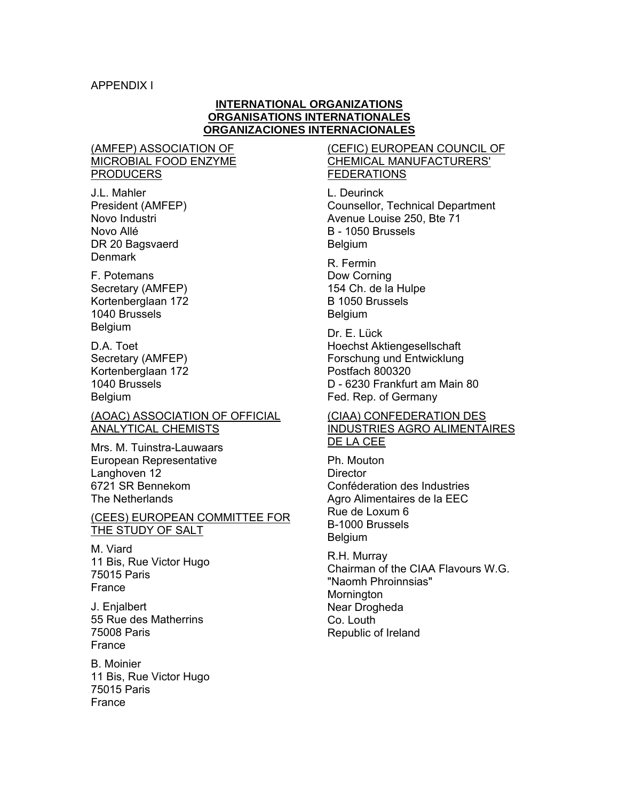#### **INTERNATIONAL ORGANIZATIONS ORGANISATIONS INTERNATIONALES ORGANIZACIONES INTERNACIONALES**

## (AMFEP) ASSOCIATION OF MICROBIAL FOOD ENZYME **PRODUCERS**

J.L. Mahler President (AMFEP) Novo Industri Novo Allé DR 20 Bagsvaerd **Denmark** 

F. Potemans Secretary (AMFEP) Kortenberglaan 172 1040 Brussels Belgium

D.A. Toet Secretary (AMFEP) Kortenberglaan 172 1040 Brussels Belgium

#### (AOAC) ASSOCIATION OF OFFICIAL ANALYTICAL CHEMISTS

Mrs. M. Tuinstra-Lauwaars European Representative Langhoven 12 6721 SR Bennekom The Netherlands

#### (CEES) EUROPEAN COMMITTEE FOR THE STUDY OF SALT

M. Viard 11 Bis, Rue Victor Hugo 75015 Paris France

J. Enjalbert 55 Rue des Matherrins 75008 Paris France

B. Moinier 11 Bis, Rue Victor Hugo 75015 Paris France

## (CEFIC) EUROPEAN COUNCIL OF CHEMICAL MANUFACTURERS' FEDERATIONS

L. Deurinck Counsellor, Technical Department Avenue Louise 250, Bte 71 B - 1050 Brussels Belgium

R. Fermin Dow Corning 154 Ch. de la Hulpe B 1050 Brussels Belgium

Dr. E. Lück Hoechst Aktiengesellschaft Forschung und Entwicklung Postfach 800320 D - 6230 Frankfurt am Main 80 Fed. Rep. of Germany

#### (CIAA) CONFEDERATION DES INDUSTRIES AGRO ALIMENTAIRES DE LA CEE

Ph. Mouton **Director** Conféderation des Industries Agro Alimentaires de la EEC Rue de Loxum 6 B-1000 Brussels Belgium

R.H. Murray Chairman of the CIAA Flavours W.G. "Naomh Phroinnsias" Mornington Near Drogheda Co. Louth Republic of Ireland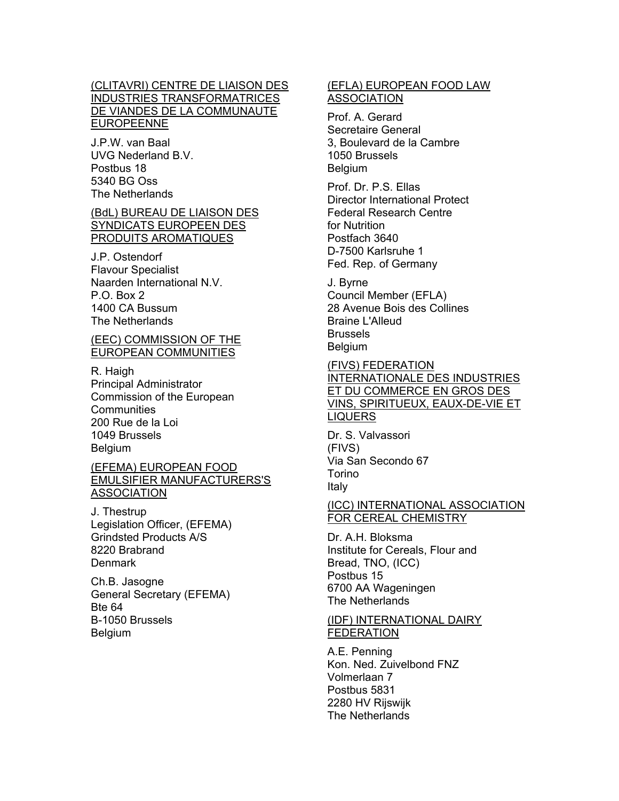### (CLITAVRI) CENTRE DE LIAISON DES INDUSTRIES TRANSFORMATRICES DE VIANDES DE LA COMMUNAUTE EUROPEENNE

J.P.W. van Baal UVG Nederland B.V. Postbus 18 5340 BG Oss The Netherlands

### (BdL) BUREAU DE LIAISON DES SYNDICATS EUROPEEN DES PRODUITS AROMATIQUES

J.P. Ostendorf Flavour Specialist Naarden International N.V. P.O. Box 2 1400 CA Bussum The Netherlands

#### (EEC) COMMISSION OF THE EUROPEAN COMMUNITIES

R. Haigh Principal Administrator Commission of the European **Communities** 200 Rue de la Loi 1049 Brussels Belgium

### (EFEMA) EUROPEAN FOOD EMULSIFIER MANUFACTURERS'S ASSOCIATION

J. Thestrup Legislation Officer, (EFEMA) Grindsted Products A/S 8220 Brabrand **Denmark** 

Ch.B. Jasogne General Secretary (EFEMA) Bte 64 B-1050 Brussels Belgium

#### (EFLA) EUROPEAN FOOD LAW ASSOCIATION

Prof. A. Gerard Secretaire General 3, Boulevard de la Cambre 1050 Brussels **Belgium** 

Prof. Dr. P.S. Ellas Director International Protect Federal Research Centre for Nutrition Postfach 3640 D-7500 Karlsruhe 1 Fed. Rep. of Germany

J. Byrne Council Member (EFLA) 28 Avenue Bois des Collines Braine L'Alleud Brussels Belgium

(FIVS) FEDERATION INTERNATIONALE DES INDUSTRIES ET DU COMMERCE EN GROS DES VINS, SPIRITUEUX, EAUX-DE-VIE ET LIQUERS

Dr. S. Valvassori (FIVS) Via San Secondo 67 Torino Italy

#### (ICC) INTERNATIONAL ASSOCIATION FOR CEREAL CHEMISTRY

Dr. A.H. Bloksma Institute for Cereals, Flour and Bread, TNO, (ICC) Postbus 15 6700 AA Wageningen The Netherlands

#### (IDF) INTERNATIONAL DAIRY **FEDERATION**

A.E. Penning Kon. Ned. Zuivelbond FNZ Volmerlaan 7 Postbus 5831 2280 HV Rijswijk The Netherlands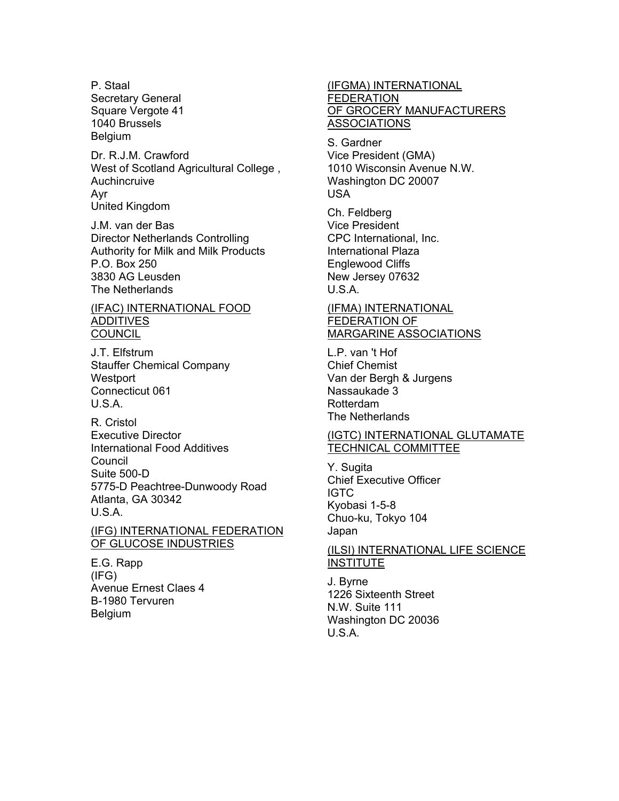P. Staal Secretary General Square Vergote 41 1040 Brussels **Belgium** 

Dr. R.J.M. Crawford West of Scotland Agricultural College , Auchincruive Ayr United Kingdom

J.M. van der Bas Director Netherlands Controlling Authority for Milk and Milk Products P.O. Box 250 3830 AG Leusden The Netherlands

#### (IFAC) INTERNATIONAL FOOD **ADDITIVES COUNCIL**

J.T. Elfstrum Stauffer Chemical Company **Westport** Connecticut 061 U.S.A.

R. Cristol Executive Director International Food Additives **Council** Suite 500-D 5775-D Peachtree-Dunwoody Road Atlanta, GA 30342 U.S.A.

#### (IFG) INTERNATIONAL FEDERATION OF GLUCOSE INDUSTRIES

E.G. Rapp (IFG) Avenue Ernest Claes 4 B-1980 Tervuren Belgium

#### (IFGMA) INTERNATIONAL FEDERATION OF GROCERY MANUFACTURERS **ASSOCIATIONS**

S. Gardner Vice President (GMA) 1010 Wisconsin Avenue N.W. Washington DC 20007 USA

Ch. Feldberg Vice President CPC International, Inc. International Plaza Englewood Cliffs New Jersey 07632 U.S.A.

#### (IFMA) INTERNATIONAL FEDERATION OF MARGARINE ASSOCIATIONS

L.P. van 't Hof Chief Chemist Van der Bergh & Jurgens Nassaukade 3 Rotterdam The Netherlands

### (IGTC) INTERNATIONAL GLUTAMATE TECHNICAL COMMITTEE

Y. Sugita Chief Executive Officer IGTC Kyobasi 1-5-8 Chuo-ku, Tokyo 104 Japan

#### (ILSI) INTERNATIONAL LIFE SCIENCE **INSTITUTE**

J. Byrne 1226 Sixteenth Street N.W. Suite 111 Washington DC 20036 U.S.A.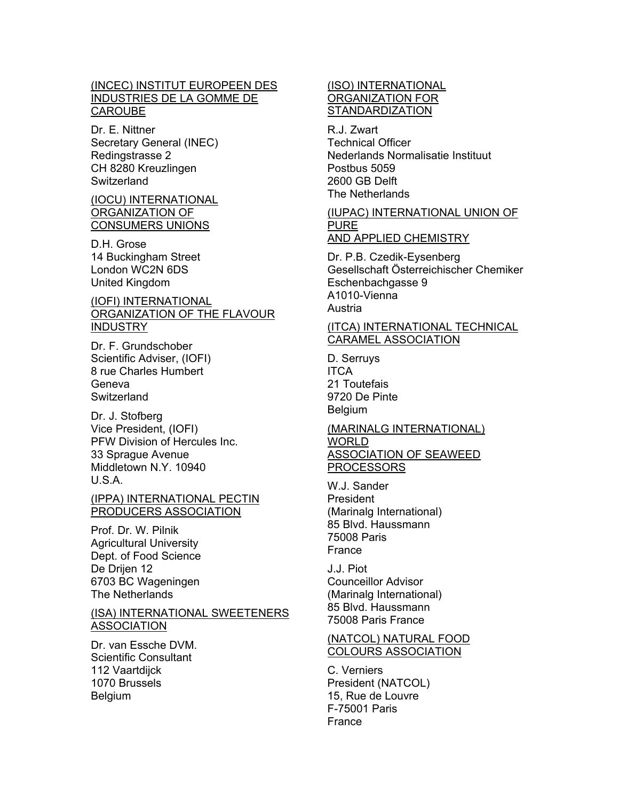#### (INCEC) INSTITUT EUROPEEN DES INDUSTRIES DE LA GOMME DE **CAROUBE**

Dr. E. Nittner Secretary General (INEC) Redingstrasse 2 CH 8280 Kreuzlingen **Switzerland** 

#### (IOCU) INTERNATIONAL ORGANIZATION OF CONSUMERS UNIONS

D.H. Grose 14 Buckingham Street London WC2N 6DS United Kingdom

#### (IOFI) INTERNATIONAL ORGANIZATION OF THE FLAVOUR **INDUSTRY**

Dr. F. Grundschober Scientific Adviser, (IOFI) 8 rue Charles Humbert Geneva **Switzerland** 

Dr. J. Stofberg Vice President, (IOFI) PFW Division of Hercules Inc. 33 Sprague Avenue Middletown N.Y. 10940 U.S.A.

### (IPPA) INTERNATIONAL PECTIN PRODUCERS ASSOCIATION

Prof. Dr. W. Pilnik Agricultural University Dept. of Food Science De Drijen 12 6703 BC Wageningen The Netherlands

#### (ISA) INTERNATIONAL SWEETENERS **ASSOCIATION**

Dr. van Essche DVM. Scientific Consultant 112 Vaartdijck 1070 Brussels Belgium

### (ISO) INTERNATIONAL ORGANIZATION FOR **STANDARDIZATION**

R.J. Zwart Technical Officer Nederlands Normalisatie Instituut Postbus 5059 2600 GB Delft The Netherlands

#### (IUPAC) INTERNATIONAL UNION OF PURE AND APPLIED CHEMISTRY

Dr. P.B. Czedik-Eysenberg Gesellschaft Österreichischer Chemiker Eschenbachgasse 9 A1010-Vienna Austria

#### (ITCA) INTERNATIONAL TECHNICAL CARAMEL ASSOCIATION

D. Serruys ITCA 21 Toutefais 9720 De Pinte Belgium

## (MARINALG INTERNATIONAL) WORLD ASSOCIATION OF SEAWEED

PROCESSORS

W.J. Sander President (Marinalg International) 85 Blvd. Haussmann 75008 Paris France

J.J. Piot Counceillor Advisor (Marinalg International) 85 Blvd. Haussmann 75008 Paris France

#### (NATCOL) NATURAL FOOD COLOURS ASSOCIATION

C. Verniers President (NATCOL) 15, Rue de Louvre F-75001 Paris France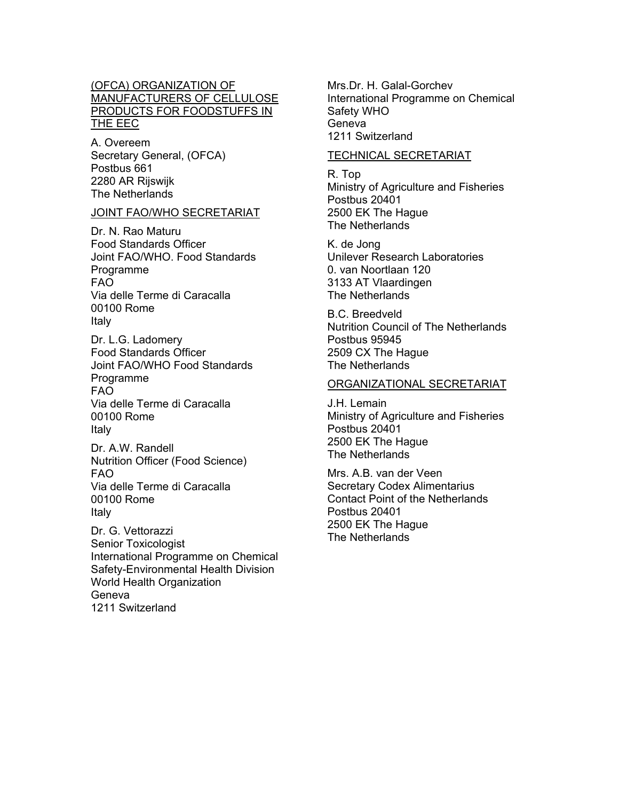### (OFCA) ORGANIZATION OF MANUFACTURERS OF CELLULOSE PRODUCTS FOR FOODSTUFFS IN THE EEC

A. Overeem Secretary General, (OFCA) Postbus 661 2280 AR Rijswijk The Netherlands

#### JOINT FAO/WHO SECRETARIAT

Dr. N. Rao Maturu Food Standards Officer Joint FAO/WHO. Food Standards Programme FAO Via delle Terme di Caracalla 00100 Rome Italy

Dr. L.G. Ladomery Food Standards Officer Joint FAO/WHO Food Standards Programme FAO Via delle Terme di Caracalla 00100 Rome Italy

Dr. A.W. Randell Nutrition Officer (Food Science) FAO Via delle Terme di Caracalla 00100 Rome Italy

Dr. G. Vettorazzi Senior Toxicologist International Programme on Chemical Safety-Environmental Health Division World Health Organization Geneva 1211 Switzerland

Mrs.Dr. H. Galal-Gorchev International Programme on Chemical Safety WHO Geneva 1211 Switzerland

### TECHNICAL SECRETARIAT

R. Top Ministry of Agriculture and Fisheries Postbus 20401 2500 EK The Hague The Netherlands

K. de Jong Unilever Research Laboratories 0. van Noortlaan 120 3133 AT Vlaardingen The Netherlands

B.C. Breedveld Nutrition Council of The Netherlands Postbus 95945 2509 CX The Hague The Netherlands

#### ORGANIZATIONAL SECRETARIAT

J.H. Lemain Ministry of Agriculture and Fisheries Postbus 20401 2500 EK The Hague The Netherlands

Mrs. A.B. van der Veen Secretary Codex Alimentarius Contact Point of the Netherlands Postbus 20401 2500 EK The Hague The Netherlands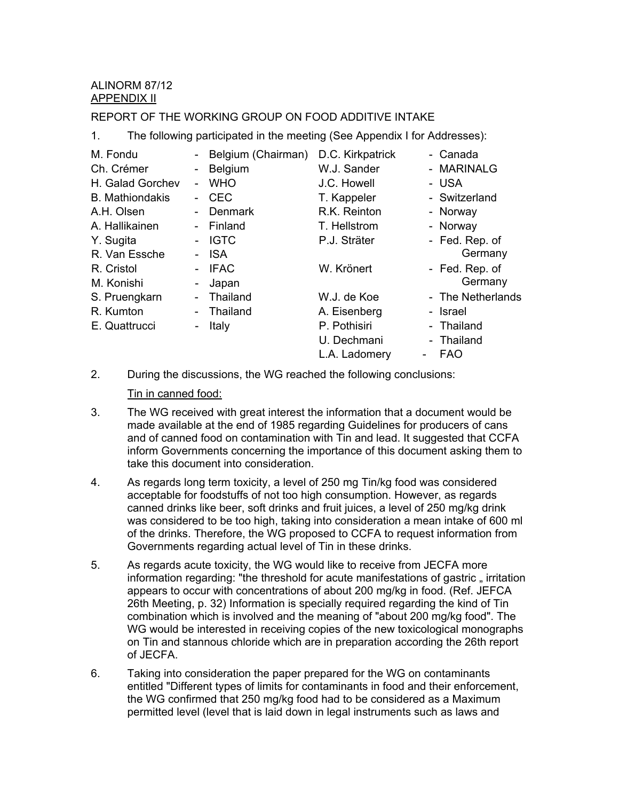## ALINORM 87/12 APPENDIX II

## REPORT OF THE WORKING GROUP ON FOOD ADDITIVE INTAKE

1. The following participated in the meeting (See Appendix I for Addresses):

| M. Fondu               |                          | Belgium (Chairman) | D.C. Kirkpatrick | - Canada          |
|------------------------|--------------------------|--------------------|------------------|-------------------|
| Ch. Crémer             | $\blacksquare$           | Belgium            | W.J. Sander      | - MARINALG        |
| H. Galad Gorchev       | $\blacksquare$           | <b>WHO</b>         | J.C. Howell      | - USA             |
| <b>B.</b> Mathiondakis | $\overline{\phantom{a}}$ | <b>CEC</b>         | T. Kappeler      | - Switzerland     |
| A.H. Olsen             | $\overline{\phantom{a}}$ | Denmark            | R.K. Reinton     | - Norway          |
| A. Hallikainen         |                          | - Finland          | T. Hellstrom     | - Norway          |
| Y. Sugita              | $\blacksquare$           | <b>IGTC</b>        | P.J. Sträter     | - Fed. Rep. of    |
| R. Van Essche          |                          | <b>ISA</b>         |                  | Germany           |
| R. Cristol             |                          | <b>IFAC</b>        | W. Krönert       | - Fed. Rep. of    |
| M. Konishi             | -                        | Japan              |                  | Germany           |
| S. Pruengkarn          | $\blacksquare$           | Thailand           | W.J. de Koe      | - The Netherlands |
| R. Kumton              | $\overline{\phantom{a}}$ | Thailand           | A. Eisenberg     | - Israel          |
| E. Quattrucci          | ۰                        | Italy              | P. Pothisiri     | - Thailand        |
|                        |                          |                    | U. Dechmani      | - Thailand        |
|                        |                          |                    | L.A. Ladomery    | <b>FAO</b>        |

2. During the discussions, the WG reached the following conclusions:

#### Tin in canned food:

- 3. The WG received with great interest the information that a document would be made available at the end of 1985 regarding Guidelines for producers of cans and of canned food on contamination with Tin and lead. It suggested that CCFA inform Governments concerning the importance of this document asking them to take this document into consideration.
- 4. As regards long term toxicity, a level of 250 mg Tin/kg food was considered acceptable for foodstuffs of not too high consumption. However, as regards canned drinks like beer, soft drinks and fruit juices, a level of 250 mg/kg drink was considered to be too high, taking into consideration a mean intake of 600 ml of the drinks. Therefore, the WG proposed to CCFA to request information from Governments regarding actual level of Tin in these drinks.
- 5. As regards acute toxicity, the WG would like to receive from JECFA more information regarding: "the threshold for acute manifestations of gastric, irritation appears to occur with concentrations of about 200 mg/kg in food. (Ref. JEFCA 26th Meeting, p. 32) Information is specially required regarding the kind of Tin combination which is involved and the meaning of "about 200 mg/kg food". The WG would be interested in receiving copies of the new toxicological monographs on Tin and stannous chloride which are in preparation according the 26th report of JECFA.
- 6. Taking into consideration the paper prepared for the WG on contaminants entitled "Different types of limits for contaminants in food and their enforcement, the WG confirmed that 250 mg/kg food had to be considered as a Maximum permitted level (level that is laid down in legal instruments such as laws and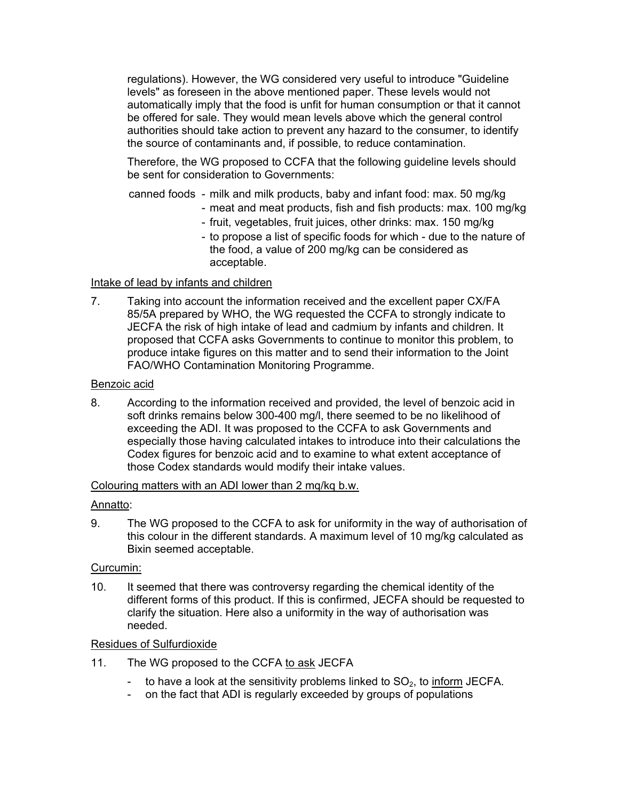regulations). However, the WG considered very useful to introduce "Guideline levels" as foreseen in the above mentioned paper. These levels would not automatically imply that the food is unfit for human consumption or that it cannot be offered for sale. They would mean levels above which the general control authorities should take action to prevent any hazard to the consumer, to identify the source of contaminants and, if possible, to reduce contamination.

Therefore, the WG proposed to CCFA that the following guideline levels should be sent for consideration to Governments:

canned foods - milk and milk products, baby and infant food: max. 50 mg/kg

- meat and meat products, fish and fish products: max. 100 mg/kg
- fruit, vegetables, fruit juices, other drinks: max. 150 mg/kg
- to propose a list of specific foods for which due to the nature of the food, a value of 200 mg/kg can be considered as acceptable.

### Intake of lead by infants and children

7. Taking into account the information received and the excellent paper CX/FA 85/5A prepared by WHO, the WG requested the CCFA to strongly indicate to JECFA the risk of high intake of lead and cadmium by infants and children. It proposed that CCFA asks Governments to continue to monitor this problem, to produce intake figures on this matter and to send their information to the Joint FAO/WHO Contamination Monitoring Programme.

#### Benzoic acid

8. According to the information received and provided, the level of benzoic acid in soft drinks remains below 300-400 mg/l, there seemed to be no likelihood of exceeding the ADI. It was proposed to the CCFA to ask Governments and especially those having calculated intakes to introduce into their calculations the Codex figures for benzoic acid and to examine to what extent acceptance of those Codex standards would modify their intake values.

#### Colouring matters with an ADI lower than 2 mq/kq b.w.

## Annatto:

9. The WG proposed to the CCFA to ask for uniformity in the way of authorisation of this colour in the different standards. A maximum level of 10 mg/kg calculated as Bixin seemed acceptable.

#### Curcumin:

10. It seemed that there was controversy regarding the chemical identity of the different forms of this product. If this is confirmed, JECFA should be requested to clarify the situation. Here also a uniformity in the way of authorisation was needed.

#### Residues of Sulfurdioxide

- 11. The WG proposed to the CCFA to ask JECFA
	- to have a look at the sensitivity problems linked to  $SO<sub>2</sub>$ , to inform JECFA.
	- on the fact that ADI is regularly exceeded by groups of populations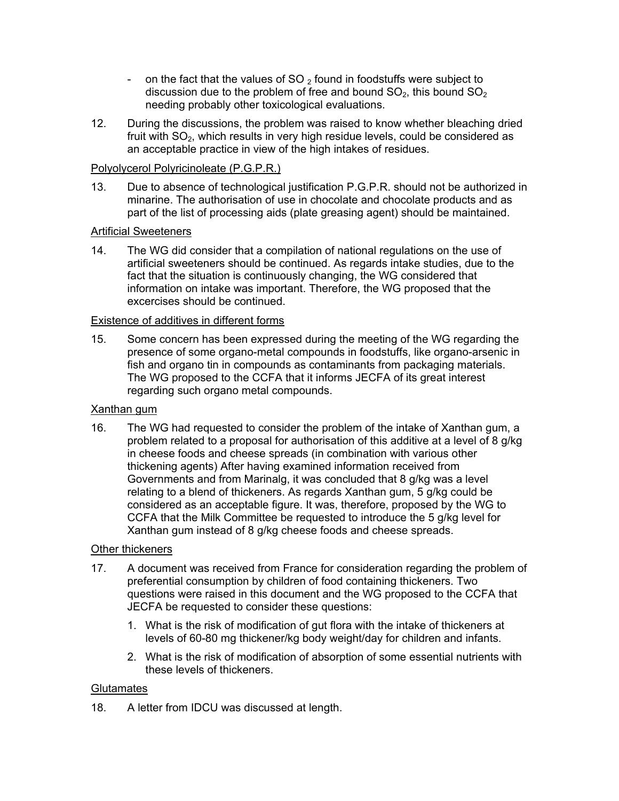- on the fact that the values of SO<sub>2</sub> found in foodstuffs were subject to discussion due to the problem of free and bound  $SO<sub>2</sub>$ , this bound  $SO<sub>2</sub>$ needing probably other toxicological evaluations.
- 12. During the discussions, the problem was raised to know whether bleaching dried fruit with  $SO<sub>2</sub>$ , which results in very high residue levels, could be considered as an acceptable practice in view of the high intakes of residues.

## Polyolycerol Polyricinoleate (P.G.P.R.)

13. Due to absence of technological justification P.G.P.R. should not be authorized in minarine. The authorisation of use in chocolate and chocolate products and as part of the list of processing aids (plate greasing agent) should be maintained.

## **Artificial Sweeteners**

14. The WG did consider that a compilation of national regulations on the use of artificial sweeteners should be continued. As regards intake studies, due to the fact that the situation is continuously changing, the WG considered that information on intake was important. Therefore, the WG proposed that the excercises should be continued.

## Existence of additives in different forms

15. Some concern has been expressed during the meeting of the WG regarding the presence of some organo-metal compounds in foodstuffs, like organo-arsenic in fish and organo tin in compounds as contaminants from packaging materials. The WG proposed to the CCFA that it informs JECFA of its great interest regarding such organo metal compounds.

#### Xanthan gum

16. The WG had requested to consider the problem of the intake of Xanthan gum, a problem related to a proposal for authorisation of this additive at a level of 8 g/kg in cheese foods and cheese spreads (in combination with various other thickening agents) After having examined information received from Governments and from Marinalg, it was concluded that 8 g/kg was a level relating to a blend of thickeners. As regards Xanthan gum, 5 g/kg could be considered as an acceptable figure. It was, therefore, proposed by the WG to CCFA that the Milk Committee be requested to introduce the 5 g/kg level for Xanthan gum instead of 8 g/kg cheese foods and cheese spreads.

## Other thickeners

- 17. A document was received from France for consideration regarding the problem of preferential consumption by children of food containing thickeners. Two questions were raised in this document and the WG proposed to the CCFA that JECFA be requested to consider these questions:
	- 1. What is the risk of modification of gut flora with the intake of thickeners at levels of 60-80 mg thickener/kg body weight/day for children and infants.
	- 2. What is the risk of modification of absorption of some essential nutrients with these levels of thickeners.

#### **Glutamates**

18. A letter from IDCU was discussed at length.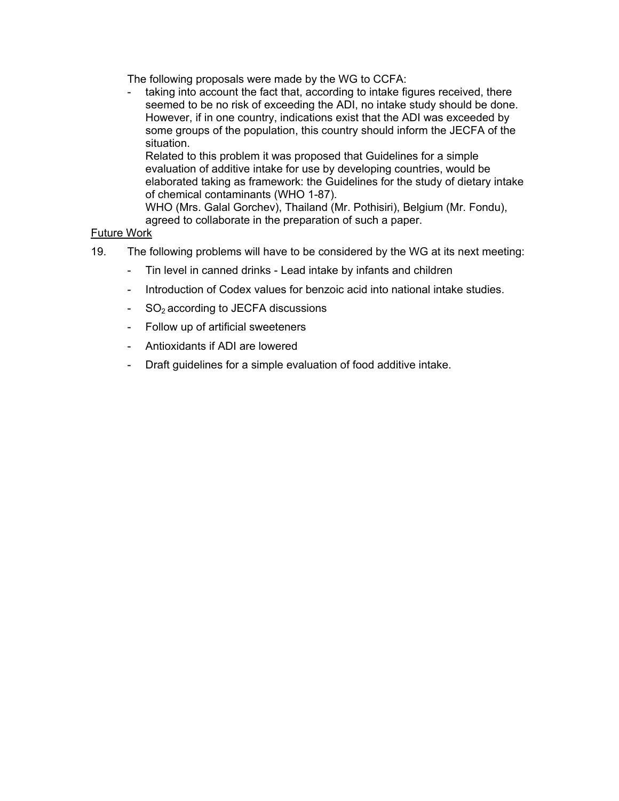The following proposals were made by the WG to CCFA:

- taking into account the fact that, according to intake figures received, there seemed to be no risk of exceeding the ADI, no intake study should be done. However, if in one country, indications exist that the ADI was exceeded by some groups of the population, this country should inform the JECFA of the situation.

Related to this problem it was proposed that Guidelines for a simple evaluation of additive intake for use by developing countries, would be elaborated taking as framework: the Guidelines for the study of dietary intake of chemical contaminants (WHO 1-87).

WHO (Mrs. Galal Gorchev), Thailand (Mr. Pothisiri), Belgium (Mr. Fondu), agreed to collaborate in the preparation of such a paper.

## Future Work

- 19. The following problems will have to be considered by the WG at its next meeting:
	- Tin level in canned drinks Lead intake by infants and children
	- Introduction of Codex values for benzoic acid into national intake studies.
	- $-SO<sub>2</sub>$  according to JECFA discussions
	- Follow up of artificial sweeteners
	- Antioxidants if ADI are lowered
	- Draft guidelines for a simple evaluation of food additive intake.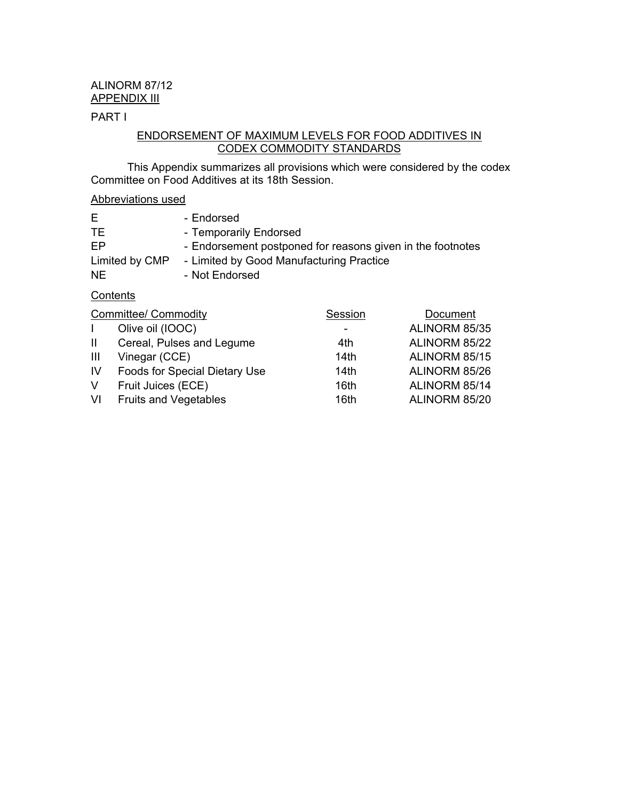## ALINORM 87/12 APPENDIX III

## PART I

## ENDORSEMENT OF MAXIMUM LEVELS FOR FOOD ADDITIVES IN CODEX COMMODITY STANDARDS

This Appendix summarizes all provisions which were considered by the codex Committee on Food Additives at its 18th Session.

## Abbreviations used

| E              | - Endorsed                                                 |
|----------------|------------------------------------------------------------|
| TE.            | - Temporarily Endorsed                                     |
| FP.            | - Endorsement postponed for reasons given in the footnotes |
| Limited by CMP | - Limited by Good Manufacturing Practice                   |
| NE.            | - Not Endorsed                                             |

## **Contents**

| <b>Committee/ Commodity</b> |                               | Session | Document      |
|-----------------------------|-------------------------------|---------|---------------|
| $\mathbf{L}$                | Olive oil (IOOC)              |         | ALINORM 85/35 |
| $\mathbf{H}$                | Cereal, Pulses and Legume     | 4th     | ALINORM 85/22 |
| Ш                           | Vinegar (CCE)                 | 14th    | ALINORM 85/15 |
| IV                          | Foods for Special Dietary Use | 14th    | ALINORM 85/26 |
| V                           | Fruit Juices (ECE)            | 16th    | ALINORM 85/14 |
| VI                          | <b>Fruits and Vegetables</b>  | 16th    | ALINORM 85/20 |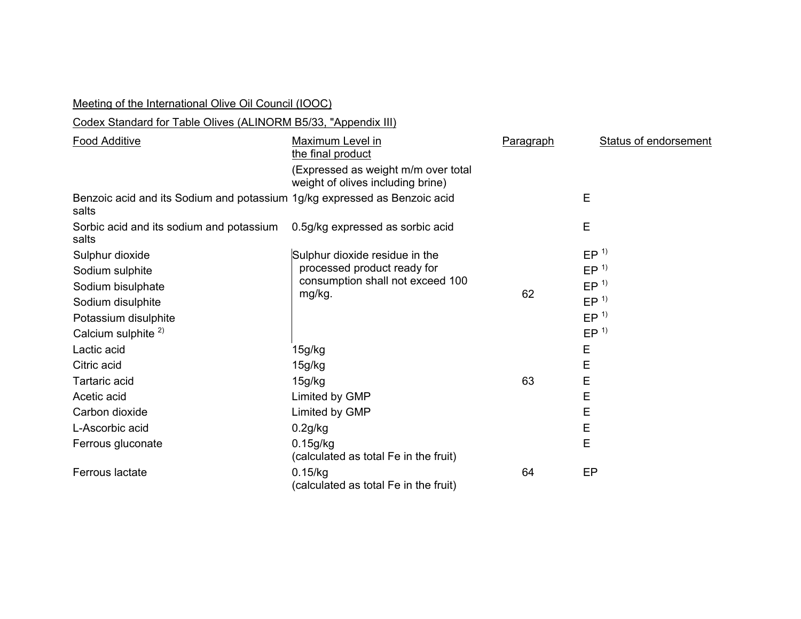| Meeting of the International Olive Oil Council (IOOC)                                                                                  |                                                                                                                   |           |                                                                                                                |
|----------------------------------------------------------------------------------------------------------------------------------------|-------------------------------------------------------------------------------------------------------------------|-----------|----------------------------------------------------------------------------------------------------------------|
| Codex Standard for Table Olives (ALINORM B5/33, "Appendix III)                                                                         |                                                                                                                   |           |                                                                                                                |
| <b>Food Additive</b>                                                                                                                   | Maximum Level in<br>the final product<br>(Expressed as weight m/m over total<br>weight of olives including brine) | Paragraph | Status of endorsement                                                                                          |
| Benzoic acid and its Sodium and potassium 1g/kg expressed as Benzoic acid<br>salts                                                     |                                                                                                                   |           | E                                                                                                              |
| Sorbic acid and its sodium and potassium<br>salts                                                                                      | 0.5g/kg expressed as sorbic acid                                                                                  |           | E                                                                                                              |
| Sulphur dioxide<br>Sodium sulphite<br>Sodium bisulphate<br>Sodium disulphite<br>Potassium disulphite<br>Calcium sulphite <sup>2)</sup> | Sulphur dioxide residue in the<br>processed product ready for<br>consumption shall not exceed 100<br>mg/kg.       | 62        | EP <sup>1</sup><br>EP <sup>1</sup><br>EP <sup>1</sup><br>EP <sup>1</sup><br>EP <sup>1</sup><br>EP <sup>1</sup> |
| Lactic acid<br>Citric acid                                                                                                             | 15g/kg<br>15g/kg                                                                                                  |           | E<br>E                                                                                                         |
| Tartaric acid<br>Acetic acid<br>Carbon dioxide                                                                                         | 15g/kg<br>Limited by GMP<br>Limited by GMP                                                                        | 63        | E<br>E<br>E                                                                                                    |
| L-Ascorbic acid<br>Ferrous gluconate                                                                                                   | 0.2g/kg<br>0.15q/kg                                                                                               |           | E<br>E                                                                                                         |
| Ferrous lactate                                                                                                                        | (calculated as total Fe in the fruit)<br>0.15/kg<br>(calculated as total Fe in the fruit)                         | 64        | EP                                                                                                             |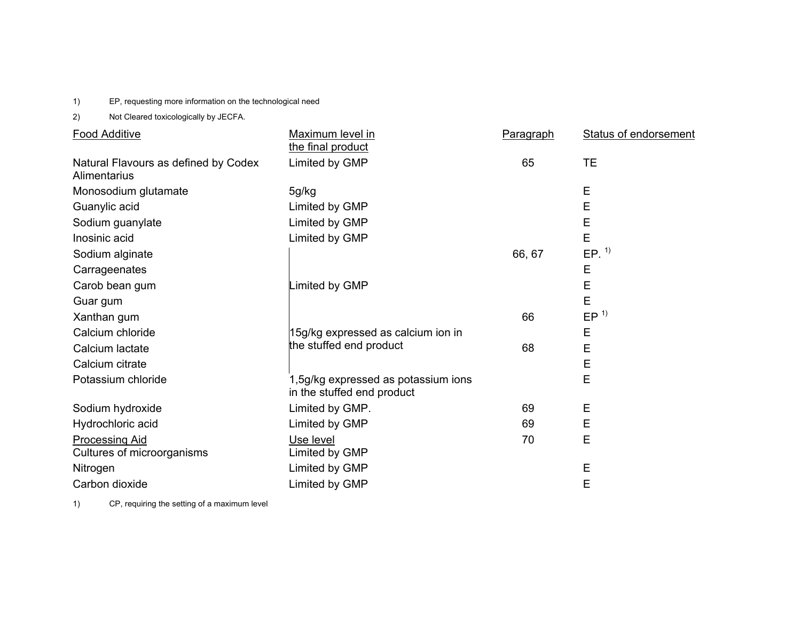1) EP, requesting more information on the technological need

2) Not Cleared toxicologically by JECFA.

| <b>Food Additive</b>                                 | Maximum level in                                                  | Paragraph | <b>Status of endorsement</b> |
|------------------------------------------------------|-------------------------------------------------------------------|-----------|------------------------------|
|                                                      | the final product                                                 |           |                              |
| Natural Flavours as defined by Codex<br>Alimentarius | Limited by GMP                                                    | 65        | <b>TE</b>                    |
| Monosodium glutamate                                 | 5g/kg                                                             |           | E                            |
| Guanylic acid                                        | Limited by GMP                                                    |           | E                            |
| Sodium guanylate                                     | Limited by GMP                                                    |           | E                            |
| Inosinic acid                                        | Limited by GMP                                                    |           | E                            |
| Sodium alginate                                      |                                                                   | 66, 67    | $EP.$ <sup>1)</sup>          |
| Carrageenates                                        |                                                                   |           | E                            |
| Carob bean gum                                       | imited by GMP                                                     |           | Е                            |
| Guar gum                                             |                                                                   |           | E                            |
| Xanthan gum                                          |                                                                   | 66        | EP <sup>1</sup>              |
| Calcium chloride                                     | 15g/kg expressed as calcium ion in                                |           | E                            |
| Calcium lactate                                      | the stuffed end product                                           | 68        | E                            |
| Calcium citrate                                      |                                                                   |           | E                            |
| Potassium chloride                                   | 1,5g/kg expressed as potassium ions<br>in the stuffed end product |           | E                            |
| Sodium hydroxide                                     | Limited by GMP.                                                   | 69        | E                            |
| Hydrochloric acid                                    | Limited by GMP                                                    | 69        | Ε                            |
| <b>Processing Aid</b>                                | Use level                                                         | 70        | E                            |
| Cultures of microorganisms                           | Limited by GMP                                                    |           |                              |
| Nitrogen                                             | Limited by GMP                                                    |           | Ε                            |
| Carbon dioxide                                       | Limited by GMP                                                    |           | E                            |

1) CP, requiring the setting of a maximum level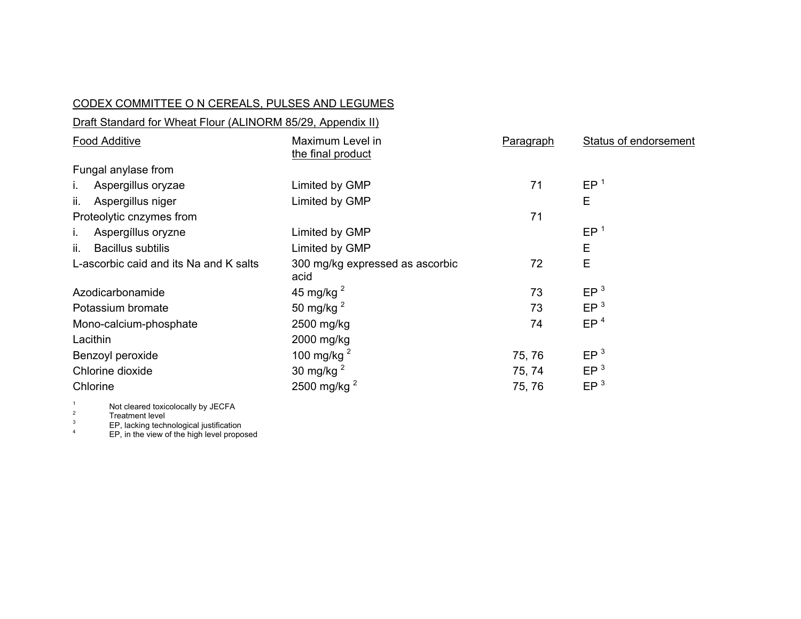## CODEX COMMITTEE O N CEREALS, PULSES AND LEGUMES

| Draft Standard for Wheat Flour (ALINORM 85/29, Appendix II) |                                         |           |                              |  |  |
|-------------------------------------------------------------|-----------------------------------------|-----------|------------------------------|--|--|
| <b>Food Additive</b>                                        | Maximum Level in<br>the final product   | Paragraph | <b>Status of endorsement</b> |  |  |
| Fungal anylase from                                         |                                         |           |                              |  |  |
| Aspergillus oryzae<br>L.                                    | Limited by GMP                          | 71        | EP <sup>1</sup>              |  |  |
| Aspergillus niger<br>ii.                                    | Limited by GMP                          |           | E                            |  |  |
| Proteolytic cnzymes from                                    |                                         | 71        |                              |  |  |
| Aspergíllus oryzne                                          | Limited by GMP                          |           | EP <sup>1</sup>              |  |  |
| <b>Bacillus subtilis</b><br>ii.                             | Limited by GMP                          |           | Е                            |  |  |
| L-ascorbic caid and its Na and K salts                      | 300 mg/kg expressed as ascorbic<br>acid | 72        | E                            |  |  |
| Azodicarbonamide                                            | 45 mg/kg $^2$                           | 73        | EP <sup>3</sup>              |  |  |
| Potassium bromate                                           | 50 mg/kg $^2$                           | 73        | EP <sup>3</sup>              |  |  |
| Mono-calcium-phosphate                                      | 2500 mg/kg                              | 74        | EP <sup>4</sup>              |  |  |
| Lacithin                                                    | 2000 mg/kg                              |           |                              |  |  |
| Benzoyl peroxide                                            | 100 mg/kg $^2$                          | 75, 76    | EP <sup>3</sup>              |  |  |
| Chlorine dioxide                                            | 30 mg/kg $^2$                           | 75, 74    | EP <sup>3</sup>              |  |  |
| Chlorine                                                    | 2500 mg/kg $^2$                         | 75, 76    | EP <sup>3</sup>              |  |  |
|                                                             |                                         |           |                              |  |  |

<sup>1</sup> Not cleared toxicolocally by JECFA<br>
<sup>2</sup>  $E$ P, lacking technological justification

<sup>4</sup> EP, in the view of the high level proposed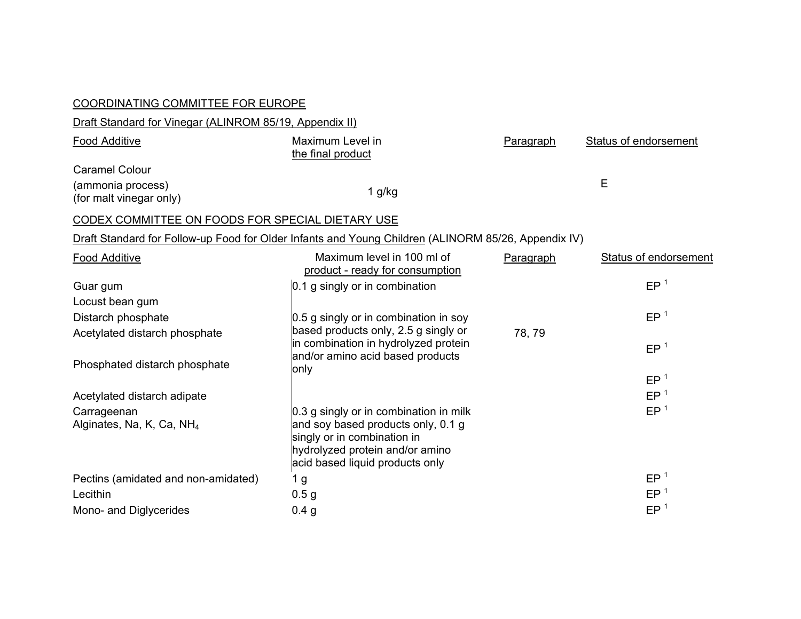| <b>COORDINATING COMMITTEE FOR EUROPE</b>                |                                                                                                                                                                                   |           |                              |
|---------------------------------------------------------|-----------------------------------------------------------------------------------------------------------------------------------------------------------------------------------|-----------|------------------------------|
| Draft Standard for Vinegar (ALINROM 85/19, Appendix II) |                                                                                                                                                                                   |           |                              |
| <b>Food Additive</b>                                    | Maximum Level in<br>the final product                                                                                                                                             | Paragraph | <b>Status of endorsement</b> |
| <b>Caramel Colour</b>                                   |                                                                                                                                                                                   |           |                              |
| (ammonia process)<br>(for malt vinegar only)            | $1$ g/kg                                                                                                                                                                          |           | E                            |
| CODEX COMMITTEE ON FOODS FOR SPECIAL DIETARY USE        |                                                                                                                                                                                   |           |                              |
|                                                         | Draft Standard for Follow-up Food for Older Infants and Young Children (ALINORM 85/26, Appendix IV)                                                                               |           |                              |
| <b>Food Additive</b>                                    | Maximum level in 100 ml of<br>product - ready for consumption                                                                                                                     | Paragraph | <b>Status of endorsement</b> |
| Guar gum                                                | 0.1 g singly or in combination                                                                                                                                                    |           | EP <sup>1</sup>              |
| Locust bean gum                                         |                                                                                                                                                                                   |           |                              |
| Distarch phosphate                                      | 0.5 g singly or in combination in soy                                                                                                                                             |           | EP <sup>1</sup>              |
| Acetylated distarch phosphate                           | based products only, 2.5 g singly or<br>in combination in hydrolyzed protein                                                                                                      | 78, 79    | EP <sup>1</sup>              |
| Phosphated distarch phosphate                           | and/or amino acid based products<br>only                                                                                                                                          |           | EP <sup>1</sup>              |
| Acetylated distarch adipate                             |                                                                                                                                                                                   |           | EP <sup>1</sup>              |
| Carrageenan<br>Alginates, Na, K, Ca, NH <sub>4</sub>    | 0.3 g singly or in combination in milk<br>and soy based products only, 0.1 g<br>singly or in combination in<br>hydrolyzed protein and/or amino<br>acid based liquid products only |           | EP <sup>1</sup>              |
| Pectins (amidated and non-amidated)                     | 1 <sub>g</sub>                                                                                                                                                                    |           | EP <sup>1</sup>              |
| Lecithin                                                | 0.5 <sub>g</sub>                                                                                                                                                                  |           | EP <sup>1</sup>              |
| Mono- and Diglycerides                                  | 0.4 <sub>g</sub>                                                                                                                                                                  |           | EP <sup>1</sup>              |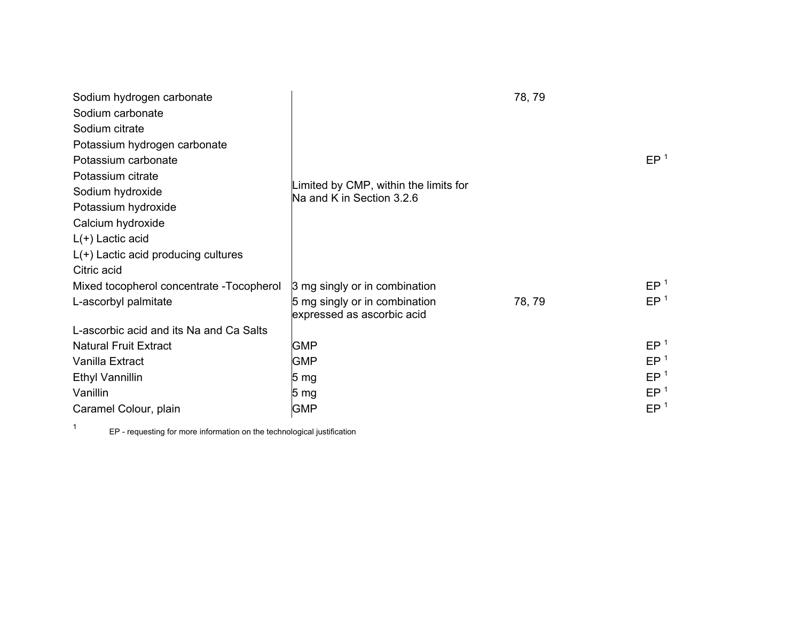| Sodium hydrogen carbonate                 |                                                                    | 78, 79 |                 |
|-------------------------------------------|--------------------------------------------------------------------|--------|-----------------|
| Sodium carbonate                          |                                                                    |        |                 |
| Sodium citrate                            |                                                                    |        |                 |
| Potassium hydrogen carbonate              |                                                                    |        |                 |
| Potassium carbonate                       |                                                                    |        | EP <sup>1</sup> |
| Potassium citrate                         |                                                                    |        |                 |
| Sodium hydroxide                          | Limited by CMP, within the limits for<br>Na and K in Section 3.2.6 |        |                 |
| Potassium hydroxide                       |                                                                    |        |                 |
| Calcium hydroxide                         |                                                                    |        |                 |
| $L(+)$ Lactic acid                        |                                                                    |        |                 |
| $L(+)$ Lactic acid producing cultures     |                                                                    |        |                 |
| Citric acid                               |                                                                    |        |                 |
| Mixed tocopherol concentrate - Tocopherol | 3 mg singly or in combination                                      |        | EP <sup>1</sup> |
| L-ascorbyl palmitate                      | 5 mg singly or in combination<br>expressed as ascorbic acid        | 78, 79 | EP <sup>1</sup> |
| L-ascorbic acid and its Na and Ca Salts   |                                                                    |        |                 |
| <b>Natural Fruit Extract</b>              | <b>GMP</b>                                                         |        | EP <sup>1</sup> |
| Vanilla Extract                           | <b>GMP</b>                                                         |        | EP <sup>1</sup> |
| <b>Ethyl Vannillin</b>                    | 5 mg                                                               |        | EP <sup>1</sup> |
| Vanillin                                  | 5 <sub>mg</sub>                                                    |        | EP <sup>1</sup> |
| Caramel Colour, plain                     | <b>GMP</b>                                                         |        | EP <sup>1</sup> |

1 EP - requesting for more information on the technological justification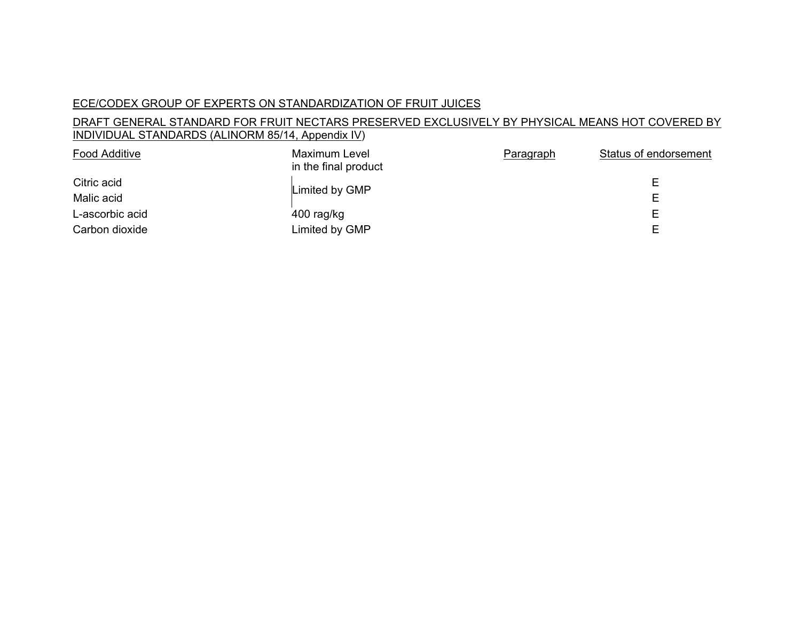## ECE/CODEX GROUP OF EXPERTS ON STANDARDIZATION OF FRUIT JUICES

## DRAFT GENERAL STANDARD FOR FRUIT NECTARS PRESERVED EXCLUSIVELY BY PHYSICAL MEANS HOT COVERED BY INDIVIDUAL STANDARDS (ALINORM 85/14, Appendix IV)

| Food Additive             | Maximum Level<br>in the final product | Paragraph | Status of endorsement |
|---------------------------|---------------------------------------|-----------|-----------------------|
| Citric acid<br>Malic acid | Limited by GMP                        |           | F.<br>E.              |
| L-ascorbic acid           | 400 rag/kg                            |           | E.                    |
| Carbon dioxide            | Limited by GMP                        |           | F                     |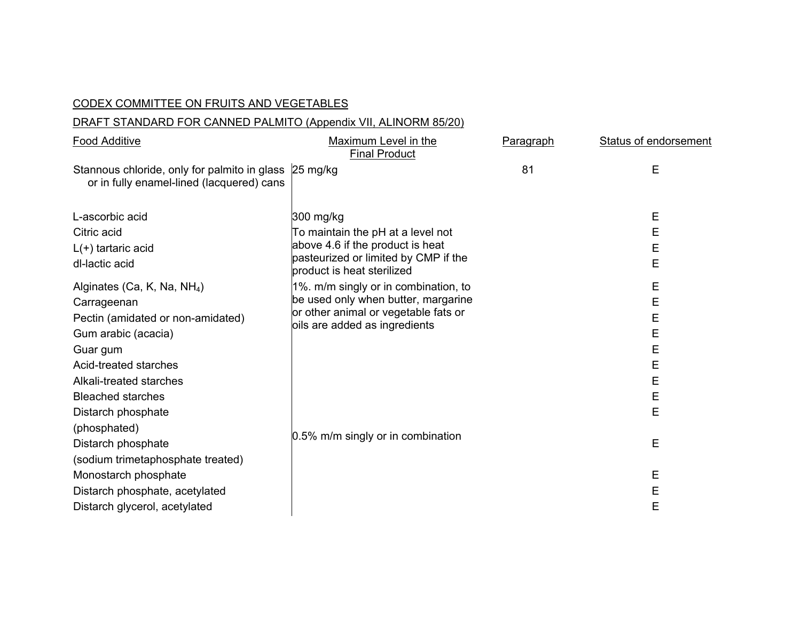#### CODEX COMMITTEE ON FRUITS AND VEGETABLES

## DRAFT STANDARD FOR CANNED PALMITO (Appendix VII, ALINORM 85/20)

| <b>Food Additive</b>                                                                               | Maximum Level in the<br><b>Final Product</b>                             | Paragraph | <b>Status of endorsement</b> |
|----------------------------------------------------------------------------------------------------|--------------------------------------------------------------------------|-----------|------------------------------|
| Stannous chloride, only for palmito in glass 25 mg/kg<br>or in fully enamel-lined (lacquered) cans |                                                                          | 81        | Ε                            |
| L-ascorbic acid                                                                                    | 300 mg/kg                                                                |           | Е                            |
| Citric acid                                                                                        | To maintain the pH at a level not                                        |           | Е                            |
| $L(+)$ tartaric acid                                                                               | above 4.6 if the product is heat<br>pasteurized or limited by CMP if the |           | E                            |
| dl-lactic acid                                                                                     | product is heat sterilized                                               |           | E                            |
| Alginates (Ca, K, Na, NH <sub>4</sub> )                                                            | 1%. m/m singly or in combination, to                                     |           | E                            |
| Carrageenan                                                                                        | be used only when butter, margarine                                      |           | E                            |
| Pectin (amidated or non-amidated)                                                                  | or other animal or vegetable fats or<br>bils are added as ingredients    |           | E                            |
| Gum arabic (acacia)                                                                                |                                                                          |           | E                            |
| Guar gum                                                                                           |                                                                          |           | E                            |
| Acid-treated starches                                                                              |                                                                          |           | E                            |
| Alkali-treated starches                                                                            |                                                                          |           | E                            |
| <b>Bleached starches</b>                                                                           |                                                                          |           | E<br>E                       |
| Distarch phosphate<br>(phosphated)                                                                 |                                                                          |           |                              |
| Distarch phosphate                                                                                 | 0.5% m/m singly or in combination                                        |           | Е                            |
| (sodium trimetaphosphate treated)                                                                  |                                                                          |           |                              |
| Monostarch phosphate                                                                               |                                                                          |           | Е                            |
| Distarch phosphate, acetylated                                                                     |                                                                          |           | E                            |
| Distarch glycerol, acetylated                                                                      |                                                                          |           | E                            |
|                                                                                                    |                                                                          |           |                              |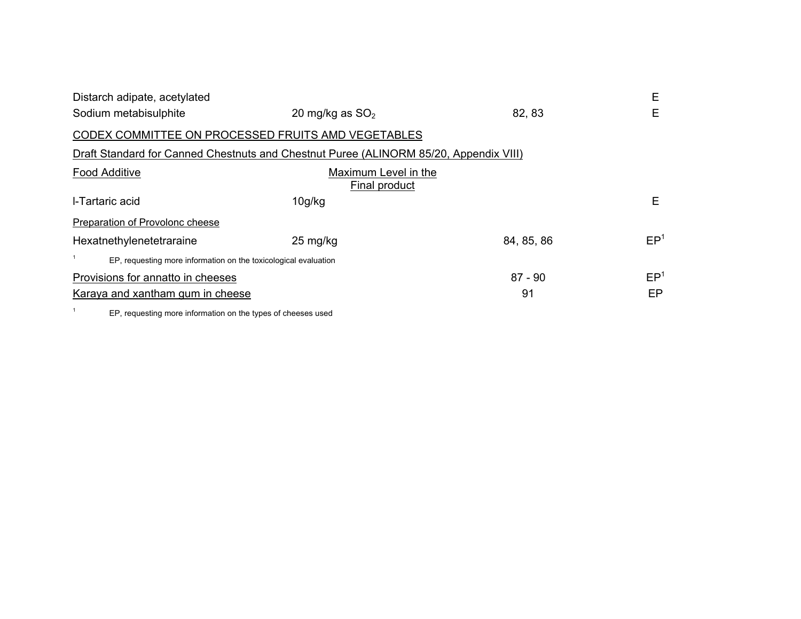| Distarch adipate, acetylated                                                          |                                       |            | Е               |
|---------------------------------------------------------------------------------------|---------------------------------------|------------|-----------------|
| Sodium metabisulphite                                                                 | 20 mg/kg as $SO2$                     | 82, 83     | Е               |
| CODEX COMMITTEE ON PROCESSED FRUITS AMD VEGETABLES                                    |                                       |            |                 |
| Draft Standard for Canned Chestnuts and Chestnut Puree (ALINORM 85/20, Appendix VIII) |                                       |            |                 |
| <b>Food Additive</b>                                                                  | Maximum Level in the<br>Final product |            |                 |
| I-Tartaric acid                                                                       | 10g/kg                                |            | Е               |
| Preparation of Provolonc cheese                                                       |                                       |            |                 |
| Hexatnethylenetetraraine                                                              | $25 \text{ mg/kg}$                    | 84, 85, 86 | EP <sup>1</sup> |
| EP, requesting more information on the toxicological evaluation                       |                                       |            |                 |
| Provisions for annatto in cheeses                                                     |                                       | $87 - 90$  | EP <sup>1</sup> |
| Karaya and xantham gum in cheese                                                      |                                       | 91         | EP              |
|                                                                                       |                                       |            |                 |

1 EP, requesting more information on the types of cheeses used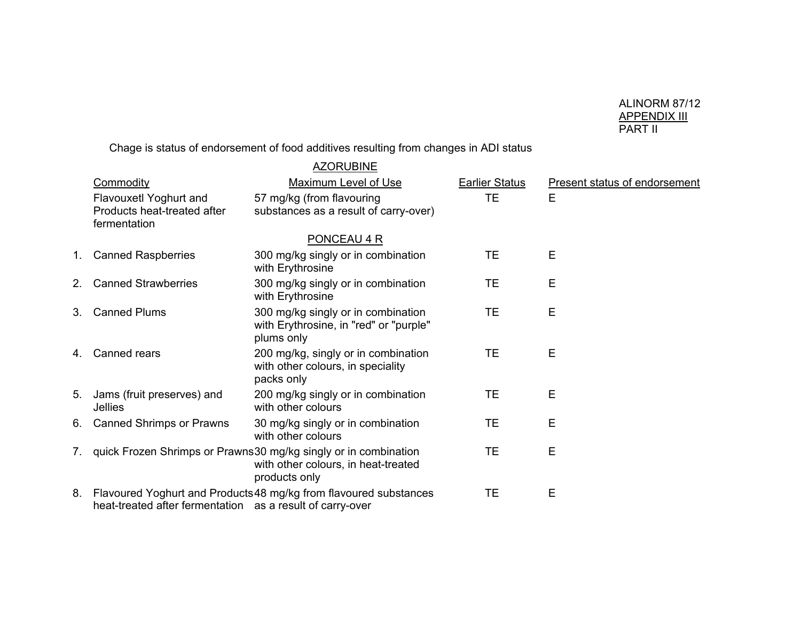# ALINORM 87/12 <u>APPENDIX III</u><br>PART II

Chage is status of endorsement of food additives resulting from changes in ADI status

|                                                                       | <u>AZORUBINE</u>                                                                                                           |                       |                                      |
|-----------------------------------------------------------------------|----------------------------------------------------------------------------------------------------------------------------|-----------------------|--------------------------------------|
| Commodity                                                             | <b>Maximum Level of Use</b>                                                                                                | <b>Earlier Status</b> | <b>Present status of endorsement</b> |
| Flavouxetl Yoghurt and<br>Products heat-treated after<br>fermentation | 57 mg/kg (from flavouring<br>substances as a result of carry-over)                                                         | TE.                   | Е                                    |
|                                                                       | PONCEAU 4 R                                                                                                                |                       |                                      |
| 1. Canned Raspberries                                                 | 300 mg/kg singly or in combination<br>with Erythrosine                                                                     | TE                    | Е                                    |
| 2. Canned Strawberries                                                | 300 mg/kg singly or in combination<br>with Erythrosine                                                                     | TE                    | Е                                    |
| 3. Canned Plums                                                       | 300 mg/kg singly or in combination<br>with Erythrosine, in "red" or "purple"<br>plums only                                 | TE                    | Е                                    |
| 4. Canned rears                                                       | 200 mg/kg, singly or in combination<br>with other colours, in speciality<br>packs only                                     | TE                    | Е                                    |
| 5. Jams (fruit preserves) and<br>Jellies                              | 200 mg/kg singly or in combination<br>with other colours                                                                   | TE                    | Е                                    |
| 6. Canned Shrimps or Prawns                                           | 30 mg/kg singly or in combination<br>with other colours                                                                    | TE                    | Е                                    |
|                                                                       | 7. quick Frozen Shrimps or Prawns30 mg/kg singly or in combination<br>with other colours, in heat-treated<br>products only | TE                    | Е                                    |
| heat-treated after fermentation as a result of carry-over             | 8. Flavoured Yoghurt and Products 48 mg/kg from flavoured substances                                                       | TE                    | Е                                    |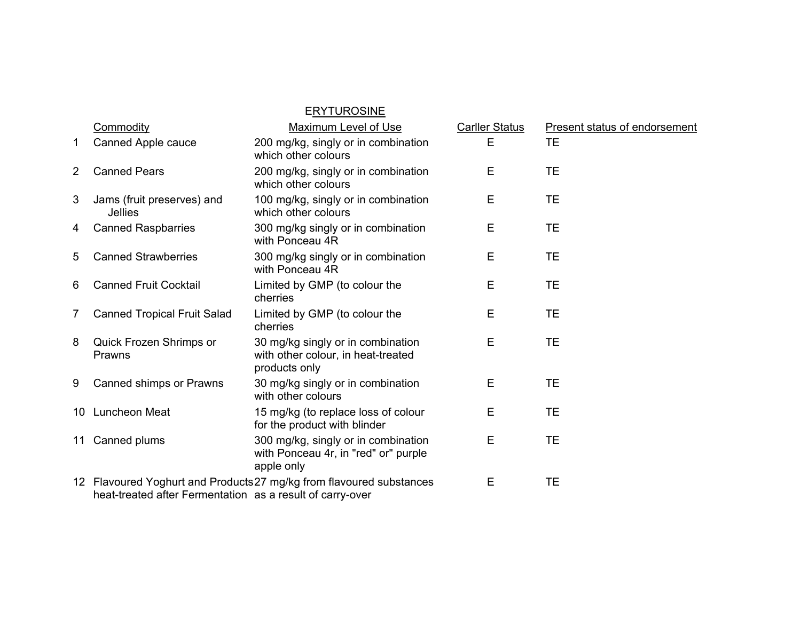|   |                                                           | <b>ERYTUROSINE</b>                                                                        |                       |                                      |
|---|-----------------------------------------------------------|-------------------------------------------------------------------------------------------|-----------------------|--------------------------------------|
|   | Commodity                                                 | <b>Maximum Level of Use</b>                                                               | <b>Carller Status</b> | <b>Present status of endorsement</b> |
| 1 | Canned Apple cauce                                        | 200 mg/kg, singly or in combination<br>which other colours                                | E                     | <b>TE</b>                            |
| 2 | <b>Canned Pears</b>                                       | 200 mg/kg, singly or in combination<br>which other colours                                | E                     | <b>TE</b>                            |
| 3 | Jams (fruit preserves) and<br><b>Jellies</b>              | 100 mg/kg, singly or in combination<br>which other colours                                | Е                     | <b>TE</b>                            |
| 4 | <b>Canned Raspbarries</b>                                 | 300 mg/kg singly or in combination<br>with Ponceau 4R                                     | Е                     | TE                                   |
| 5 | <b>Canned Strawberries</b>                                | 300 mg/kg singly or in combination<br>with Ponceau 4R                                     | E                     | <b>TE</b>                            |
| 6 | <b>Canned Fruit Cocktail</b>                              | Limited by GMP (to colour the<br>cherries                                                 | E                     | <b>TE</b>                            |
| 7 | <b>Canned Tropical Fruit Salad</b>                        | Limited by GMP (to colour the<br>cherries                                                 | E                     | <b>TE</b>                            |
| 8 | Quick Frozen Shrimps or<br>Prawns                         | 30 mg/kg singly or in combination<br>with other colour, in heat-treated<br>products only  | E                     | <b>TE</b>                            |
| 9 | Canned shimps or Prawns                                   | 30 mg/kg singly or in combination<br>with other colours                                   | E                     | TE                                   |
|   | 10 Luncheon Meat                                          | 15 mg/kg (to replace loss of colour<br>for the product with blinder                       | E                     | TE                                   |
|   | 11 Canned plums                                           | 300 mg/kg, singly or in combination<br>with Ponceau 4r, in "red" or" purple<br>apple only | Е                     | TE                                   |
|   | heat-treated after Fermentation as a result of carry-over | 12 Flavoured Yoghurt and Products 27 mg/kg from flavoured substances                      | E                     | TE                                   |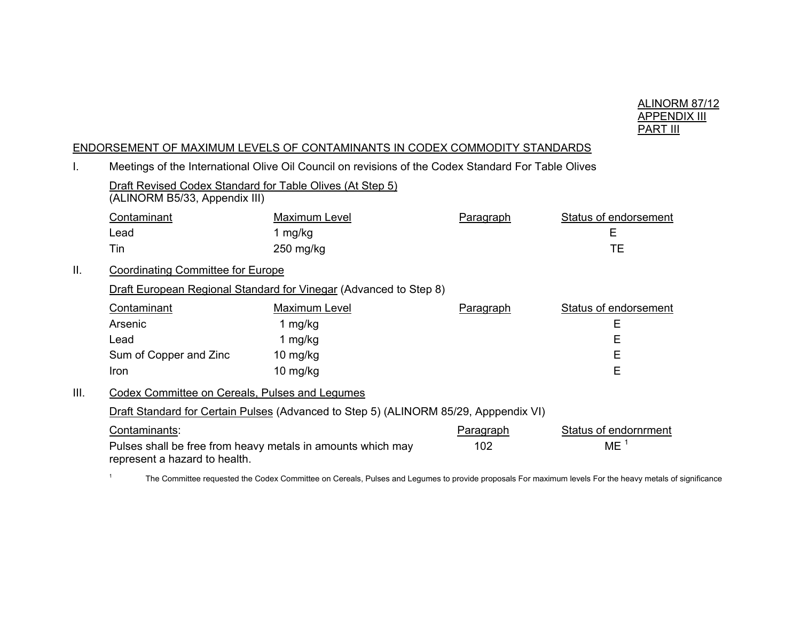

#### ENDORSEMENT OF MAXIMUM LEVELS OF CONTAMINANTS IN CODEX COMMODITY STANDARDS

|      | Meetings of the international Olive Oil Council on revisions of the Couex Standard For Table Olives           |               |                         |                                                 |  |  |
|------|---------------------------------------------------------------------------------------------------------------|---------------|-------------------------|-------------------------------------------------|--|--|
|      | Draft Revised Codex Standard for Table Olives (At Step 5)<br>(ALINORM B5/33, Appendix III)                    |               |                         |                                                 |  |  |
|      | Contaminant                                                                                                   | Maximum Level | Paragraph               | <b>Status of endorsement</b>                    |  |  |
|      | Lead                                                                                                          | 1 mg/kg       |                         | E                                               |  |  |
|      | Tin                                                                                                           | 250 mg/kg     |                         | ТE                                              |  |  |
| II.  | <b>Coordinating Committee for Europe</b>                                                                      |               |                         |                                                 |  |  |
|      | Draft European Regional Standard for Vinegar (Advanced to Step 8)                                             |               |                         |                                                 |  |  |
|      | Contaminant                                                                                                   | Maximum Level | <b>Paragraph</b>        | <b>Status of endorsement</b>                    |  |  |
|      | Arsenic                                                                                                       | 1 mg/kg       |                         | Е                                               |  |  |
|      | Lead                                                                                                          | 1 mg/kg       |                         | Е                                               |  |  |
|      | Sum of Copper and Zinc                                                                                        | 10 mg/kg      |                         | Е                                               |  |  |
|      | Iron                                                                                                          | 10 mg/kg      |                         | E                                               |  |  |
| III. | Codex Committee on Cereals, Pulses and Legumes                                                                |               |                         |                                                 |  |  |
|      | Draft Standard for Certain Pulses (Advanced to Step 5) (ALINORM 85/29, Apppendix VI)                          |               |                         |                                                 |  |  |
|      | Contaminants:<br>Pulses shall be free from heavy metals in amounts which may<br>represent a hazard to health. |               | <b>Paragraph</b><br>102 | <b>Status of endornrment</b><br>ME <sup>1</sup> |  |  |
|      |                                                                                                               |               |                         |                                                 |  |  |

I. Meetings of the International Olive Oil Council on revisions of the Codex Standard For Table Olives

<sup>1</sup> The Committee requested the Codex Committee on Cereals, Pulses and Legumes to provide proposals For maximum levels For the heavy metals of significance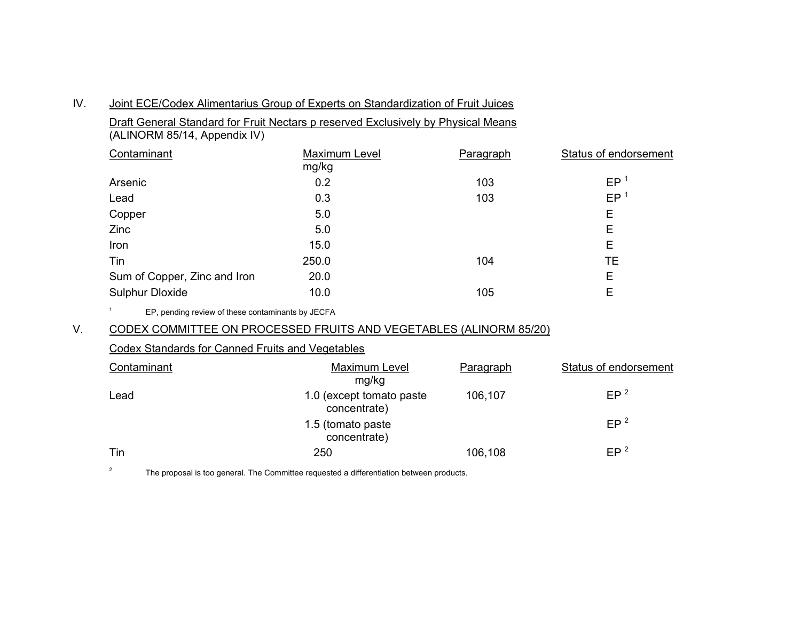| IV. | Joint ECE/Codex Alimentarius Group of Experts on Standardization of Fruit Juices |
|-----|----------------------------------------------------------------------------------|
|     |                                                                                  |

Draft General Standard for Fruit Nectars p reserved Exclusively by Physical Means

(ALINORM 85/14, Appendix IV)

| Contaminant                  | Maximum Level<br>mg/kg | Paragraph | Status of endorsement |
|------------------------------|------------------------|-----------|-----------------------|
| Arsenic                      | 0.2                    | 103       | EP                    |
| Lead                         | 0.3                    | 103       | EP <sup>1</sup>       |
| Copper                       | 5.0                    |           | E                     |
| Zinc                         | 5.0                    |           | E                     |
| Iron                         | 15.0                   |           | Е                     |
| Tin                          | 250.0                  | 104       | TЕ                    |
| Sum of Copper, Zinc and Iron | 20.0                   |           | E                     |
| <b>Sulphur Dloxide</b>       | 10.0                   | 105       | Е                     |

1 EP, pending review of these contaminants by JECFA

## V. CODEX COMMITTEE ON PROCESSED FRUITS AND VEGETABLES (ALINORM 85/20)

#### Codex Standards for Canned Fruits and Vegetables

| Contaminant | Maximum Level<br>mg/kg                    | Paragraph | Status of endorsement |
|-------------|-------------------------------------------|-----------|-----------------------|
| Lead        | 1.0 (except tomato paste)<br>concentrate) | 106,107   | EP <sup>2</sup>       |
|             | 1.5 (tomato paste<br>concentrate)         |           | EP <sup>2</sup>       |
| Tin         | 250                                       | 106,108   | EP <sup>2</sup>       |

 $2^2$  The proposal is too general. The Committee requested a differentiation between products.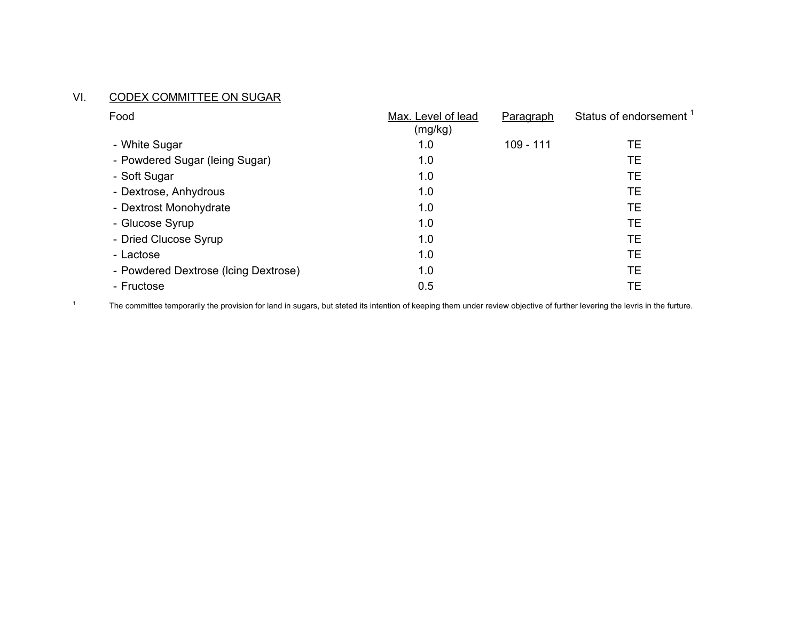#### VI. <u>CODEX COMMITTEE ON SUGAR</u>

| Food                                 | Max. Level of lead<br>(mg/kg) | Paragraph | Status of endorsement <sup>1</sup> |
|--------------------------------------|-------------------------------|-----------|------------------------------------|
| - White Sugar                        | 1.0                           | 109 - 111 | TE                                 |
| - Powdered Sugar (leing Sugar)       | 1.0                           |           | TЕ                                 |
| - Soft Sugar                         | 1.0                           |           | TE                                 |
| - Dextrose, Anhydrous                | 1.0                           |           | TE                                 |
| - Dextrost Monohydrate               | 1.0                           |           | TE                                 |
| - Glucose Syrup                      | 1.0                           |           | <b>TE</b>                          |
| - Dried Clucose Syrup                | 1.0                           |           | TE                                 |
| - Lactose                            | 1.0                           |           | <b>TE</b>                          |
| - Powdered Dextrose (Icing Dextrose) | 1.0                           |           | TE                                 |
| - Fructose                           | 0.5                           |           | TЕ                                 |

<sup>1</sup> The committee temporarily the provision for land in sugars, but steted its intention of keeping them under review objective of further levering the levris in the furture.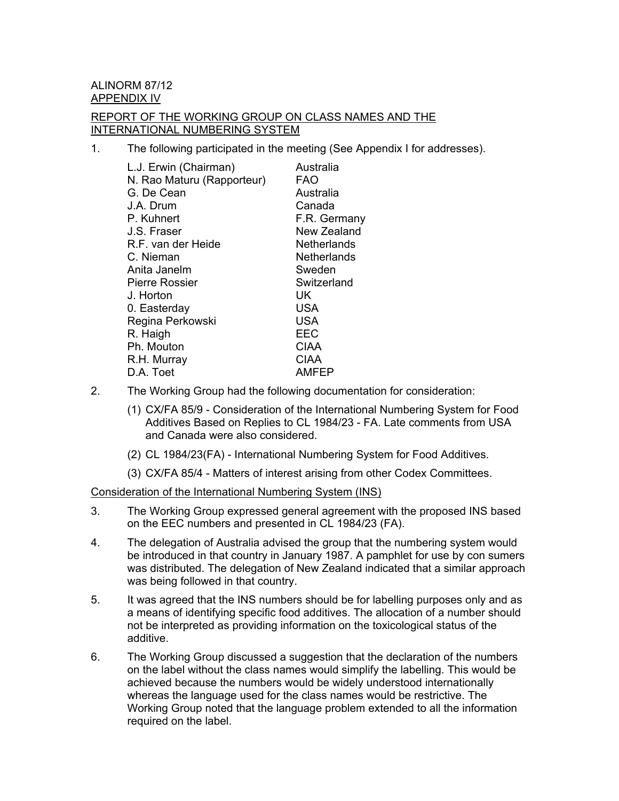ALINORM 87/12 APPENDIX IV

### REPORT OF THE WORKING GROUP ON CLASS NAMES AND THE INTERNATIONAL NUMBERING SYSTEM

1. The following participated in the meeting (See Appendix I for addresses).

| L.J. Erwin (Chairman)      | Australia    |
|----------------------------|--------------|
| N. Rao Maturu (Rapporteur) | FAO          |
| G. De Cean                 | Australia    |
| J.A. Drum                  | Canada       |
| P. Kuhnert                 | F.R. Germany |
| J.S. Fraser                | New Zealand  |
| R.F. van der Heide         | Netherlands  |
| C. Nieman                  | Netherlands  |
| Anita Janelm               | Sweden       |
| <b>Pierre Rossier</b>      | Switzerland  |
| J. Horton                  | UK           |
| 0. Easterday               | <b>USA</b>   |
| Regina Perkowski           | <b>USA</b>   |
| R. Haigh                   | <b>EEC</b>   |
| Ph. Mouton                 | <b>CIAA</b>  |
| R.H. Murray                | <b>CIAA</b>  |
| D.A. Toet                  | AMFEP        |

- 2. The Working Group had the following documentation for consideration:
	- (1) CX/FA 85/9 Consideration of the International Numbering System for Food Additives Based on Replies to CL 1984/23 - FA. Late comments from USA and Canada were also considered.
	- (2) CL 1984/23(FA) International Numbering System for Food Additives.
	- (3) CX/FA 85/4 Matters of interest arising from other Codex Committees.

### Consideration of the International Numbering System (INS)

- 3. The Working Group expressed general agreement with the proposed INS based on the EEC numbers and presented in CL 1984/23 (FA).
- 4. The delegation of Australia advised the group that the numbering system would be introduced in that country in January 1987. A pamphlet for use by con sumers was distributed. The delegation of New Zealand indicated that a similar approach was being followed in that country.
- 5. It was agreed that the INS numbers should be for labelling purposes only and as a means of identifying specific food additives. The allocation of a number should not be interpreted as providing information on the toxicological status of the additive.
- 6. The Working Group discussed a suggestion that the declaration of the numbers on the label without the class names would simplify the labelling. This would be achieved because the numbers would be widely understood internationally whereas the language used for the class names would be restrictive. The Working Group noted that the language problem extended to all the information required on the label.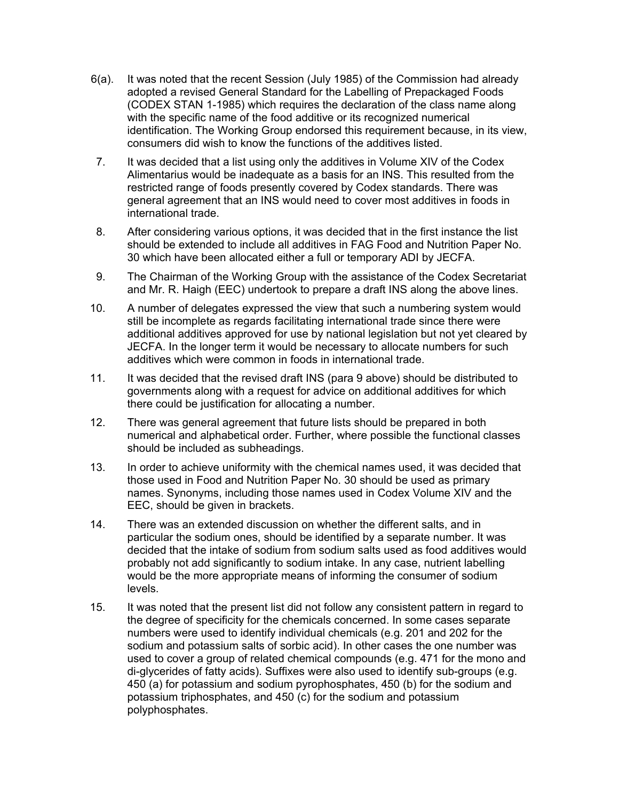- 6(a). It was noted that the recent Session (July 1985) of the Commission had already adopted a revised General Standard for the Labelling of Prepackaged Foods (CODEX STAN 1-1985) which requires the declaration of the class name along with the specific name of the food additive or its recognized numerical identification. The Working Group endorsed this requirement because, in its view, consumers did wish to know the functions of the additives listed.
- 7. It was decided that a list using only the additives in Volume XIV of the Codex Alimentarius would be inadequate as a basis for an INS. This resulted from the restricted range of foods presently covered by Codex standards. There was general agreement that an INS would need to cover most additives in foods in international trade.
- 8. After considering various options, it was decided that in the first instance the list should be extended to include all additives in FAG Food and Nutrition Paper No. 30 which have been allocated either a full or temporary ADI by JECFA.
- 9. The Chairman of the Working Group with the assistance of the Codex Secretariat and Mr. R. Haigh (EEC) undertook to prepare a draft INS along the above lines.
- 10. A number of delegates expressed the view that such a numbering system would still be incomplete as regards facilitating international trade since there were additional additives approved for use by national legislation but not yet cleared by JECFA. In the longer term it would be necessary to allocate numbers for such additives which were common in foods in international trade.
- 11. It was decided that the revised draft INS (para 9 above) should be distributed to governments along with a request for advice on additional additives for which there could be justification for allocating a number.
- 12. There was general agreement that future lists should be prepared in both numerical and alphabetical order. Further, where possible the functional classes should be included as subheadings.
- 13. In order to achieve uniformity with the chemical names used, it was decided that those used in Food and Nutrition Paper No. 30 should be used as primary names. Synonyms, including those names used in Codex Volume XIV and the EEC, should be given in brackets.
- 14. There was an extended discussion on whether the different salts, and in particular the sodium ones, should be identified by a separate number. It was decided that the intake of sodium from sodium salts used as food additives would probably not add significantly to sodium intake. In any case, nutrient labelling would be the more appropriate means of informing the consumer of sodium levels.
- 15. It was noted that the present list did not follow any consistent pattern in regard to the degree of specificity for the chemicals concerned. In some cases separate numbers were used to identify individual chemicals (e.g. 201 and 202 for the sodium and potassium salts of sorbic acid). In other cases the one number was used to cover a group of related chemical compounds (e.g. 471 for the mono and di-glycerides of fatty acids). Suffixes were also used to identify sub-groups (e.g. 450 (a) for potassium and sodium pyrophosphates, 450 (b) for the sodium and potassium triphosphates, and 450 (c) for the sodium and potassium polyphosphates.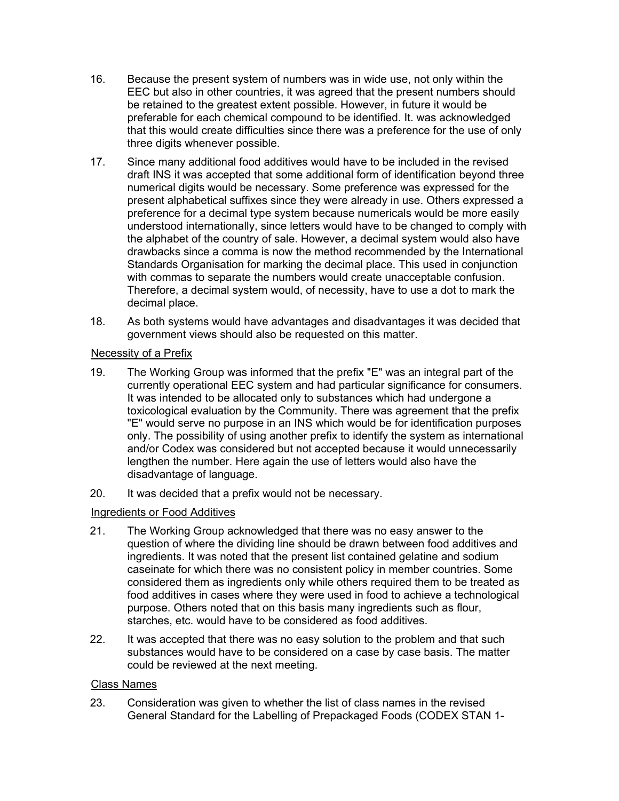- 16. Because the present system of numbers was in wide use, not only within the EEC but also in other countries, it was agreed that the present numbers should be retained to the greatest extent possible. However, in future it would be preferable for each chemical compound to be identified. It. was acknowledged that this would create difficulties since there was a preference for the use of only three digits whenever possible.
- 17. Since many additional food additives would have to be included in the revised draft INS it was accepted that some additional form of identification beyond three numerical digits would be necessary. Some preference was expressed for the present alphabetical suffixes since they were already in use. Others expressed a preference for a decimal type system because numericals would be more easily understood internationally, since letters would have to be changed to comply with the alphabet of the country of sale. However, a decimal system would also have drawbacks since a comma is now the method recommended by the International Standards Organisation for marking the decimal place. This used in conjunction with commas to separate the numbers would create unacceptable confusion. Therefore, a decimal system would, of necessity, have to use a dot to mark the decimal place.
- 18. As both systems would have advantages and disadvantages it was decided that government views should also be requested on this matter.

## Necessity of a Prefix

- 19. The Working Group was informed that the prefix "E" was an integral part of the currently operational EEC system and had particular significance for consumers. It was intended to be allocated only to substances which had undergone a toxicological evaluation by the Community. There was agreement that the prefix "E" would serve no purpose in an INS which would be for identification purposes only. The possibility of using another prefix to identify the system as international and/or Codex was considered but not accepted because it would unnecessarily lengthen the number. Here again the use of letters would also have the disadvantage of language.
- 20. It was decided that a prefix would not be necessary.

## Ingredients or Food Additives

- 21. The Working Group acknowledged that there was no easy answer to the question of where the dividing line should be drawn between food additives and ingredients. It was noted that the present list contained gelatine and sodium caseinate for which there was no consistent policy in member countries. Some considered them as ingredients only while others required them to be treated as food additives in cases where they were used in food to achieve a technological purpose. Others noted that on this basis many ingredients such as flour, starches, etc. would have to be considered as food additives.
- 22. It was accepted that there was no easy solution to the problem and that such substances would have to be considered on a case by case basis. The matter could be reviewed at the next meeting.

### Class Names

23. Consideration was given to whether the list of class names in the revised General Standard for the Labelling of Prepackaged Foods (CODEX STAN 1-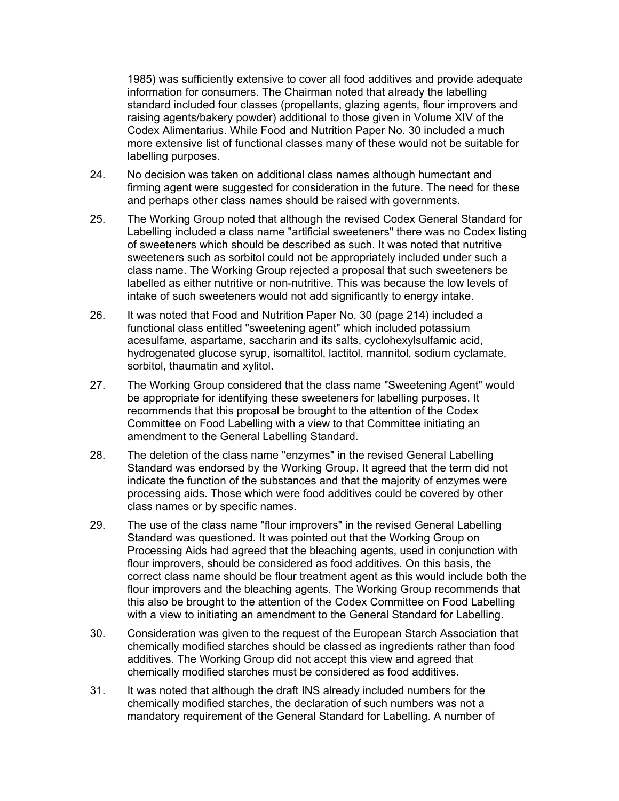1985) was sufficiently extensive to cover all food additives and provide adequate information for consumers. The Chairman noted that already the labelling standard included four classes (propellants, glazing agents, flour improvers and raising agents/bakery powder) additional to those given in Volume XIV of the Codex Alimentarius. While Food and Nutrition Paper No. 30 included a much more extensive list of functional classes many of these would not be suitable for labelling purposes.

- 24. No decision was taken on additional class names although humectant and firming agent were suggested for consideration in the future. The need for these and perhaps other class names should be raised with governments.
- 25. The Working Group noted that although the revised Codex General Standard for Labelling included a class name "artificial sweeteners" there was no Codex listing of sweeteners which should be described as such. It was noted that nutritive sweeteners such as sorbitol could not be appropriately included under such a class name. The Working Group rejected a proposal that such sweeteners be labelled as either nutritive or non-nutritive. This was because the low levels of intake of such sweeteners would not add significantly to energy intake.
- 26. It was noted that Food and Nutrition Paper No. 30 (page 214) included a functional class entitled "sweetening agent" which included potassium acesulfame, aspartame, saccharin and its salts, cyclohexylsulfamic acid, hydrogenated glucose syrup, isomaltitol, lactitol, mannitol, sodium cyclamate, sorbitol, thaumatin and xylitol.
- 27. The Working Group considered that the class name "Sweetening Agent" would be appropriate for identifying these sweeteners for labelling purposes. It recommends that this proposal be brought to the attention of the Codex Committee on Food Labelling with a view to that Committee initiating an amendment to the General Labelling Standard.
- 28. The deletion of the class name "enzymes" in the revised General Labelling Standard was endorsed by the Working Group. It agreed that the term did not indicate the function of the substances and that the majority of enzymes were processing aids. Those which were food additives could be covered by other class names or by specific names.
- 29. The use of the class name "flour improvers" in the revised General Labelling Standard was questioned. It was pointed out that the Working Group on Processing Aids had agreed that the bleaching agents, used in conjunction with flour improvers, should be considered as food additives. On this basis, the correct class name should be flour treatment agent as this would include both the flour improvers and the bleaching agents. The Working Group recommends that this also be brought to the attention of the Codex Committee on Food Labelling with a view to initiating an amendment to the General Standard for Labelling.
- 30. Consideration was given to the request of the European Starch Association that chemically modified starches should be classed as ingredients rather than food additives. The Working Group did not accept this view and agreed that chemically modified starches must be considered as food additives.
- 31. It was noted that although the draft INS already included numbers for the chemically modified starches, the declaration of such numbers was not a mandatory requirement of the General Standard for Labelling. A number of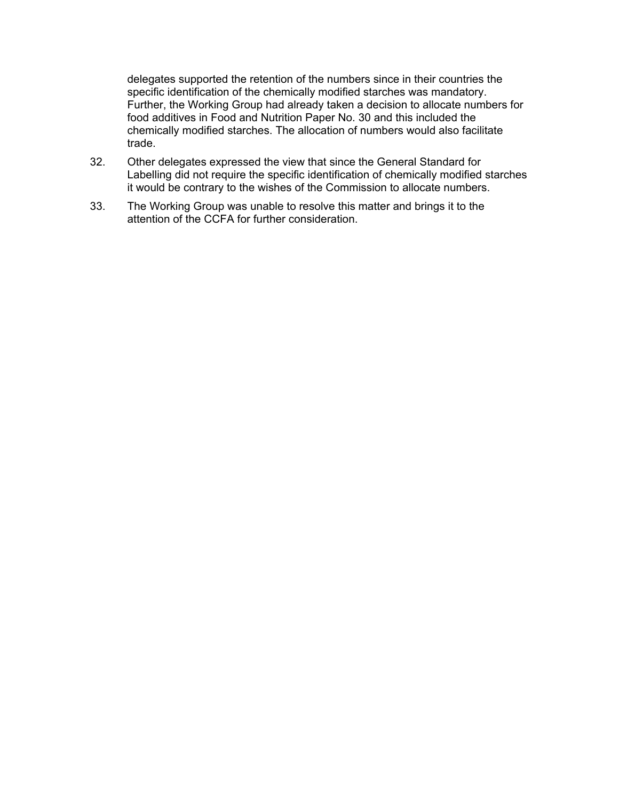delegates supported the retention of the numbers since in their countries the specific identification of the chemically modified starches was mandatory. Further, the Working Group had already taken a decision to allocate numbers for food additives in Food and Nutrition Paper No. 30 and this included the chemically modified starches. The allocation of numbers would also facilitate trade.

- 32. Other delegates expressed the view that since the General Standard for Labelling did not require the specific identification of chemically modified starches it would be contrary to the wishes of the Commission to allocate numbers.
- 33. The Working Group was unable to resolve this matter and brings it to the attention of the CCFA for further consideration.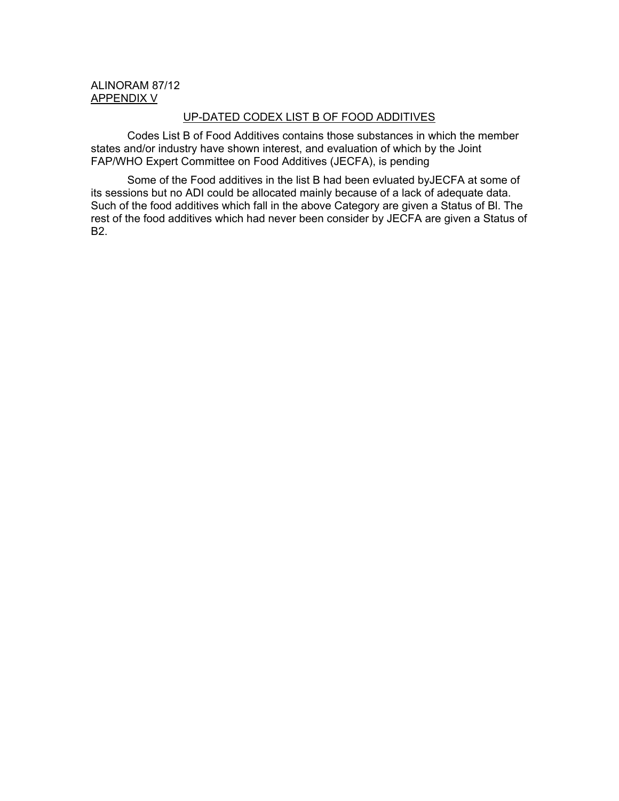#### ALINORAM 87/12 APPENDIX V

## UP-DATED CODEX LIST B OF FOOD ADDITIVES

Codes List B of Food Additives contains those substances in which the member states and/or industry have shown interest, and evaluation of which by the Joint FAP/WHO Expert Committee on Food Additives (JECFA), is pending

Some of the Food additives in the list B had been evluated byJECFA at some of its sessions but no ADI could be allocated mainly because of a lack of adequate data. Such of the food additives which fall in the above Category are given a Status of Bl. The rest of the food additives which had never been consider by JECFA are given a Status of B2.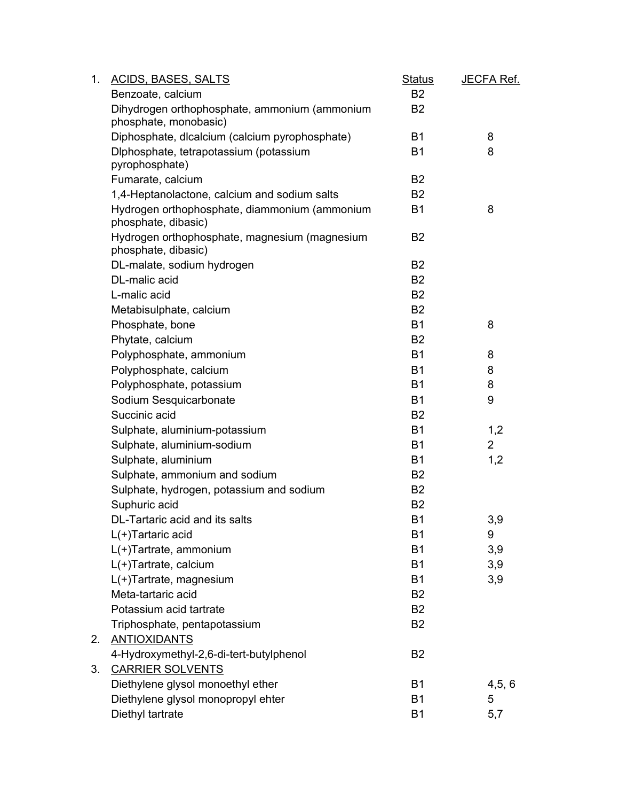| 1. | <b>ACIDS, BASES, SALTS</b>                                             | <b>Status</b>  | JECFA Ref.     |
|----|------------------------------------------------------------------------|----------------|----------------|
|    | Benzoate, calcium                                                      | B <sub>2</sub> |                |
|    | Dihydrogen orthophosphate, ammonium (ammonium<br>phosphate, monobasic) | B <sub>2</sub> |                |
|    | Diphosphate, dicalcium (calcium pyrophosphate)                         | <b>B1</b>      | 8              |
|    | Diphosphate, tetrapotassium (potassium<br>pyrophosphate)               | <b>B1</b>      | 8              |
|    | Fumarate, calcium                                                      | B <sub>2</sub> |                |
|    | 1,4-Heptanolactone, calcium and sodium salts                           | B <sub>2</sub> |                |
|    | Hydrogen orthophosphate, diammonium (ammonium<br>phosphate, dibasic)   | <b>B1</b>      | 8              |
|    | Hydrogen orthophosphate, magnesium (magnesium<br>phosphate, dibasic)   | B <sub>2</sub> |                |
|    | DL-malate, sodium hydrogen                                             | <b>B2</b>      |                |
|    | DL-malic acid                                                          | B <sub>2</sub> |                |
|    | L-malic acid                                                           | <b>B2</b>      |                |
|    | Metabisulphate, calcium                                                | B <sub>2</sub> |                |
|    | Phosphate, bone                                                        | <b>B1</b>      | 8              |
|    | Phytate, calcium                                                       | B <sub>2</sub> |                |
|    | Polyphosphate, ammonium                                                | <b>B1</b>      | 8              |
|    | Polyphosphate, calcium                                                 | <b>B1</b>      | 8              |
|    | Polyphosphate, potassium                                               | <b>B1</b>      | 8              |
|    | Sodium Sesquicarbonate                                                 | <b>B1</b>      | 9              |
|    | Succinic acid                                                          | B <sub>2</sub> |                |
|    | Sulphate, aluminium-potassium                                          | <b>B1</b>      | 1,2            |
|    | Sulphate, aluminium-sodium                                             | <b>B1</b>      | $\overline{2}$ |
|    | Sulphate, aluminium                                                    | <b>B1</b>      | 1,2            |
|    | Sulphate, ammonium and sodium                                          | B <sub>2</sub> |                |
|    | Sulphate, hydrogen, potassium and sodium                               | <b>B2</b>      |                |
|    | Suphuric acid                                                          | <b>B2</b>      |                |
|    | DL-Tartaric acid and its salts                                         | <b>B1</b>      | 3,9            |
|    | L(+)Tartaric acid                                                      | B <sub>1</sub> | 9              |
|    | L(+)Tartrate, ammonium                                                 | <b>B1</b>      | 3,9            |
|    | L(+)Tartrate, calcium                                                  | <b>B1</b>      | 3,9            |
|    | L(+)Tartrate, magnesium                                                | <b>B1</b>      | 3,9            |
|    | Meta-tartaric acid                                                     | B <sub>2</sub> |                |
|    | Potassium acid tartrate                                                | B <sub>2</sub> |                |
|    | Triphosphate, pentapotassium                                           | B <sub>2</sub> |                |
| 2. | <b>ANTIOXIDANTS</b>                                                    |                |                |
|    | 4-Hydroxymethyl-2,6-di-tert-butylphenol                                | B <sub>2</sub> |                |
| 3. | <b>CARRIER SOLVENTS</b>                                                |                |                |
|    | Diethylene glysol monoethyl ether                                      | <b>B1</b>      | 4, 5, 6        |
|    | Diethylene glysol monopropyl ehter                                     | <b>B1</b>      | 5              |
|    | Diethyl tartrate                                                       | <b>B1</b>      | 5,7            |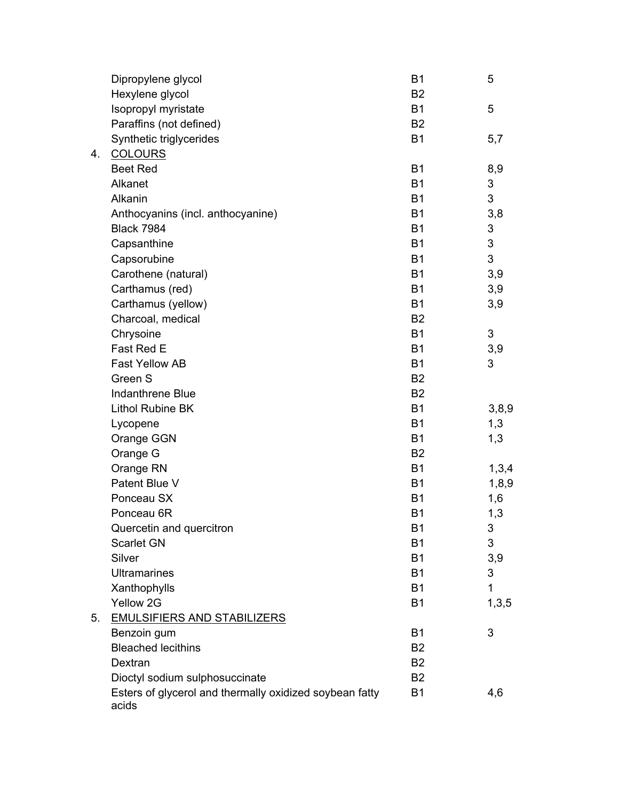|    | Dipropylene glycol                                      | <b>B1</b>      | 5     |
|----|---------------------------------------------------------|----------------|-------|
|    | Hexylene glycol                                         | B <sub>2</sub> |       |
|    | Isopropyl myristate                                     | <b>B1</b>      | 5     |
|    | Paraffins (not defined)                                 | B <sub>2</sub> |       |
|    | Synthetic triglycerides                                 | <b>B1</b>      | 5,7   |
| 4. | <b>COLOURS</b>                                          |                |       |
|    | <b>Beet Red</b>                                         | <b>B1</b>      | 8,9   |
|    | Alkanet                                                 | <b>B1</b>      | 3     |
|    | Alkanin                                                 | <b>B1</b>      | 3     |
|    | Anthocyanins (incl. anthocyanine)                       | <b>B1</b>      | 3,8   |
|    | <b>Black 7984</b>                                       | <b>B1</b>      | 3     |
|    | Capsanthine                                             | <b>B1</b>      | 3     |
|    | Capsorubine                                             | <b>B1</b>      | 3     |
|    | Carothene (natural)                                     | <b>B1</b>      | 3,9   |
|    | Carthamus (red)                                         | <b>B1</b>      | 3,9   |
|    | Carthamus (yellow)                                      | <b>B1</b>      | 3,9   |
|    | Charcoal, medical                                       | B <sub>2</sub> |       |
|    | Chrysoine                                               | <b>B1</b>      | 3     |
|    | Fast Red E                                              | <b>B1</b>      | 3,9   |
|    | <b>Fast Yellow AB</b>                                   | <b>B1</b>      | 3     |
|    | Green S                                                 | B <sub>2</sub> |       |
|    | Indanthrene Blue                                        | <b>B2</b>      |       |
|    | Lithol Rubine BK                                        | <b>B1</b>      | 3,8,9 |
|    | Lycopene                                                | <b>B1</b>      | 1,3   |
|    | Orange GGN                                              | <b>B1</b>      | 1,3   |
|    | Orange G                                                | B <sub>2</sub> |       |
|    | Orange RN                                               | <b>B1</b>      | 1,3,4 |
|    | Patent Blue V                                           | <b>B1</b>      | 1,8,9 |
|    | Ponceau SX                                              | <b>B1</b>      | 1,6   |
|    | Ponceau 6R                                              | <b>B1</b>      | 1,3   |
|    | Quercetin and quercitron                                | B1             | 3     |
|    | <b>Scarlet GN</b>                                       | <b>B1</b>      | 3     |
|    | Silver                                                  | <b>B1</b>      | 3,9   |
|    | <b>Ultramarines</b>                                     | <b>B1</b>      | 3     |
|    | Xanthophylls                                            | <b>B1</b>      | 1     |
|    | Yellow 2G                                               | <b>B1</b>      | 1,3,5 |
| 5. | <b>EMULSIFIERS AND STABILIZERS</b>                      |                |       |
|    | Benzoin gum                                             | <b>B1</b>      | 3     |
|    | <b>Bleached lecithins</b>                               | <b>B2</b>      |       |
|    | Dextran                                                 | <b>B2</b>      |       |
|    | Dioctyl sodium sulphosuccinate                          | B <sub>2</sub> |       |
|    | Esters of glycerol and thermally oxidized soybean fatty | <b>B1</b>      | 4,6   |
|    | acids                                                   |                |       |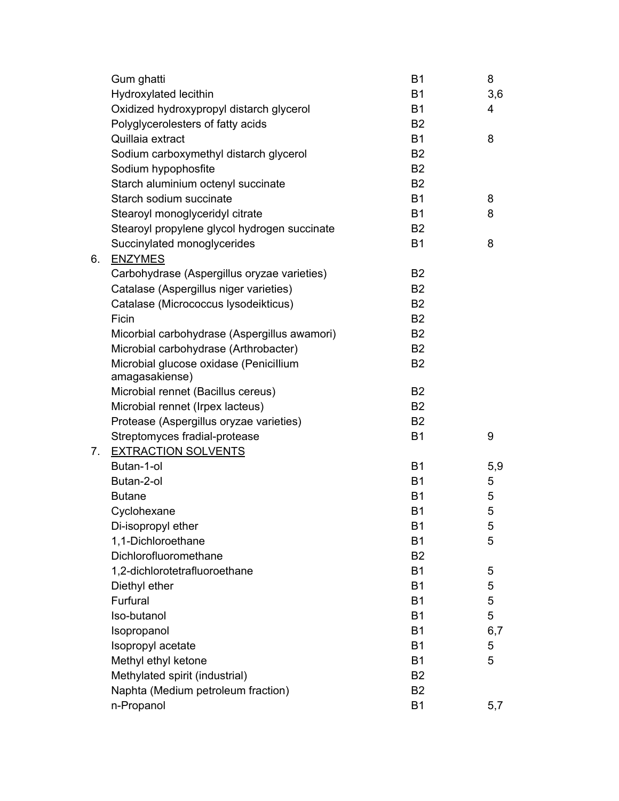|    | Gum ghatti                                   | <b>B1</b>      | 8   |
|----|----------------------------------------------|----------------|-----|
|    | Hydroxylated lecithin                        | <b>B1</b>      | 3,6 |
|    | Oxidized hydroxypropyl distarch glycerol     | <b>B1</b>      | 4   |
|    | Polyglycerolesters of fatty acids            | B <sub>2</sub> |     |
|    | Quillaia extract                             | <b>B1</b>      | 8   |
|    | Sodium carboxymethyl distarch glycerol       | B <sub>2</sub> |     |
|    | Sodium hypophosfite                          | B <sub>2</sub> |     |
|    | Starch aluminium octenyl succinate           | <b>B2</b>      |     |
|    | Starch sodium succinate                      | <b>B1</b>      | 8   |
|    | Stearoyl monoglyceridyl citrate              | <b>B1</b>      | 8   |
|    | Stearoyl propylene glycol hydrogen succinate | B <sub>2</sub> |     |
|    | Succinylated monoglycerides                  | <b>B1</b>      | 8   |
| 6. | <b>ENZYMES</b>                               |                |     |
|    | Carbohydrase (Aspergillus oryzae varieties)  | B <sub>2</sub> |     |
|    | Catalase (Aspergillus niger varieties)       | B <sub>2</sub> |     |
|    | Catalase (Micrococcus lysodeikticus)         | B <sub>2</sub> |     |
|    | Ficin                                        | B <sub>2</sub> |     |
|    | Micorbial carbohydrase (Aspergillus awamori) | B <sub>2</sub> |     |
|    | Microbial carbohydrase (Arthrobacter)        | B <sub>2</sub> |     |
|    | Microbial glucose oxidase (Penicillium       | <b>B2</b>      |     |
|    | amagasakiense)                               |                |     |
|    | Microbial rennet (Bacillus cereus)           | <b>B2</b>      |     |
|    | Microbial rennet (Irpex lacteus)             | <b>B2</b>      |     |
|    | Protease (Aspergillus oryzae varieties)      | <b>B2</b>      |     |
|    | Streptomyces fradial-protease                | B <sub>1</sub> | 9   |
| 7. | <b>EXTRACTION SOLVENTS</b>                   |                |     |
|    | Butan-1-ol                                   | <b>B1</b>      | 5,9 |
|    | Butan-2-ol                                   | <b>B1</b>      | 5   |
|    | <b>Butane</b>                                | <b>B1</b>      | 5   |
|    | Cyclohexane                                  | <b>B1</b>      | 5   |
|    | Di-isopropyl ether                           | <b>B1</b>      | 5   |
|    | 1,1-Dichloroethane                           | <b>B1</b>      | 5   |
|    | Dichlorofluoromethane                        | B <sub>2</sub> |     |
|    | 1,2-dichlorotetrafluoroethane                | <b>B1</b>      | 5   |
|    | Diethyl ether                                | <b>B1</b>      | 5   |
|    | Furfural                                     | <b>B1</b>      | 5   |
|    | Iso-butanol                                  | B <sub>1</sub> | 5   |
|    | Isopropanol                                  | <b>B1</b>      | 6,7 |
|    | Isopropyl acetate                            | <b>B1</b>      | 5   |
|    | Methyl ethyl ketone                          | <b>B1</b>      | 5   |
|    | Methylated spirit (industrial)               | B <sub>2</sub> |     |
|    | Naphta (Medium petroleum fraction)           | B <sub>2</sub> |     |
|    | n-Propanol                                   | <b>B1</b>      | 5,7 |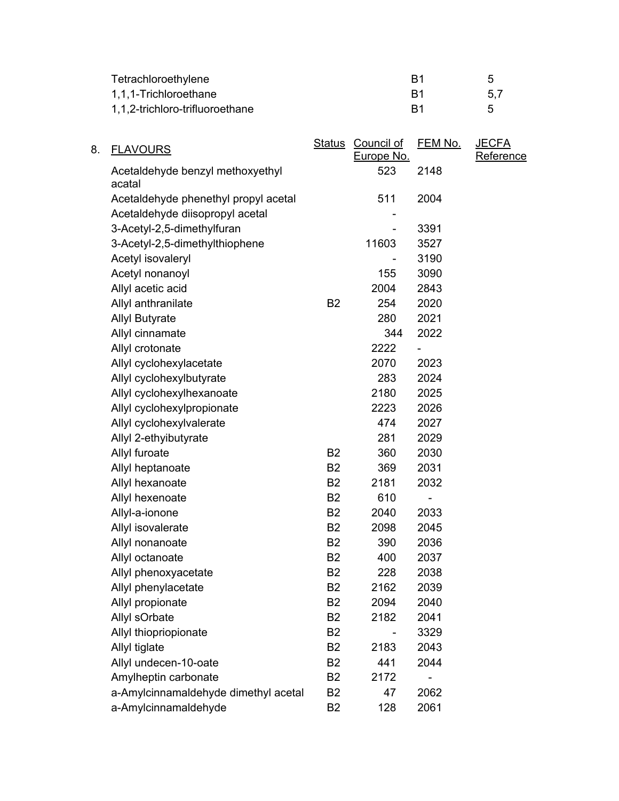| Tetrachloroethylene             | R1 |     |
|---------------------------------|----|-----|
| 1,1,1-Trichloroethane           | R1 | 5.7 |
| 1,1,2-trichloro-trifluoroethane | B1 | 5   |

| 8. | <b>FLAVOURS</b>                            | <u>Status</u>  | Council of | <b>FEM No.</b> | <u>JECFA</u> |
|----|--------------------------------------------|----------------|------------|----------------|--------------|
|    |                                            |                | Europe No. |                | Reference    |
|    | Acetaldehyde benzyl methoxyethyl<br>acatal |                | 523        | 2148           |              |
|    | Acetaldehyde phenethyl propyl acetal       |                | 511        | 2004           |              |
|    | Acetaldehyde diisopropyl acetal            |                |            |                |              |
|    | 3-Acetyl-2,5-dimethylfuran                 |                |            | 3391           |              |
|    | 3-Acetyl-2,5-dimethylthiophene             |                | 11603      | 3527           |              |
|    | Acetyl isovaleryl                          |                |            | 3190           |              |
|    | Acetyl nonanoyl                            |                | 155        | 3090           |              |
|    | Allyl acetic acid                          |                | 2004       | 2843           |              |
|    | Allyl anthranilate                         | B <sub>2</sub> | 254        | 2020           |              |
|    | <b>Allyl Butyrate</b>                      |                | 280        | 2021           |              |
|    | Allyl cinnamate                            |                | 344        | 2022           |              |
|    | Allyl crotonate                            |                | 2222       |                |              |
|    | Allyl cyclohexylacetate                    |                | 2070       | 2023           |              |
|    | Allyl cyclohexylbutyrate                   |                | 283        | 2024           |              |
|    | Allyl cyclohexylhexanoate                  |                | 2180       | 2025           |              |
|    | Allyl cyclohexylpropionate                 |                | 2223       | 2026           |              |
|    | Allyl cyclohexylvalerate                   |                | 474        | 2027           |              |
|    | Allyl 2-ethyibutyrate                      |                | 281        | 2029           |              |
|    | Allyl furoate                              | <b>B2</b>      | 360        | 2030           |              |
|    | Allyl heptanoate                           | B <sub>2</sub> | 369        | 2031           |              |
|    | Allyl hexanoate                            | B <sub>2</sub> | 2181       | 2032           |              |
|    | Allyl hexenoate                            | B <sub>2</sub> | 610        |                |              |
|    | Allyl-a-ionone                             | B <sub>2</sub> | 2040       | 2033           |              |
|    | Allyl isovalerate                          | B <sub>2</sub> | 2098       | 2045           |              |
|    | Allyl nonanoate                            | B <sub>2</sub> | 390        | 2036           |              |
|    | Allyl octanoate                            | B <sub>2</sub> | 400        | 2037           |              |
|    | Allyl phenoxyacetate                       | B <sub>2</sub> | 228        | 2038           |              |
|    | Allyl phenylacetate                        | B <sub>2</sub> | 2162       | 2039           |              |
|    | Allyl propionate                           | B <sub>2</sub> | 2094       | 2040           |              |
|    | Allyl sOrbate                              | B <sub>2</sub> | 2182       | 2041           |              |
|    | Allyl thiopriopionate                      | B <sub>2</sub> |            | 3329           |              |
|    | Allyl tiglate                              | B <sub>2</sub> | 2183       | 2043           |              |
|    | Allyl undecen-10-oate                      | B <sub>2</sub> | 441        | 2044           |              |
|    | Amylheptin carbonate                       | B <sub>2</sub> | 2172       |                |              |
|    | a-Amylcinnamaldehyde dimethyl acetal       | B <sub>2</sub> | 47         | 2062           |              |
|    | a-Amylcinnamaldehyde                       | B <sub>2</sub> | 128        | 2061           |              |
|    |                                            |                |            |                |              |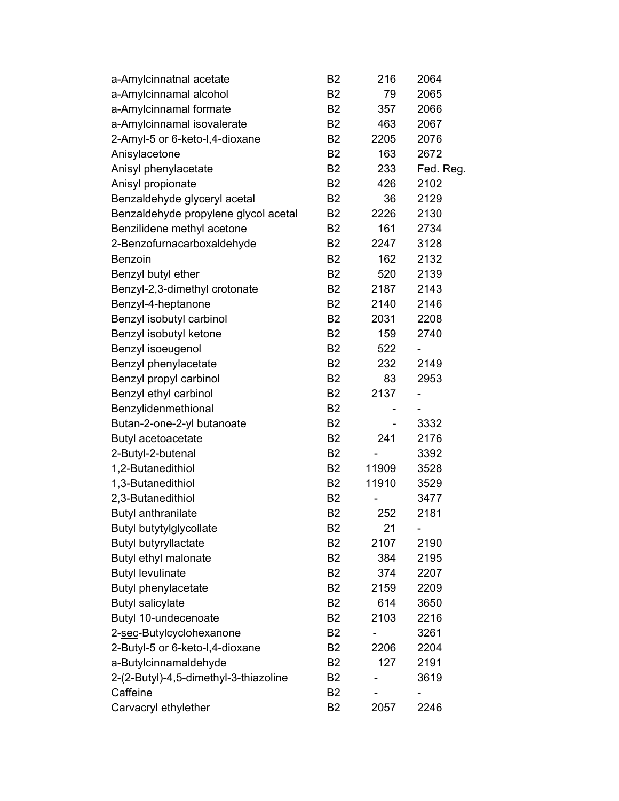| a-Amylcinnatnal acetate               | B <sub>2</sub> | 216   | 2064      |
|---------------------------------------|----------------|-------|-----------|
| a-Amylcinnamal alcohol                | B <sub>2</sub> | 79    | 2065      |
| a-Amylcinnamal formate                | B <sub>2</sub> | 357   | 2066      |
| a-Amylcinnamal isovalerate            | B2             | 463   | 2067      |
| 2-Amyl-5 or 6-keto-I,4-dioxane        | B <sub>2</sub> | 2205  | 2076      |
| Anisylacetone                         | <b>B2</b>      | 163   | 2672      |
| Anisyl phenylacetate                  | B2             | 233   | Fed. Reg. |
| Anisyl propionate                     | <b>B2</b>      | 426   | 2102      |
| Benzaldehyde glyceryl acetal          | <b>B2</b>      | 36    | 2129      |
| Benzaldehyde propylene glycol acetal  | B2             | 2226  | 2130      |
| Benzilidene methyl acetone            | B2             | 161   | 2734      |
| 2-Benzofurnacarboxaldehyde            | B2             | 2247  | 3128      |
| Benzoin                               | B2             | 162   | 2132      |
| Benzyl butyl ether                    | B2             | 520   | 2139      |
| Benzyl-2,3-dimethyl crotonate         | <b>B2</b>      | 2187  | 2143      |
| Benzyl-4-heptanone                    | B <sub>2</sub> | 2140  | 2146      |
| Benzyl isobutyl carbinol              | B2             | 2031  | 2208      |
| Benzyl isobutyl ketone                | B <sub>2</sub> | 159   | 2740      |
| Benzyl isoeugenol                     | B2             | 522   |           |
| Benzyl phenylacetate                  | B2             | 232   | 2149      |
| Benzyl propyl carbinol                | <b>B2</b>      | 83    | 2953      |
| Benzyl ethyl carbinol                 | B <sub>2</sub> | 2137  |           |
| Benzylidenmethional                   | B2             |       |           |
| Butan-2-one-2-yl butanoate            | B2             |       | 3332      |
| Butyl acetoacetate                    | <b>B2</b>      | 241   | 2176      |
| 2-Butyl-2-butenal                     | <b>B2</b>      |       | 3392      |
| 1,2-Butanedithiol                     | B <sub>2</sub> | 11909 | 3528      |
| 1,3-Butanedithiol                     | B2             | 11910 | 3529      |
| 2,3-Butanedithiol                     | B <sub>2</sub> |       | 3477      |
| Butyl anthranilate                    | B <sub>2</sub> | 252   | 2181      |
| Butyl butytylglycollate               | B <sub>2</sub> | 21    |           |
| Butyl butyryllactate                  | B <sub>2</sub> | 2107  | 2190      |
| Butyl ethyl malonate                  | B <sub>2</sub> | 384   | 2195      |
| <b>Butyl levulinate</b>               | <b>B2</b>      | 374   | 2207      |
| Butyl phenylacetate                   | B2             | 2159  | 2209      |
| <b>Butyl salicylate</b>               | <b>B2</b>      | 614   | 3650      |
| Butyl 10-undecenoate                  | B <sub>2</sub> | 2103  | 2216      |
| 2-sec-Butylcyclohexanone              | B <sub>2</sub> |       | 3261      |
| 2-Butyl-5 or 6-keto-I,4-dioxane       | B2             | 2206  | 2204      |
| a-Butylcinnamaldehyde                 | <b>B2</b>      | 127   | 2191      |
| 2-(2-Butyl)-4,5-dimethyl-3-thiazoline | B <sub>2</sub> |       | 3619      |
| Caffeine                              | B <sub>2</sub> |       |           |
| Carvacryl ethylether                  | <b>B2</b>      | 2057  | 2246      |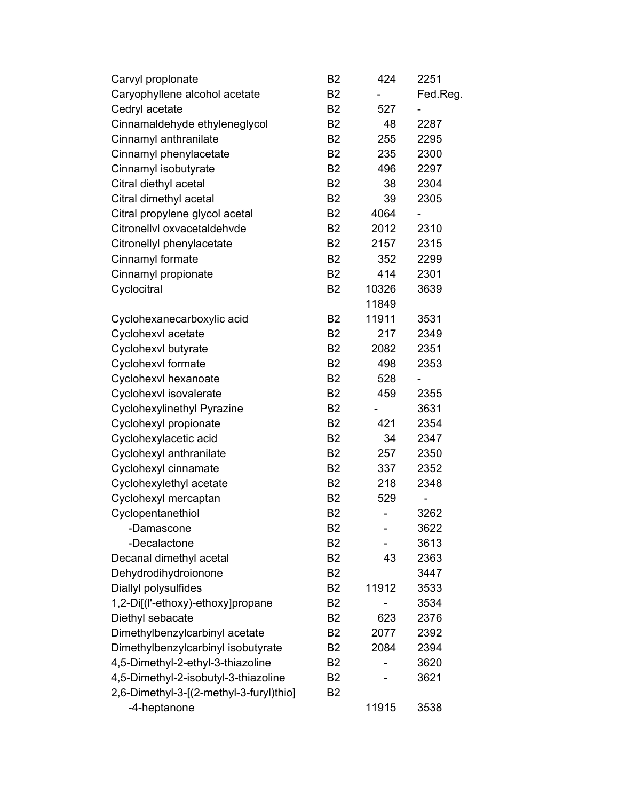| Carvyl proplonate                       | B <sub>2</sub> | 424   | 2251                     |
|-----------------------------------------|----------------|-------|--------------------------|
| Caryophyllene alcohol acetate           | <b>B2</b>      |       | Fed.Reg.                 |
| Cedryl acetate                          | B <sub>2</sub> | 527   |                          |
| Cinnamaldehyde ethyleneglycol           | <b>B2</b>      | 48    | 2287                     |
| Cinnamyl anthranilate                   | B <sub>2</sub> | 255   | 2295                     |
| Cinnamyl phenylacetate                  | <b>B2</b>      | 235   | 2300                     |
| Cinnamyl isobutyrate                    | <b>B2</b>      | 496   | 2297                     |
| Citral diethyl acetal                   | B <sub>2</sub> | 38    | 2304                     |
| Citral dimethyl acetal                  | <b>B2</b>      | 39    | 2305                     |
| Citral propylene glycol acetal          | <b>B2</b>      | 4064  | $\overline{\phantom{0}}$ |
| Citronellvl oxvacetaldehvde             | <b>B2</b>      | 2012  | 2310                     |
| Citronellyl phenylacetate               | <b>B2</b>      | 2157  | 2315                     |
| Cinnamyl formate                        | <b>B2</b>      | 352   | 2299                     |
| Cinnamyl propionate                     | <b>B2</b>      | 414   | 2301                     |
| Cyclocitral                             | <b>B2</b>      | 10326 | 3639                     |
|                                         |                | 11849 |                          |
| Cyclohexanecarboxylic acid              | <b>B2</b>      | 11911 | 3531                     |
| Cyclohexvl acetate                      | <b>B2</b>      | 217   | 2349                     |
| Cyclohexvl butyrate                     | <b>B2</b>      | 2082  | 2351                     |
| Cyclohexvl formate                      | B <sub>2</sub> | 498   | 2353                     |
| Cyclohexvl hexanoate                    | B <sub>2</sub> | 528   |                          |
| Cyclohexvl isovalerate                  | B <sub>2</sub> | 459   | 2355                     |
| <b>Cyclohexylinethyl Pyrazine</b>       | <b>B2</b>      |       | 3631                     |
| Cyclohexyl propionate                   | <b>B2</b>      | 421   | 2354                     |
| Cyclohexylacetic acid                   | B <sub>2</sub> | 34    | 2347                     |
| Cyclohexyl anthranilate                 | <b>B2</b>      | 257   | 2350                     |
| Cyclohexyl cinnamate                    | <b>B2</b>      | 337   | 2352                     |
| Cyclohexylethyl acetate                 | <b>B2</b>      | 218   | 2348                     |
| Cyclohexyl mercaptan                    | B <sub>2</sub> | 529   |                          |
| Cyclopentanethiol                       | B <sub>2</sub> |       | 3262                     |
| -Damascone                              | B2             |       | 3622                     |
| -Decalactone                            | B <sub>2</sub> |       | 3613                     |
| Decanal dimethyl acetal                 | B <sub>2</sub> | 43    | 2363                     |
| Dehydrodihydroionone                    | B <sub>2</sub> |       | 3447                     |
| Diallyl polysulfides                    | B <sub>2</sub> | 11912 | 3533                     |
| 1,2-Di[(l'-ethoxy)-ethoxy]propane       | B <sub>2</sub> |       | 3534                     |
| Diethyl sebacate                        | B <sub>2</sub> | 623   | 2376                     |
| Dimethylbenzylcarbinyl acetate          | B <sub>2</sub> | 2077  | 2392                     |
| Dimethylbenzylcarbinyl isobutyrate      | B <sub>2</sub> | 2084  | 2394                     |
| 4,5-Dimethyl-2-ethyl-3-thiazoline       | B <sub>2</sub> |       | 3620                     |
| 4,5-Dimethyl-2-isobutyl-3-thiazoline    | B <sub>2</sub> |       | 3621                     |
| 2,6-Dimethyl-3-[(2-methyl-3-furyl)thio] | B <sub>2</sub> |       |                          |
| -4-heptanone                            |                | 11915 | 3538                     |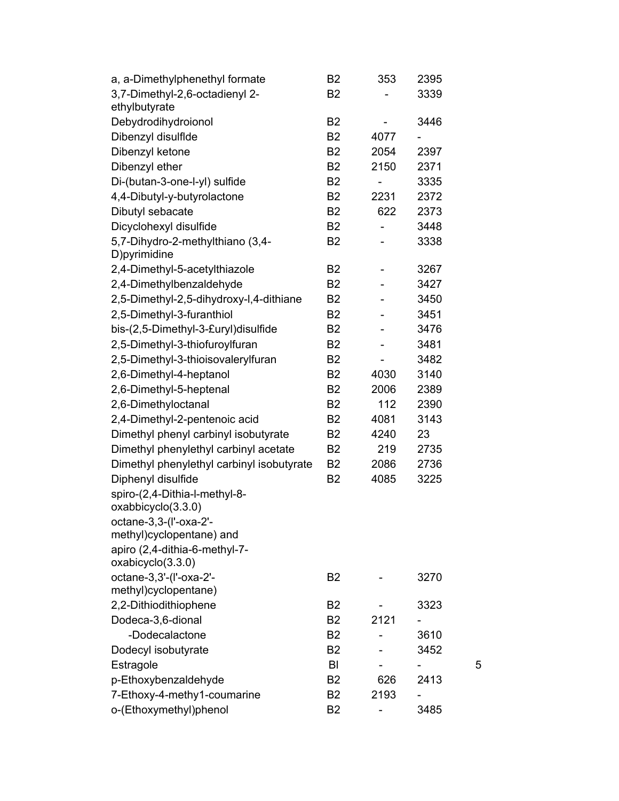| a, a-Dimethylphenethyl formate                    | B <sub>2</sub> | 353  | 2395 |   |
|---------------------------------------------------|----------------|------|------|---|
| 3,7-Dimethyl-2,6-octadienyl 2-                    | B <sub>2</sub> |      | 3339 |   |
| ethylbutyrate                                     |                |      |      |   |
| Debydrodihydroionol                               | B <sub>2</sub> |      | 3446 |   |
| Dibenzyl disulflde                                | <b>B2</b>      | 4077 |      |   |
| Dibenzyl ketone                                   | <b>B2</b>      | 2054 | 2397 |   |
| Dibenzyl ether                                    | <b>B2</b>      | 2150 | 2371 |   |
| Di-(butan-3-one-l-yl) sulfide                     | B <sub>2</sub> |      | 3335 |   |
| 4,4-Dibutyl-y-butyrolactone                       | <b>B2</b>      | 2231 | 2372 |   |
| Dibutyl sebacate                                  | B <sub>2</sub> | 622  | 2373 |   |
| Dicyclohexyl disulfide                            | <b>B2</b>      | ÷,   | 3448 |   |
| 5,7-Dihydro-2-methylthiano (3,4-<br>D) pyrimidine | B <sub>2</sub> |      | 3338 |   |
| 2,4-Dimethyl-5-acetylthiazole                     | <b>B2</b>      |      | 3267 |   |
| 2,4-Dimethylbenzaldehyde                          | <b>B2</b>      |      | 3427 |   |
| 2,5-Dimethyl-2,5-dihydroxy-l,4-dithiane           | <b>B2</b>      |      | 3450 |   |
| 2,5-Dimethyl-3-furanthiol                         | <b>B2</b>      |      | 3451 |   |
| bis-(2,5-Dimethyl-3-£uryl)disulfide               | B <sub>2</sub> |      | 3476 |   |
| 2,5-Dimethyl-3-thiofuroylfuran                    | B <sub>2</sub> |      | 3481 |   |
| 2,5-Dimethyl-3-thioisovalerylfuran                | B <sub>2</sub> |      | 3482 |   |
| 2,6-Dimethyl-4-heptanol                           | <b>B2</b>      | 4030 | 3140 |   |
| 2,6-Dimethyl-5-heptenal                           | B <sub>2</sub> | 2006 | 2389 |   |
| 2,6-Dimethyloctanal                               | <b>B2</b>      | 112  | 2390 |   |
| 2,4-Dimethyl-2-pentenoic acid                     | B <sub>2</sub> | 4081 | 3143 |   |
| Dimethyl phenyl carbinyl isobutyrate              | <b>B2</b>      | 4240 | 23   |   |
| Dimethyl phenylethyl carbinyl acetate             | B <sub>2</sub> | 219  | 2735 |   |
| Dimethyl phenylethyl carbinyl isobutyrate         | <b>B2</b>      | 2086 | 2736 |   |
| Diphenyl disulfide                                | B <sub>2</sub> | 4085 | 3225 |   |
| spiro-(2,4-Dithia-l-methyl-8-                     |                |      |      |   |
| oxabbicyclo(3.3.0)                                |                |      |      |   |
| octane-3,3-(I'-oxa-2'-                            |                |      |      |   |
| methyl)cyclopentane) and                          |                |      |      |   |
| apiro (2,4-dithia-6-methyl-7-                     |                |      |      |   |
| oxabicyclo(3.3.0)                                 |                |      |      |   |
| octane-3,3'-(I'-oxa-2'-<br>methyl)cyclopentane)   | B <sub>2</sub> |      | 3270 |   |
| 2,2-Dithiodithiophene                             | <b>B2</b>      |      | 3323 |   |
| Dodeca-3,6-dional                                 | <b>B2</b>      | 2121 |      |   |
| -Dodecalactone                                    | <b>B2</b>      |      | 3610 |   |
|                                                   | B <sub>2</sub> |      |      |   |
| Dodecyl isobutyrate<br>Estragole                  | BI             |      | 3452 | 5 |
|                                                   | B <sub>2</sub> | 626  | 2413 |   |
| p-Ethoxybenzaldehyde                              | <b>B2</b>      | 2193 |      |   |
| 7-Ethoxy-4-methy1-coumarine                       |                |      |      |   |
| o-(Ethoxymethyl)phenol                            | B <sub>2</sub> |      | 3485 |   |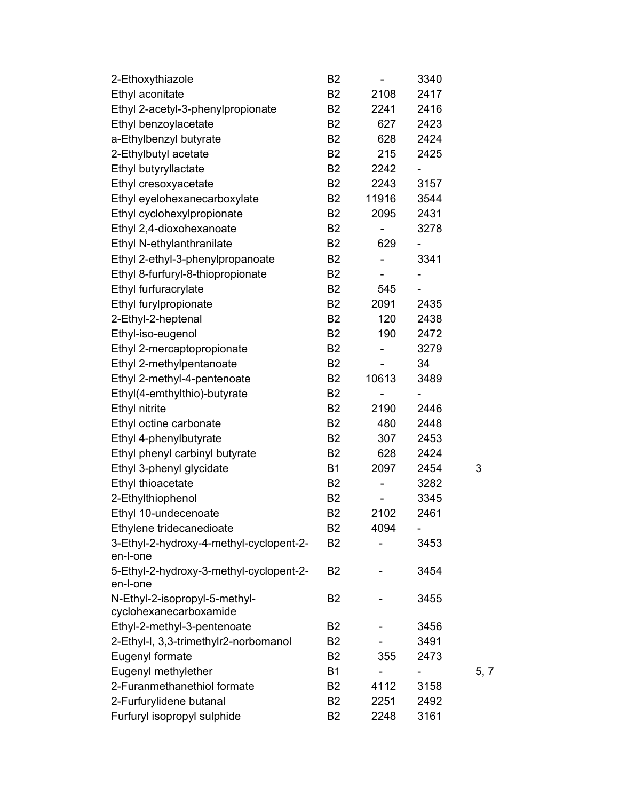| 2-Ethoxythiazole                                        | B <sub>2</sub> | $\overline{\phantom{a}}$ | 3340                     |      |
|---------------------------------------------------------|----------------|--------------------------|--------------------------|------|
| Ethyl aconitate                                         | <b>B2</b>      | 2108                     | 2417                     |      |
| Ethyl 2-acetyl-3-phenylpropionate                       | B <sub>2</sub> | 2241                     | 2416                     |      |
| Ethyl benzoylacetate                                    | <b>B2</b>      | 627                      | 2423                     |      |
| a-Ethylbenzyl butyrate                                  | B <sub>2</sub> | 628                      | 2424                     |      |
| 2-Ethylbutyl acetate                                    | <b>B2</b>      | 215                      | 2425                     |      |
| Ethyl butyryllactate                                    | B <sub>2</sub> | 2242                     |                          |      |
| Ethyl cresoxyacetate                                    | <b>B2</b>      | 2243                     | 3157                     |      |
| Ethyl eyelohexanecarboxylate                            | B <sub>2</sub> | 11916                    | 3544                     |      |
| Ethyl cyclohexylpropionate                              | B <sub>2</sub> | 2095                     | 2431                     |      |
| Ethyl 2,4-dioxohexanoate                                | <b>B2</b>      | -                        | 3278                     |      |
| Ethyl N-ethylanthranilate                               | B <sub>2</sub> | 629                      |                          |      |
| Ethyl 2-ethyl-3-phenylpropanoate                        | B <sub>2</sub> | $\overline{\phantom{0}}$ | 3341                     |      |
| Ethyl 8-furfuryl-8-thiopropionate                       | B <sub>2</sub> |                          | $\overline{\phantom{0}}$ |      |
| Ethyl furfuracrylate                                    | <b>B2</b>      | 545                      | $\overline{\phantom{0}}$ |      |
| Ethyl furylpropionate                                   | B <sub>2</sub> | 2091                     | 2435                     |      |
| 2-Ethyl-2-heptenal                                      | <b>B2</b>      | 120                      | 2438                     |      |
| Ethyl-iso-eugenol                                       | B <sub>2</sub> | 190                      | 2472                     |      |
| Ethyl 2-mercaptopropionate                              | B <sub>2</sub> | $\overline{a}$           | 3279                     |      |
| Ethyl 2-methylpentanoate                                | B <sub>2</sub> | -                        | 34                       |      |
| Ethyl 2-methyl-4-pentenoate                             | B <sub>2</sub> | 10613                    | 3489                     |      |
| Ethyl(4-emthylthio)-butyrate                            | B <sub>2</sub> |                          |                          |      |
| Ethyl nitrite                                           | <b>B2</b>      | 2190                     | 2446                     |      |
| Ethyl octine carbonate                                  | <b>B2</b>      | 480                      | 2448                     |      |
| Ethyl 4-phenylbutyrate                                  | B <sub>2</sub> | 307                      | 2453                     |      |
| Ethyl phenyl carbinyl butyrate                          | B <sub>2</sub> | 628                      | 2424                     |      |
| Ethyl 3-phenyl glycidate                                | <b>B1</b>      | 2097                     | 2454                     | 3    |
| Ethyl thioacetate                                       | B <sub>2</sub> | -                        | 3282                     |      |
| 2-Ethylthiophenol                                       | B <sub>2</sub> |                          | 3345                     |      |
| Ethyl 10-undecenoate                                    | B <sub>2</sub> | 2102                     | 2461                     |      |
| Ethylene tridecanedioate                                | B2             | 4094                     | -                        |      |
| 3-Ethyl-2-hydroxy-4-methyl-cyclopent-2-<br>en-l-one     | B <sub>2</sub> |                          | 3453                     |      |
| 5-Ethyl-2-hydroxy-3-methyl-cyclopent-2-<br>en-l-one     | B <sub>2</sub> |                          | 3454                     |      |
| N-Ethyl-2-isopropyl-5-methyl-<br>cyclohexanecarboxamide | B <sub>2</sub> |                          | 3455                     |      |
| Ethyl-2-methyl-3-pentenoate                             | B <sub>2</sub> |                          | 3456                     |      |
| 2-Ethyl-I, 3,3-trimethylr2-norbomanol                   | B <sub>2</sub> |                          | 3491                     |      |
| Eugenyl formate                                         | B <sub>2</sub> | 355                      | 2473                     |      |
| Eugenyl methylether                                     | <b>B1</b>      |                          |                          | 5, 7 |
| 2-Furanmethanethiol formate                             | B <sub>2</sub> | 4112                     | 3158                     |      |
| 2-Furfurylidene butanal                                 | <b>B2</b>      | 2251                     | 2492                     |      |
| Furfuryl isopropyl sulphide                             | B <sub>2</sub> | 2248                     | 3161                     |      |
|                                                         |                |                          |                          |      |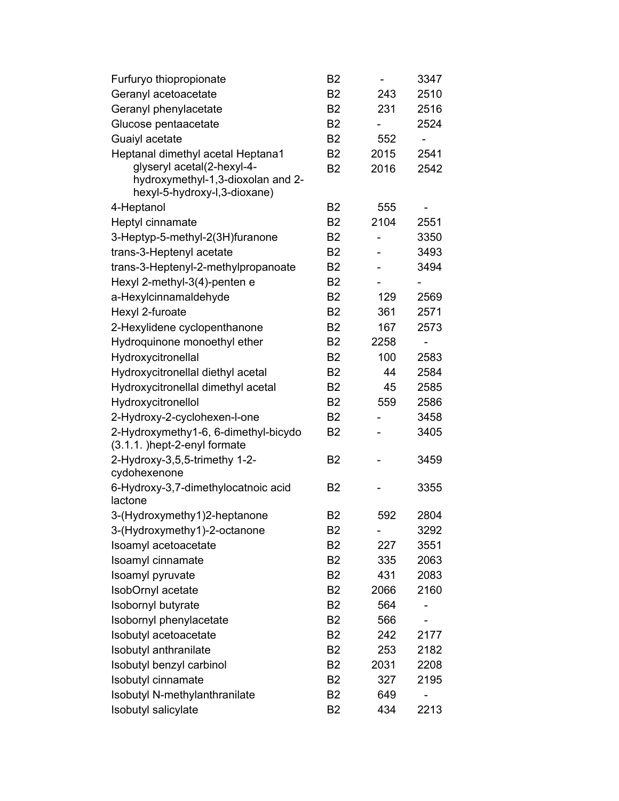| Furfuryo thiopropionate                                              | B <sub>2</sub> |      | 3347 |
|----------------------------------------------------------------------|----------------|------|------|
| Geranyl acetoacetate                                                 | <b>B2</b>      | 243  | 2510 |
| Geranyl phenylacetate                                                | B <sub>2</sub> | 231  | 2516 |
| Glucose pentaacetate                                                 | <b>B2</b>      |      | 2524 |
| Guaiyl acetate                                                       | B <sub>2</sub> | 552  |      |
| Heptanal dimethyl acetal Heptana1                                    | B <sub>2</sub> | 2015 | 2541 |
| glyseryl acetal(2-hexyl-4-                                           | B <sub>2</sub> | 2016 | 2542 |
| hydroxymethyl-1,3-dioxolan and 2-                                    |                |      |      |
| hexyl-5-hydroxy-l,3-dioxane)                                         |                |      |      |
| 4-Heptanol                                                           | B <sub>2</sub> | 555  |      |
| Heptyl cinnamate                                                     | <b>B2</b>      | 2104 | 2551 |
| 3-Heptyp-5-methyl-2(3H)furanone                                      | B <sub>2</sub> |      | 3350 |
| trans-3-Heptenyl acetate                                             | <b>B2</b>      |      | 3493 |
| trans-3-Heptenyl-2-methylpropanoate                                  | B <sub>2</sub> |      | 3494 |
| Hexyl 2-methyl-3(4)-penten e                                         | <b>B2</b>      |      |      |
| a-Hexylcinnamaldehyde                                                | B <sub>2</sub> | 129  | 2569 |
| Hexyl 2-furoate                                                      | <b>B2</b>      | 361  | 2571 |
| 2-Hexylidene cyclopenthanone                                         | B <sub>2</sub> | 167  | 2573 |
| Hydroquinone monoethyl ether                                         | <b>B2</b>      | 2258 |      |
| Hydroxycitronellal                                                   | B <sub>2</sub> | 100  | 2583 |
| Hydroxycitronellal diethyl acetal                                    | <b>B2</b>      | 44   | 2584 |
| Hydroxycitronellal dimethyl acetal                                   | B <sub>2</sub> | 45   | 2585 |
| Hydroxycitronellol                                                   | B <sub>2</sub> | 559  | 2586 |
| 2-Hydroxy-2-cyclohexen-l-one                                         | <b>B2</b>      |      | 3458 |
| 2-Hydroxymethy1-6, 6-dimethyl-bicydo<br>(3.1.1. )hept-2-enyl formate | B <sub>2</sub> |      | 3405 |
| 2-Hydroxy-3,5,5-trimethy 1-2-<br>cydohexenone                        | B <sub>2</sub> |      | 3459 |
| 6-Hydroxy-3,7-dimethylocatnoic acid<br>lactone                       | B <sub>2</sub> |      | 3355 |
| 3-(Hydroxymethy1)2-heptanone                                         | B <sub>2</sub> | 592  | 2804 |
| 3-(Hydroxymethy1)-2-octanone                                         | B2             |      | 3292 |
| Isoamyl acetoacetate                                                 | B <sub>2</sub> | 227  | 3551 |
| Isoamyl cinnamate                                                    | <b>B2</b>      | 335  | 2063 |
| Isoamyl pyruvate                                                     | <b>B2</b>      | 431  | 2083 |
| IsobOrnyl acetate                                                    | B <sub>2</sub> | 2066 | 2160 |
| Isobornyl butyrate                                                   | B <sub>2</sub> | 564  |      |
| Isobornyl phenylacetate                                              | B <sub>2</sub> | 566  |      |
| Isobutyl acetoacetate                                                | <b>B2</b>      | 242  | 2177 |
| Isobutyl anthranilate                                                | B <sub>2</sub> | 253  | 2182 |
| Isobutyl benzyl carbinol                                             | <b>B2</b>      | 2031 | 2208 |
| Isobutyl cinnamate                                                   | B <sub>2</sub> | 327  | 2195 |
| Isobutyl N-methylanthranilate                                        | B <sub>2</sub> | 649  |      |
| Isobutyl salicylate                                                  | B <sub>2</sub> | 434  | 2213 |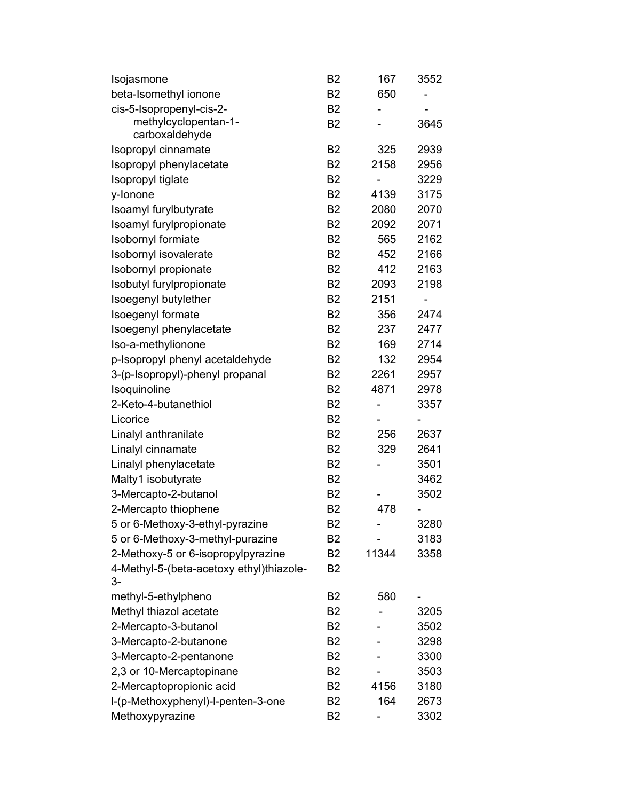| Isojasmone                               | B <sub>2</sub> | 167   | 3552                     |
|------------------------------------------|----------------|-------|--------------------------|
| beta-Isomethyl ionone                    | <b>B2</b>      | 650   |                          |
| cis-5-Isopropenyl-cis-2-                 | <b>B2</b>      |       |                          |
| methylcyclopentan-1-                     | <b>B2</b>      |       | 3645                     |
| carboxaldehyde                           |                |       |                          |
| Isopropyl cinnamate                      | B <sub>2</sub> | 325   | 2939                     |
| Isopropyl phenylacetate                  | <b>B2</b>      | 2158  | 2956                     |
| Isopropyl tiglate                        | <b>B2</b>      |       | 3229                     |
| y-lonone                                 | B <sub>2</sub> | 4139  | 3175                     |
| Isoamyl furylbutyrate                    | B <sub>2</sub> | 2080  | 2070                     |
| Isoamyl furylpropionate                  | <b>B2</b>      | 2092  | 2071                     |
| Isobornyl formiate                       | <b>B2</b>      | 565   | 2162                     |
| Isobornyl isovalerate                    | B <sub>2</sub> | 452   | 2166                     |
| Isobornyl propionate                     | <b>B2</b>      | 412   | 2163                     |
| Isobutyl furylpropionate                 | <b>B2</b>      | 2093  | 2198                     |
| Isoegenyl butylether                     | <b>B2</b>      | 2151  | $\overline{\phantom{0}}$ |
| Isoegenyl formate                        | B <sub>2</sub> | 356   | 2474                     |
| Isoegenyl phenylacetate                  | <b>B2</b>      | 237   | 2477                     |
| Iso-a-methylionone                       | B <sub>2</sub> | 169   | 2714                     |
| p-Isopropyl phenyl acetaldehyde          | <b>B2</b>      | 132   | 2954                     |
| 3-(p-Isopropyl)-phenyl propanal          | B <sub>2</sub> | 2261  | 2957                     |
| Isoquinoline                             | <b>B2</b>      | 4871  | 2978                     |
| 2-Keto-4-butanethiol                     | <b>B2</b>      |       | 3357                     |
| Licorice                                 | <b>B2</b>      |       |                          |
| Linalyl anthranilate                     | <b>B2</b>      | 256   | 2637                     |
| Linalyl cinnamate                        | B <sub>2</sub> | 329   | 2641                     |
| Linalyl phenylacetate                    | <b>B2</b>      |       | 3501                     |
| Malty1 isobutyrate                       | B <sub>2</sub> |       | 3462                     |
| 3-Mercapto-2-butanol                     | <b>B2</b>      |       | 3502                     |
| 2-Mercapto thiophene                     | B <sub>2</sub> | 478   |                          |
| 5 or 6-Methoxy-3-ethyl-pyrazine          | B <sub>2</sub> |       | 3280                     |
| 5 or 6-Methoxy-3-methyl-purazine         | B <sub>2</sub> |       | 3183                     |
| 2-Methoxy-5 or 6-isopropylpyrazine       | B <sub>2</sub> | 11344 | 3358                     |
| 4-Methyl-5-(beta-acetoxy ethyl)thiazole- | B <sub>2</sub> |       |                          |
| 3-                                       |                |       |                          |
| methyl-5-ethylpheno                      | B <sub>2</sub> | 580   |                          |
| Methyl thiazol acetate                   | B <sub>2</sub> |       | 3205                     |
| 2-Mercapto-3-butanol                     | <b>B2</b>      |       | 3502                     |
| 3-Mercapto-2-butanone                    | B <sub>2</sub> |       | 3298                     |
| 3-Mercapto-2-pentanone                   | B <sub>2</sub> |       | 3300                     |
| 2,3 or 10-Mercaptopinane                 | B <sub>2</sub> |       | 3503                     |
| 2-Mercaptopropionic acid                 | B <sub>2</sub> | 4156  | 3180                     |
| I-(p-Methoxyphenyl)-I-penten-3-one       | B <sub>2</sub> | 164   | 2673                     |
| Methoxypyrazine                          | B <sub>2</sub> |       | 3302                     |
|                                          |                |       |                          |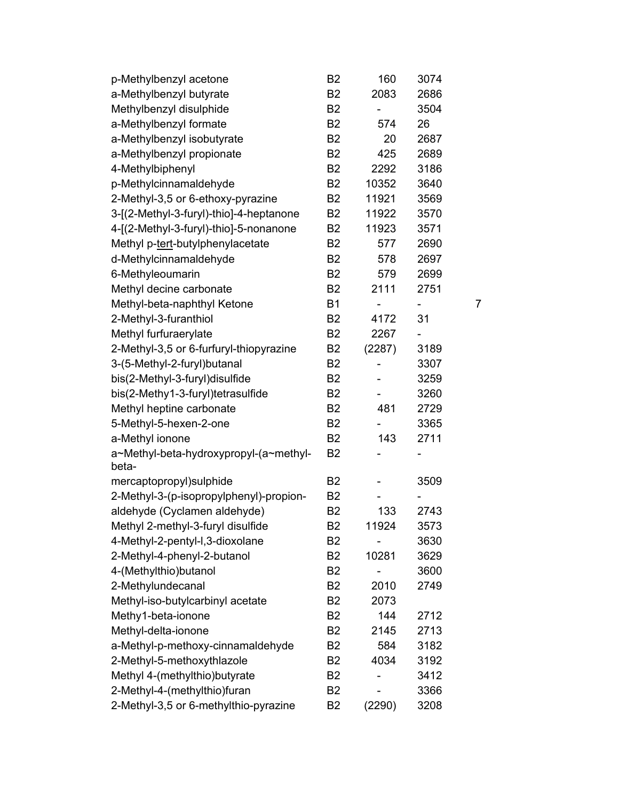| p-Methylbenzyl acetone                          | B <sub>2</sub> | 160    | 3074 |                |
|-------------------------------------------------|----------------|--------|------|----------------|
| a-Methylbenzyl butyrate                         | <b>B2</b>      | 2083   | 2686 |                |
| Methylbenzyl disulphide                         | B <sub>2</sub> |        | 3504 |                |
| a-Methylbenzyl formate                          | <b>B2</b>      | 574    | 26   |                |
| a-Methylbenzyl isobutyrate                      | B <sub>2</sub> | 20     | 2687 |                |
| a-Methylbenzyl propionate                       | B <sub>2</sub> | 425    | 2689 |                |
| 4-Methylbiphenyl                                | B <sub>2</sub> | 2292   | 3186 |                |
| p-Methylcinnamaldehyde                          | <b>B2</b>      | 10352  | 3640 |                |
| 2-Methyl-3,5 or 6-ethoxy-pyrazine               | <b>B2</b>      | 11921  | 3569 |                |
| 3-[(2-Methyl-3-furyl)-thio]-4-heptanone         | B2             | 11922  | 3570 |                |
| 4-[(2-Methyl-3-furyl)-thio]-5-nonanone          | B2             | 11923  | 3571 |                |
| Methyl p-tert-butylphenylacetate                | B <sub>2</sub> | 577    | 2690 |                |
| d-Methylcinnamaldehyde                          | <b>B2</b>      | 578    | 2697 |                |
| 6-Methyleoumarin                                | <b>B2</b>      | 579    | 2699 |                |
| Methyl decine carbonate                         | <b>B2</b>      | 2111   | 2751 |                |
| Methyl-beta-naphthyl Ketone                     | <b>B1</b>      |        | ۳    | $\overline{7}$ |
| 2-Methyl-3-furanthiol                           | <b>B2</b>      | 4172   | 31   |                |
| Methyl furfuraerylate                           | B <sub>2</sub> | 2267   |      |                |
| 2-Methyl-3,5 or 6-furfuryl-thiopyrazine         | B <sub>2</sub> | (2287) | 3189 |                |
| 3-(5-Methyl-2-furyl)butanal                     | <b>B2</b>      | -      | 3307 |                |
| bis(2-Methyl-3-furyl)disulfide                  | B <sub>2</sub> |        | 3259 |                |
| bis(2-Methy1-3-furyl)tetrasulfide               | B <sub>2</sub> |        | 3260 |                |
| Methyl heptine carbonate                        | B <sub>2</sub> | 481    | 2729 |                |
| 5-Methyl-5-hexen-2-one                          | <b>B2</b>      |        | 3365 |                |
| a-Methyl ionone                                 | <b>B2</b>      | 143    | 2711 |                |
| a~Methyl-beta-hydroxypropyl-(a~methyl-<br>beta- | B <sub>2</sub> |        |      |                |
| mercaptopropyl)sulphide                         | <b>B2</b>      |        | 3509 |                |
| 2-Methyl-3-(p-isopropylphenyl)-propion-         | B <sub>2</sub> |        |      |                |
| aldehyde (Cyclamen aldehyde)                    | B <sub>2</sub> | 133    | 2743 |                |
| Methyl 2-methyl-3-furyl disulfide               | <b>B2</b>      | 11924  | 3573 |                |
| 4-Methyl-2-pentyl-l,3-dioxolane                 | B <sub>2</sub> |        | 3630 |                |
| 2-Methyl-4-phenyl-2-butanol                     | B <sub>2</sub> | 10281  | 3629 |                |
| 4-(Methylthio)butanol                           | B <sub>2</sub> |        | 3600 |                |
| 2-Methylundecanal                               | B <sub>2</sub> | 2010   | 2749 |                |
| Methyl-iso-butylcarbinyl acetate                | B <sub>2</sub> | 2073   |      |                |
| Methy1-beta-ionone                              | <b>B2</b>      | 144    | 2712 |                |
| Methyl-delta-ionone                             | B <sub>2</sub> | 2145   | 2713 |                |
| a-Methyl-p-methoxy-cinnamaldehyde               | B <sub>2</sub> | 584    | 3182 |                |
| 2-Methyl-5-methoxythlazole                      | B <sub>2</sub> | 4034   | 3192 |                |
| Methyl 4-(methylthio)butyrate                   | B <sub>2</sub> |        | 3412 |                |
| 2-Methyl-4-(methylthio)furan                    | B <sub>2</sub> |        | 3366 |                |
| 2-Methyl-3,5 or 6-methylthio-pyrazine           | B2             | (2290) | 3208 |                |
|                                                 |                |        |      |                |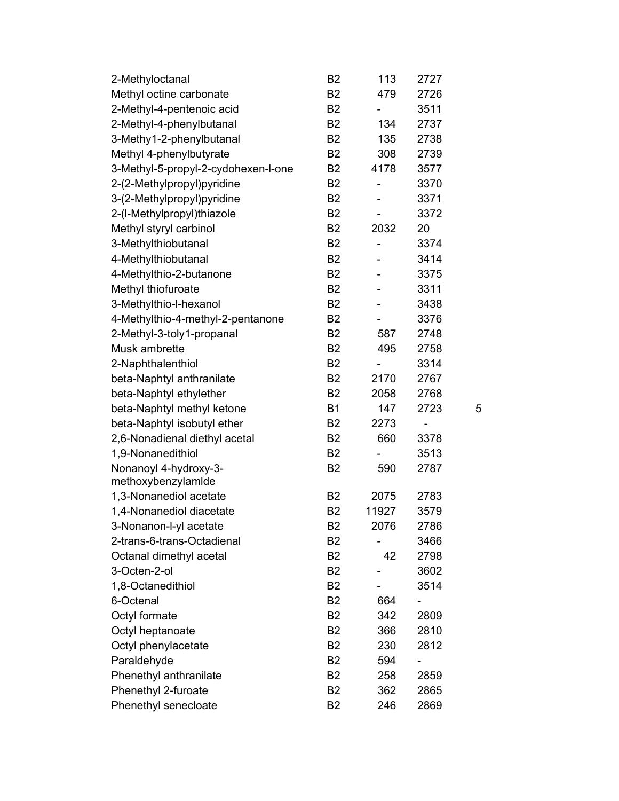| 2-Methyloctanal                     | B <sub>2</sub> | 113                          | 2727                     |   |
|-------------------------------------|----------------|------------------------------|--------------------------|---|
| Methyl octine carbonate             | <b>B2</b>      | 479                          | 2726                     |   |
| 2-Methyl-4-pentenoic acid           | B <sub>2</sub> |                              | 3511                     |   |
| 2-Methyl-4-phenylbutanal            | <b>B2</b>      | 134                          | 2737                     |   |
| 3-Methy1-2-phenylbutanal            | B <sub>2</sub> | 135                          | 2738                     |   |
| Methyl 4-phenylbutyrate             | <b>B2</b>      | 308                          | 2739                     |   |
| 3-Methyl-5-propyl-2-cydohexen-l-one | <b>B2</b>      | 4178                         | 3577                     |   |
| 2-(2-Methylpropyl)pyridine          | B <sub>2</sub> |                              | 3370                     |   |
| 3-(2-Methylpropyl)pyridine          | <b>B2</b>      |                              | 3371                     |   |
| 2-(I-Methylpropyl)thiazole          | <b>B2</b>      |                              | 3372                     |   |
| Methyl styryl carbinol              | B <sub>2</sub> | 2032                         | 20                       |   |
| 3-Methylthiobutanal                 | B <sub>2</sub> | $\qquad \qquad \blacksquare$ | 3374                     |   |
| 4-Methylthiobutanal                 | <b>B2</b>      |                              | 3414                     |   |
| 4-Methylthio-2-butanone             | <b>B2</b>      |                              | 3375                     |   |
| Methyl thiofuroate                  | <b>B2</b>      |                              | 3311                     |   |
| 3-Methylthio-l-hexanol              | B <sub>2</sub> |                              | 3438                     |   |
| 4-Methylthio-4-methyl-2-pentanone   | <b>B2</b>      |                              | 3376                     |   |
| 2-Methyl-3-toly1-propanal           | B <sub>2</sub> | 587                          | 2748                     |   |
| Musk ambrette                       | <b>B2</b>      | 495                          | 2758                     |   |
| 2-Naphthalenthiol                   | <b>B2</b>      |                              | 3314                     |   |
| beta-Naphtyl anthranilate           | <b>B2</b>      | 2170                         | 2767                     |   |
| beta-Naphtyl ethylether             | B <sub>2</sub> | 2058                         | 2768                     |   |
| beta-Naphtyl methyl ketone          | <b>B1</b>      | 147                          | 2723                     | 5 |
| beta-Naphtyl isobutyl ether         | <b>B2</b>      | 2273                         | $\overline{\phantom{0}}$ |   |
| 2,6-Nonadienal diethyl acetal       | B <sub>2</sub> | 660                          | 3378                     |   |
| 1,9-Nonanedithiol                   | B <sub>2</sub> |                              | 3513                     |   |
| Nonanoyl 4-hydroxy-3-               | <b>B2</b>      | 590                          | 2787                     |   |
| methoxybenzylamide                  |                |                              |                          |   |
| 1,3-Nonanediol acetate              | B <sub>2</sub> | 2075                         | 2783                     |   |
| 1,4-Nonanediol diacetate            | B <sub>2</sub> | 11927                        | 3579                     |   |
| 3-Nonanon-l-yl acetate              | <b>B2</b>      | 2076                         | 2786                     |   |
| 2-trans-6-trans-Octadienal          | B <sub>2</sub> |                              | 3466                     |   |
| Octanal dimethyl acetal             | B <sub>2</sub> | 42                           | 2798                     |   |
| 3-Octen-2-ol                        | <b>B2</b>      |                              | 3602                     |   |
| 1,8-Octanedithiol                   | <b>B2</b>      |                              | 3514                     |   |
| 6-Octenal                           | B <sub>2</sub> | 664                          |                          |   |
| Octyl formate                       | B <sub>2</sub> | 342                          | 2809                     |   |
| Octyl heptanoate                    | B <sub>2</sub> | 366                          | 2810                     |   |
| Octyl phenylacetate                 | <b>B2</b>      | 230                          | 2812                     |   |
| Paraldehyde                         | B <sub>2</sub> | 594                          |                          |   |
| Phenethyl anthranilate              | B <sub>2</sub> | 258                          | 2859                     |   |
| Phenethyl 2-furoate                 | B <sub>2</sub> | 362                          | 2865                     |   |
| Phenethyl senecloate                | <b>B2</b>      | 246                          | 2869                     |   |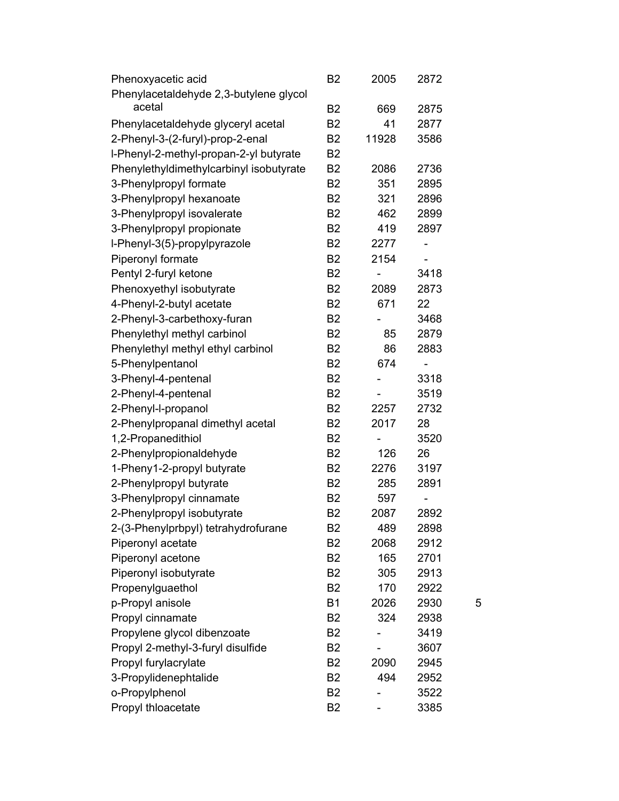| Phenoxyacetic acid                               | B <sub>2</sub> | 2005  | 2872 |   |
|--------------------------------------------------|----------------|-------|------|---|
| Phenylacetaldehyde 2,3-butylene glycol<br>acetal |                |       |      |   |
|                                                  | B <sub>2</sub> | 669   | 2875 |   |
| Phenylacetaldehyde glyceryl acetal               | <b>B2</b>      | 41    | 2877 |   |
| 2-Phenyl-3-(2-furyl)-prop-2-enal                 | B <sub>2</sub> | 11928 | 3586 |   |
| I-Phenyl-2-methyl-propan-2-yl butyrate           | <b>B2</b>      |       |      |   |
| Phenylethyldimethylcarbinyl isobutyrate          | B <sub>2</sub> | 2086  | 2736 |   |
| 3-Phenylpropyl formate                           | <b>B2</b>      | 351   | 2895 |   |
| 3-Phenylpropyl hexanoate                         | <b>B2</b>      | 321   | 2896 |   |
| 3-Phenylpropyl isovalerate                       | B <sub>2</sub> | 462   | 2899 |   |
| 3-Phenylpropyl propionate                        | B <sub>2</sub> | 419   | 2897 |   |
| I-Phenyl-3(5)-propylpyrazole                     | <b>B2</b>      | 2277  |      |   |
| Piperonyl formate                                | <b>B2</b>      | 2154  |      |   |
| Pentyl 2-furyl ketone                            | B <sub>2</sub> |       | 3418 |   |
| Phenoxyethyl isobutyrate                         | <b>B2</b>      | 2089  | 2873 |   |
| 4-Phenyl-2-butyl acetate                         | B <sub>2</sub> | 671   | 22   |   |
| 2-Phenyl-3-carbethoxy-furan                      | <b>B2</b>      |       | 3468 |   |
| Phenylethyl methyl carbinol                      | B <sub>2</sub> | 85    | 2879 |   |
| Phenylethyl methyl ethyl carbinol                | <b>B2</b>      | 86    | 2883 |   |
| 5-Phenylpentanol                                 | <b>B2</b>      | 674   |      |   |
| 3-Phenyl-4-pentenal                              | <b>B2</b>      |       | 3318 |   |
| 2-Phenyl-4-pentenal                              | <b>B2</b>      |       | 3519 |   |
| 2-Phenyl-l-propanol                              | <b>B2</b>      | 2257  | 2732 |   |
| 2-Phenylpropanal dimethyl acetal                 | B <sub>2</sub> | 2017  | 28   |   |
| 1,2-Propanedithiol                               | <b>B2</b>      |       | 3520 |   |
| 2-Phenylpropionaldehyde                          | B <sub>2</sub> | 126   | 26   |   |
| 1-Pheny1-2-propyl butyrate                       | B <sub>2</sub> | 2276  | 3197 |   |
| 2-Phenylpropyl butyrate                          | <b>B2</b>      | 285   | 2891 |   |
| 3-Phenylpropyl cinnamate                         | B <sub>2</sub> | 597   |      |   |
| 2-Phenylpropyl isobutyrate                       | B <sub>2</sub> | 2087  | 2892 |   |
| 2-(3-Phenylprbpyl) tetrahydrofurane              | B2             | 489   | 2898 |   |
| Piperonyl acetate                                | <b>B2</b>      | 2068  | 2912 |   |
| Piperonyl acetone                                | B <sub>2</sub> | 165   | 2701 |   |
| Piperonyl isobutyrate                            | <b>B2</b>      | 305   | 2913 |   |
| Propenylguaethol                                 | <b>B2</b>      | 170   | 2922 |   |
| p-Propyl anisole                                 | <b>B1</b>      | 2026  | 2930 | 5 |
| Propyl cinnamate                                 | B <sub>2</sub> | 324   | 2938 |   |
| Propylene glycol dibenzoate                      | B <sub>2</sub> |       | 3419 |   |
| Propyl 2-methyl-3-furyl disulfide                | B <sub>2</sub> |       | 3607 |   |
| Propyl furylacrylate                             | B <sub>2</sub> | 2090  | 2945 |   |
| 3-Propylidenephtalide                            | B <sub>2</sub> | 494   | 2952 |   |
|                                                  |                |       |      |   |
| o-Propylphenol                                   | B <sub>2</sub> |       | 3522 |   |
| Propyl thloacetate                               | B <sub>2</sub> |       | 3385 |   |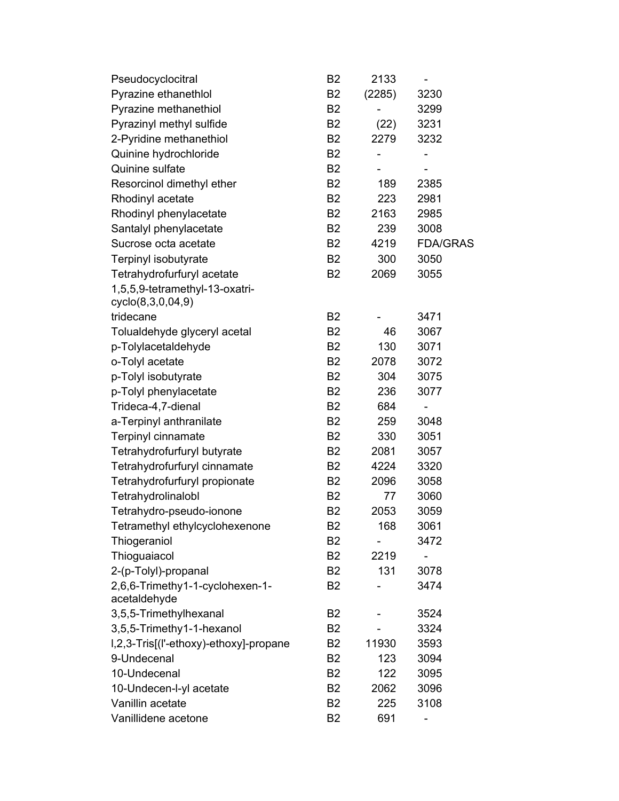| Pseudocyclocitral        |                                        | B <sub>2</sub> | 2133   |                 |  |
|--------------------------|----------------------------------------|----------------|--------|-----------------|--|
| Pyrazine ethanethlol     |                                        | B <sub>2</sub> | (2285) | 3230            |  |
| Pyrazine methanethiol    |                                        | B <sub>2</sub> |        | 3299            |  |
| Pyrazinyl methyl sulfide |                                        | B <sub>2</sub> | (22)   | 3231            |  |
| 2-Pyridine methanethiol  |                                        | B <sub>2</sub> | 2279   | 3232            |  |
| Quinine hydrochloride    |                                        | B <sub>2</sub> |        |                 |  |
| Quinine sulfate          |                                        | B <sub>2</sub> |        |                 |  |
|                          | Resorcinol dimethyl ether              | B <sub>2</sub> | 189    | 2385            |  |
| Rhodinyl acetate         |                                        | B <sub>2</sub> | 223    | 2981            |  |
| Rhodinyl phenylacetate   |                                        | <b>B2</b>      | 2163   | 2985            |  |
| Santalyl phenylacetate   |                                        | B <sub>2</sub> | 239    | 3008            |  |
| Sucrose octa acetate     |                                        | B <sub>2</sub> | 4219   | <b>FDA/GRAS</b> |  |
| Terpinyl isobutyrate     |                                        | B <sub>2</sub> | 300    | 3050            |  |
|                          | Tetrahydrofurfuryl acetate             | <b>B2</b>      | 2069   | 3055            |  |
| cyclo(8,3,0,04,9)        | 1,5,5,9-tetramethyl-13-oxatri-         |                |        |                 |  |
| tridecane                |                                        | B <sub>2</sub> |        | 3471            |  |
|                          | Tolualdehyde glyceryl acetal           | B <sub>2</sub> | 46     | 3067            |  |
| p-Tolylacetaldehyde      |                                        | <b>B2</b>      | 130    | 3071            |  |
| o-Tolyl acetate          |                                        | B <sub>2</sub> | 2078   | 3072            |  |
| p-Tolyl isobutyrate      |                                        | B <sub>2</sub> | 304    | 3075            |  |
| p-Tolyl phenylacetate    |                                        | B <sub>2</sub> | 236    | 3077            |  |
| Trideca-4,7-dienal       |                                        | B <sub>2</sub> | 684    |                 |  |
| a-Terpinyl anthranilate  |                                        | B <sub>2</sub> | 259    | 3048            |  |
| Terpinyl cinnamate       |                                        | B <sub>2</sub> | 330    | 3051            |  |
|                          | Tetrahydrofurfuryl butyrate            | <b>B2</b>      | 2081   | 3057            |  |
|                          | Tetrahydrofurfuryl cinnamate           | B <sub>2</sub> | 4224   | 3320            |  |
|                          | Tetrahydrofurfuryl propionate          | <b>B2</b>      | 2096   | 3058            |  |
| Tetrahydrolinalobl       |                                        | B <sub>2</sub> | 77     | 3060            |  |
|                          | Tetrahydro-pseudo-ionone               | <b>B2</b>      | 2053   | 3059            |  |
|                          | Tetramethyl ethylcyclohexenone         | <b>B2</b>      | 168    | 3061            |  |
| Thiogeraniol             |                                        | B <sub>2</sub> |        | 3472            |  |
| Thioguaiacol             |                                        | <b>B2</b>      | 2219   |                 |  |
| 2-(p-Tolyl)-propanal     |                                        | <b>B2</b>      | 131    | 3078            |  |
|                          | 2,6,6-Trimethy1-1-cyclohexen-1-        | <b>B2</b>      |        | 3474            |  |
| acetaldehyde             |                                        |                |        |                 |  |
| 3,5,5-Trimethylhexanal   |                                        | B <sub>2</sub> |        | 3524            |  |
|                          | 3,5,5-Trimethy1-1-hexanol              | B <sub>2</sub> |        | 3324            |  |
|                          | I,2,3-Tris[(I'-ethoxy)-ethoxy]-propane | B <sub>2</sub> | 11930  | 3593            |  |
| 9-Undecenal              |                                        | <b>B2</b>      | 123    | 3094            |  |
| 10-Undecenal             |                                        | B <sub>2</sub> | 122    | 3095            |  |
| 10-Undecen-l-yl acetate  |                                        | B <sub>2</sub> | 2062   | 3096            |  |
| Vanillin acetate         |                                        | B <sub>2</sub> | 225    | 3108            |  |
| Vanillidene acetone      |                                        | <b>B2</b>      | 691    |                 |  |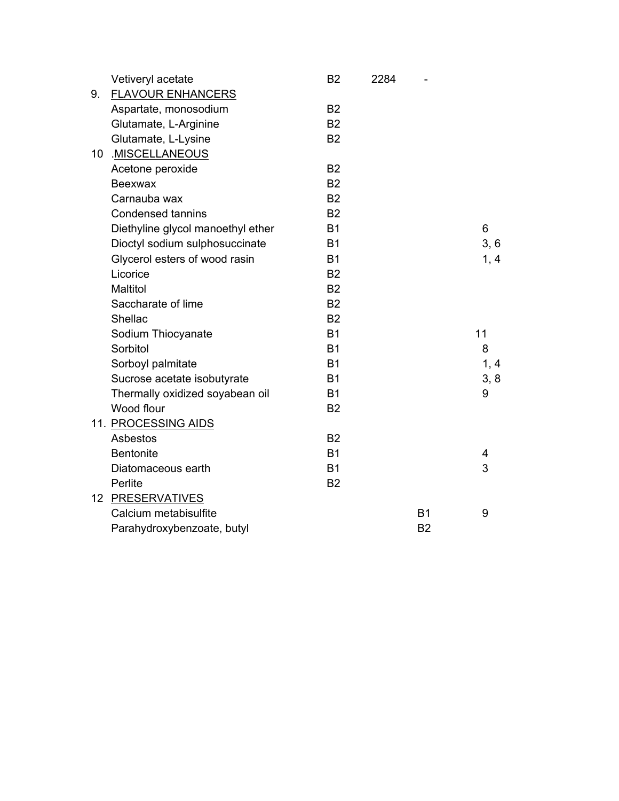|    | Vetiveryl acetate                 | <b>B2</b> | 2284 |           |      |
|----|-----------------------------------|-----------|------|-----------|------|
| 9. | <b>FLAVOUR ENHANCERS</b>          |           |      |           |      |
|    | Aspartate, monosodium             | <b>B2</b> |      |           |      |
|    | Glutamate, L-Arginine             | <b>B2</b> |      |           |      |
|    | Glutamate, L-Lysine               | <b>B2</b> |      |           |      |
| 10 | .MISCELLANEOUS                    |           |      |           |      |
|    | Acetone peroxide                  | <b>B2</b> |      |           |      |
|    | Beexwax                           | <b>B2</b> |      |           |      |
|    | Carnauba wax                      | <b>B2</b> |      |           |      |
|    | <b>Condensed tannins</b>          | <b>B2</b> |      |           |      |
|    | Diethyline glycol manoethyl ether | <b>B1</b> |      |           | 6    |
|    | Dioctyl sodium sulphosuccinate    | <b>B1</b> |      |           | 3, 6 |
|    | Glycerol esters of wood rasin     | <b>B1</b> |      |           | 1, 4 |
|    | Licorice                          | <b>B2</b> |      |           |      |
|    | Maltitol                          | <b>B2</b> |      |           |      |
|    | Saccharate of lime                | <b>B2</b> |      |           |      |
|    | Shellac                           | <b>B2</b> |      |           |      |
|    | Sodium Thiocyanate                | <b>B1</b> |      |           | 11   |
|    | Sorbitol                          | <b>B1</b> |      |           | 8    |
|    | Sorboyl palmitate                 | <b>B1</b> |      |           | 1, 4 |
|    | Sucrose acetate isobutyrate       | <b>B1</b> |      |           | 3, 8 |
|    | Thermally oxidized soyabean oil   | <b>B1</b> |      |           | 9    |
|    | Wood flour                        | <b>B2</b> |      |           |      |
|    | 11. PROCESSING AIDS               |           |      |           |      |
|    | Asbestos                          | <b>B2</b> |      |           |      |
|    | <b>Bentonite</b>                  | <b>B1</b> |      |           | 4    |
|    | Diatomaceous earth                | <b>B1</b> |      |           | 3    |
|    | Perlite                           | <b>B2</b> |      |           |      |
|    | 12 PRESERVATIVES                  |           |      |           |      |
|    | Calcium metabisulfite             |           |      | <b>B1</b> | 9    |
|    | Parahydroxybenzoate, butyl        |           |      | <b>B2</b> |      |
|    |                                   |           |      |           |      |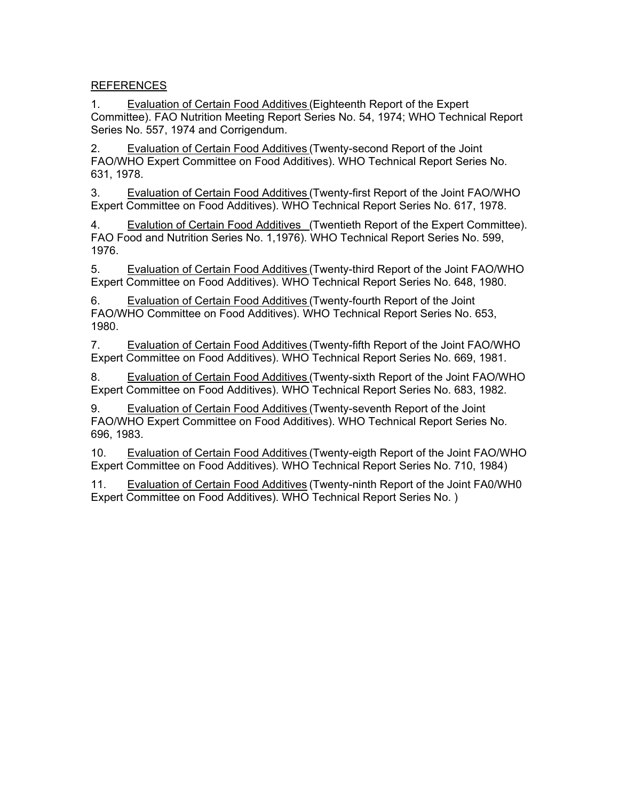REFERENCES

1. Evaluation of Certain Food Additives (Eighteenth Report of the Expert Committee). FAO Nutrition Meeting Report Series No. 54, 1974; WHO Technical Report Series No. 557, 1974 and Corrigendum.

2. Evaluation of Certain Food Additives (Twenty-second Report of the Joint FAO/WHO Expert Committee on Food Additives). WHO Technical Report Series No. 631, 1978.

3. Evaluation of Certain Food Additives (Twenty-first Report of the Joint FAO/WHO Expert Committee on Food Additives). WHO Technical Report Series No. 617, 1978.

4. Evalution of Certain Food Additives (Twentieth Report of the Expert Committee). FAO Food and Nutrition Series No. 1,1976). WHO Technical Report Series No. 599, 1976.

5. Evaluation of Certain Food Additives (Twenty-third Report of the Joint FAO/WHO Expert Committee on Food Additives). WHO Technical Report Series No. 648, 1980.

6. Evaluation of Certain Food Additives (Twenty-fourth Report of the Joint FAO/WHO Committee on Food Additives). WHO Technical Report Series No. 653, 1980.

7. Evaluation of Certain Food Additives (Twenty-fifth Report of the Joint FAO/WHO Expert Committee on Food Additives). WHO Technical Report Series No. 669, 1981.

8. Evaluation of Certain Food Additives (Twenty-sixth Report of the Joint FAO/WHO Expert Committee on Food Additives). WHO Technical Report Series No. 683, 1982.

9. Evaluation of Certain Food Additives (Twenty-seventh Report of the Joint FAO/WHO Expert Committee on Food Additives). WHO Technical Report Series No. 696, 1983.

10. Evaluation of Certain Food Additives (Twenty-eigth Report of the Joint FAO/WHO Expert Committee on Food Additives). WHO Technical Report Series No. 710, 1984)

11. Evaluation of Certain Food Additives (Twenty-ninth Report of the Joint FA0/WH0 Expert Committee on Food Additives). WHO Technical Report Series No. )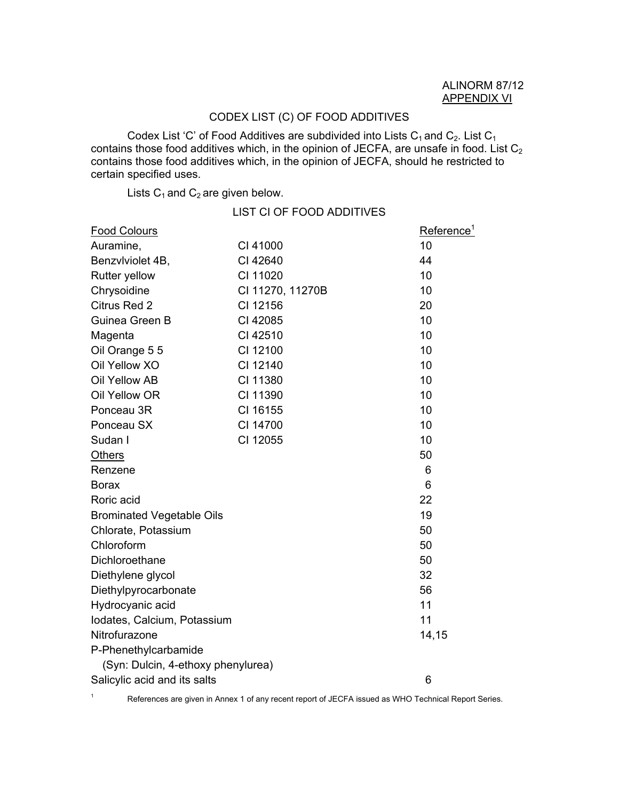## CODEX LIST (C) OF FOOD ADDITIVES

Codex List 'C' of Food Additives are subdivided into Lists  $C_1$  and  $C_2$ . List  $C_1$ contains those food additives which, in the opinion of JECFA, are unsafe in food. List  $\mathrm{C}_2$ contains those food additives which, in the opinion of JECFA, should he restricted to certain specified uses.

Lists  $C_1$  and  $C_2$  are given below.

1

|                                    | <b>LIST CI OF FOOD ADDITIVES</b> |                        |
|------------------------------------|----------------------------------|------------------------|
| <b>Food Colours</b>                |                                  | Reference <sup>1</sup> |
| Auramine,                          | CI 41000                         | 10                     |
| Benzvlviolet 4B,                   | CI 42640                         | 44                     |
| Rutter yellow                      | CI 11020                         | 10                     |
| Chrysoidine                        | CI 11270, 11270B                 | 10                     |
| Citrus Red 2                       | CI 12156                         | 20                     |
| Guinea Green B                     | CI 42085                         | 10                     |
| Magenta                            | CI 42510                         | 10                     |
| Oil Orange 5 5                     | CI 12100                         | 10                     |
| Oil Yellow XO                      | CI 12140                         | 10                     |
| Oil Yellow AB                      | CI 11380                         | 10                     |
| Oil Yellow OR                      | CI 11390                         | 10                     |
| Ponceau 3R                         | CI 16155                         | 10                     |
| Ponceau SX                         | CI 14700                         | 10                     |
| Sudan I                            | CI 12055                         | 10                     |
| <b>Others</b>                      |                                  | 50                     |
| Renzene                            |                                  | 6                      |
| <b>Borax</b>                       |                                  | 6                      |
| Roric acid                         |                                  | 22                     |
| <b>Brominated Vegetable Oils</b>   |                                  | 19                     |
| Chlorate, Potassium                |                                  | 50                     |
| Chloroform                         |                                  | 50                     |
| Dichloroethane                     |                                  | 50                     |
| Diethylene glycol                  |                                  | 32                     |
| Diethylpyrocarbonate               |                                  | 56                     |
| Hydrocyanic acid                   |                                  | 11                     |
| Iodates, Calcium, Potassium        |                                  | 11                     |
| Nitrofurazone                      |                                  | 14,15                  |
| P-Phenethylcarbamide               |                                  |                        |
| (Syn: Dulcin, 4-ethoxy phenylurea) |                                  |                        |
| Salicylic acid and its salts       |                                  | 6                      |

References are given in Annex 1 of any recent report of JECFA issued as WHO Technical Report Series.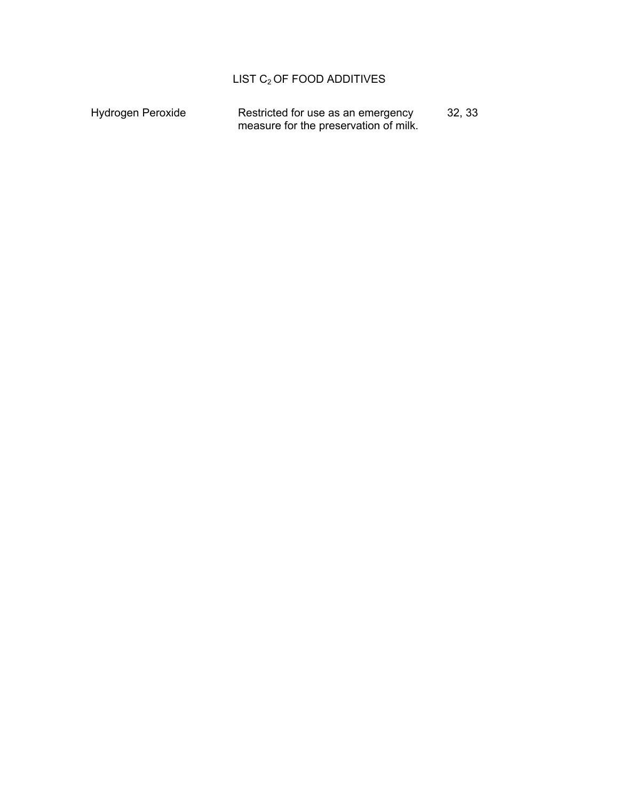# LIST  $C_2$  OF FOOD ADDITIVES

| Hydrogen Peroxide | Restricted for use as an emergency    | 32, 33 |
|-------------------|---------------------------------------|--------|
|                   | measure for the preservation of milk. |        |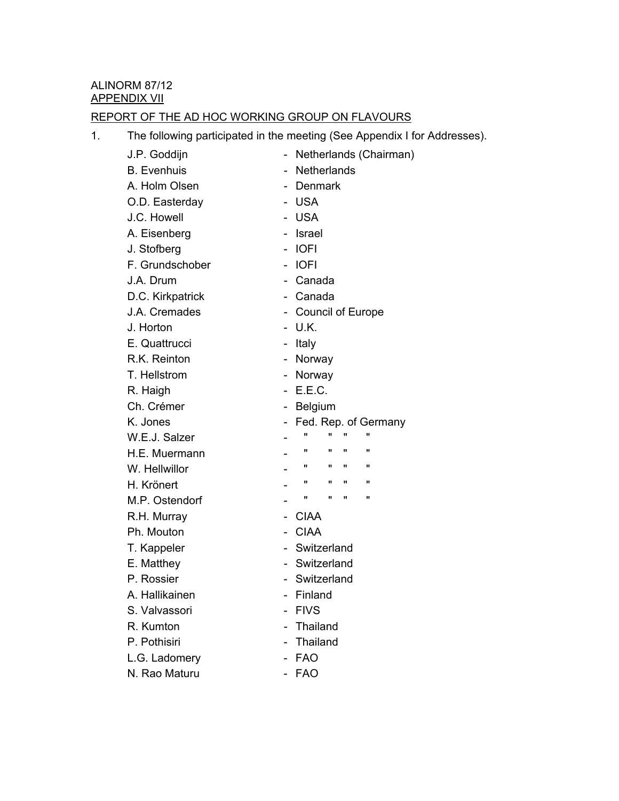## REPORT OF THE AD HOC WORKING GROUP ON FLAVOURS

1. The following participated in the meeting (See Appendix I for Addresses).

| J.P. Goddijn       |                              |                          |   |    | Netherlands (Chairman) |
|--------------------|------------------------------|--------------------------|---|----|------------------------|
| <b>B.</b> Evenhuis | $\overline{\phantom{a}}$     | <b>Netherlands</b>       |   |    |                        |
| A. Holm Olsen      |                              | <b>Denmark</b>           |   |    |                        |
| O.D. Easterday     |                              | <b>USA</b>               |   |    |                        |
| J.C. Howell        | $\overline{\phantom{0}}$     | <b>USA</b>               |   |    |                        |
| A. Eisenberg       |                              | Israel                   |   |    |                        |
| J. Stofberg        | $\qquad \qquad \blacksquare$ | <b>IOFI</b>              |   |    |                        |
| F. Grundschober    |                              | <b>IOFI</b>              |   |    |                        |
| J.A. Drum          |                              | Canada                   |   |    |                        |
| D.C. Kirkpatrick   | $\qquad \qquad \blacksquare$ | Canada                   |   |    |                        |
| J.A. Cremades      |                              | <b>Council of Europe</b> |   |    |                        |
| J. Horton          |                              | U.K.                     |   |    |                        |
| E. Quattrucci      |                              | Italy                    |   |    |                        |
| R.K. Reinton       | $\sim$                       | Norway                   |   |    |                        |
| T. Hellstrom       | -                            | Norway                   |   |    |                        |
| R. Haigh           |                              | E.E.C.                   |   |    |                        |
| Ch. Crémer         | ۰                            | Belgium                  |   |    |                        |
| K. Jones           |                              |                          |   |    | Fed. Rep. of Germany   |
| W.E.J. Salzer      |                              | $\mathbf{u}$             |   |    | $\mathbf{u}$           |
| H.E. Muermann      |                              | "                        |   | 11 | π                      |
| W. Hellwillor      |                              | "                        | " | "  | "                      |
| H. Krönert         |                              | "                        |   | π  | π                      |
| M.P. Ostendorf     |                              | π                        | π | π  | π                      |
| R.H. Murray        |                              | <b>CIAA</b>              |   |    |                        |
| Ph. Mouton         |                              | <b>CIAA</b>              |   |    |                        |
| T. Kappeler        |                              | Switzerland              |   |    |                        |
| E. Matthey         |                              | Switzerland              |   |    |                        |
| P. Rossier         |                              | - Switzerland            |   |    |                        |
| A. Hallikainen     |                              | - Finland                |   |    |                        |
| S. Valvassori      |                              | <b>FIVS</b>              |   |    |                        |
| R. Kumton          |                              | Thailand                 |   |    |                        |
| P. Pothisiri       |                              | Thailand                 |   |    |                        |
| L.G. Ladomery      |                              | <b>FAO</b>               |   |    |                        |
| N. Rao Maturu      |                              | <b>FAO</b>               |   |    |                        |
|                    |                              |                          |   |    |                        |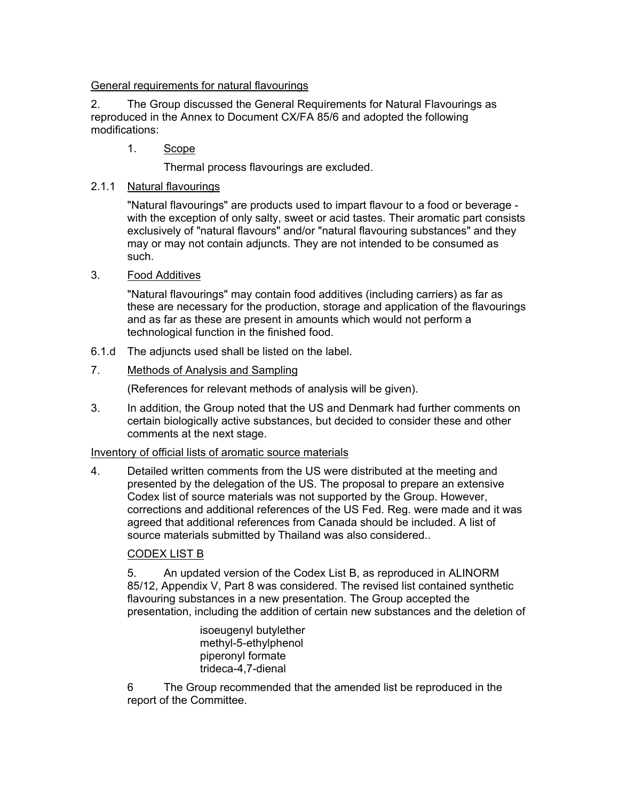General requirements for natural flavourings

2. The Group discussed the General Requirements for Natural Flavourings as reproduced in the Annex to Document CX/FA 85/6 and adopted the following modifications:

1. Scope

Thermal process flavourings are excluded.

## 2.1.1 Natural flavourings

"Natural flavourings" are products used to impart flavour to a food or beverage with the exception of only salty, sweet or acid tastes. Their aromatic part consists exclusively of "natural flavours" and/or "natural flavouring substances" and they may or may not contain adjuncts. They are not intended to be consumed as such.

## 3. Food Additives

"Natural flavourings" may contain food additives (including carriers) as far as these are necessary for the production, storage and application of the flavourings and as far as these are present in amounts which would not perform a technological function in the finished food.

- 6.1.d The adjuncts used shall be listed on the label.
- 7. Methods of Analysis and Sampling

(References for relevant methods of analysis will be given).

3. In addition, the Group noted that the US and Denmark had further comments on certain biologically active substances, but decided to consider these and other comments at the next stage.

## Inventory of official lists of aromatic source materials

4. Detailed written comments from the US were distributed at the meeting and presented by the delegation of the US. The proposal to prepare an extensive Codex list of source materials was not supported by the Group. However, corrections and additional references of the US Fed. Reg. were made and it was agreed that additional references from Canada should be included. A list of source materials submitted by Thailand was also considered..

## CODEX LIST B

5. An updated version of the Codex List B, as reproduced in ALINORM 85/12, Appendix V, Part 8 was considered. The revised list contained synthetic flavouring substances in a new presentation. The Group accepted the presentation, including the addition of certain new substances and the deletion of

> isoeugenyl butylether methyl-5-ethylphenol piperonyl formate trideca-4,7-dienal

6 The Group recommended that the amended list be reproduced in the report of the Committee.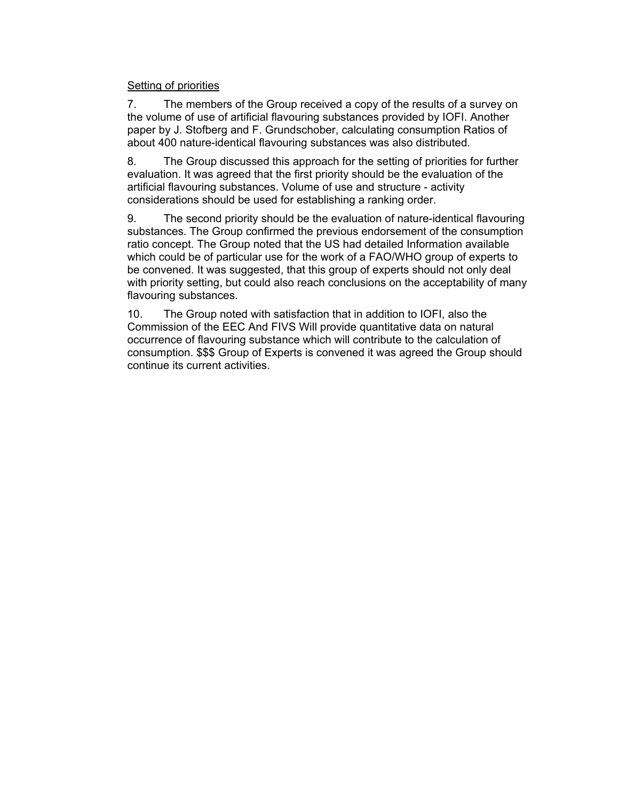#### Setting of priorities

7. The members of the Group received a copy of the results of a survey on the volume of use of artificial flavouring substances provided by IOFI. Another paper by J. Stofberg and F. Grundschober, calculating consumption Ratios of about 400 nature-identical flavouring substances was also distributed.

8. The Group discussed this approach for the setting of priorities for further evaluation. It was agreed that the first priority should be the evaluation of the artificial flavouring substances. Volume of use and structure - activity considerations should be used for establishing a ranking order.

9. The second priority should be the evaluation of nature-identical flavouring substances. The Group confirmed the previous endorsement of the consumption ratio concept. The Group noted that the US had detailed Information available which could be of particular use for the work of a FAO/WHO group of experts to be convened. It was suggested, that this group of experts should not only deal with priority setting, but could also reach conclusions on the acceptability of many flavouring substances.

10. The Group noted with satisfaction that in addition to IOFI, also the Commission of the EEC And FIVS Will provide quantitative data on natural occurrence of flavouring substance which will contribute to the calculation of consumption. \$\$\$ Group of Experts is convened it was agreed the Group should continue its current activities.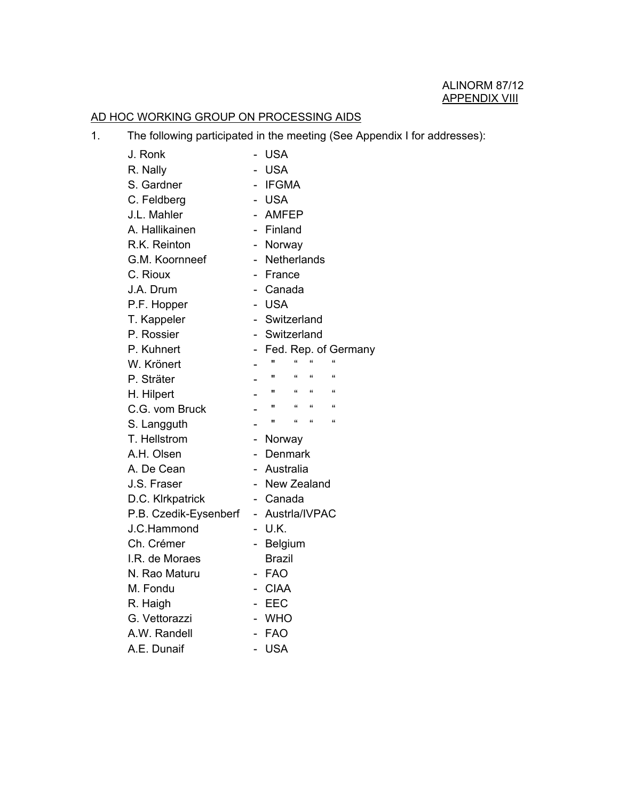## AD HOC WORKING GROUP ON PROCESSING AIDS

|  |  | The following participated in the meeting (See Appendix I for addresses): |
|--|--|---------------------------------------------------------------------------|
|  |  |                                                                           |

| J. Ronk               |                          | <b>USA</b>                                      |
|-----------------------|--------------------------|-------------------------------------------------|
| R. Nally              |                          | <b>USA</b>                                      |
| S. Gardner            |                          | <b>IFGMA</b>                                    |
| C. Feldberg           |                          | <b>USA</b>                                      |
| J.L. Mahler           | $\overline{\phantom{0}}$ | AMFEP                                           |
| A. Hallikainen        | $\overline{\phantom{0}}$ | Finland                                         |
| R.K. Reinton          |                          | Norway<br>н.                                    |
| G.M. Koornneef        |                          | Netherlands<br>$\sim$                           |
| C. Rioux              |                          | France                                          |
| J.A. Drum             |                          | Canada                                          |
| P.F. Hopper           |                          | <b>USA</b>                                      |
| T. Kappeler           |                          | Switzerland                                     |
| P. Rossier            |                          | Switzerland                                     |
| P. Kuhnert            | н.                       | Fed. Rep. of Germany                            |
| W. Krönert            |                          | $\alpha$<br>$\alpha$<br>$\alpha$                |
| P. Sträter            |                          | $\mathbf{u} = -\mathbf{u}$<br>$\epsilon$        |
| H. Hilpert            |                          | $\alpha = \alpha$<br>$\mathbf{H}$<br>$\epsilon$ |
| C.G. vom Bruck        |                          | $\mathbf{u}$ and $\mathbf{u}$<br>$\alpha$       |
| S. Langguth           |                          | $\alpha = \alpha$<br>$\mathbf{u}$<br>$\epsilon$ |
| T. Hellstrom          |                          | Norway                                          |
| A.H. Olsen            |                          | Denmark                                         |
| A. De Cean            |                          | Australia                                       |
| J.S. Fraser           |                          | New Zealand                                     |
| D.C. Klrkpatrick      |                          | - Canada                                        |
| P.B. Czedik-Eysenberf |                          | - Austrla/IVPAC                                 |
| J.C.Hammond           |                          | U.K.                                            |
| Ch. Crémer            |                          | - Belgium                                       |
| I.R. de Moraes        |                          | <b>Brazil</b>                                   |
| N. Rao Maturu         |                          | - FAO                                           |
| M. Fondu              |                          | - CIAA                                          |
| R. Haigh              |                          | - EEC                                           |
| G. Vettorazzi         |                          | <b>WHO</b>                                      |
| A.W. Randell          |                          | <b>FAO</b>                                      |
| A.E. Dunaif           |                          | <b>USA</b>                                      |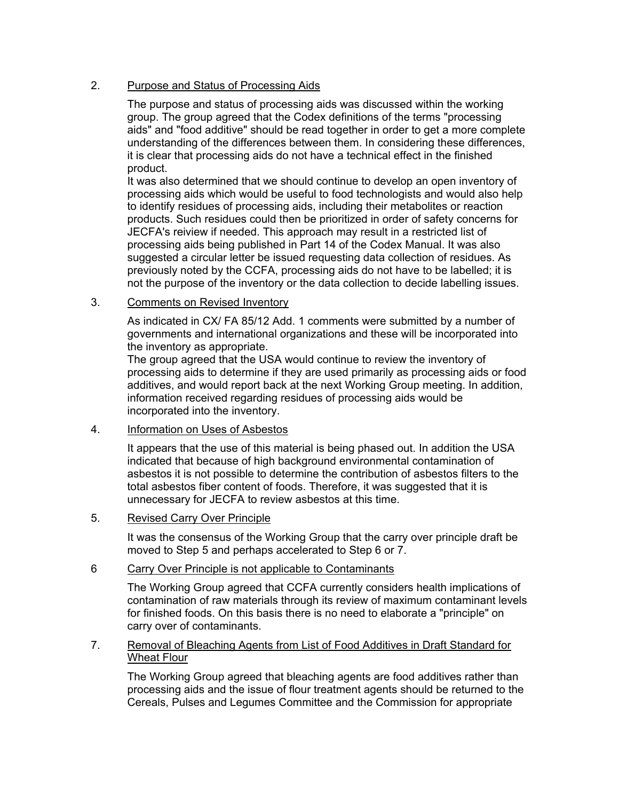## 2. Purpose and Status of Processing Aids

The purpose and status of processing aids was discussed within the working group. The group agreed that the Codex definitions of the terms "processing aids" and "food additive" should be read together in order to get a more complete understanding of the differences between them. In considering these differences, it is clear that processing aids do not have a technical effect in the finished product.

It was also determined that we should continue to develop an open inventory of processing aids which would be useful to food technologists and would also help to identify residues of processing aids, including their metabolites or reaction products. Such residues could then be prioritized in order of safety concerns for JECFA's reiview if needed. This approach may result in a restricted list of processing aids being published in Part 14 of the Codex Manual. It was also suggested a circular letter be issued requesting data collection of residues. As previously noted by the CCFA, processing aids do not have to be labelled; it is not the purpose of the inventory or the data collection to decide labelling issues.

### 3. Comments on Revised Inventory

As indicated in CX/ FA 85/12 Add. 1 comments were submitted by a number of governments and international organizations and these will be incorporated into the inventory as appropriate.

The group agreed that the USA would continue to review the inventory of processing aids to determine if they are used primarily as processing aids or food additives, and would report back at the next Working Group meeting. In addition, information received regarding residues of processing aids would be incorporated into the inventory.

### 4. Information on Uses of Asbestos

It appears that the use of this material is being phased out. In addition the USA indicated that because of high background environmental contamination of asbestos it is not possible to determine the contribution of asbestos filters to the total asbestos fiber content of foods. Therefore, it was suggested that it is unnecessary for JECFA to review asbestos at this time.

## 5. Revised Carry Over Principle

It was the consensus of the Working Group that the carry over principle draft be moved to Step 5 and perhaps accelerated to Step 6 or 7.

### 6 Carry Over Principle is not applicable to Contaminants

The Working Group agreed that CCFA currently considers health implications of contamination of raw materials through its review of maximum contaminant levels for finished foods. On this basis there is no need to elaborate a "principle" on carry over of contaminants.

#### 7. Removal of Bleaching Agents from List of Food Additives in Draft Standard for Wheat Flour

The Working Group agreed that bleaching agents are food additives rather than processing aids and the issue of flour treatment agents should be returned to the Cereals, Pulses and Legumes Committee and the Commission for appropriate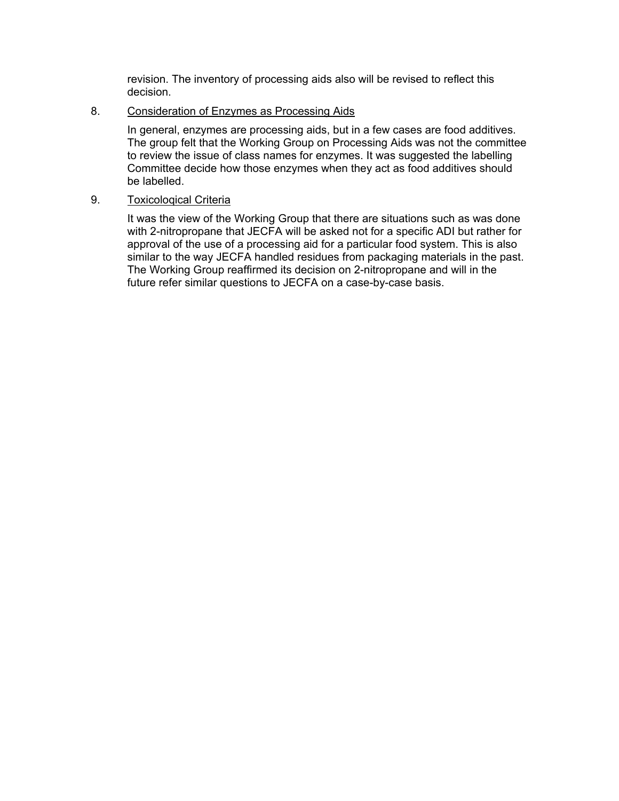revision. The inventory of processing aids also will be revised to reflect this decision.

#### 8. Consideration of Enzymes as Processing Aids

In general, enzymes are processing aids, but in a few cases are food additives. The group felt that the Working Group on Processing Aids was not the committee to review the issue of class names for enzymes. It was suggested the labelling Committee decide how those enzymes when they act as food additives should be labelled.

### 9. Toxicoloqical Criteria

It was the view of the Working Group that there are situations such as was done with 2-nitropropane that JECFA will be asked not for a specific ADI but rather for approval of the use of a processing aid for a particular food system. This is also similar to the way JECFA handled residues from packaging materials in the past. The Working Group reaffirmed its decision on 2-nitropropane and will in the future refer similar questions to JECFA on a case-by-case basis.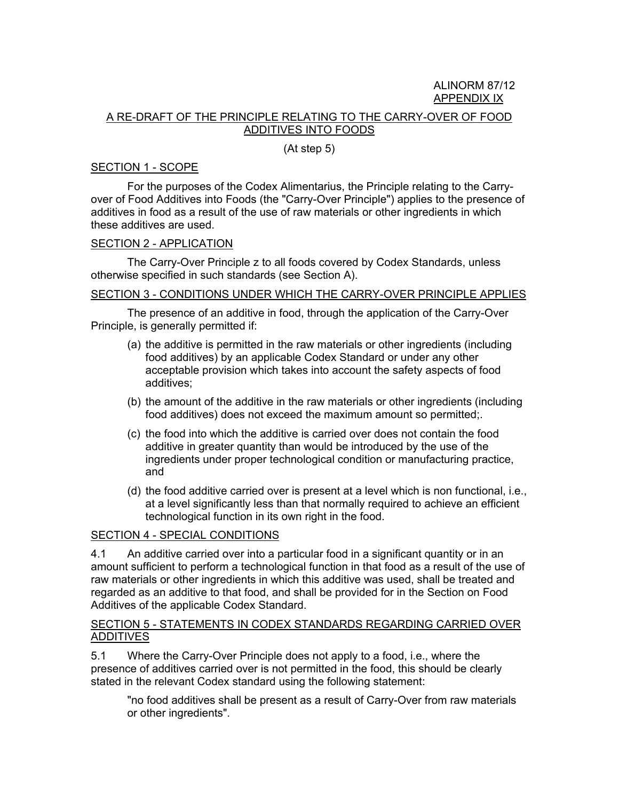## ALINORM 87/12 APPENDIX IX

### A RE-DRAFT OF THE PRINCIPLE RELATING TO THE CARRY-OVER OF FOOD ADDITIVES INTO FOODS

#### (At step 5)

#### SECTION 1 - SCOPE

For the purposes of the Codex Alimentarius, the Principle relating to the Carryover of Food Additives into Foods (the "Carry-Over Principle") applies to the presence of additives in food as a result of the use of raw materials or other ingredients in which these additives are used.

#### SECTION 2 - APPLICATION

The Carry-Over Principle z to all foods covered by Codex Standards, unless otherwise specified in such standards (see Section A).

#### SECTION 3 - CONDITIONS UNDER WHICH THE CARRY-OVER PRINCIPLE APPLIES

The presence of an additive in food, through the application of the Carry-Over Principle, is generally permitted if:

- (a) the additive is permitted in the raw materials or other ingredients (including food additives) by an applicable Codex Standard or under any other acceptable provision which takes into account the safety aspects of food additives;
- (b) the amount of the additive in the raw materials or other ingredients (including food additives) does not exceed the maximum amount so permitted;.
- (c) the food into which the additive is carried over does not contain the food additive in greater quantity than would be introduced by the use of the ingredients under proper technological condition or manufacturing practice, and
- (d) the food additive carried over is present at a level which is non functional, i.e., at a level significantly less than that normally required to achieve an efficient technological function in its own right in the food.

#### SECTION 4 - SPECIAL CONDITIONS

4.1 An additive carried over into a particular food in a significant quantity or in an amount sufficient to perform a technological function in that food as a result of the use of raw materials or other ingredients in which this additive was used, shall be treated and regarded as an additive to that food, and shall be provided for in the Section on Food Additives of the applicable Codex Standard.

#### SECTION 5 - STATEMENTS IN CODEX STANDARDS REGARDING CARRIED OVER ADDITIVES

5.1 Where the Carry-Over Principle does not apply to a food, i.e., where the presence of additives carried over is not permitted in the food, this should be clearly stated in the relevant Codex standard using the following statement:

"no food additives shall be present as a result of Carry-Over from raw materials or other ingredients".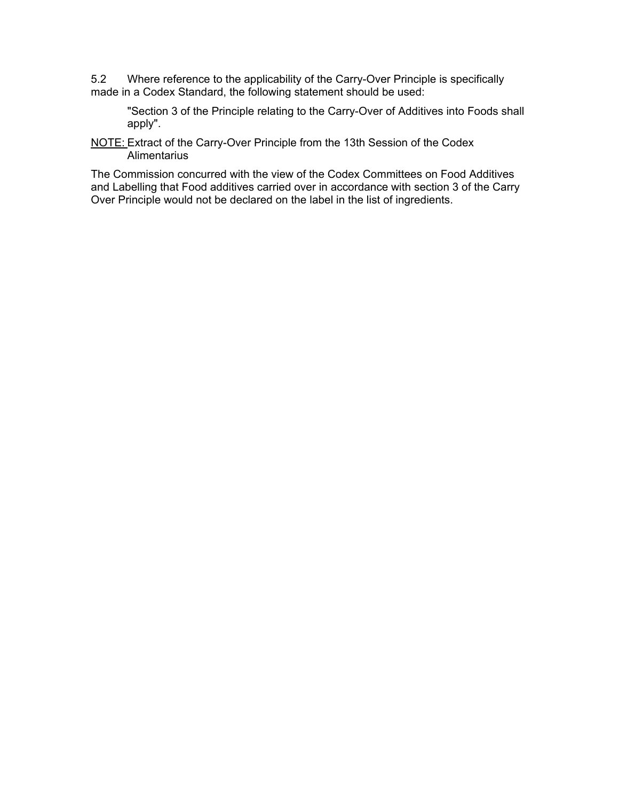5.2 Where reference to the applicability of the Carry-Over Principle is specifically made in a Codex Standard, the following statement should be used:

"Section 3 of the Principle relating to the Carry-Over of Additives into Foods shall apply".

NOTE: Extract of the Carry-Over Principle from the 13th Session of the Codex **Alimentarius** 

The Commission concurred with the view of the Codex Committees on Food Additives and Labelling that Food additives carried over in accordance with section 3 of the Carry Over Principle would not be declared on the label in the list of ingredients.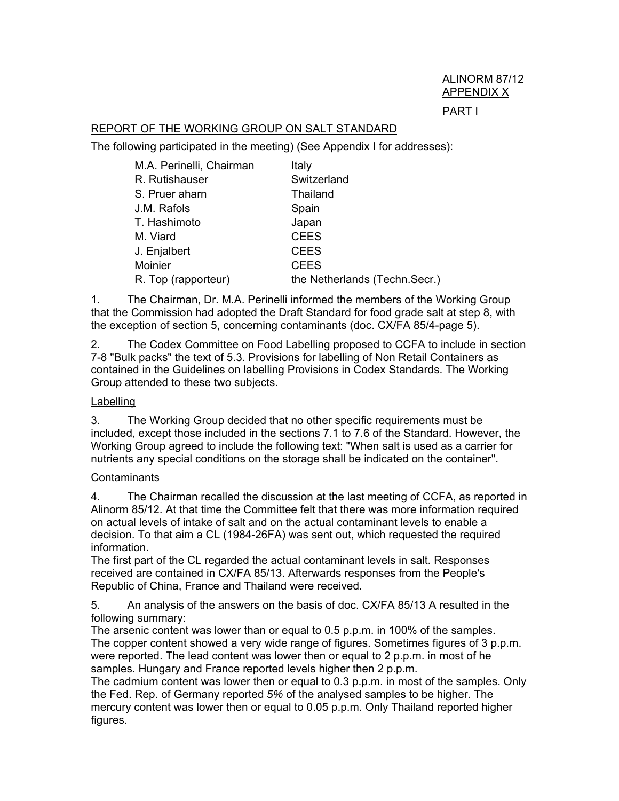### REPORT OF THE WORKING GROUP ON SALT STANDARD

The following participated in the meeting) (See Appendix I for addresses):

| M.A. Perinelli, Chairman | Italy                         |
|--------------------------|-------------------------------|
| R. Rutishauser           | Switzerland                   |
| S. Pruer aharn           | Thailand                      |
| J.M. Rafols              | Spain                         |
| T. Hashimoto             | Japan                         |
| M. Viard                 | <b>CEES</b>                   |
| J. Enjalbert             | <b>CEES</b>                   |
| Moinier                  | <b>CEES</b>                   |
| R. Top (rapporteur)      | the Netherlands (Techn.Secr.) |

1. The Chairman, Dr. M.A. Perinelli informed the members of the Working Group that the Commission had adopted the Draft Standard for food grade salt at step 8, with the exception of section 5, concerning contaminants (doc. CX/FA 85/4-page 5).

2. The Codex Committee on Food Labelling proposed to CCFA to include in section 7-8 "Bulk packs" the text of 5.3. Provisions for labelling of Non Retail Containers as contained in the Guidelines on labelling Provisions in Codex Standards. The Working Group attended to these two subjects.

#### Labelling

3. The Working Group decided that no other specific requirements must be included, except those included in the sections 7.1 to 7.6 of the Standard. However, the Working Group agreed to include the following text: "When salt is used as a carrier for nutrients any special conditions on the storage shall be indicated on the container".

#### **Contaminants**

4. The Chairman recalled the discussion at the last meeting of CCFA, as reported in Alinorm 85/12. At that time the Committee felt that there was more information required on actual levels of intake of salt and on the actual contaminant levels to enable a decision. To that aim a CL (1984-26FA) was sent out, which requested the required information.

The first part of the CL regarded the actual contaminant levels in salt. Responses received are contained in CX/FA 85/13. Afterwards responses from the People's Republic of China, France and Thailand were received.

5. An analysis of the answers on the basis of doc. CX/FA 85/13 A resulted in the following summary:

The arsenic content was lower than or equal to 0.5 p.p.m. in 100% of the samples. The copper content showed a very wide range of figures. Sometimes figures of 3 p.p.m. were reported. The lead content was lower then or equal to 2 p.p.m. in most of he samples. Hungary and France reported levels higher then 2 p.p.m.

The cadmium content was lower then or equal to 0.3 p.p.m. in most of the samples. Only the Fed. Rep. of Germany reported *5%* of the analysed samples to be higher. The mercury content was lower then or equal to 0.05 p.p.m. Only Thailand reported higher figures.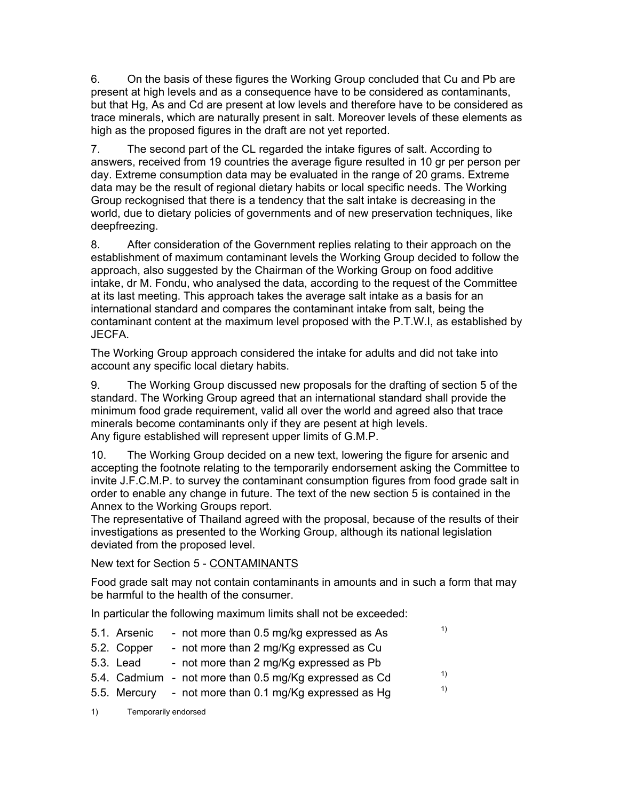6. On the basis of these figures the Working Group concluded that Cu and Pb are present at high levels and as a consequence have to be considered as contaminants, but that Hg, As and Cd are present at low levels and therefore have to be considered as trace minerals, which are naturally present in salt. Moreover levels of these elements as high as the proposed figures in the draft are not yet reported.

7. The second part of the CL regarded the intake figures of salt. According to answers, received from 19 countries the average figure resulted in 10 gr per person per day. Extreme consumption data may be evaluated in the range of 20 grams. Extreme data may be the result of regional dietary habits or local specific needs. The Working Group reckognised that there is a tendency that the salt intake is decreasing in the world, due to dietary policies of governments and of new preservation techniques, like deepfreezing.

8. After consideration of the Government replies relating to their approach on the establishment of maximum contaminant levels the Working Group decided to follow the approach, also suggested by the Chairman of the Working Group on food additive intake, dr M. Fondu, who analysed the data, according to the request of the Committee at its last meeting. This approach takes the average salt intake as a basis for an international standard and compares the contaminant intake from salt, being the contaminant content at the maximum level proposed with the P.T.W.I, as established by JECFA.

The Working Group approach considered the intake for adults and did not take into account any specific local dietary habits.

9. The Working Group discussed new proposals for the drafting of section 5 of the standard. The Working Group agreed that an international standard shall provide the minimum food grade requirement, valid all over the world and agreed also that trace minerals become contaminants only if they are pesent at high levels. Any figure established will represent upper limits of G.M.P.

10. The Working Group decided on a new text, lowering the figure for arsenic and accepting the footnote relating to the temporarily endorsement asking the Committee to invite J.F.C.M.P. to survey the contaminant consumption figures from food grade salt in order to enable any change in future. The text of the new section 5 is contained in the Annex to the Working Groups report.

The representative of Thailand agreed with the proposal, because of the results of their investigations as presented to the Working Group, although its national legislation deviated from the proposed level.

New text for Section 5 - CONTAMINANTS

Food grade salt may not contain contaminants in amounts and in such a form that may be harmful to the health of the consumer.

In particular the following maximum limits shall not be exceeded:

- 5.1. Arsenic not more than 0.5 mg/kg expressed as As  $1$
- 5.2. Copper not more than 2 mg/Kg expressed as Cu
- 5.3. Lead not more than 2 mg/Kg expressed as Pb
- 5.4. Cadmium not more than 0.5 mg/Kg expressed as Cd  $\frac{1}{5}$ <br>5.5. Mercury pet more than 0.1 mg/Kg expressed as Hg
- 5.5. Mercury not more than  $0.1 \text{ mg/Kg}$  expressed as Hg
- 1) Temporarily endorsed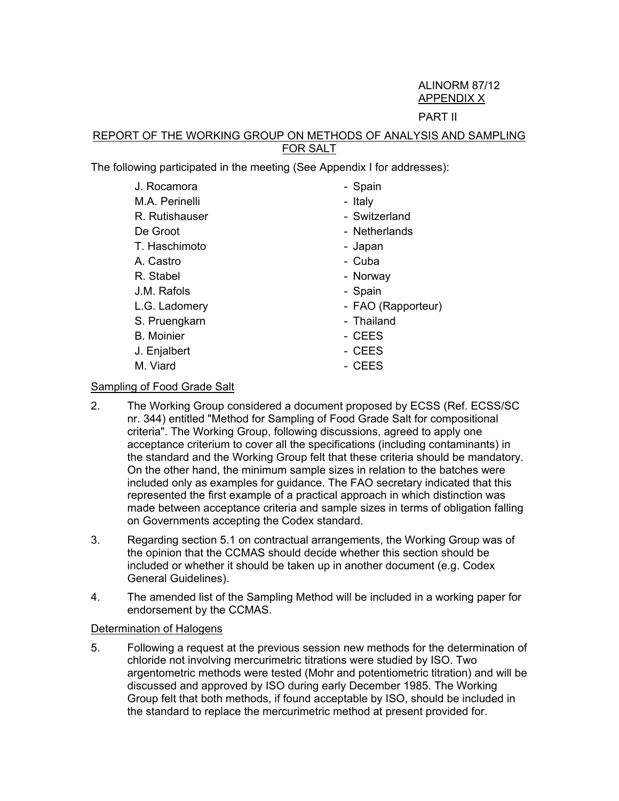# ALINORM 87/12 APPENDIX X

### PART II

### REPORT OF THE WORKING GROUP ON METHODS OF ANALYSIS AND SAMPLING FOR SALT

The following participated in the meeting (See Appendix I for addresses):

| J. Rocamora       | - Spain            |
|-------------------|--------------------|
| M.A. Perinelli    | - Italy            |
| R. Rutishauser    | - Switzerland      |
| De Groot          | - Netherlands      |
| T. Haschimoto     | - Japan            |
| A. Castro         | - Cuba             |
| R. Stabel         | - Norway           |
| J.M. Rafols       | - Spain            |
| L.G. Ladomery     | - FAO (Rapporteur) |
| S. Pruengkarn     | - Thailand         |
| <b>B.</b> Moinier | - CEES             |
| J. Enjalbert      | - CEES             |
| M. Viard          | - CEES             |

### Sampling of Food Grade Salt

- 2. The Working Group considered a document proposed by ECSS (Ref. ECSS/SC nr. 344) entitled "Method for Sampling of Food Grade Salt for compositional criteria". The Working Group, following discussions, agreed to apply one acceptance criterium to cover all the specifications (including contaminants) in the standard and the Working Group felt that these criteria should be mandatory. On the other hand, the minimum sample sizes in relation to the batches were included only as examples for guidance. The FAO secretary indicated that this represented the first example of a practical approach in which distinction was made between acceptance criteria and sample sizes in terms of obligation falling on Governments accepting the Codex standard.
- 3. Regarding section 5.1 on contractual arrangements, the Working Group was of the opinion that the CCMAS should decide whether this section should be included or whether it should be taken up in another document (e.g. Codex General Guidelines).
- 4. The amended list of the Sampling Method will be included in a working paper for endorsement by the CCMAS.

## Determination of Halogens

5. Following a request at the previous session new methods for the determination of chloride not involving mercurimetric titrations were studied by ISO. Two argentometric methods were tested (Mohr and potentiometric titration) and will be discussed and approved by ISO during early December 1985. The Working Group felt that both methods, if found acceptable by ISO, should be included in the standard to replace the mercurimetric method at present provided for.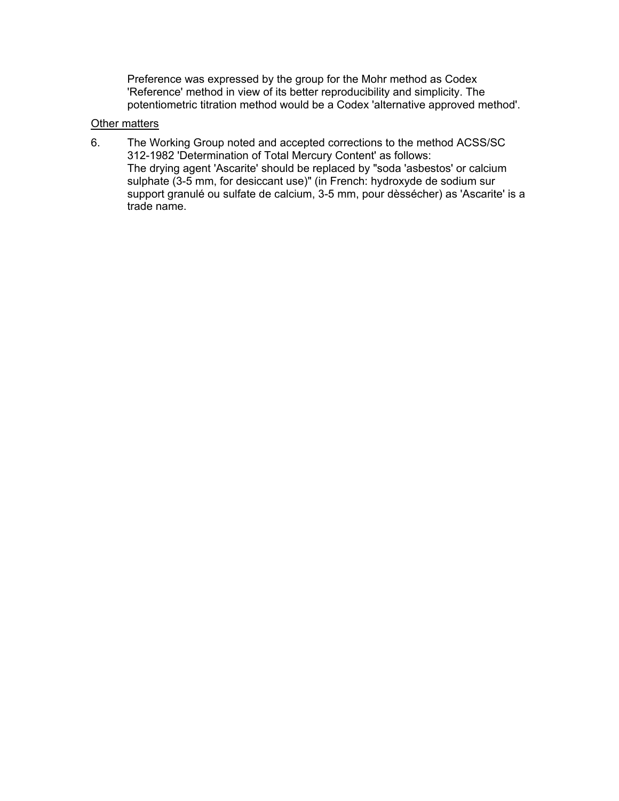Preference was expressed by the group for the Mohr method as Codex 'Reference' method in view of its better reproducibility and simplicity. The potentiometric titration method would be a Codex 'alternative approved method'.

### Other matters

6. The Working Group noted and accepted corrections to the method ACSS/SC 312-1982 'Determination of Total Mercury Content' as follows: The drying agent 'Ascarite' should be replaced by "soda 'asbestos' or calcium sulphate (3-5 mm, for desiccant use)" (in French: hydroxyde de sodium sur support granulé ou sulfate de calcium, 3-5 mm, pour dèssécher) as 'Ascarite' is a trade name.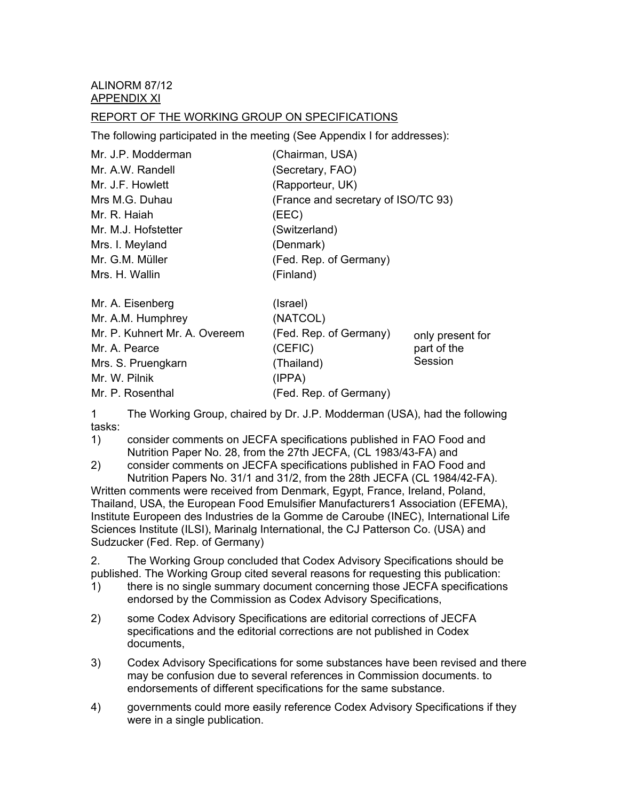ALINORM 87/12 APPENDIX XI

#### REPORT OF THE WORKING GROUP ON SPECIFICATIONS

The following participated in the meeting (See Appendix I for addresses):

| Mr. J.P. Modderman            | (Chairman, USA)                     |                  |
|-------------------------------|-------------------------------------|------------------|
| Mr. A.W. Randell              | (Secretary, FAO)                    |                  |
| Mr. J.F. Howlett              | (Rapporteur, UK)                    |                  |
| Mrs M.G. Duhau                | (France and secretary of ISO/TC 93) |                  |
| Mr. R. Haiah                  | (EEC)                               |                  |
| Mr. M.J. Hofstetter           | (Switzerland)                       |                  |
| Mrs. I. Meyland               | (Denmark)                           |                  |
| Mr. G.M. Müller               | (Fed. Rep. of Germany)              |                  |
| Mrs. H. Wallin                | (Finland)                           |                  |
| Mr. A. Eisenberg              | (Israel)                            |                  |
| Mr. A.M. Humphrey             | (NATCOL)                            |                  |
| Mr. P. Kuhnert Mr. A. Overeem | (Fed. Rep. of Germany)              | only present for |
| Mr. A. Pearce                 | (CEFIC)                             | part of the      |
| Mrs. S. Pruengkarn            | (Thailand)                          | Session          |
| Mr. W. Pilnik                 | (IPPA)                              |                  |
| Mr. P. Rosenthal              | (Fed. Rep. of Germany)              |                  |

1 The Working Group, chaired by Dr. J.P. Modderman (USA), had the following tasks:

1) consider comments on JECFA specifications published in FAO Food and Nutrition Paper No. 28, from the 27th JECFA, (CL 1983/43-FA) and

2) consider comments on JECFA specifications published in FAO Food and Nutrition Papers No. 31/1 and 31/2, from the 28th JECFA (CL 1984/42-FA). Written comments were received from Denmark, Egypt, France, Ireland, Poland, Thailand, USA, the European Food Emulsifier Manufacturers1 Association (EFEMA), Institute Europeen des Industries de la Gomme de Caroube (INEC), International Life Sciences Institute (ILSI), Marinalg International, the CJ Patterson Co. (USA) and Sudzucker (Fed. Rep. of Germany)

2. The Working Group concluded that Codex Advisory Specifications should be published. The Working Group cited several reasons for requesting this publication:

- 1) there is no single summary document concerning those JECFA specifications endorsed by the Commission as Codex Advisory Specifications,
- 2) some Codex Advisory Specifications are editorial corrections of JECFA specifications and the editorial corrections are not published in Codex documents,
- 3) Codex Advisory Specifications for some substances have been revised and there may be confusion due to several references in Commission documents. to endorsements of different specifications for the same substance.
- 4) governments could more easily reference Codex Advisory Specifications if they were in a single publication.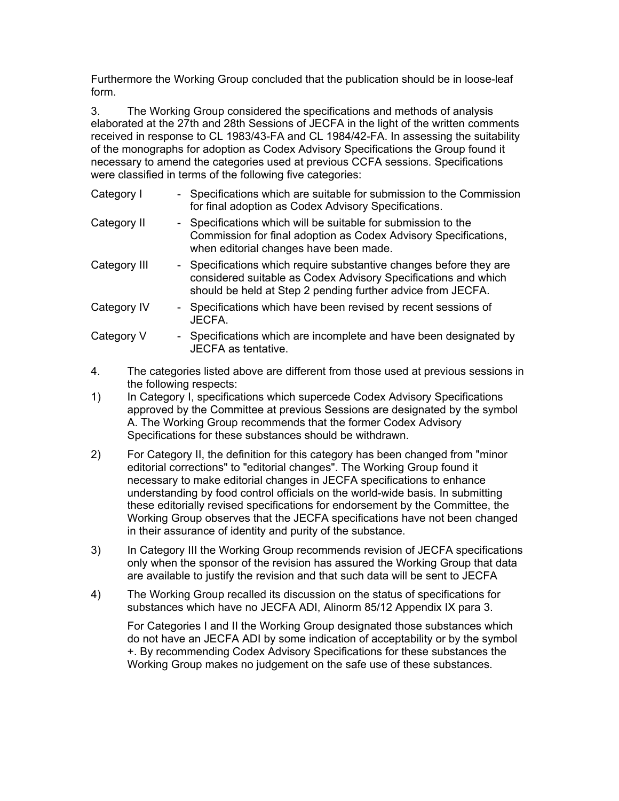Furthermore the Working Group concluded that the publication should be in loose-leaf form.

3. The Working Group considered the specifications and methods of analysis elaborated at the 27th and 28th Sessions of JECFA in the light of the written comments received in response to CL 1983/43-FA and CL 1984/42-FA. In assessing the suitability of the monographs for adoption as Codex Advisory Specifications the Group found it necessary to amend the categories used at previous CCFA sessions. Specifications were classified in terms of the following five categories:

| Category I   | - Specifications which are suitable for submission to the Commission<br>for final adoption as Codex Advisory Specifications.                                                                        |
|--------------|-----------------------------------------------------------------------------------------------------------------------------------------------------------------------------------------------------|
| Category II  | - Specifications which will be suitable for submission to the<br>Commission for final adoption as Codex Advisory Specifications,<br>when editorial changes have been made.                          |
| Category III | - Specifications which require substantive changes before they are<br>considered suitable as Codex Advisory Specifications and which<br>should be held at Step 2 pending further advice from JECFA. |
| Category IV  | - Specifications which have been revised by recent sessions of<br>JECFA.                                                                                                                            |
| Category V   | - Specifications which are incomplete and have been designated by<br>JECFA as tentative.                                                                                                            |

- 4. The categories listed above are different from those used at previous sessions in the following respects:
- 1) In Category I, specifications which supercede Codex Advisory Specifications approved by the Committee at previous Sessions are designated by the symbol A. The Working Group recommends that the former Codex Advisory Specifications for these substances should be withdrawn.
- 2) For Category II, the definition for this category has been changed from "minor editorial corrections" to "editorial changes". The Working Group found it necessary to make editorial changes in JECFA specifications to enhance understanding by food control officials on the world-wide basis. In submitting these editorially revised specifications for endorsement by the Committee, the Working Group observes that the JECFA specifications have not been changed in their assurance of identity and purity of the substance.
- 3) In Category III the Working Group recommends revision of JECFA specifications only when the sponsor of the revision has assured the Working Group that data are available to justify the revision and that such data will be sent to JECFA
- 4) The Working Group recalled its discussion on the status of specifications for substances which have no JECFA ADI, Alinorm 85/12 Appendix IX para 3.

For Categories I and II the Working Group designated those substances which do not have an JECFA ADI by some indication of acceptability or by the symbol +. By recommending Codex Advisory Specifications for these substances the Working Group makes no judgement on the safe use of these substances.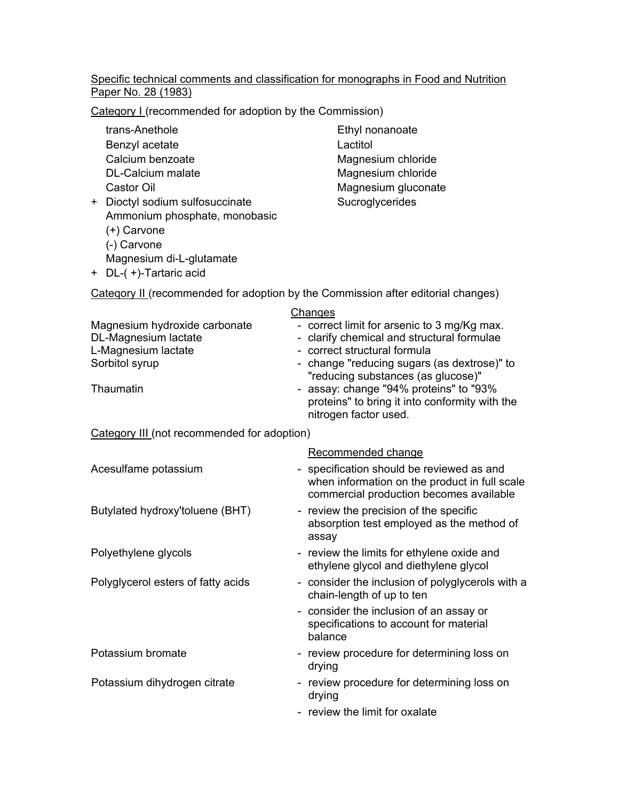#### Specific technical comments and classification for monographs in Food and Nutrition Paper No. 28 (1983)

Category I (recommended for adoption by the Commission)

trans-Anethole Ethyl nonanoate Benzyl acetate Lactitol Calcium benzoate Magnesium chloride DL-Calcium malate Magnesium chloride

- + Dioctyl sodium sulfosuccinate Sucroglycerides Ammonium phosphate, monobasic (+) Carvone (-) Carvone Magnesium di-L-glutamate
- + DL-( +)-Tartaric acid

Castor Oil **Castor Oil** Magnesium gluconate

|  | Category II (recommended for adoption by the Commission after editorial changes) |  |  |  |  |
|--|----------------------------------------------------------------------------------|--|--|--|--|
|  |                                                                                  |  |  |  |  |

|                               | Changes                                                                                                           |
|-------------------------------|-------------------------------------------------------------------------------------------------------------------|
| Magnesium hydroxide carbonate | - correct limit for arsenic to 3 mg/Kg max.                                                                       |
| DL-Magnesium lactate          | - clarify chemical and structural formulae                                                                        |
| L-Magnesium lactate           | - correct structural formula                                                                                      |
| Sorbitol syrup                | - change "reducing sugars (as dextrose)" to<br>"reducing substances (as glucose)"                                 |
| Thaumatin                     | - assay: change "94% proteins" to "93%<br>proteins" to bring it into conformity with the<br>nitrogen factor used. |

#### Category III (not recommended for adoption)

|                                    | Recommended change                                                                                                                    |
|------------------------------------|---------------------------------------------------------------------------------------------------------------------------------------|
| Acesulfame potassium               | - specification should be reviewed as and<br>when information on the product in full scale<br>commercial production becomes available |
| Butylated hydroxy'toluene (BHT)    | - review the precision of the specific<br>absorption test employed as the method of<br>assay                                          |
| Polyethylene glycols               | - review the limits for ethylene oxide and<br>ethylene glycol and diethylene glycol                                                   |
| Polyglycerol esters of fatty acids | - consider the inclusion of polyglycerols with a<br>chain-length of up to ten                                                         |
|                                    | - consider the inclusion of an assay or<br>specifications to account for material<br>balance                                          |
| Potassium bromate                  | - review procedure for determining loss on<br>drying                                                                                  |
| Potassium dihydrogen citrate       | - review procedure for determining loss on<br>drying                                                                                  |
|                                    | - review the limit for oxalate                                                                                                        |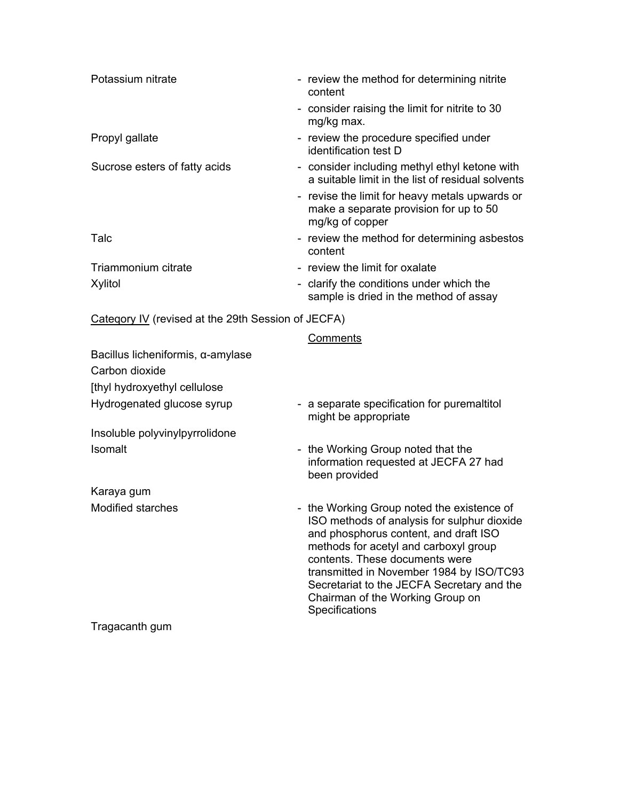| Potassium nitrate                                  | - review the method for determining nitrite<br>content                                                                                                                                                                                                                                                                                                        |
|----------------------------------------------------|---------------------------------------------------------------------------------------------------------------------------------------------------------------------------------------------------------------------------------------------------------------------------------------------------------------------------------------------------------------|
|                                                    | - consider raising the limit for nitrite to 30<br>mg/kg max.                                                                                                                                                                                                                                                                                                  |
| Propyl gallate                                     | - review the procedure specified under<br>identification test D                                                                                                                                                                                                                                                                                               |
| Sucrose esters of fatty acids                      | - consider including methyl ethyl ketone with<br>a suitable limit in the list of residual solvents                                                                                                                                                                                                                                                            |
|                                                    | - revise the limit for heavy metals upwards or<br>make a separate provision for up to 50<br>mg/kg of copper                                                                                                                                                                                                                                                   |
| Talc                                               | - review the method for determining asbestos<br>content                                                                                                                                                                                                                                                                                                       |
| Triammonium citrate                                | - review the limit for oxalate                                                                                                                                                                                                                                                                                                                                |
| Xylitol                                            | - clarify the conditions under which the<br>sample is dried in the method of assay                                                                                                                                                                                                                                                                            |
| Category IV (revised at the 29th Session of JECFA) |                                                                                                                                                                                                                                                                                                                                                               |
|                                                    | Comments                                                                                                                                                                                                                                                                                                                                                      |
| Bacillus licheniformis, $\alpha$ -amylase          |                                                                                                                                                                                                                                                                                                                                                               |
| Carbon dioxide                                     |                                                                                                                                                                                                                                                                                                                                                               |
| [thyl hydroxyethyl cellulose                       |                                                                                                                                                                                                                                                                                                                                                               |
| Hydrogenated glucose syrup                         | - a separate specification for puremaltitol<br>might be appropriate                                                                                                                                                                                                                                                                                           |
| Insoluble polyvinylpyrrolidone                     |                                                                                                                                                                                                                                                                                                                                                               |
| Isomalt                                            | - the Working Group noted that the<br>information requested at JECFA 27 had<br>been provided                                                                                                                                                                                                                                                                  |
| Karaya gum                                         |                                                                                                                                                                                                                                                                                                                                                               |
| Modified starches                                  | - the Working Group noted the existence of<br>ISO methods of analysis for sulphur dioxide<br>and phosphorus content, and draft ISO<br>methods for acetyl and carboxyl group<br>contents. These documents were<br>transmitted in November 1984 by ISO/TC93<br>Secretariat to the JECFA Secretary and the<br>Chairman of the Working Group on<br>Specifications |

Tragacanth gum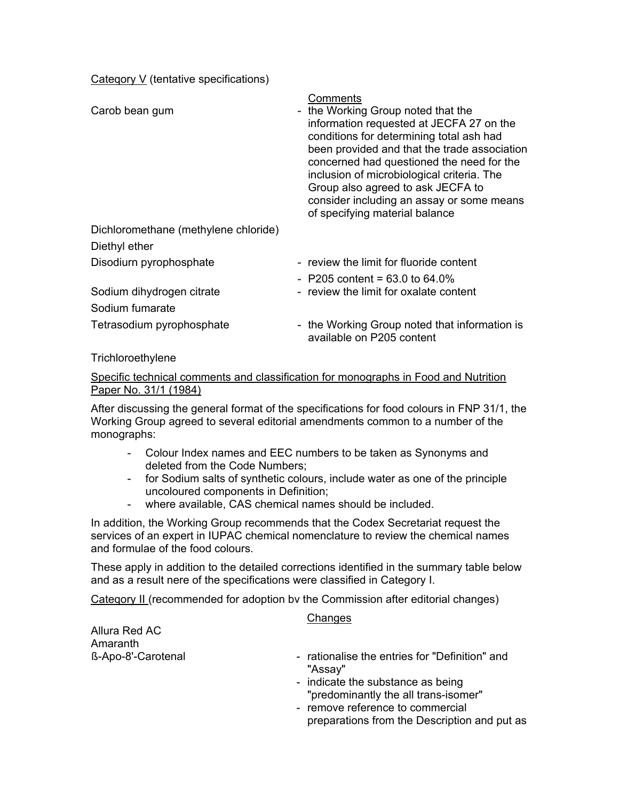Cateqory V (tentative specifications)

| Carob bean gum                       | Comments<br>- the Working Group noted that the<br>information requested at JECFA 27 on the<br>conditions for determining total ash had<br>been provided and that the trade association<br>concerned had questioned the need for the<br>inclusion of microbiological criteria. The<br>Group also agreed to ask JECFA to<br>consider including an assay or some means<br>of specifying material balance |
|--------------------------------------|-------------------------------------------------------------------------------------------------------------------------------------------------------------------------------------------------------------------------------------------------------------------------------------------------------------------------------------------------------------------------------------------------------|
| Dichloromethane (methylene chloride) |                                                                                                                                                                                                                                                                                                                                                                                                       |
| Diethyl ether                        |                                                                                                                                                                                                                                                                                                                                                                                                       |
| Disodiurn pyrophosphate              | - review the limit for fluoride content                                                                                                                                                                                                                                                                                                                                                               |
|                                      | $-$ P205 content = 63.0 to 64.0%                                                                                                                                                                                                                                                                                                                                                                      |
| Sodium dihydrogen citrate            | - review the limit for oxalate content                                                                                                                                                                                                                                                                                                                                                                |
| Sodium fumarate                      |                                                                                                                                                                                                                                                                                                                                                                                                       |
| Tetrasodium pyrophosphate            | - the Working Group noted that information is<br>available on P205 content                                                                                                                                                                                                                                                                                                                            |

#### **Trichloroethylene**

#### Specific technical comments and classification for monographs in Food and Nutrition Paper No. 31/1 (1984)

After discussing the general format of the specifications for food colours in FNP 31/1, the Working Group agreed to several editorial amendments common to a number of the monographs:

- Colour Index names and EEC numbers to be taken as Synonyms and deleted from the Code Numbers;
- for Sodium salts of synthetic colours, include water as one of the principle uncoloured components in Definition;
- where available, CAS chemical names should be included.

In addition, the Working Group recommends that the Codex Secretariat request the services of an expert in IUPAC chemical nomenclature to review the chemical names and formulae of the food colours.

These apply in addition to the detailed corrections identified in the summary table below and as a result nere of the specifications were classified in Category I.

Category II (recommended for adoption bv the Commission after editorial changes)

#### **Changes**

Allura Red AC Amaranth **ß-Apo-8'-Carotenal** 

- rationalise the entries for "Definition" and "Assay"
- indicate the substance as being "predominantly the all trans-isomer"
- remove reference to commercial preparations from the Description and put as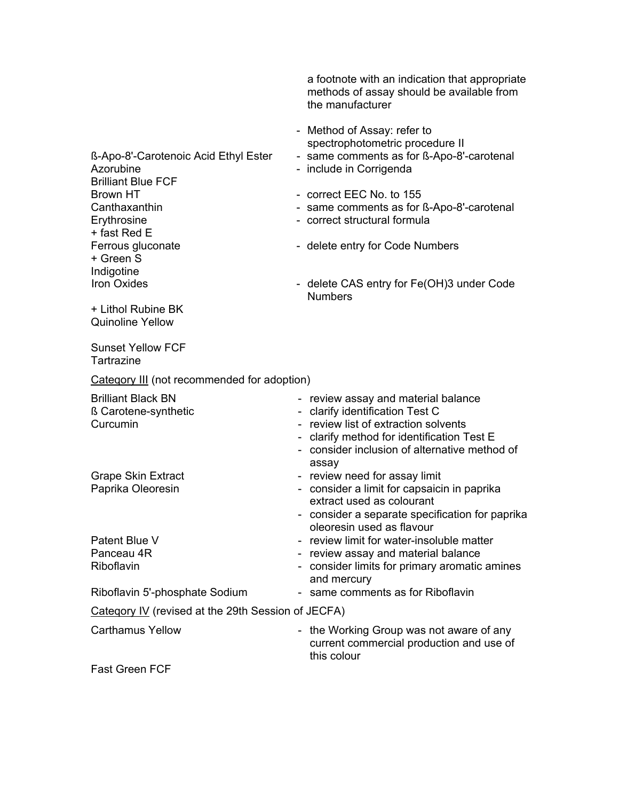a footnote with an indication that appropriate methods of assay should be available from the manufacturer

- Method of Assay: refer to spectrophotometric procedure II
- ß-Apo-8'-Carotenoic Acid Ethyl Ester same comments as for ß-Apo-8'-carotenal
- Azorubine **Azorubine** include in Corrigenda
	-
- Canthaxanthin **Canthaxanthin** same comments as for ß-Apo-8'-carotenal
	-
	-
	- delete CAS entry for Fe(OH)3 under Code **Numbers**

Brilliant Blue FCF Brown HT FILL CONSERVITY CONTROLLING CONTROLLER CONTROLLER TO 155 Erythrosine **- correct structural formula** + fast Red E Ferrous gluconate **Ferrous** - delete entry for Code Numbers + Green S Indigotine Iron Oxides -

+ Lithol Rubine BK Quinoline Yellow

Sunset Yellow FCF **Tartrazine** 

Cateqory III (not recommended for adoption)

| <b>Brilliant Black BN</b><br>ß Carotene-synthetic<br>Curcumin | - review assay and material balance<br>- clarify identification Test C<br>- review list of extraction solvents<br>- clarify method for identification Test E<br>- consider inclusion of alternative method of<br>assay |
|---------------------------------------------------------------|------------------------------------------------------------------------------------------------------------------------------------------------------------------------------------------------------------------------|
| <b>Grape Skin Extract</b>                                     | - review need for assay limit                                                                                                                                                                                          |
| Paprika Oleoresin                                             | - consider a limit for capsaicin in paprika<br>extract used as colourant<br>- consider a separate specification for paprika<br>oleoresin used as flavour                                                               |
| Patent Blue V                                                 | - review limit for water-insoluble matter                                                                                                                                                                              |
| Panceau 4R                                                    | - review assay and material balance                                                                                                                                                                                    |
| Riboflavin                                                    | - consider limits for primary aromatic amines<br>and mercury                                                                                                                                                           |
| Riboflavin 5'-phosphate Sodium                                | - same comments as for Riboflavin                                                                                                                                                                                      |
| Category IV (revised at the 29th Session of JECFA)            |                                                                                                                                                                                                                        |
| <b>Carthamus Yellow</b>                                       | - the Working Group was not aware of any<br>current commercial production and use of<br>this colour                                                                                                                    |
| East Green FCF                                                |                                                                                                                                                                                                                        |

Fast Green FCF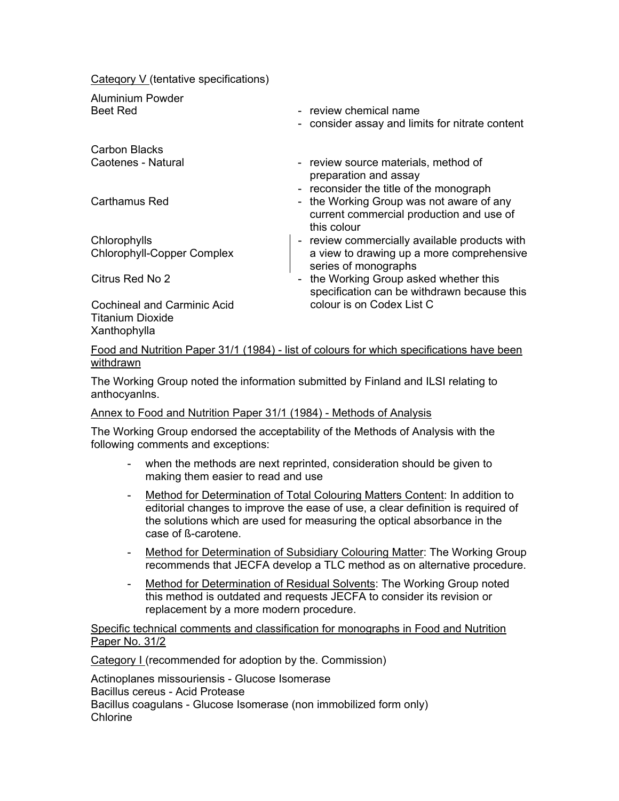Cateqory V (tentative specifications)

Aluminium Powder

Carbon Blacks

**Chlorophylls** Chlorophyll-Copper Complex

- Beet Red review chemical name
	- consider assay and limits for nitrate content
- Caotenes Natural **Caotenes** review source materials, method of preparation and assay
	- reconsider the title of the monograph
- Carthamus Red **Carthamus Red** the Working Group was not aware of any current commercial production and use of this colour
	- review commercially available products with a view to drawing up a more comprehensive series of monographs

Citrus Red No 2

Cochineal and Carminic Acid Titanium Dioxide **Xanthophylla** 

- the Working Group asked whether this specification can be withdrawn because this colour is on Codex List C

Food and Nutrition Paper 31/1 (1984) - list of colours for which specifications have been withdrawn

The Working Group noted the information submitted by Finland and ILSI relating to anthocyanlns.

### Annex to Food and Nutrition Paper 31/1 (1984) - Methods of Analysis

The Working Group endorsed the acceptability of the Methods of Analysis with the following comments and exceptions:

- when the methods are next reprinted, consideration should be given to making them easier to read and use
- Method for Determination of Total Colouring Matters Content: In addition to editorial changes to improve the ease of use, a clear definition is required of the solutions which are used for measuring the optical absorbance in the case of ß-carotene.
- Method for Determination of Subsidiary Colouring Matter: The Working Group recommends that JECFA develop a TLC method as on alternative procedure.
- Method for Determination of Residual Solvents: The Working Group noted this method is outdated and requests JECFA to consider its revision or replacement by a more modern procedure.

Specific technical comments and classification for monographs in Food and Nutrition Paper No. 31/2

Category I (recommended for adoption by the. Commission)

Actinoplanes missouriensis - Glucose Isomerase Bacillus cereus - Acid Protease Bacillus coagulans - Glucose Isomerase (non immobilized form only) Chlorine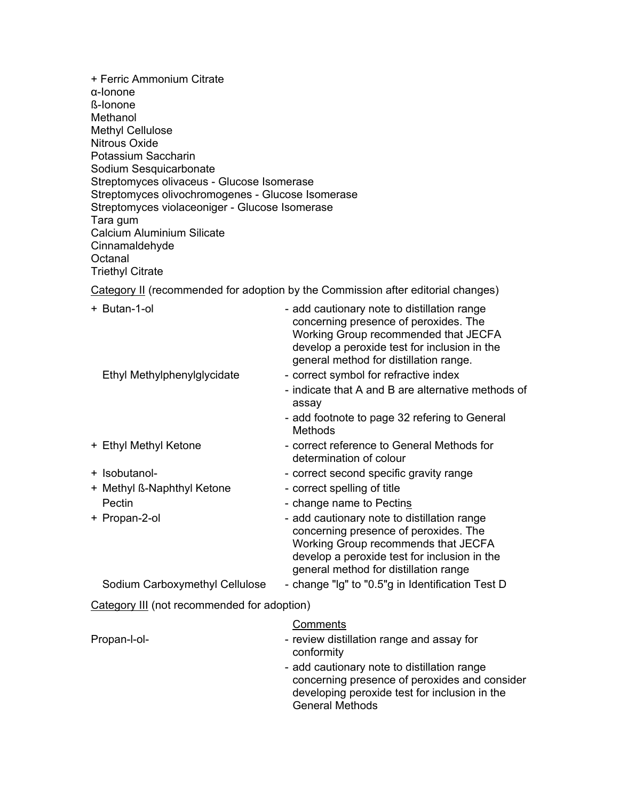+ Ferric Ammonium Citrate α-Ionone ß-Ionone Methanol Methyl Cellulose Nitrous Oxide Potassium Saccharin Sodium Sesquicarbonate Streptomyces olivaceus - Glucose Isomerase Streptomyces olivochromogenes - Glucose Isomerase Streptomyces violaceoniger - Glucose Isomerase Tara gum Calcium Aluminium Silicate Cinnamaldehyde **Octanal** Triethyl Citrate

Category II (recommended for adoption by the Commission after editorial changes)

| + Butan-1-ol                                | - add cautionary note to distillation range<br>concerning presence of peroxides. The<br>Working Group recommended that JECFA<br>develop a peroxide test for inclusion in the<br>general method for distillation range. |
|---------------------------------------------|------------------------------------------------------------------------------------------------------------------------------------------------------------------------------------------------------------------------|
| Ethyl Methylphenylglycidate                 | - correct symbol for refractive index<br>- indicate that A and B are alternative methods of<br>assay                                                                                                                   |
|                                             | - add footnote to page 32 refering to General<br><b>Methods</b>                                                                                                                                                        |
| + Ethyl Methyl Ketone                       | - correct reference to General Methods for<br>determination of colour                                                                                                                                                  |
| + Isobutanol-                               | - correct second specific gravity range                                                                                                                                                                                |
| + Methyl ß-Naphthyl Ketone                  | - correct spelling of title                                                                                                                                                                                            |
| Pectin                                      | - change name to Pectins                                                                                                                                                                                               |
| + Propan-2-ol                               | - add cautionary note to distillation range<br>concerning presence of peroxides. The<br>Working Group recommends that JECFA<br>develop a peroxide test for inclusion in the<br>general method for distillation range   |
| Sodium Carboxymethyl Cellulose              | - change "Ig" to "0.5"g in Identification Test D                                                                                                                                                                       |
| Category III (not recommended for adoption) |                                                                                                                                                                                                                        |
| Propan-l-ol-                                | Comments<br>- review distillation range and assay for<br>conformity<br>- add cautionary note to distillation range                                                                                                     |
|                                             |                                                                                                                                                                                                                        |

concerning presence of peroxides and consider developing peroxide test for inclusion in the General Methods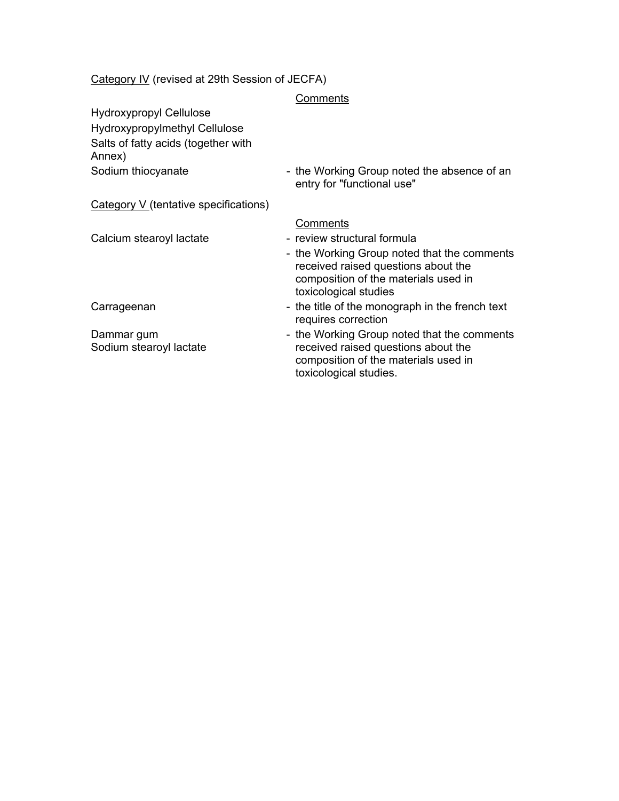### Category IV (revised at 29th Session of JECFA)

#### **Comments**

Hydroxypropyl Cellulose Hydroxypropylmethyl Cellulose Salts of fatty acids (together with Annex)

Sodium thiocyanate **- the Working Group noted the absence of an** entry for "functional use"

Category V (tentative specifications)

Dammar gum Sodium stearoyl lactate

#### Comments

- Calcium stearoyl lactate review structural formula
	- the Working Group noted that the comments received raised questions about the composition of the materials used in toxicological studies
- Carrageenan **Carrageenan** the title of the monograph in the french text requires correction
	- the Working Group noted that the comments received raised questions about the composition of the materials used in toxicological studies.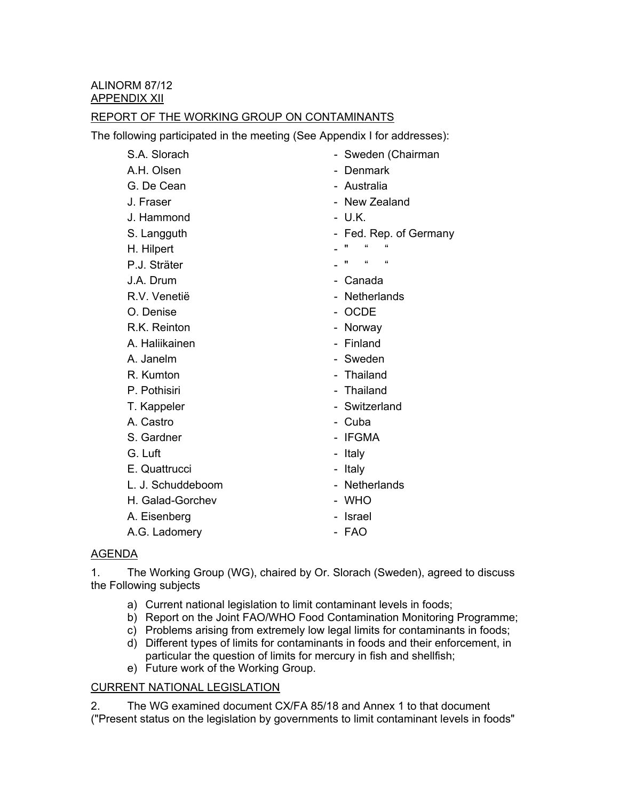# REPORT OF THE WORKING GROUP ON CONTAMINANTS

The following participated in the meeting (See Appendix I for addresses):

| S.A. Slorach      | - Sweden (Chairman                    |
|-------------------|---------------------------------------|
| A.H. Olsen        | Denmark                               |
| G. De Cean        | - Australia                           |
| J. Fraser         | - New Zealand                         |
| J. Hammond        | - U.K.                                |
| S. Langguth       | - Fed. Rep. of Germany                |
| H. Hilpert        | $\overline{\mathbf{a}}$<br>π          |
| P.J. Sträter      | $\epsilon\epsilon$<br>$\epsilon$<br>" |
| J.A. Drum         | Canada                                |
| R.V. Venetië      | - Netherlands                         |
| O. Denise         | - OCDE                                |
| R.K. Reinton      | - Norway                              |
| A. Haliikainen    | - Finland                             |
| A. Janelm         | - Sweden                              |
| R. Kumton         | - Thailand                            |
| P. Pothisiri      | - Thailand                            |
| T. Kappeler       | - Switzerland                         |
| A. Castro         | - Cuba                                |
| S. Gardner        | - IFGMA                               |
| G. Luft           | - Italy                               |
| E. Quattrucci     | - Italy                               |
| L. J. Schuddeboom | - Netherlands                         |
| H. Galad-Gorchev  | - WHO                                 |
| A. Eisenberg      | - Israel                              |
| A.G. Ladomery     | - FAO                                 |
| <b>AGENDA</b>     |                                       |

1. The Working Group (WG), chaired by Or. Slorach (Sweden), agreed to discuss the Following subjects

- a) Current national legislation to limit contaminant levels in foods;
- b) Report on the Joint FAO/WHO Food Contamination Monitoring Programme;
- c) Problems arising from extremely low legal limits for contaminants in foods;
- d) Different types of limits for contaminants in foods and their enforcement, in particular the question of limits for mercury in fish and shellfish;
- e) Future work of the Working Group.

### CURRENT NATIONAL LEGISLATION

2. The WG examined document CX/FA 85/18 and Annex 1 to that document ("Present status on the legislation by governments to limit contaminant levels in foods"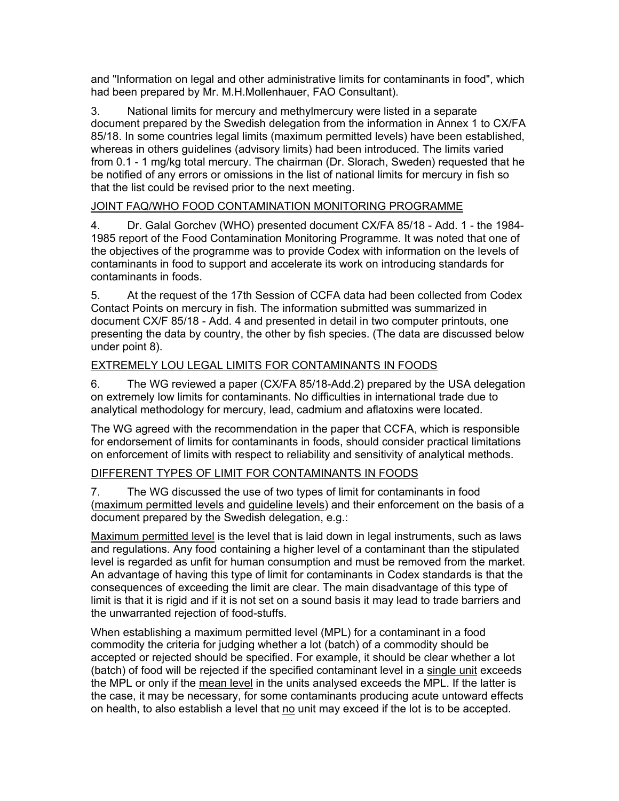and "Information on legal and other administrative limits for contaminants in food", which had been prepared by Mr. M.H.Mollenhauer, FAO Consultant).

3. National limits for mercury and methylmercury were listed in a separate document prepared by the Swedish delegation from the information in Annex 1 to CX/FA 85/18. In some countries legal limits (maximum permitted levels) have been established, whereas in others guidelines (advisory limits) had been introduced. The limits varied from 0.1 - 1 mg/kg total mercury. The chairman (Dr. Slorach, Sweden) requested that he be notified of any errors or omissions in the list of national limits for mercury in fish so that the list could be revised prior to the next meeting.

## JOINT FAQ/WHO FOOD CONTAMINATION MONITORING PROGRAMME

4. Dr. Galal Gorchev (WHO) presented document CX/FA 85/18 - Add. 1 - the 1984- 1985 report of the Food Contamination Monitoring Programme. It was noted that one of the objectives of the programme was to provide Codex with information on the levels of contaminants in food to support and accelerate its work on introducing standards for contaminants in foods.

5. At the request of the 17th Session of CCFA data had been collected from Codex Contact Points on mercury in fish. The information submitted was summarized in document CX/F 85/18 - Add. 4 and presented in detail in two computer printouts, one presenting the data by country, the other by fish species. (The data are discussed below under point 8).

# EXTREMELY LOU LEGAL LIMITS FOR CONTAMINANTS IN FOODS

6. The WG reviewed a paper (CX/FA 85/18-Add.2) prepared by the USA delegation on extremely low limits for contaminants. No difficulties in international trade due to analytical methodology for mercury, lead, cadmium and aflatoxins were located.

The WG agreed with the recommendation in the paper that CCFA, which is responsible for endorsement of limits for contaminants in foods, should consider practical limitations on enforcement of limits with respect to reliability and sensitivity of analytical methods.

### DIFFERENT TYPES OF LIMIT FOR CONTAMINANTS IN FOODS

7. The WG discussed the use of two types of limit for contaminants in food (maximum permitted levels and guideline levels) and their enforcement on the basis of a document prepared by the Swedish delegation, e.g.:

Maximum permitted level is the level that is laid down in legal instruments, such as laws and regulations. Any food containing a higher level of a contaminant than the stipulated level is regarded as unfit for human consumption and must be removed from the market. An advantage of having this type of limit for contaminants in Codex standards is that the consequences of exceeding the limit are clear. The main disadvantage of this type of limit is that it is rigid and if it is not set on a sound basis it may lead to trade barriers and the unwarranted rejection of food-stuffs.

When establishing a maximum permitted level (MPL) for a contaminant in a food commodity the criteria for judging whether a lot (batch) of a commodity should be accepted or rejected should be specified. For example, it should be clear whether a lot (batch) of food will be rejected if the specified contaminant level in a single unit exceeds the MPL or only if the mean level in the units analysed exceeds the MPL. If the latter is the case, it may be necessary, for some contaminants producing acute untoward effects on health, to also establish a level that no unit may exceed if the lot is to be accepted.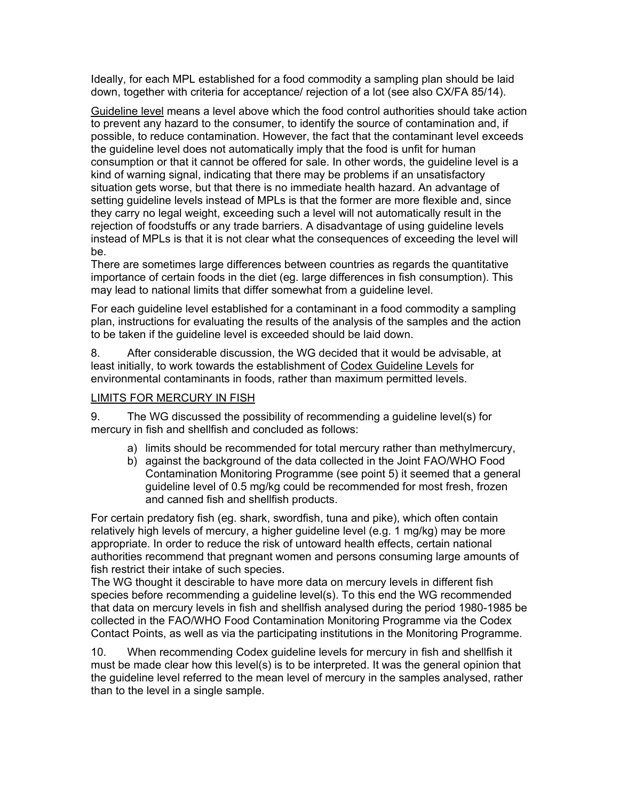Ideally, for each MPL established for a food commodity a sampling plan should be laid down, together with criteria for acceptance/ rejection of a lot (see also CX/FA 85/14).

Guideline level means a level above which the food control authorities should take action to prevent any hazard to the consumer, to identify the source of contamination and, if possible, to reduce contamination. However, the fact that the contaminant level exceeds the guideline level does not automatically imply that the food is unfit for human consumption or that it cannot be offered for sale. In other words, the guideline level is a kind of warning signal, indicating that there may be problems if an unsatisfactory situation gets worse, but that there is no immediate health hazard. An advantage of setting guideline levels instead of MPLs is that the former are more flexible and, since they carry no legal weight, exceeding such a level will not automatically result in the rejection of foodstuffs or any trade barriers. A disadvantage of using guideline levels instead of MPLs is that it is not clear what the consequences of exceeding the level will be.

There are sometimes large differences between countries as regards the quantitative importance of certain foods in the diet (eg. large differences in fish consumption). This may lead to national limits that differ somewhat from a guideline level.

For each guideline level established for a contaminant in a food commodity a sampling plan, instructions for evaluating the results of the analysis of the samples and the action to be taken if the guideline level is exceeded should be laid down.

8. After considerable discussion, the WG decided that it would be advisable, at least initially, to work towards the establishment of Codex Guideline Levels for environmental contaminants in foods, rather than maximum permitted levels.

### LIMITS FOR MERCURY IN FISH

9. The WG discussed the possibility of recommending a guideline level(s) for mercury in fish and shellfish and concluded as follows:

- a) limits should be recommended for total mercury rather than methylmercury,
- b) against the background of the data collected in the Joint FAO/WHO Food Contamination Monitoring Programme (see point 5) it seemed that a general guideline level of 0.5 mg/kg could be recommended for most fresh, frozen and canned fish and shellfish products.

For certain predatory fish (eg. shark, swordfish, tuna and pike), which often contain relatively high levels of mercury, a higher guideline level (e.g. 1 mg/kg) may be more appropriate. In order to reduce the risk of untoward health effects, certain national authorities recommend that pregnant women and persons consuming large amounts of fish restrict their intake of such species.

The WG thought it descirable to have more data on mercury levels in different fish species before recommending a guideline level(s). To this end the WG recommended that data on mercury levels in fish and shellfish analysed during the period 1980-1985 be collected in the FAO/WHO Food Contamination Monitoring Programme via the Codex Contact Points, as well as via the participating institutions in the Monitoring Programme.

10. When recommending Codex guideline levels for mercury in fish and shellfish it must be made clear how this level(s) is to be interpreted. It was the general opinion that the guideline level referred to the mean level of mercury in the samples analysed, rather than to the level in a single sample.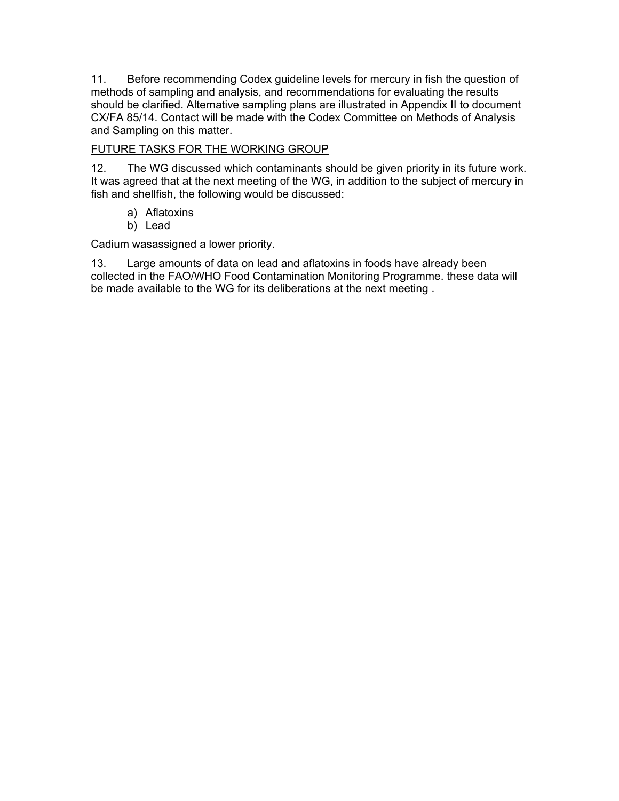11. Before recommending Codex guideline levels for mercury in fish the question of methods of sampling and analysis, and recommendations for evaluating the results should be clarified. Alternative sampling plans are illustrated in Appendix II to document CX/FA 85/14. Contact will be made with the Codex Committee on Methods of Analysis and Sampling on this matter.

# FUTURE TASKS FOR THE WORKING GROUP

12. The WG discussed which contaminants should be given priority in its future work. It was agreed that at the next meeting of the WG, in addition to the subject of mercury in fish and shellfish, the following would be discussed:

- a) Aflatoxins
- b) Lead

Cadium wasassigned a lower priority.

13. Large amounts of data on lead and aflatoxins in foods have already been collected in the FAO/WHO Food Contamination Monitoring Programme. these data will be made available to the WG for its deliberations at the next meeting .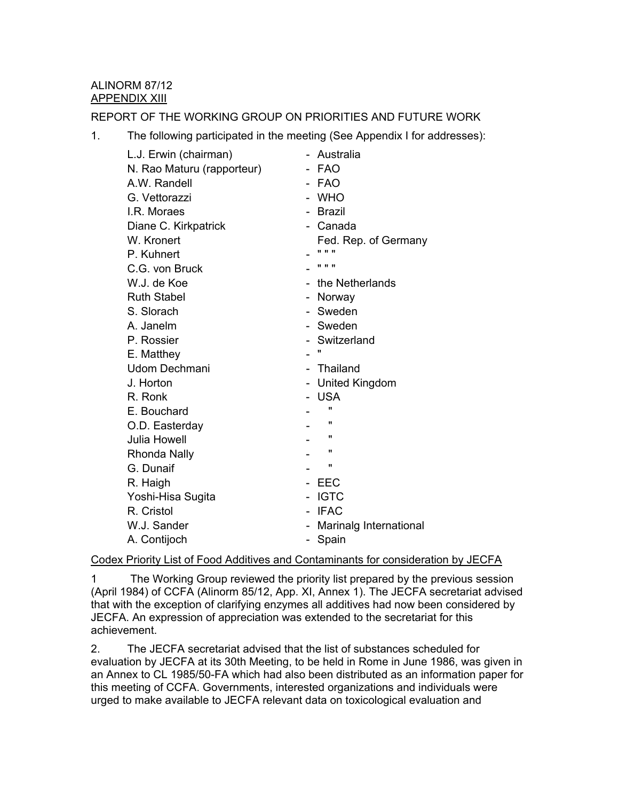# ALINORM 87/12 APPENDIX XIII

REPORT OF THE WORKING GROUP ON PRIORITIES AND FUTURE WORK

1. The following participated in the meeting (See Appendix I for addresses):

| L.J. Erwin (chairman)      | - Australia              |
|----------------------------|--------------------------|
| N. Rao Maturu (rapporteur) | - FAO                    |
| A.W. Randell               | - FAO                    |
| G. Vettorazzi              | - WHO                    |
| I.R. Moraes                | - Brazil                 |
| Diane C. Kirkpatrick       | - Canada                 |
| W. Kronert                 | Fed. Rep. of Germany     |
| P. Kuhnert                 | .                        |
| C.G. von Bruck             | .                        |
| W.J. de Koe                | - the Netherlands        |
| <b>Ruth Stabel</b>         | - Norway                 |
| S. Slorach                 | - Sweden                 |
| A. Janelm                  | - Sweden                 |
| P. Rossier                 | - Switzerland            |
| E. Matthey                 | $\blacksquare$           |
| Udom Dechmani              | - Thailand               |
| J. Horton                  | - United Kingdom         |
| R. Ronk                    | - USA                    |
| E. Bouchard                | $\mathbf{u}$             |
| O.D. Easterday             | π                        |
| Julia Howell               | $\pmb{\mathsf{H}}$       |
| <b>Rhonda Nally</b>        | π                        |
| G. Dunaif                  | $\pmb{\mathsf{u}}$       |
| R. Haigh                   | EEC                      |
| Yoshi-Hisa Sugita          | <b>IGTC</b>              |
| R. Cristol                 | <b>IFAC</b>              |
| W.J. Sander                | - Marinalg International |
| A. Contijoch               | Spain<br>$\sim$          |

### Codex Priority List of Food Additives and Contaminants for consideration by JECFA

1 The Working Group reviewed the priority list prepared by the previous session (April 1984) of CCFA (Alinorm 85/12, App. XI, Annex 1). The JECFA secretariat advised that with the exception of clarifying enzymes all additives had now been considered by JECFA. An expression of appreciation was extended to the secretariat for this achievement.

2. The JECFA secretariat advised that the list of substances scheduled for evaluation by JECFA at its 30th Meeting, to be held in Rome in June 1986, was given in an Annex to CL 1985/50-FA which had also been distributed as an information paper for this meeting of CCFA. Governments, interested organizations and individuals were urged to make available to JECFA relevant data on toxicological evaluation and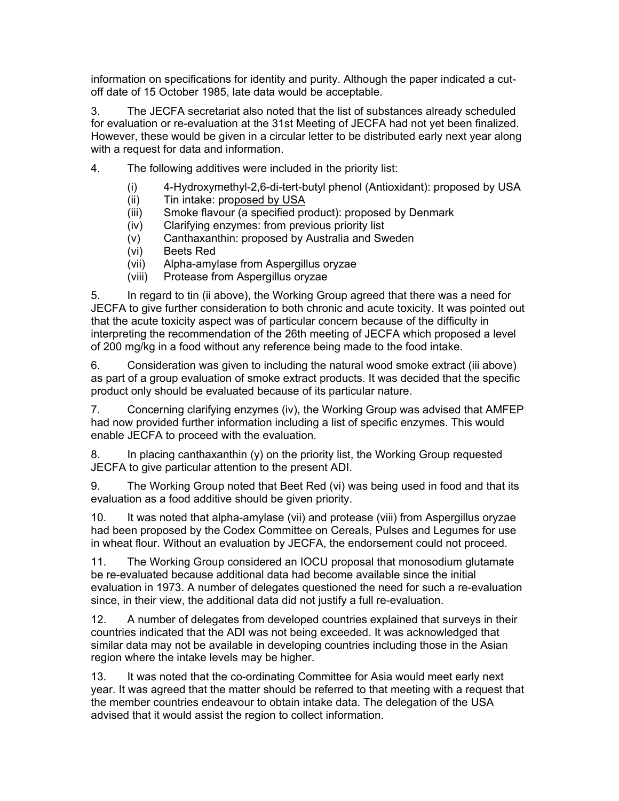information on specifications for identity and purity. Although the paper indicated a cutoff date of 15 October 1985, late data would be acceptable.

3. The JECFA secretariat also noted that the list of substances already scheduled for evaluation or re-evaluation at the 31st Meeting of JECFA had not yet been finalized. However, these would be given in a circular letter to be distributed early next year along with a request for data and information.

- 4. The following additives were included in the priority list:
	- (i) 4-Hydroxymethyl-2,6-di-tert-butyl phenol (Antioxidant): proposed by USA
	- (ii) Tin intake: proposed by USA
	- (iii) Smoke flavour (a specified product): proposed by Denmark
	- (iv) Clarifying enzymes: from previous priority list
	- (v) Canthaxanthin: proposed by Australia and Sweden
	- (vi) Beets Red
	- (vii) Alpha-amylase from Aspergillus oryzae
	- (viii) Protease from Aspergillus oryzae

5. In regard to tin (ii above), the Working Group agreed that there was a need for JECFA to give further consideration to both chronic and acute toxicity. It was pointed out that the acute toxicity aspect was of particular concern because of the difficulty in interpreting the recommendation of the 26th meeting of JECFA which proposed a level of 200 mg/kg in a food without any reference being made to the food intake.

6. Consideration was given to including the natural wood smoke extract (iii above) as part of a group evaluation of smoke extract products. It was decided that the specific product only should be evaluated because of its particular nature.

7. Concerning clarifying enzymes (iv), the Working Group was advised that AMFEP had now provided further information including a list of specific enzymes. This would enable JECFA to proceed with the evaluation.

8. In placing canthaxanthin (y) on the priority list, the Working Group requested JECFA to give particular attention to the present ADI.

9. The Working Group noted that Beet Red (vi) was being used in food and that its evaluation as a food additive should be given priority.

10. It was noted that alpha-amylase (vii) and protease (viii) from Aspergillus oryzae had been proposed by the Codex Committee on Cereals, Pulses and Legumes for use in wheat flour. Without an evaluation by JECFA, the endorsement could not proceed.

11. The Working Group considered an IOCU proposal that monosodium glutamate be re-evaluated because additional data had become available since the initial evaluation in 1973. A number of delegates questioned the need for such a re-evaluation since, in their view, the additional data did not justify a full re-evaluation.

12. A number of delegates from developed countries explained that surveys in their countries indicated that the ADI was not being exceeded. It was acknowledged that similar data may not be available in developing countries including those in the Asian region where the intake levels may be higher.

13. It was noted that the co-ordinating Committee for Asia would meet early next year. It was agreed that the matter should be referred to that meeting with a request that the member countries endeavour to obtain intake data. The delegation of the USA advised that it would assist the region to collect information.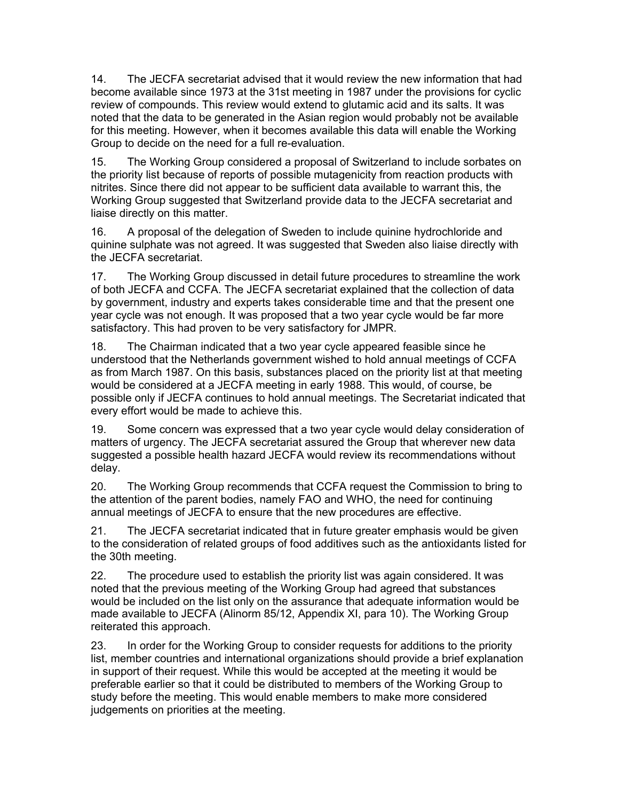14. The JECFA secretariat advised that it would review the new information that had become available since 1973 at the 31st meeting in 1987 under the provisions for cyclic review of compounds. This review would extend to glutamic acid and its salts. It was noted that the data to be generated in the Asian region would probably not be available for this meeting. However, when it becomes available this data will enable the Working Group to decide on the need for a full re-evaluation.

15. The Working Group considered a proposal of Switzerland to include sorbates on the priority list because of reports of possible mutagenicity from reaction products with nitrites. Since there did not appear to be sufficient data available to warrant this, the Working Group suggested that Switzerland provide data to the JECFA secretariat and liaise directly on this matter.

16. A proposal of the delegation of Sweden to include quinine hydrochloride and quinine sulphate was not agreed. It was suggested that Sweden also liaise directly with the JECFA secretariat.

17. The Working Group discussed in detail future procedures to streamline the work of both JECFA and CCFA. The JECFA secretariat explained that the collection of data by government, industry and experts takes considerable time and that the present one year cycle was not enough. It was proposed that a two year cycle would be far more satisfactory. This had proven to be very satisfactory for JMPR.

18. The Chairman indicated that a two year cycle appeared feasible since he understood that the Netherlands government wished to hold annual meetings of CCFA as from March 1987. On this basis, substances placed on the priority list at that meeting would be considered at a JECFA meeting in early 1988. This would, of course, be possible only if JECFA continues to hold annual meetings. The Secretariat indicated that every effort would be made to achieve this.

19. Some concern was expressed that a two year cycle would delay consideration of matters of urgency. The JECFA secretariat assured the Group that wherever new data suggested a possible health hazard JECFA would review its recommendations without delay.

20. The Working Group recommends that CCFA request the Commission to bring to the attention of the parent bodies, namely FAO and WHO, the need for continuing annual meetings of JECFA to ensure that the new procedures are effective.

21. The JECFA secretariat indicated that in future greater emphasis would be given to the consideration of related groups of food additives such as the antioxidants listed for the 30th meeting.

22. The procedure used to establish the priority list was again considered. It was noted that the previous meeting of the Working Group had agreed that substances would be included on the list only on the assurance that adequate information would be made available to JECFA (Alinorm 85/12, Appendix XI, para 10). The Working Group reiterated this approach.

23. In order for the Working Group to consider requests for additions to the priority list, member countries and international organizations should provide a brief explanation in support of their request. While this would be accepted at the meeting it would be preferable earlier so that it could be distributed to members of the Working Group to study before the meeting. This would enable members to make more considered judgements on priorities at the meeting.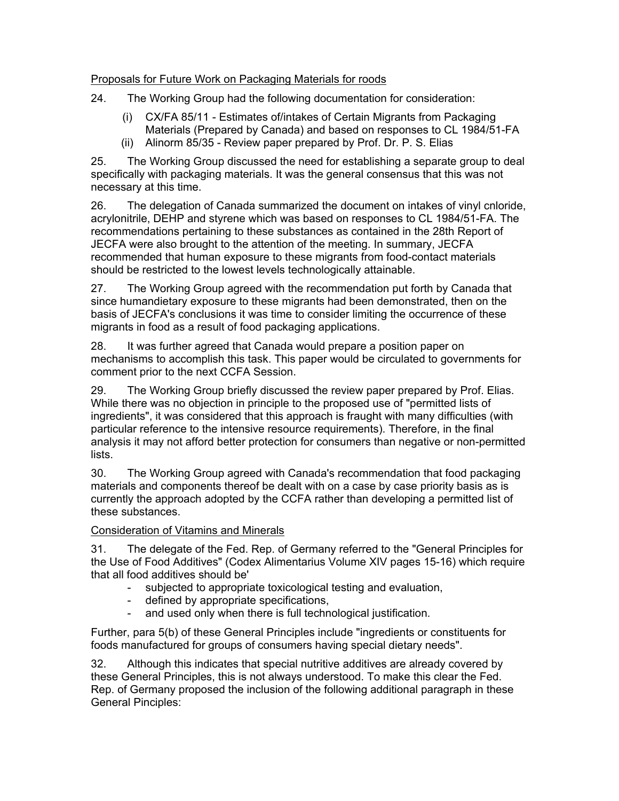# Proposals for Future Work on Packaging Materials for roods

24. The Working Group had the following documentation for consideration:

- (i) CX/FA 85/11 Estimates of/intakes of Certain Migrants from Packaging
- Materials (Prepared by Canada) and based on responses to CL 1984/51-FA
- (ii) Alinorm 85/35 Review paper prepared by Prof. Dr. P. S. Elias

25. The Working Group discussed the need for establishing a separate group to deal specifically with packaging materials. It was the general consensus that this was not necessary at this time.

26. The delegation of Canada summarized the document on intakes of vinyl cnloride, acrylonitrile, DEHP and styrene which was based on responses to CL 1984/51-FA. The recommendations pertaining to these substances as contained in the 28th Report of JECFA were also brought to the attention of the meeting. In summary, JECFA recommended that human exposure to these migrants from food-contact materials should be restricted to the lowest levels technologically attainable.

27. The Working Group agreed with the recommendation put forth by Canada that since humandietary exposure to these migrants had been demonstrated, then on the basis of JECFA's conclusions it was time to consider limiting the occurrence of these migrants in food as a result of food packaging applications.

28. It was further agreed that Canada would prepare a position paper on mechanisms to accomplish this task. This paper would be circulated to governments for comment prior to the next CCFA Session.

29. The Working Group briefly discussed the review paper prepared by Prof. Elias. While there was no objection in principle to the proposed use of "permitted lists of ingredients", it was considered that this approach is fraught with many difficulties (with particular reference to the intensive resource requirements). Therefore, in the final analysis it may not afford better protection for consumers than negative or non-permitted lists.

30. The Working Group agreed with Canada's recommendation that food packaging materials and components thereof be dealt with on a case by case priority basis as is currently the approach adopted by the CCFA rather than developing a permitted list of these substances.

# Consideration of Vitamins and Minerals

31. The delegate of the Fed. Rep. of Germany referred to the "General Principles for the Use of Food Additives" (Codex Alimentarius Volume XIV pages 15-16) which require that all food additives should be'

- subjected to appropriate toxicological testing and evaluation,
- defined by appropriate specifications,
- and used only when there is full technological justification.

Further, para 5(b) of these General Principles include "ingredients or constituents for foods manufactured for groups of consumers having special dietary needs".

32. Although this indicates that special nutritive additives are already covered by these General Principles, this is not always understood. To make this clear the Fed. Rep. of Germany proposed the inclusion of the following additional paragraph in these General Pinciples: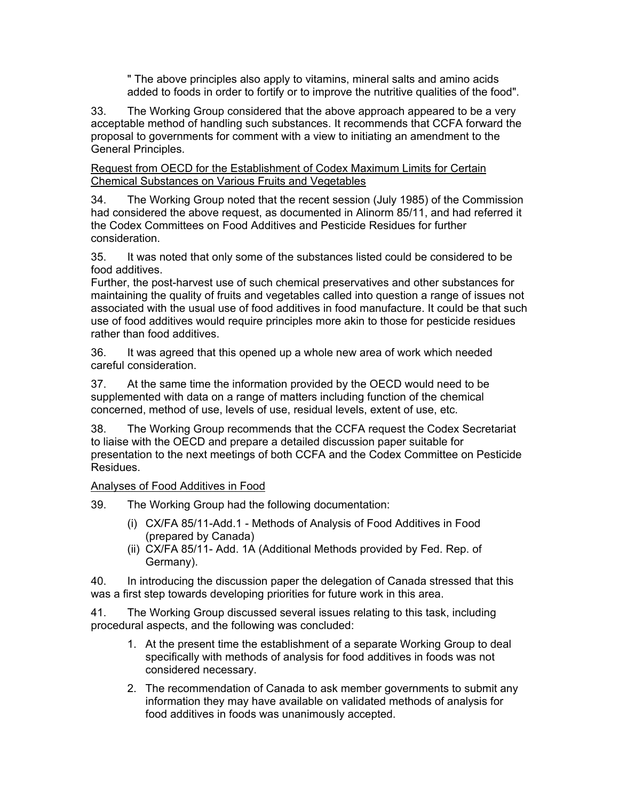" The above principles also apply to vitamins, mineral salts and amino acids added to foods in order to fortify or to improve the nutritive qualities of the food".

33. The Working Group considered that the above approach appeared to be a very acceptable method of handling such substances. It recommends that CCFA forward the proposal to governments for comment with a view to initiating an amendment to the General Principles.

Request from OECD for the Establishment of Codex Maximum Limits for Certain Chemical Substances on Various Fruits and Vegetables

34. The Working Group noted that the recent session (July 1985) of the Commission had considered the above request, as documented in Alinorm 85/11, and had referred it the Codex Committees on Food Additives and Pesticide Residues for further consideration.

35. It was noted that only some of the substances listed could be considered to be food additives.

Further, the post-harvest use of such chemical preservatives and other substances for maintaining the quality of fruits and vegetables called into question a range of issues not associated with the usual use of food additives in food manufacture. It could be that such use of food additives would require principles more akin to those for pesticide residues rather than food additives.

36. It was agreed that this opened up a whole new area of work which needed careful consideration.

37. At the same time the information provided by the OECD would need to be supplemented with data on a range of matters including function of the chemical concerned, method of use, levels of use, residual levels, extent of use, etc.

38. The Working Group recommends that the CCFA request the Codex Secretariat to liaise with the OECD and prepare a detailed discussion paper suitable for presentation to the next meetings of both CCFA and the Codex Committee on Pesticide Residues.

### Analyses of Food Additives in Food

39. The Working Group had the following documentation:

- (i) CX/FA 85/11-Add.1 Methods of Analysis of Food Additives in Food (prepared by Canada)
- (ii) CX/FA 85/11- Add. 1A (Additional Methods provided by Fed. Rep. of Germany).

40. In introducing the discussion paper the delegation of Canada stressed that this was a first step towards developing priorities for future work in this area.

41. The Working Group discussed several issues relating to this task, including procedural aspects, and the following was concluded:

- 1. At the present time the establishment of a separate Working Group to deal specifically with methods of analysis for food additives in foods was not considered necessary.
- 2. The recommendation of Canada to ask member governments to submit any information they may have available on validated methods of analysis for food additives in foods was unanimously accepted.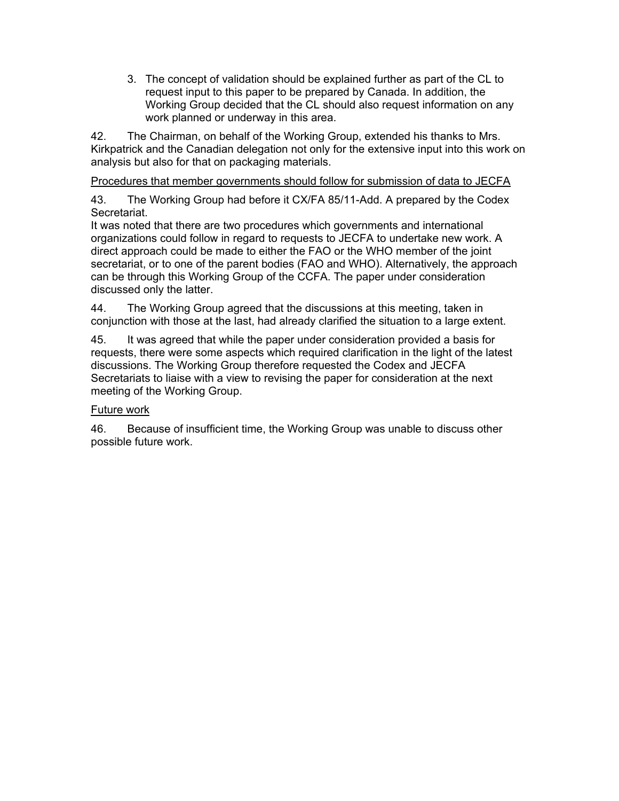3. The concept of validation should be explained further as part of the CL to request input to this paper to be prepared by Canada. In addition, the Working Group decided that the CL should also request information on any work planned or underway in this area.

42. The Chairman, on behalf of the Working Group, extended his thanks to Mrs. Kirkpatrick and the Canadian delegation not only for the extensive input into this work on analysis but also for that on packaging materials.

Procedures that member governments should follow for submission of data to JECFA

43. The Working Group had before it CX/FA 85/11-Add. A prepared by the Codex Secretariat.

It was noted that there are two procedures which governments and international organizations could follow in regard to requests to JECFA to undertake new work. A direct approach could be made to either the FAO or the WHO member of the joint secretariat, or to one of the parent bodies (FAO and WHO). Alternatively, the approach can be through this Working Group of the CCFA. The paper under consideration discussed only the latter.

44. The Working Group agreed that the discussions at this meeting, taken in conjunction with those at the last, had already clarified the situation to a large extent.

45. It was agreed that while the paper under consideration provided a basis for requests, there were some aspects which required clarification in the light of the latest discussions. The Working Group therefore requested the Codex and JECFA Secretariats to liaise with a view to revising the paper for consideration at the next meeting of the Working Group.

# Future work

46. Because of insufficient time, the Working Group was unable to discuss other possible future work.